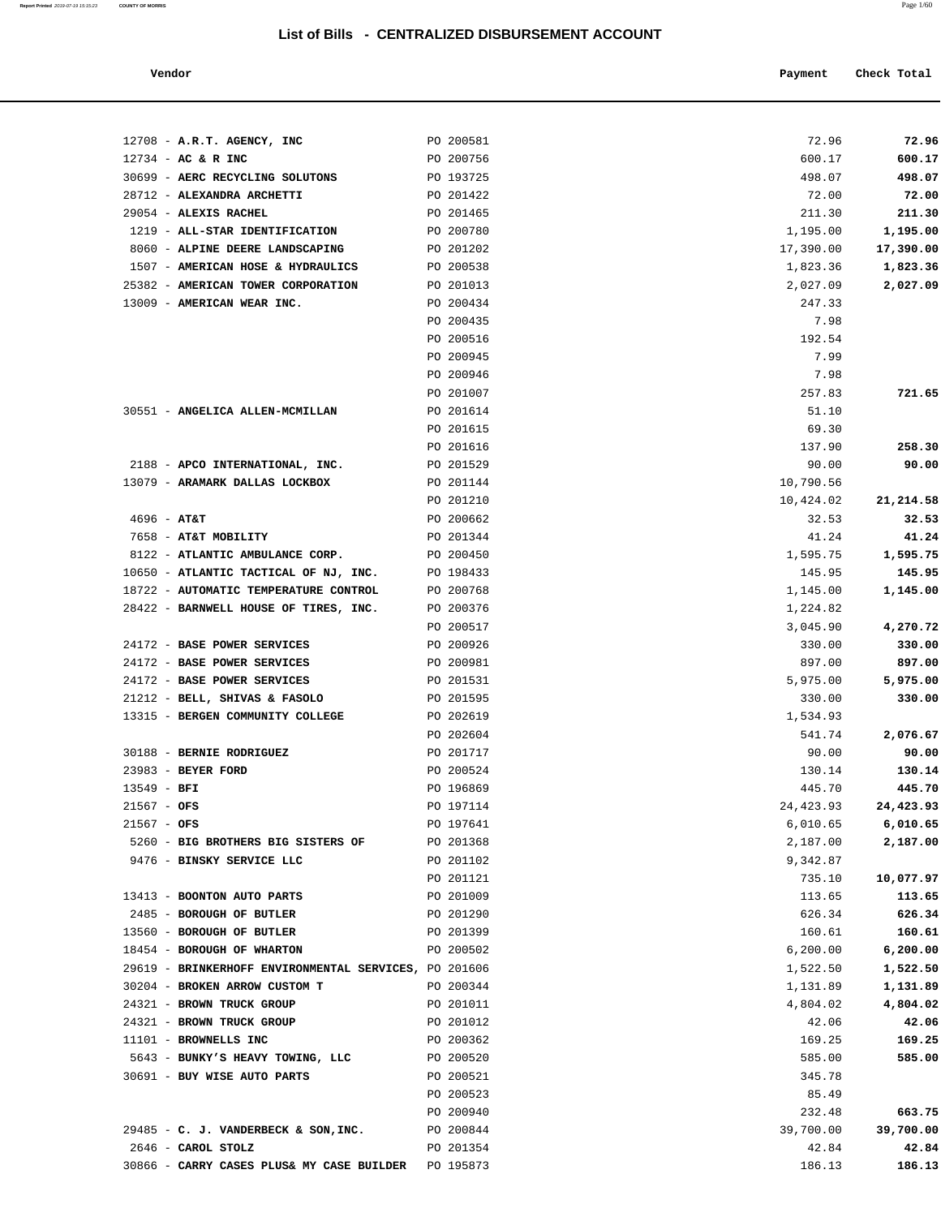| Vendor |  | Payment Check Total |
|--------|--|---------------------|
|--------|--|---------------------|

|               | 12708 - A.R.T. AGENCY, INC                                    | PO 200581              | 72.96              | 72.96              |
|---------------|---------------------------------------------------------------|------------------------|--------------------|--------------------|
|               | $12734$ - AC & R INC                                          | PO 200756              | 600.17             | 600.17<br>498.07   |
|               | 30699 - AERC RECYCLING SOLUTONS<br>28712 - ALEXANDRA ARCHETTI | PO 193725<br>PO 201422 | 498.07<br>72.00    | 72.00              |
|               | 29054 - ALEXIS RACHEL                                         | PO 201465              | 211.30             | 211.30             |
|               | 1219 - ALL-STAR IDENTIFICATION                                | PO 200780              | 1,195.00           | 1,195.00           |
|               | 8060 - ALPINE DEERE LANDSCAPING                               | PO 201202              | 17,390.00          | 17,390.00          |
|               | 1507 - AMERICAN HOSE & HYDRAULICS                             | PO 200538              | 1,823.36           | 1,823.36           |
|               | 25382 - AMERICAN TOWER CORPORATION                            | PO 201013              | 2,027.09           | 2,027.09           |
|               | 13009 - AMERICAN WEAR INC.                                    | PO 200434              | 247.33             |                    |
|               |                                                               | PO 200435              | 7.98               |                    |
|               |                                                               | PO 200516              | 192.54             |                    |
|               |                                                               | PO 200945              | 7.99               |                    |
|               |                                                               | PO 200946              | 7.98               |                    |
|               |                                                               | PO 201007              | 257.83             | 721.65             |
|               | 30551 - ANGELICA ALLEN-MCMILLAN                               | PO 201614              | 51.10              |                    |
|               |                                                               | PO 201615              | 69.30              |                    |
|               |                                                               | PO 201616              | 137.90             | 258.30             |
|               | 2188 - APCO INTERNATIONAL, INC.                               | PO 201529              | 90.00              | 90.00              |
|               | 13079 - ARAMARK DALLAS LOCKBOX                                | PO 201144              | 10,790.56          |                    |
|               |                                                               | PO 201210              | 10,424.02          | 21, 214.58         |
| $4696 - AT&T$ |                                                               | PO 200662              | 32.53              | 32.53              |
|               | 7658 - AT&T MOBILITY                                          | PO 201344              | 41.24              | 41.24              |
|               | 8122 - ATLANTIC AMBULANCE CORP.                               | PO 200450              | 1,595.75           | 1,595.75           |
|               | 10650 - ATLANTIC TACTICAL OF NJ, INC.                         | PO 198433              | 145.95             | 145.95             |
|               | 18722 - AUTOMATIC TEMPERATURE CONTROL                         | PO 200768              | 1,145.00           | 1,145.00           |
|               | 28422 - BARNWELL HOUSE OF TIRES, INC.                         | PO 200376<br>PO 200517 | 1,224.82           |                    |
|               | 24172 - BASE POWER SERVICES                                   | PO 200926              | 3,045.90<br>330.00 | 4,270.72<br>330.00 |
|               | 24172 - BASE POWER SERVICES                                   | PO 200981              | 897.00             | 897.00             |
|               | 24172 - BASE POWER SERVICES                                   | PO 201531              | 5,975.00           | 5,975.00           |
|               | 21212 - BELL, SHIVAS & FASOLO                                 | PO 201595              | 330.00             | 330.00             |
|               | 13315 - BERGEN COMMUNITY COLLEGE                              | PO 202619              | 1,534.93           |                    |
|               |                                                               | PO 202604              | 541.74             | 2,076.67           |
|               | 30188 - BERNIE RODRIGUEZ                                      | PO 201717              | 90.00              | 90.00              |
|               | 23983 - BEYER FORD                                            | PO 200524              | 130.14             | 130.14             |
| $13549 - BFI$ |                                                               | PO 196869              | 445.70             | 445.70             |
| $21567 - OFS$ |                                                               | PO 197114              | 24,423.93          | 24,423.93          |
| $21567 - OFS$ |                                                               | PO 197641              | 6,010.65           | 6,010.65           |
|               | 5260 - BIG BROTHERS BIG SISTERS OF                            | PO 201368              | 2,187.00           | 2,187.00           |
|               | 9476 - BINSKY SERVICE LLC                                     | PO 201102              | 9,342.87           |                    |
|               |                                                               | PO 201121              | 735.10             | 10,077.97          |
|               | 13413 - BOONTON AUTO PARTS                                    | PO 201009              | 113.65             | 113.65             |
|               | 2485 - BOROUGH OF BUTLER                                      | PO 201290              | 626.34             | 626.34             |
|               | 13560 - BOROUGH OF BUTLER                                     | PO 201399              | 160.61             | 160.61             |
|               | 18454 - BOROUGH OF WHARTON                                    | PO 200502              | 6, 200.00          | 6,200.00           |
|               | 29619 - BRINKERHOFF ENVIRONMENTAL SERVICES, PO 201606         |                        | 1,522.50           | 1,522.50           |
|               | 30204 - BROKEN ARROW CUSTOM T                                 | PO 200344              | 1,131.89           | 1,131.89           |
|               | 24321 - BROWN TRUCK GROUP                                     | PO 201011              | 4,804.02           | 4,804.02           |
|               | 24321 - BROWN TRUCK GROUP                                     | PO 201012              | 42.06              | 42.06              |
|               | 11101 - BROWNELLS INC                                         | PO 200362              | 169.25             | 169.25             |
|               | 5643 - BUNKY'S HEAVY TOWING, LLC                              | PO 200520              | 585.00             | 585.00             |
|               | 30691 - BUY WISE AUTO PARTS                                   | PO 200521              | 345.78             |                    |
|               |                                                               | PO 200523              | 85.49              |                    |
|               |                                                               | PO 200940              | 232.48             | 663.75             |
|               | 29485 - C. J. VANDERBECK & SON, INC.                          | PO 200844              | 39,700.00          | 39,700.00          |
|               | 2646 - CAROL STOLZ                                            | PO 201354              | 42.84              | 42.84              |
|               | 30866 - CARRY CASES PLUS& MY CASE BUILDER PO 195873           |                        | 186.13             | 186.13             |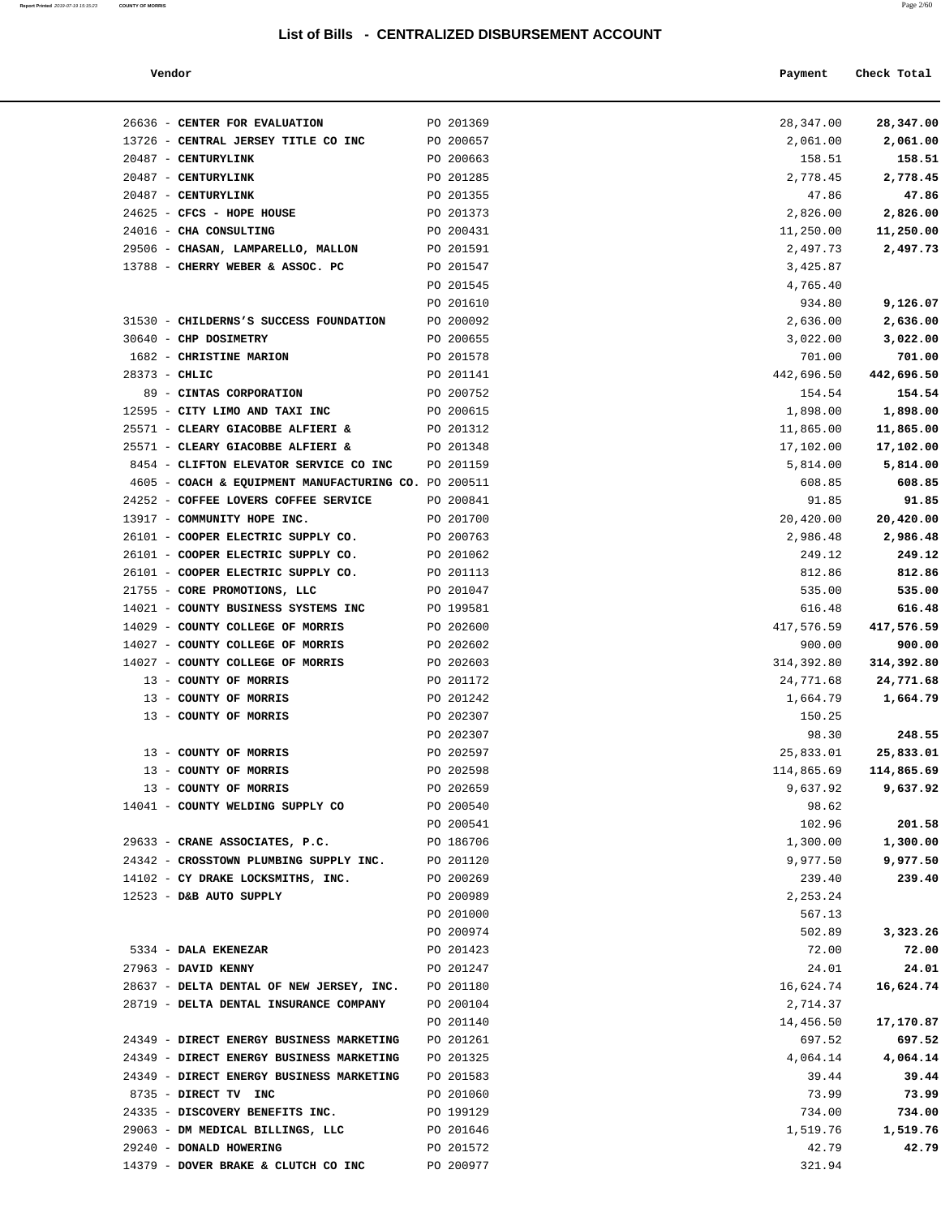**Report Printed** 2019-07-19 15:15:23 **COUNTY OF MORRIS** 

| Vendor                                               |           | Payment    | Check Total |
|------------------------------------------------------|-----------|------------|-------------|
| 26636 - CENTER FOR EVALUATION                        | PO 201369 | 28,347.00  | 28,347.00   |
| 13726 - CENTRAL JERSEY TITLE CO INC                  | PO 200657 | 2,061.00   | 2,061.00    |
| 20487 - CENTURYLINK                                  | PO 200663 | 158.51     | 158.51      |
| 20487 - CENTURYLINK                                  | PO 201285 | 2,778.45   | 2,778.45    |
| 20487 - CENTURYLINK                                  | PO 201355 | 47.86      | 47.86       |
| 24625 - CFCS - HOPE HOUSE                            | PO 201373 | 2,826.00   | 2,826.00    |
| 24016 - CHA CONSULTING                               | PO 200431 | 11,250.00  | 11,250.00   |
| 29506 - CHASAN, LAMPARELLO, MALLON                   | PO 201591 | 2,497.73   | 2,497.73    |
| 13788 - CHERRY WEBER & ASSOC. PC                     | PO 201547 | 3,425.87   |             |
|                                                      | PO 201545 | 4,765.40   |             |
|                                                      | PO 201610 | 934.80     | 9,126.07    |
| 31530 - CHILDERNS'S SUCCESS FOUNDATION               | PO 200092 | 2,636.00   | 2,636.00    |
| 30640 - CHP DOSIMETRY                                | PO 200655 | 3,022.00   | 3,022.00    |
| 1682 - CHRISTINE MARION                              | PO 201578 | 701.00     | 701.00      |
| $28373 - CHLIC$                                      | PO 201141 | 442,696.50 | 442,696.50  |
| 89 - CINTAS CORPORATION                              | PO 200752 | 154.54     | 154.54      |
| 12595 - CITY LIMO AND TAXI INC                       | PO 200615 | 1,898.00   | 1,898.00    |
| 25571 - CLEARY GIACOBBE ALFIERI &                    | PO 201312 | 11,865.00  | 11,865.00   |
| 25571 - CLEARY GIACOBBE ALFIERI &                    | PO 201348 | 17,102.00  | 17,102.00   |
| 8454 - CLIFTON ELEVATOR SERVICE CO INC               | PO 201159 | 5,814.00   | 5,814.00    |
| 4605 - COACH & EQUIPMENT MANUFACTURING CO. PO 200511 |           | 608.85     | 608.85      |
| 24252 - COFFEE LOVERS COFFEE SERVICE                 | PO 200841 | 91.85      | 91.85       |
| 13917 - COMMUNITY HOPE INC.                          | PO 201700 | 20,420.00  | 20,420.00   |
| 26101 - COOPER ELECTRIC SUPPLY CO.                   | PO 200763 | 2,986.48   | 2,986.48    |
| 26101 - COOPER ELECTRIC SUPPLY CO.                   | PO 201062 | 249.12     | 249.12      |
| 26101 - COOPER ELECTRIC SUPPLY CO.                   | PO 201113 | 812.86     | 812.86      |
| 21755 - CORE PROMOTIONS, LLC                         | PO 201047 | 535.00     | 535.00      |
| 14021 - COUNTY BUSINESS SYSTEMS INC                  | PO 199581 | 616.48     | 616.48      |
| 14029 - COUNTY COLLEGE OF MORRIS                     | PO 202600 | 417,576.59 | 417,576.59  |
| 14027 - COUNTY COLLEGE OF MORRIS                     | PO 202602 | 900.00     | 900.00      |
| 14027 - COUNTY COLLEGE OF MORRIS                     | PO 202603 | 314,392.80 | 314,392.80  |
| 13 - COUNTY OF MORRIS                                | PO 201172 | 24,771.68  | 24,771.68   |
| 13 - COUNTY OF MORRIS                                | PO 201242 | 1,664.79   | 1,664.79    |
| 13 - COUNTY OF MORRIS                                | PO 202307 | 150.25     |             |
|                                                      | PO 202307 | 98.30      | 248.55      |
| 13 - COUNTY OF MORRIS                                | PO 202597 | 25,833.01  | 25,833.01   |
| 13 - COUNTY OF MORRIS                                | PO 202598 | 114,865.69 | 114,865.69  |
| 13 - COUNTY OF MORRIS                                | PO 202659 | 9,637.92   | 9,637.92    |
| 14041 - COUNTY WELDING SUPPLY CO                     | PO 200540 | 98.62      |             |
|                                                      | PO 200541 | 102.96     | 201.58      |
| 29633 - CRANE ASSOCIATES, P.C.                       | PO 186706 | 1,300.00   | 1,300.00    |
| 24342 - CROSSTOWN PLUMBING SUPPLY INC.               | PO 201120 | 9,977.50   | 9,977.50    |
| 14102 - CY DRAKE LOCKSMITHS, INC.                    | PO 200269 | 239.40     | 239.40      |
| 12523 - D&B AUTO SUPPLY                              | PO 200989 | 2, 253.24  |             |
|                                                      | PO 201000 | 567.13     |             |
|                                                      | PO 200974 | 502.89     | 3,323.26    |
| 5334 - DALA EKENEZAR                                 | PO 201423 | 72.00      | 72.00       |
| 27963 - DAVID KENNY                                  | PO 201247 | 24.01      | 24.01       |
| 28637 - DELTA DENTAL OF NEW JERSEY, INC.             | PO 201180 | 16,624.74  | 16,624.74   |
| 28719 - DELTA DENTAL INSURANCE COMPANY               | PO 200104 | 2,714.37   |             |
|                                                      | PO 201140 | 14,456.50  | 17,170.87   |
| 24349 - DIRECT ENERGY BUSINESS MARKETING             | PO 201261 | 697.52     | 697.52      |
| 24349 - DIRECT ENERGY BUSINESS MARKETING             | PO 201325 | 4,064.14   | 4,064.14    |
| 24349 - DIRECT ENERGY BUSINESS MARKETING             | PO 201583 | 39.44      | 39.44       |
| 8735 - DIRECT TV INC                                 | PO 201060 | 73.99      | 73.99       |
| 24335 - DISCOVERY BENEFITS INC.                      | PO 199129 | 734.00     | 734.00      |
| 29063 - DM MEDICAL BILLINGS, LLC                     | PO 201646 | 1,519.76   | 1,519.76    |
| 29240 - DONALD HOWERING                              | PO 201572 | 42.79      | 42.79       |
| 14379 - DOVER BRAKE & CLUTCH CO INC                  | PO 200977 | 321.94     |             |

| 26636 - CENTER FOR EVALUATION                        | PO 201369 | 28,347.00  | 28,347.00  |
|------------------------------------------------------|-----------|------------|------------|
| 13726 - CENTRAL JERSEY TITLE CO INC                  | PO 200657 | 2,061.00   | 2,061.00   |
| 20487 - CENTURYLINK                                  | PO 200663 | 158.51     | 158.51     |
| 20487 - CENTURYLINK                                  | PO 201285 | 2,778.45   | 2,778.45   |
| 20487 - CENTURYLINK                                  | PO 201355 | 47.86      | 47.86      |
| 24625 - CFCS - HOPE HOUSE                            | PO 201373 | 2,826.00   | 2,826.00   |
| 24016 - CHA CONSULTING                               | PO 200431 | 11,250.00  | 11,250.00  |
| 29506 - CHASAN, LAMPARELLO, MALLON                   | PO 201591 | 2,497.73   | 2,497.73   |
| 13788 - CHERRY WEBER & ASSOC. PC PO 201547           |           | 3,425.87   |            |
|                                                      | PO 201545 | 4,765.40   |            |
|                                                      | PO 201610 | 934.80     | 9,126.07   |
| 31530 - CHILDERNS'S SUCCESS FOUNDATION               | PO 200092 | 2,636.00   | 2,636.00   |
| 30640 - CHP DOSIMETRY                                | PO 200655 | 3,022.00   | 3,022.00   |
| 1682 - CHRISTINE MARION                              | PO 201578 | 701.00     | 701.00     |
| $28373 - CHLIC$                                      | PO 201141 | 442,696.50 | 442,696.50 |
| 89 - CINTAS CORPORATION                              | PO 200752 | 154.54     | 154.54     |
| 12595 - CITY LIMO AND TAXI INC                       | PO 200615 | 1,898.00   | 1,898.00   |
| 25571 - CLEARY GIACOBBE ALFIERI &                    | PO 201312 | 11,865.00  | 11,865.00  |
| 25571 - CLEARY GIACOBBE ALFIERI &                    | PO 201348 | 17,102.00  | 17,102.00  |
| 8454 - CLIFTON ELEVATOR SERVICE CO INC               | PO 201159 | 5,814.00   | 5,814.00   |
| 4605 - COACH & EQUIPMENT MANUFACTURING CO. PO 200511 |           | 608.85     | 608.85     |
| 24252 - COFFEE LOVERS COFFEE SERVICE                 | PO 200841 | 91.85      | 91.85      |
| 13917 - COMMUNITY HOPE INC.                          | PO 201700 | 20,420.00  | 20,420.00  |
| 26101 - COOPER ELECTRIC SUPPLY CO.                   | PO 200763 | 2,986.48   | 2,986.48   |
| 26101 - COOPER ELECTRIC SUPPLY CO.                   | PO 201062 | 249.12     | 249.12     |
| 26101 - COOPER ELECTRIC SUPPLY CO.                   | PO 201113 | 812.86     | 812.86     |
| 21755 - CORE PROMOTIONS, LLC                         | PO 201047 | 535.00     | 535.00     |
| 14021 - COUNTY BUSINESS SYSTEMS INC                  | PO 199581 | 616.48     | 616.48     |
| 14029 - COUNTY COLLEGE OF MORRIS                     | PO 202600 | 417,576.59 | 417,576.59 |
| 14027 - COUNTY COLLEGE OF MORRIS                     | PO 202602 | 900.00     | 900.00     |
| 14027 - COUNTY COLLEGE OF MORRIS                     | PO 202603 | 314,392.80 | 314,392.80 |
| 13 - COUNTY OF MORRIS                                | PO 201172 | 24,771.68  | 24,771.68  |
| 13 - COUNTY OF MORRIS                                | PO 201242 | 1,664.79   | 1,664.79   |
| 13 - COUNTY OF MORRIS                                | PO 202307 | 150.25     |            |
|                                                      | PO 202307 | 98.30      | 248.55     |
| 13 - COUNTY OF MORRIS                                | PO 202597 | 25,833.01  | 25,833.01  |
| 13 - COUNTY OF MORRIS                                | PO 202598 | 114,865.69 | 114,865.69 |
| 13 - COUNTY OF MORRIS                                | PO 202659 | 9,637.92   | 9,637.92   |
| 14041 - COUNTY WELDING SUPPLY CO                     | PO 200540 | 98.62      |            |
|                                                      | PO 200541 | 102.96     | 201.58     |
| 29633 - CRANE ASSOCIATES, P.C.                       | PO 186706 | 1,300.00   | 1,300.00   |
| 24342 - CROSSTOWN PLUMBING SUPPLY INC.               | PO 201120 | 9,977.50   | 9,977.50   |
| 14102 - CY DRAKE LOCKSMITHS, INC.                    | PO 200269 | 239.40     | 239.40     |
| 12523 - D&B AUTO SUPPLY                              | PO 200989 | 2,253.24   |            |
|                                                      | PO 201000 | 567.13     |            |
|                                                      | PO 200974 | 502.89     | 3,323.26   |
| 5334 - DALA EKENEZAR                                 | PO 201423 | 72.00      | 72.00      |
| 27963 - DAVID KENNY                                  | PO 201247 | 24.01      | 24.01      |
| 28637 - DELTA DENTAL OF NEW JERSEY, INC.             | PO 201180 | 16,624.74  | 16,624.74  |
| 28719 - DELTA DENTAL INSURANCE COMPANY               | PO 200104 | 2,714.37   |            |
|                                                      | PO 201140 | 14,456.50  | 17,170.87  |
| 24349 - DIRECT ENERGY BUSINESS MARKETING             | PO 201261 | 697.52     | 697.52     |
| 24349 - DIRECT ENERGY BUSINESS MARKETING             | PO 201325 | 4,064.14   | 4,064.14   |
| 24349 - DIRECT ENERGY BUSINESS MARKETING             | PO 201583 | 39.44      | 39.44      |
| 8735 - DIRECT TV INC                                 | PO 201060 | 73.99      | 73.99      |
| 24335 - DISCOVERY BENEFITS INC.                      | PO 199129 | 734.00     | 734.00     |
| 29063 - DM MEDICAL BILLINGS, LLC                     | PO 201646 | 1,519.76   | 1,519.76   |
| 29240 - DONALD HOWERING                              | PO 201572 | 42.79      | 42.79      |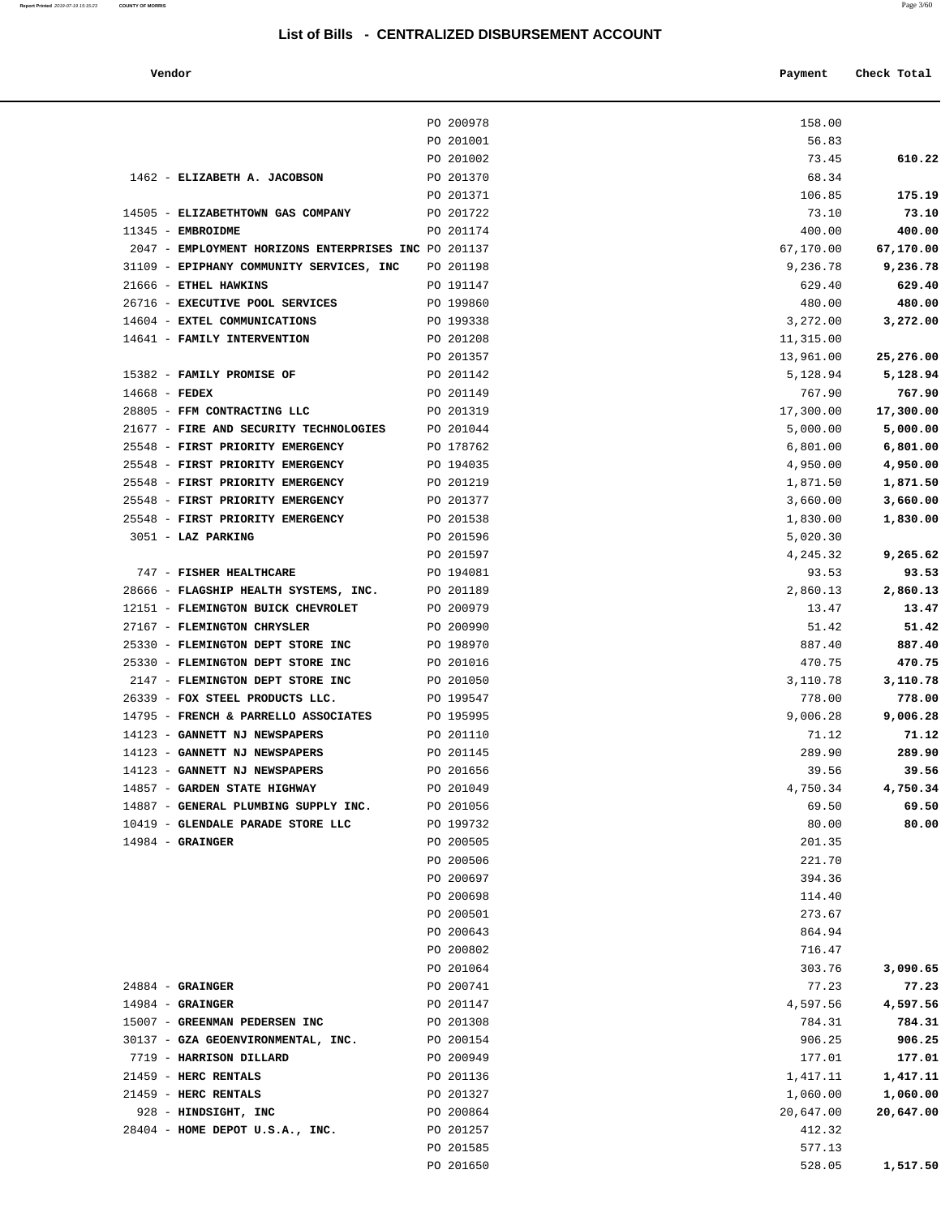**Vendor Payment Check Total**

|                       |                                                      | PO 200978              | 158.00             |                     |
|-----------------------|------------------------------------------------------|------------------------|--------------------|---------------------|
|                       |                                                      | PO 201001              | 56.83              |                     |
|                       |                                                      | PO 201002              | 73.45              | 610.22              |
|                       | 1462 - ELIZABETH A. JACOBSON                         | PO 201370              | 68.34              |                     |
|                       |                                                      | PO 201371              | 106.85             | 175.19              |
|                       | 14505 - ELIZABETHTOWN GAS COMPANY                    | PO 201722              | 73.10              | 73.10               |
| $11345$ - EMBROIDME   |                                                      | PO 201174              | 400.00             | 400.00              |
|                       | 2047 - EMPLOYMENT HORIZONS ENTERPRISES INC PO 201137 |                        | 67,170.00          | 67,170.00           |
|                       | 31109 - EPIPHANY COMMUNITY SERVICES, INC             | PO 201198              | 9,236.78           | 9,236.78            |
| 21666 - ETHEL HAWKINS |                                                      | PO 191147              | 629.40             | 629.40              |
|                       | 26716 - EXECUTIVE POOL SERVICES                      | PO 199860              | 480.00             | 480.00              |
|                       | 14604 - EXTEL COMMUNICATIONS                         | PO 199338              | 3,272.00           | 3,272.00            |
|                       | 14641 - FAMILY INTERVENTION                          | PO 201208              | 11,315.00          |                     |
|                       |                                                      | PO 201357              | 13,961.00          | 25,276.00           |
| $14668$ - FEDEX       | 15382 - FAMILY PROMISE OF                            | PO 201142<br>PO 201149 | 5,128.94<br>767.90 | 5,128.94            |
|                       | 28805 - FFM CONTRACTING LLC                          | PO 201319              | 17,300.00          | 767.90<br>17,300.00 |
|                       | 21677 - FIRE AND SECURITY TECHNOLOGIES               | PO 201044              | 5,000.00           | 5,000.00            |
|                       | 25548 - FIRST PRIORITY EMERGENCY                     | PO 178762              | 6,801.00           | 6,801.00            |
|                       | 25548 - FIRST PRIORITY EMERGENCY                     | PO 194035              | 4,950.00           | 4,950.00            |
|                       | 25548 - FIRST PRIORITY EMERGENCY                     | PO 201219              | 1,871.50           | 1,871.50            |
|                       | 25548 - FIRST PRIORITY EMERGENCY                     | PO 201377              | 3,660.00           | 3,660.00            |
|                       | 25548 - FIRST PRIORITY EMERGENCY                     | PO 201538              | 1,830.00           | 1,830.00            |
| 3051 - LAZ PARKING    |                                                      | PO 201596              | 5,020.30           |                     |
|                       |                                                      | PO 201597              | 4,245.32           | 9,265.62            |
|                       | 747 - FISHER HEALTHCARE                              | PO 194081              | 93.53              | 93.53               |
|                       | 28666 - FLAGSHIP HEALTH SYSTEMS, INC.                | PO 201189              | 2,860.13           | 2,860.13            |
|                       | 12151 - FLEMINGTON BUICK CHEVROLET                   | PO 200979              | 13.47              | 13.47               |
|                       | 27167 - FLEMINGTON CHRYSLER                          | PO 200990              | 51.42              | 51.42               |
|                       | 25330 - FLEMINGTON DEPT STORE INC                    | PO 198970              | 887.40             | 887.40              |
|                       | 25330 - FLEMINGTON DEPT STORE INC                    | PO 201016              | 470.75             | 470.75              |
|                       | 2147 - FLEMINGTON DEPT STORE INC                     | PO 201050              | 3,110.78           | 3,110.78            |
|                       | 26339 - FOX STEEL PRODUCTS LLC.                      | PO 199547              | 778.00             | 778.00              |
|                       | 14795 - FRENCH & PARRELLO ASSOCIATES                 | PO 195995              | 9,006.28           | 9,006.28            |
|                       | 14123 - GANNETT NJ NEWSPAPERS                        | PO 201110              | 71.12              | 71.12               |
|                       | 14123 - GANNETT NJ NEWSPAPERS                        | PO 201145              | 289.90             | 289.90              |
|                       | 14123 - GANNETT NJ NEWSPAPERS                        | PO 201656              | 39.56              | 39.56               |
|                       | 14857 - GARDEN STATE HIGHWAY                         | PO 201049              | 4,750.34           | 4,750.34            |
|                       | 14887 - GENERAL PLUMBING SUPPLY INC.                 | PO 201056              | 69.50              | 69.50               |
|                       | 10419 - GLENDALE PARADE STORE LLC                    | PO 199732              | 80.00              | 80.00               |
| $14984$ - GRAINGER    |                                                      | PO 200505              | 201.35             |                     |
|                       |                                                      | PO 200506              | 221.70             |                     |
|                       |                                                      | PO 200697              | 394.36             |                     |
|                       |                                                      | PO 200698              | 114.40             |                     |
|                       |                                                      | PO 200501              | 273.67             |                     |
|                       |                                                      | PO 200643              | 864.94             |                     |
|                       |                                                      | PO 200802              | 716.47             |                     |
|                       |                                                      | PO 201064              | 303.76             | 3,090.65            |
| $24884$ - GRAINGER    |                                                      | PO 200741              | 77.23              | 77.23               |
| $14984 -$ GRAINGER    |                                                      | PO 201147              | 4,597.56           | 4,597.56            |
|                       | 15007 - GREENMAN PEDERSEN INC                        | PO 201308              | 784.31             | 784.31              |
|                       | 30137 - GZA GEOENVIRONMENTAL, INC.                   | PO 200154              | 906.25             | 906.25              |
|                       | 7719 - HARRISON DILLARD                              | PO 200949              | 177.01             | 177.01              |
| 21459 - HERC RENTALS  |                                                      | PO 201136              | 1,417.11           | 1,417.11            |
| 21459 - HERC RENTALS  |                                                      | PO 201327              | 1,060.00           | 1,060.00            |
|                       | 928 - HINDSIGHT, INC                                 | PO 200864              | 20,647.00          | 20,647.00           |
|                       | 28404 - HOME DEPOT U.S.A., INC.                      | PO 201257              | 412.32             |                     |
|                       |                                                      | PO 201585              | 577.13             |                     |
|                       |                                                      | PO 201650              | 528.05             | 1,517.50            |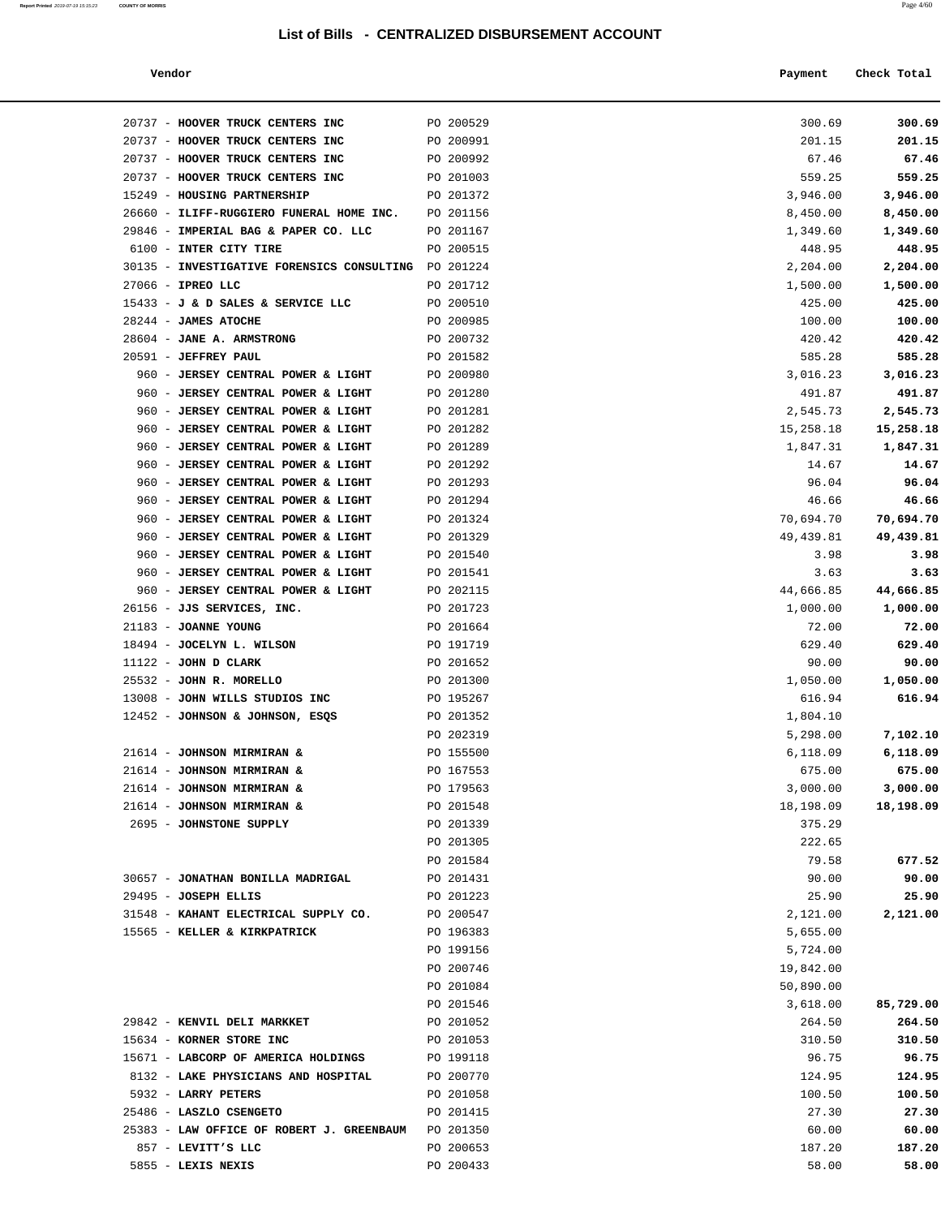**Report Printed** 2019-07-19 15:15:23 **COUNTY OF MORRIS** Page 4/60

| Vendor |  | Payment Check Total |
|--------|--|---------------------|
|--------|--|---------------------|

| 20737 - HOOVER TRUCK CENTERS INC                     | PO 200529              | 300.69            | 300.69            |
|------------------------------------------------------|------------------------|-------------------|-------------------|
| 20737 - HOOVER TRUCK CENTERS INC                     | PO 200991              | 201.15            | 201.15            |
| 20737 - HOOVER TRUCK CENTERS INC                     | PO 200992              | 67.46             | 67.46             |
| 20737 - HOOVER TRUCK CENTERS INC                     | PO 201003              | 559.25            | 559.25            |
| 15249 - HOUSING PARTNERSHIP                          | PO 201372              | 3,946.00          | 3,946.00          |
| 26660 - ILIFF-RUGGIERO FUNERAL HOME INC.             | PO 201156              | 8,450.00          | 8,450.00          |
| 29846 - IMPERIAL BAG & PAPER CO. LLC                 | PO 201167              | 1,349.60          | 1,349.60          |
| 6100 - INTER CITY TIRE                               | PO 200515              | 448.95            | 448.95            |
| 30135 - INVESTIGATIVE FORENSICS CONSULTING PO 201224 |                        | 2,204.00          | 2,204.00          |
| $27066$ - IPREO LLC                                  | PO 201712              | 1,500.00          | 1,500.00          |
| 15433 - J & D SALES & SERVICE LLC                    | PO 200510              | 425.00            | 425.00            |
| 28244 - JAMES ATOCHE                                 | PO 200985              | 100.00            | 100.00            |
| 28604 - JANE A. ARMSTRONG                            | PO 200732              | 420.42            | 420.42            |
| 20591 - JEFFREY PAUL                                 | PO 201582              | 585.28            | 585.28            |
| 960 - JERSEY CENTRAL POWER & LIGHT                   | PO 200980              | 3,016.23          | 3,016.23          |
| 960 - JERSEY CENTRAL POWER & LIGHT                   | PO 201280              | 491.87            | 491.87            |
| 960 - JERSEY CENTRAL POWER & LIGHT                   | PO 201281              | 2,545.73          | 2,545.73          |
| 960 - JERSEY CENTRAL POWER & LIGHT                   | PO 201282              | 15,258.18         | 15,258.18         |
| 960 - JERSEY CENTRAL POWER & LIGHT                   | PO 201289              | 1,847.31          | 1,847.31          |
| 960 - JERSEY CENTRAL POWER & LIGHT                   | PO 201292              | 14.67             | 14.67             |
| 960 - JERSEY CENTRAL POWER & LIGHT                   | PO 201293              | 96.04             | 96.04             |
| 960 - JERSEY CENTRAL POWER & LIGHT                   | PO 201294              | 46.66             | 46.66             |
| 960 - JERSEY CENTRAL POWER & LIGHT                   | PO 201324              | 70,694.70         | 70,694.70         |
| 960 - JERSEY CENTRAL POWER & LIGHT                   | PO 201329              | 49,439.81         | 49,439.81         |
| 960 - JERSEY CENTRAL POWER & LIGHT                   | PO 201540              | 3.98              | 3.98              |
| 960 - JERSEY CENTRAL POWER & LIGHT                   | PO 201541              | 3.63              | 3.63              |
| 960 - JERSEY CENTRAL POWER & LIGHT                   | PO 202115              | 44,666.85         | 44,666.85         |
| 26156 - JJS SERVICES, INC.                           | PO 201723              | 1,000.00          | 1,000.00          |
| 21183 - JOANNE YOUNG<br>18494 - JOCELYN L. WILSON    | PO 201664<br>PO 191719 | 72.00<br>629.40   | 72.00<br>629.40   |
| $11122$ - JOHN D CLARK                               |                        |                   |                   |
| 25532 - JOHN R. MORELLO                              | PO 201652<br>PO 201300 | 90.00<br>1,050.00 | 90.00<br>1,050.00 |
| 13008 - JOHN WILLS STUDIOS INC                       | PO 195267              | 616.94            | 616.94            |
| 12452 - JOHNSON & JOHNSON, ESQS                      | PO 201352              | 1,804.10          |                   |
|                                                      | PO 202319              | 5,298.00          | 7,102.10          |
| 21614 - JOHNSON MIRMIRAN &                           | PO 155500              | 6,118.09          | 6,118.09          |
| 21614 - JOHNSON MIRMIRAN &                           | PO 167553              | 675.00            | 675.00            |
| 21614 - JOHNSON MIRMIRAN &                           | PO 179563              | 3,000.00          | 3,000.00          |
| 21614 - JOHNSON MIRMIRAN &                           | PO 201548              | 18,198.09         | 18,198.09         |
| 2695 - JOHNSTONE SUPPLY                              | PO 201339              | 375.29            |                   |
|                                                      | PO 201305              | 222.65            |                   |
|                                                      | PO 201584              | 79.58             | 677.52            |
| 30657 - JONATHAN BONILLA MADRIGAL                    | PO 201431              | 90.00             | 90.00             |
| 29495 - JOSEPH ELLIS                                 | PO 201223              | 25.90             | 25.90             |
| 31548 - KAHANT ELECTRICAL SUPPLY CO.                 | PO 200547              | 2,121.00          | 2,121.00          |
| 15565 - KELLER & KIRKPATRICK                         | PO 196383              | 5,655.00          |                   |
|                                                      | PO 199156              | 5,724.00          |                   |
|                                                      | PO 200746              | 19,842.00         |                   |
|                                                      | PO 201084              | 50,890.00         |                   |
|                                                      | PO 201546              | 3,618.00          | 85,729.00         |
| 29842 - KENVIL DELI MARKKET                          | PO 201052              | 264.50            | 264.50            |
| 15634 - KORNER STORE INC                             | PO 201053              | 310.50            | 310.50            |
| 15671 - LABCORP OF AMERICA HOLDINGS                  | PO 199118              | 96.75             | 96.75             |
| 8132 - LAKE PHYSICIANS AND HOSPITAL                  | PO 200770              | 124.95            | 124.95            |
| 5932 - LARRY PETERS                                  | PO 201058              | 100.50            | 100.50            |
| 25486 - LASZLO CSENGETO                              | PO 201415              | 27.30             | 27.30             |
| 25383 - LAW OFFICE OF ROBERT J. GREENBAUM            | PO 201350              | 60.00             | 60.00             |
| 857 - LEVITT'S LLC                                   | PO 200653              | 187.20            | 187.20            |
| 5855 - LEXIS NEXIS                                   | PO 200433              | 58.00             | 58.00             |
|                                                      |                        |                   |                   |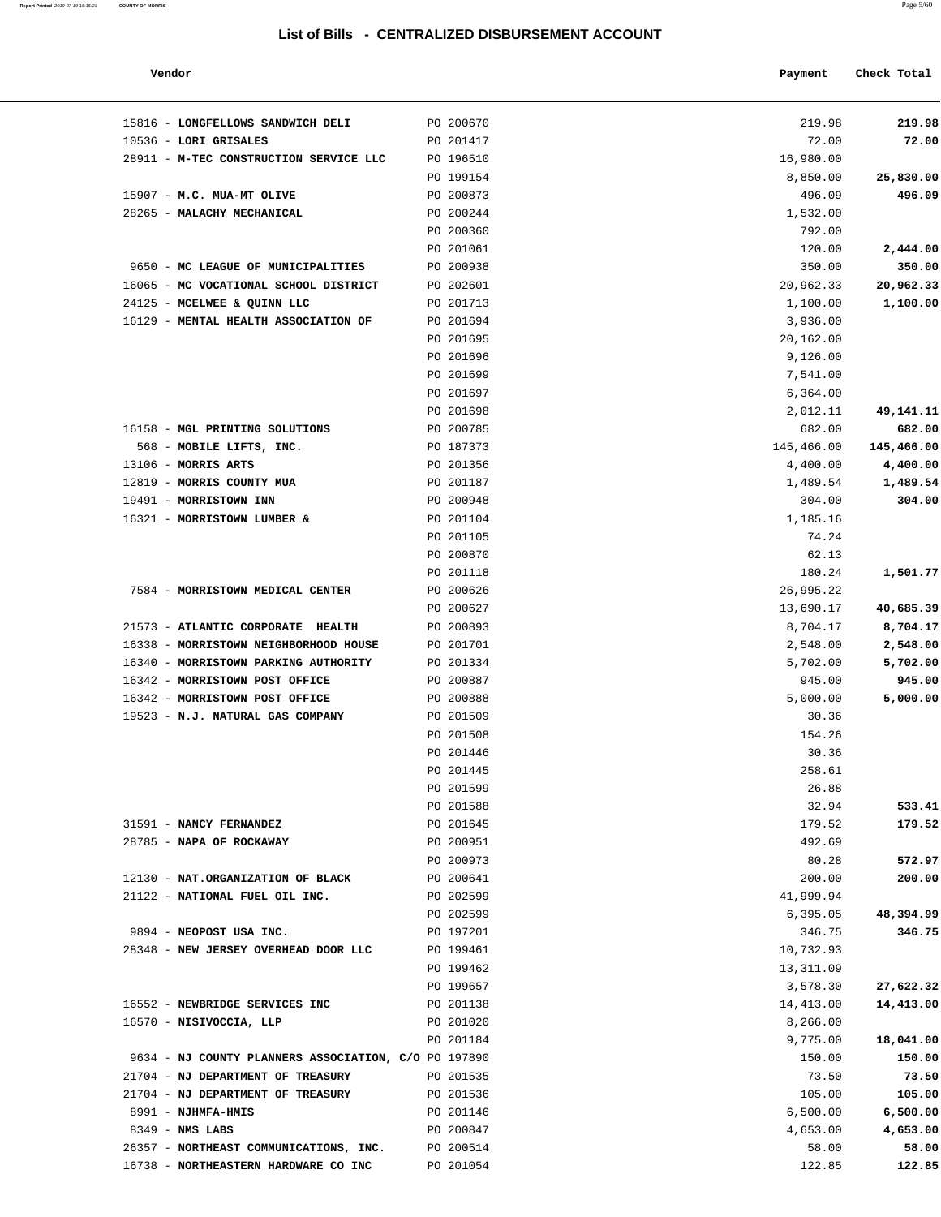| Vendor                                               |           | Payment    | Check Total |
|------------------------------------------------------|-----------|------------|-------------|
| 15816 - LONGFELLOWS SANDWICH DELI                    | PO 200670 | 219.98     | 219.98      |
| 10536 - LORI GRISALES                                | PO 201417 | 72.00      | 72.00       |
| 28911 - M-TEC CONSTRUCTION SERVICE LLC               | PO 196510 | 16,980.00  |             |
|                                                      | PO 199154 | 8,850.00   | 25,830.00   |
| 15907 - M.C. MUA-MT OLIVE                            | PO 200873 | 496.09     | 496.09      |
| 28265 - MALACHY MECHANICAL                           | PO 200244 | 1,532.00   |             |
|                                                      | PO 200360 | 792.00     |             |
|                                                      | PO 201061 | 120.00     | 2,444.00    |
| 9650 - MC LEAGUE OF MUNICIPALITIES                   | PO 200938 | 350.00     | 350.00      |
| 16065 - MC VOCATIONAL SCHOOL DISTRICT                | PO 202601 | 20,962.33  | 20,962.33   |
| 24125 - MCELWEE & QUINN LLC                          | PO 201713 | 1,100.00   | 1,100.00    |
| 16129 - MENTAL HEALTH ASSOCIATION OF                 | PO 201694 | 3,936.00   |             |
|                                                      | PO 201695 | 20,162.00  |             |
|                                                      | PO 201696 | 9,126.00   |             |
|                                                      | PO 201699 | 7,541.00   |             |
|                                                      | PO 201697 | 6,364.00   |             |
|                                                      | PO 201698 | 2,012.11   | 49,141.11   |
| 16158 - MGL PRINTING SOLUTIONS                       | PO 200785 | 682.00     | 682.00      |
| 568 - MOBILE LIFTS, INC.                             | PO 187373 | 145,466.00 | 145,466.00  |
| $13106$ - MORRIS ARTS                                | PO 201356 | 4,400.00   | 4,400.00    |
| 12819 - MORRIS COUNTY MUA                            | PO 201187 | 1,489.54   | 1,489.54    |
| 19491 - MORRISTOWN INN                               | PO 200948 | 304.00     | 304.00      |
| 16321 - MORRISTOWN LUMBER &                          | PO 201104 | 1,185.16   |             |
|                                                      | PO 201105 | 74.24      |             |
|                                                      | PO 200870 | 62.13      |             |
|                                                      | PO 201118 | 180.24     | 1,501.77    |
| 7584 - MORRISTOWN MEDICAL CENTER                     | PO 200626 | 26,995.22  |             |
|                                                      | PO 200627 | 13,690.17  | 40,685.39   |
| 21573 - ATLANTIC CORPORATE HEALTH                    | PO 200893 | 8,704.17   | 8,704.17    |
| 16338 - MORRISTOWN NEIGHBORHOOD HOUSE                | PO 201701 | 2,548.00   | 2,548.00    |
| 16340 - MORRISTOWN PARKING AUTHORITY                 | PO 201334 | 5,702.00   | 5,702.00    |
| 16342 - MORRISTOWN POST OFFICE                       | PO 200887 | 945.00     | 945.00      |
| 16342 - MORRISTOWN POST OFFICE                       | PO 200888 | 5,000.00   | 5,000.00    |
| 19523 - N.J. NATURAL GAS COMPANY                     | PO 201509 | 30.36      |             |
|                                                      | PO 201508 | 154.26     |             |
|                                                      | PO 201446 | 30.36      |             |
|                                                      | PO 201445 | 258.61     |             |
|                                                      | PO 201599 | 26.88      |             |
|                                                      | PO 201588 | 32.94      | 533.41      |
| 31591 - NANCY FERNANDEZ                              | PO 201645 | 179.52     | 179.52      |
| 28785 - NAPA OF ROCKAWAY                             | PO 200951 | 492.69     |             |
|                                                      | PO 200973 | 80.28      | 572.97      |
| 12130 - NAT.ORGANIZATION OF BLACK                    | PO 200641 | 200.00     | 200.00      |
| 21122 - NATIONAL FUEL OIL INC.                       | PO 202599 | 41,999.94  |             |
|                                                      | PO 202599 | 6,395.05   | 48,394.99   |
| 9894 - NEOPOST USA INC.                              | PO 197201 | 346.75     | 346.75      |
| 28348 - NEW JERSEY OVERHEAD DOOR LLC                 | PO 199461 | 10,732.93  |             |
|                                                      | PO 199462 | 13,311.09  |             |
|                                                      | PO 199657 | 3,578.30   | 27,622.32   |
| 16552 - NEWBRIDGE SERVICES INC                       | PO 201138 | 14,413.00  | 14,413.00   |
| 16570 - NISIVOCCIA, LLP                              | PO 201020 | 8,266.00   |             |
|                                                      | PO 201184 | 9,775.00   | 18,041.00   |
| 9634 - NJ COUNTY PLANNERS ASSOCIATION, C/O PO 197890 |           | 150.00     | 150.00      |
| 21704 - NJ DEPARTMENT OF TREASURY                    | PO 201535 | 73.50      | 73.50       |
| 21704 - NJ DEPARTMENT OF TREASURY                    | PO 201536 | 105.00     | 105.00      |
| 8991 - NJHMFA-HMIS                                   | PO 201146 | 6,500.00   | 6,500.00    |
| $8349$ - NMS LABS                                    | PO 200847 | 4,653.00   | 4,653.00    |
| 26357 - NORTHEAST COMMUNICATIONS, INC.               | PO 200514 | 58.00      | 58.00       |
| 16738 - NORTHEASTERN HARDWARE CO INC                 | PO 201054 | 122.85     | 122.85      |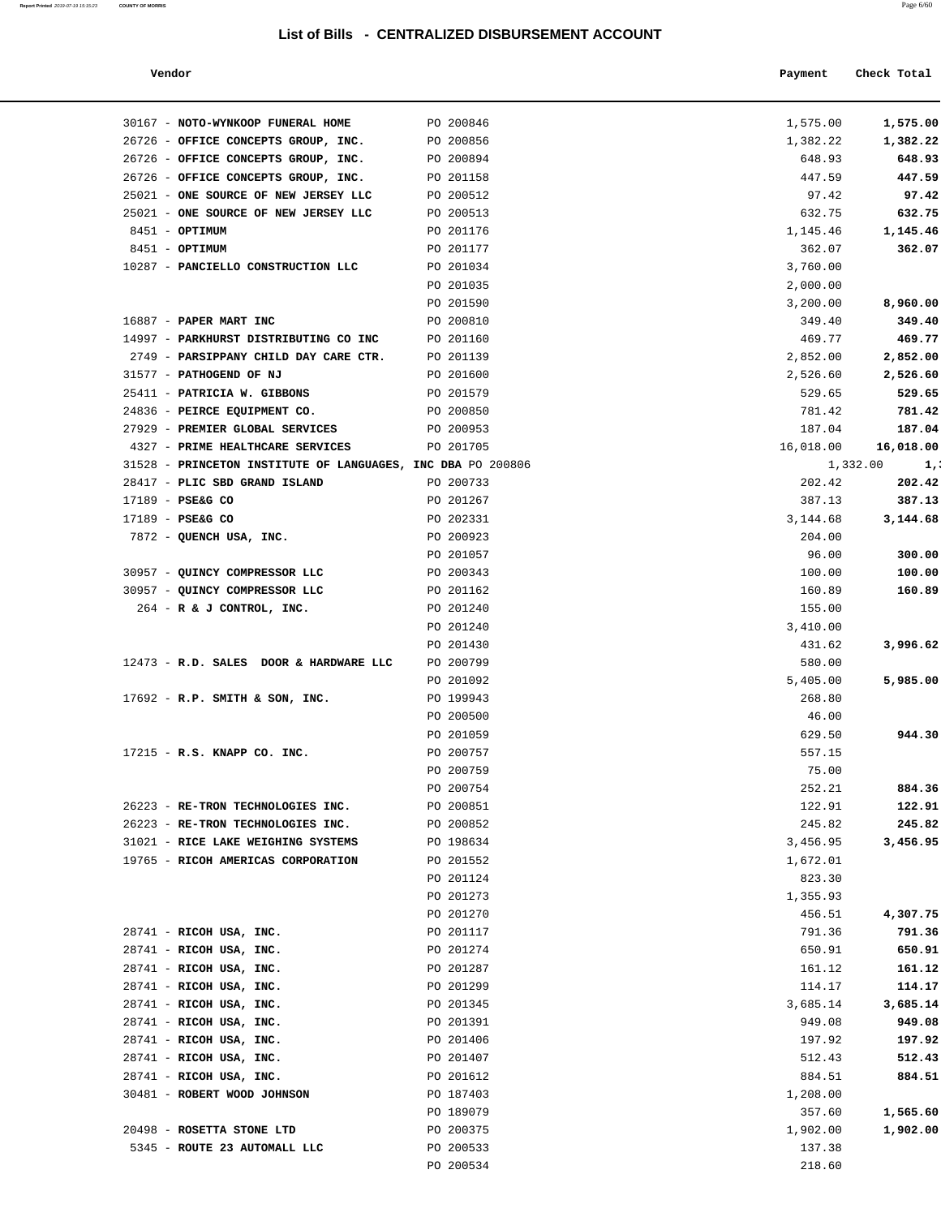| Report Printed 2019-07-19 15:15:23 COUNTY OF MORRIS | Page 6/60 |
|-----------------------------------------------------|-----------|
|                                                     |           |

| Vendor                                                      |           | Payment   | Check Total    |
|-------------------------------------------------------------|-----------|-----------|----------------|
| 30167 - NOTO-WYNKOOP FUNERAL HOME                           | PO 200846 | 1,575.00  | 1,575.00       |
| 26726 - OFFICE CONCEPTS GROUP, INC.                         | PO 200856 | 1,382.22  | 1,382.22       |
| 26726 - OFFICE CONCEPTS GROUP, INC.                         | PO 200894 | 648.93    | 648.93         |
| 26726 - OFFICE CONCEPTS GROUP, INC.                         | PO 201158 | 447.59    | 447.59         |
| 25021 - ONE SOURCE OF NEW JERSEY LLC                        | PO 200512 | 97.42     | 97.42          |
| 25021 - ONE SOURCE OF NEW JERSEY LLC                        | PO 200513 | 632.75    | 632.75         |
| 8451 - OPTIMUM                                              | PO 201176 | 1,145.46  | 1,145.46       |
| 8451 - OPTIMUM                                              | PO 201177 | 362.07    | 362.07         |
| 10287 - PANCIELLO CONSTRUCTION LLC                          | PO 201034 | 3,760.00  |                |
|                                                             | PO 201035 | 2,000.00  |                |
|                                                             | PO 201590 | 3,200.00  | 8,960.00       |
| 16887 - PAPER MART INC                                      | PO 200810 | 349.40    | 349.40         |
| 14997 - PARKHURST DISTRIBUTING CO INC                       | PO 201160 | 469.77    | 469.77         |
| 2749 - PARSIPPANY CHILD DAY CARE CTR.                       | PO 201139 | 2,852.00  | 2,852.00       |
| 31577 - PATHOGEND OF NJ                                     | PO 201600 | 2,526.60  | 2,526.60       |
| 25411 - PATRICIA W. GIBBONS                                 | PO 201579 | 529.65    | 529.65         |
| 24836 - PEIRCE EQUIPMENT CO.                                | PO 200850 | 781.42    | 781.42         |
| 27929 - PREMIER GLOBAL SERVICES                             | PO 200953 | 187.04    | 187.04         |
| 4327 - PRIME HEALTHCARE SERVICES                            | PO 201705 | 16,018.00 | 16,018.00      |
| 31528 - PRINCETON INSTITUTE OF LANGUAGES, INC DBA PO 200806 |           |           | 1,332.00<br>1, |
| 28417 - PLIC SBD GRAND ISLAND                               | PO 200733 | 202.42    | 202.42         |
| 17189 - PSE&G CO                                            | PO 201267 | 387.13    | 387.13         |
| 17189 - PSE&G CO                                            | PO 202331 | 3,144.68  | 3,144.68       |
| 7872 - QUENCH USA, INC.                                     | PO 200923 | 204.00    |                |
|                                                             | PO 201057 | 96.00     | 300.00         |
| 30957 - QUINCY COMPRESSOR LLC                               | PO 200343 | 100.00    | 100.00         |
| 30957 - QUINCY COMPRESSOR LLC                               | PO 201162 | 160.89    | 160.89         |
|                                                             |           |           |                |
| 264 - R & J CONTROL, INC.                                   | PO 201240 | 155.00    |                |
|                                                             | PO 201240 | 3,410.00  |                |
|                                                             | PO 201430 | 431.62    | 3,996.62       |
| 12473 - R.D. SALES DOOR & HARDWARE LLC                      | PO 200799 | 580.00    |                |
|                                                             | PO 201092 | 5,405.00  | 5,985.00       |
| 17692 - R.P. SMITH & SON, INC.                              | PO 199943 | 268.80    |                |
|                                                             | PO 200500 | 46.00     |                |
|                                                             | PO 201059 | 629.50    | 944.30         |
| $17215$ - R.S. KNAPP CO. INC.                               | PO 200757 | 557.15    |                |
|                                                             | PO 200759 | 75.00     |                |
|                                                             | PO 200754 | 252.21    | 884.36         |
| 26223 - RE-TRON TECHNOLOGIES INC.                           | PO 200851 | 122.91    | 122.91         |
| 26223 - RE-TRON TECHNOLOGIES INC.                           | PO 200852 | 245.82    | 245.82         |
| 31021 - RICE LAKE WEIGHING SYSTEMS                          | PO 198634 | 3,456.95  | 3,456.95       |
| 19765 - RICOH AMERICAS CORPORATION                          | PO 201552 | 1,672.01  |                |
|                                                             | PO 201124 | 823.30    |                |
|                                                             | PO 201273 | 1,355.93  |                |
|                                                             | PO 201270 | 456.51    | 4,307.75       |
| 28741 - RICOH USA, INC.                                     | PO 201117 | 791.36    | 791.36         |
| 28741 - RICOH USA, INC.                                     | PO 201274 | 650.91    | 650.91         |
| 28741 - RICOH USA, INC.                                     | PO 201287 | 161.12    | 161.12         |
| 28741 - RICOH USA, INC.                                     | PO 201299 | 114.17    | 114.17         |
| 28741 - RICOH USA, INC.                                     | PO 201345 | 3,685.14  | 3,685.14       |
| 28741 - RICOH USA, INC.                                     | PO 201391 | 949.08    | 949.08         |
| 28741 - RICOH USA, INC.                                     | PO 201406 | 197.92    | 197.92         |
| 28741 - RICOH USA, INC.                                     | PO 201407 | 512.43    | 512.43         |
| 28741 - RICOH USA, INC.                                     | PO 201612 | 884.51    | 884.51         |
| 30481 - ROBERT WOOD JOHNSON                                 | PO 187403 | 1,208.00  |                |

| 10287 - PANCIELLO CONSTRUCTION LLC                          | PO 201034 | 3,760.00  |               |
|-------------------------------------------------------------|-----------|-----------|---------------|
|                                                             | PO 201035 | 2,000.00  |               |
|                                                             | PO 201590 | 3,200.00  | 8,960.00      |
| 16887 - PAPER MART INC                                      | PO 200810 | 349.40    | 349.40        |
| 14997 - PARKHURST DISTRIBUTING CO INC                       | PO 201160 | 469.77    | 469.77        |
| 2749 - PARSIPPANY CHILD DAY CARE CTR.                       | PO 201139 | 2,852.00  | 2,852.00      |
| 31577 - PATHOGEND OF NJ                                     | PO 201600 | 2,526.60  | 2,526.60      |
| 25411 - PATRICIA W. GIBBONS                                 | PO 201579 | 529.65    | 529.65        |
| 24836 - PEIRCE EQUIPMENT CO.                                | PO 200850 | 781.42    | 781.42        |
| 27929 - PREMIER GLOBAL SERVICES                             | PO 200953 | 187.04    | 187.04        |
| 4327 - PRIME HEALTHCARE SERVICES                            | PO 201705 | 16,018.00 | 16,018.00     |
| 31528 - PRINCETON INSTITUTE OF LANGUAGES, INC DBA PO 200806 |           |           | $1,332.00$ 1, |
| 28417 - PLIC SBD GRAND ISLAND                               | PO 200733 | 202.42    | 202.42        |
| 17189 - PSE&G CO                                            | PO 201267 | 387.13    | 387.13        |
| 17189 - PSE&G CO                                            | PO 202331 | 3,144.68  | 3,144.68      |
| 7872 - QUENCH USA, INC.                                     | PO 200923 | 204.00    |               |
|                                                             | PO 201057 | 96.00     | 300.00        |
| 30957 - QUINCY COMPRESSOR LLC                               | PO 200343 | 100.00    | 100.00        |
| 30957 - QUINCY COMPRESSOR LLC                               | PO 201162 | 160.89    | 160.89        |
| $264$ - R & J CONTROL, INC.                                 | PO 201240 | 155.00    |               |
|                                                             | PO 201240 | 3,410.00  |               |
|                                                             | PO 201430 | 431.62    | 3,996.62      |
| 12473 - R.D. SALES DOOR & HARDWARE LLC                      | PO 200799 | 580.00    |               |
|                                                             | PO 201092 | 5,405.00  | 5,985.00      |
| $17692$ - R.P. SMITH & SON, INC.                            | PO 199943 | 268.80    |               |
|                                                             | PO 200500 | 46.00     |               |
|                                                             | PO 201059 | 629.50    | 944.30        |
| 17215 - R.S. KNAPP CO. INC.                                 | PO 200757 | 557.15    |               |
|                                                             | PO 200759 | 75.00     |               |
|                                                             | PO 200754 | 252.21    | 884.36        |
| 26223 - RE-TRON TECHNOLOGIES INC.                           | PO 200851 | 122.91    | 122.91        |
| 26223 - RE-TRON TECHNOLOGIES INC.                           | PO 200852 | 245.82    | 245.82        |
| 31021 - RICE LAKE WEIGHING SYSTEMS                          | PO 198634 | 3,456.95  | 3,456.95      |
| 19765 - RICOH AMERICAS CORPORATION                          | PO 201552 | 1,672.01  |               |
|                                                             | PO 201124 | 823.30    |               |
|                                                             | PO 201273 | 1,355.93  |               |
|                                                             | PO 201270 | 456.51    | 4,307.75      |
| 28741 - RICOH USA, INC.                                     | PO 201117 | 791.36    | 791.36        |
| 28741 - RICOH USA, INC.                                     | PO 201274 | 650.91    | 650.91        |
| 28741 - RICOH USA, INC.                                     | PO 201287 | 161.12    | 161.12        |
| 28741 - RICOH USA, INC.                                     | PO 201299 | 114.17    | 114.17        |
| 28741 - RICOH USA, INC.                                     | PO 201345 | 3,685.14  | 3,685.14      |
| 28741 - RICOH USA, INC.                                     | PO 201391 | 949.08    | 949.08        |
| 28741 - RICOH USA, INC.                                     | PO 201406 | 197.92    | 197.92        |
| 28741 - RICOH USA, INC.                                     | PO 201407 | 512.43    | 512.43        |
|                                                             | PO 201612 | 884.51    | 884.51        |
| 28741 - RICOH USA, INC.                                     |           |           |               |
| 30481 - ROBERT WOOD JOHNSON                                 | PO 187403 | 1,208.00  |               |
|                                                             | PO 189079 | 357.60    | 1,565.60      |
| 20498 - ROSETTA STONE LTD                                   | PO 200375 | 1,902.00  | 1,902.00      |
| 5345 - ROUTE 23 AUTOMALL LLC                                | PO 200533 | 137.38    |               |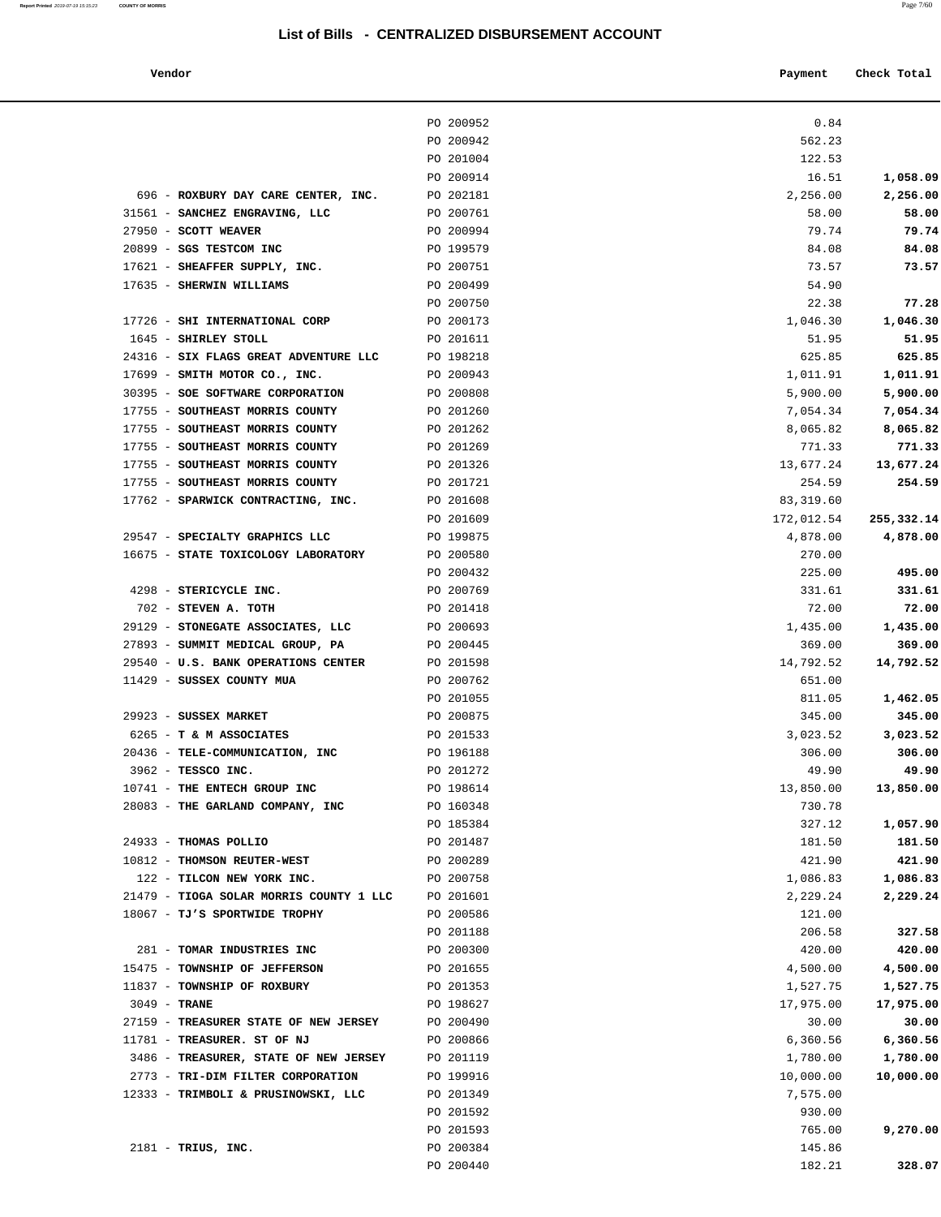| Vendor | Payment Check Total |
|--------|---------------------|

|                                                                       | PO 200952              | 0.84                  |                       |
|-----------------------------------------------------------------------|------------------------|-----------------------|-----------------------|
|                                                                       | PO 200942              | 562.23                |                       |
|                                                                       | PO 201004              | 122.53                |                       |
|                                                                       | PO 200914              | 16.51                 | 1,058.09              |
| 696 - ROXBURY DAY CARE CENTER, INC.                                   | PO 202181              | 2,256.00              | 2,256.00              |
| 31561 - SANCHEZ ENGRAVING, LLC                                        | PO 200761              | 58.00                 | 58.00                 |
| 27950 - SCOTT WEAVER                                                  | PO 200994              | 79.74                 | 79.74                 |
| 20899 - SGS TESTCOM INC                                               | PO 199579              | 84.08                 | 84.08                 |
| 17621 - SHEAFFER SUPPLY, INC.                                         | PO 200751              | 73.57                 | 73.57                 |
| 17635 - SHERWIN WILLIAMS                                              | PO 200499<br>PO 200750 | 54.90                 |                       |
| 17726 - SHI INTERNATIONAL CORP                                        | PO 200173              | 22.38<br>1,046.30     | 77.28<br>1,046.30     |
| 1645 - SHIRLEY STOLL                                                  | PO 201611              | 51.95                 | 51.95                 |
| 24316 - SIX FLAGS GREAT ADVENTURE LLC PO 198218                       |                        | 625.85                | 625.85                |
| 17699 - SMITH MOTOR CO., INC.                                         | PO 200943              | 1,011.91              | 1,011.91              |
| 30395 - SOE SOFTWARE CORPORATION                                      | PO 200808              | 5,900.00              | 5,900.00              |
| 17755 - SOUTHEAST MORRIS COUNTY                                       | PO 201260              | 7,054.34              | 7,054.34              |
| 17755 - SOUTHEAST MORRIS COUNTY                                       | PO 201262              | 8,065.82              | 8,065.82              |
| 17755 - SOUTHEAST MORRIS COUNTY                                       | PO 201269              | 771.33                | 771.33                |
| 17755 - SOUTHEAST MORRIS COUNTY                                       | PO 201326              | 13,677.24             | 13,677.24             |
| 17755 - SOUTHEAST MORRIS COUNTY                                       | PO 201721              | 254.59                | 254.59                |
| 17762 - SPARWICK CONTRACTING, INC.                                    | PO 201608              | 83,319.60             |                       |
|                                                                       | PO 201609              | 172,012.54            | 255,332.14            |
| 29547 - SPECIALTY GRAPHICS LLC                                        | PO 199875              | 4,878.00              | 4,878.00              |
| 16675 - STATE TOXICOLOGY LABORATORY                                   | PO 200580              | 270.00                |                       |
|                                                                       | PO 200432              | 225.00                | 495.00                |
| 4298 - STERICYCLE INC.                                                | PO 200769              | 331.61                | 331.61                |
| 702 - STEVEN A. TOTH                                                  | PO 201418              | 72.00                 | 72.00                 |
| 29129 - STONEGATE ASSOCIATES, LLC<br>27893 - SUMMIT MEDICAL GROUP, PA | PO 200693<br>PO 200445 | 1,435.00<br>369.00    | 1,435.00<br>369.00    |
| 29540 - U.S. BANK OPERATIONS CENTER                                   | PO 201598              | 14,792.52             | 14,792.52             |
| 11429 - SUSSEX COUNTY MUA                                             | PO 200762              | 651.00                |                       |
|                                                                       | PO 201055              | 811.05                | 1,462.05              |
| 29923 - SUSSEX MARKET                                                 | PO 200875              | 345.00                | 345.00                |
| 6265 - T & M ASSOCIATES                                               | PO 201533              | 3,023.52              | 3,023.52              |
| 20436 - TELE-COMMUNICATION, INC                                       | PO 196188              | 306.00                | 306.00                |
| 3962 - TESSCO INC.                                                    | PO 201272              | 49.90                 | 49.90                 |
| 10741 - THE ENTECH GROUP INC                                          | PO 198614              | 13,850.00             | 13,850.00             |
| 28083 - THE GARLAND COMPANY, INC                                      | PO 160348              | 730.78                |                       |
|                                                                       | PO 185384              | 327.12                | 1,057.90              |
| 24933 - THOMAS POLLIO                                                 | PO 201487              | 181.50                | 181.50                |
| 10812 - THOMSON REUTER-WEST                                           | PO 200289              | 421.90                | 421.90                |
| 122 - TILCON NEW YORK INC.                                            | PO 200758              | 1,086.83              | 1,086.83              |
| 21479 - TIOGA SOLAR MORRIS COUNTY 1 LLC                               | PO 201601              | 2,229.24              | 2,229.24              |
| 18067 - TJ'S SPORTWIDE TROPHY                                         | PO 200586              | 121.00                |                       |
|                                                                       | PO 201188              | 206.58                | 327.58                |
| 281 - TOMAR INDUSTRIES INC                                            | PO 200300              | 420.00                | 420.00                |
| 15475 - TOWNSHIP OF JEFFERSON<br>11837 - TOWNSHIP OF ROXBURY          | PO 201655<br>PO 201353 | 4,500.00              | 4,500.00              |
| 3049 - <b>TRANE</b>                                                   | PO 198627              | 1,527.75<br>17,975.00 | 1,527.75<br>17,975.00 |
| 27159 - TREASURER STATE OF NEW JERSEY                                 | PO 200490              | 30.00                 | 30.00                 |
| 11781 - TREASURER. ST OF NJ                                           | PO 200866              | 6,360.56              | 6,360.56              |
| 3486 - TREASURER, STATE OF NEW JERSEY                                 | PO 201119              | 1,780.00              | 1,780.00              |
| 2773 - TRI-DIM FILTER CORPORATION                                     | PO 199916              | 10,000.00             | 10,000.00             |
| 12333 - TRIMBOLI & PRUSINOWSKI, LLC                                   | PO 201349              | 7,575.00              |                       |
|                                                                       | PO 201592              | 930.00                |                       |
|                                                                       | PO 201593              | 765.00                | 9,270.00              |
| $2181$ - TRIUS, INC.                                                  | PO 200384              | 145.86                |                       |
|                                                                       | PO 200440              | 182.21                | 328.07                |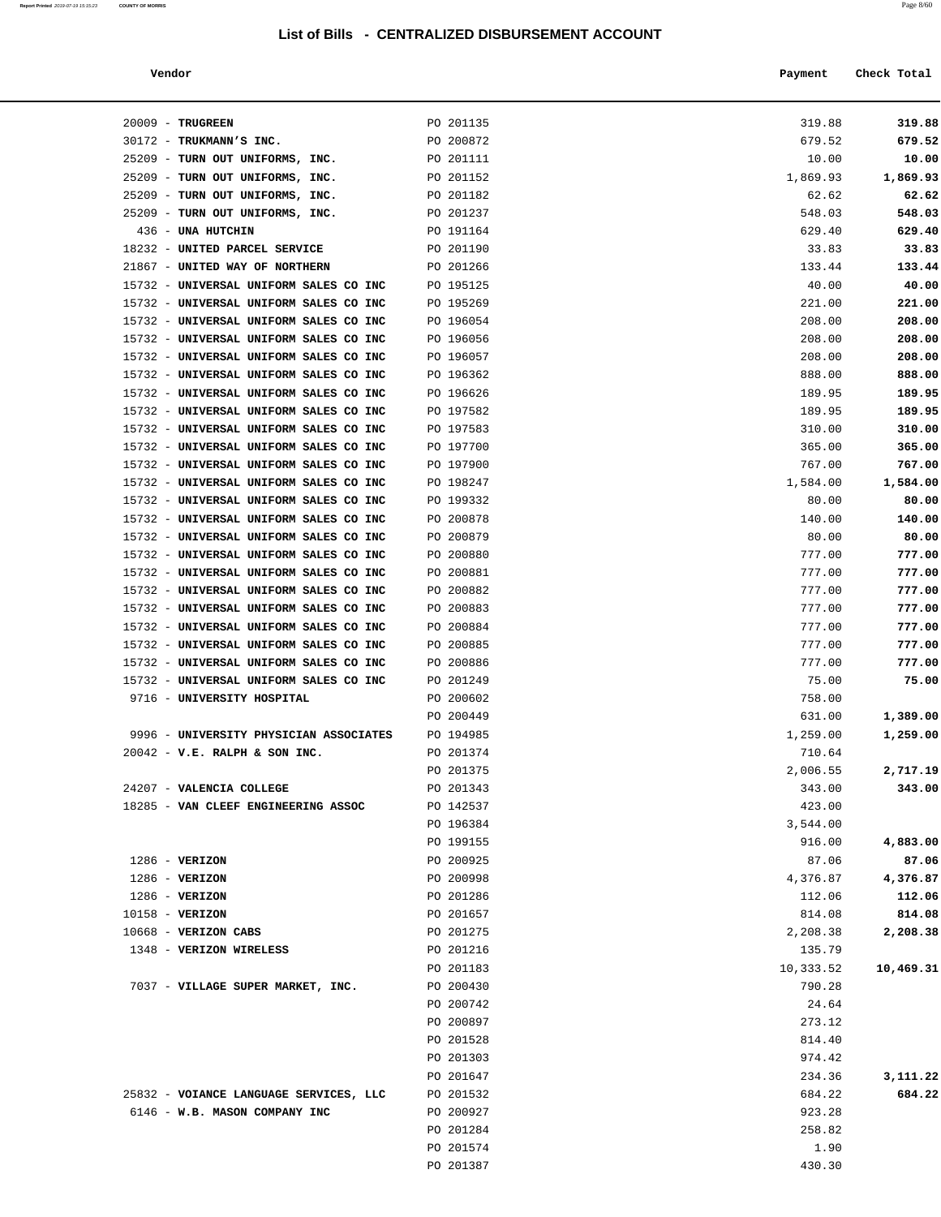#### **Vendor Payment Check Total**

**Report Printed** 2019-07-19 15:15:23 **COUNTY OF MORRIS** Page 8/60

| 20009 - TRUGREEN                       | PO 201135 | 319.88    | 319.88    |
|----------------------------------------|-----------|-----------|-----------|
| 30172 - TRUKMANN'S INC.                | PO 200872 | 679.52    | 679.52    |
| 25209 - TURN OUT UNIFORMS, INC.        | PO 201111 | 10.00     | 10.00     |
| 25209 - TURN OUT UNIFORMS, INC.        | PO 201152 | 1,869.93  | 1,869.93  |
| 25209 - TURN OUT UNIFORMS, INC.        | PO 201182 | 62.62     | 62.62     |
| 25209 - TURN OUT UNIFORMS, INC.        | PO 201237 | 548.03    | 548.03    |
| 436 - UNA HUTCHIN                      | PO 191164 | 629.40    | 629.40    |
| 18232 - UNITED PARCEL SERVICE          | PO 201190 | 33.83     | 33.83     |
| 21867 - UNITED WAY OF NORTHERN         | PO 201266 | 133.44    | 133.44    |
| 15732 - UNIVERSAL UNIFORM SALES CO INC | PO 195125 | 40.00     | 40.00     |
| 15732 - UNIVERSAL UNIFORM SALES CO INC | PO 195269 | 221.00    | 221.00    |
| 15732 - UNIVERSAL UNIFORM SALES CO INC | PO 196054 | 208.00    | 208.00    |
| 15732 - UNIVERSAL UNIFORM SALES CO INC | PO 196056 | 208.00    | 208.00    |
| 15732 - UNIVERSAL UNIFORM SALES CO INC | PO 196057 | 208.00    | 208.00    |
| 15732 - UNIVERSAL UNIFORM SALES CO INC | PO 196362 | 888.00    | 888.00    |
| 15732 - UNIVERSAL UNIFORM SALES CO INC | PO 196626 | 189.95    | 189.95    |
| 15732 - UNIVERSAL UNIFORM SALES CO INC | PO 197582 | 189.95    | 189.95    |
| 15732 - UNIVERSAL UNIFORM SALES CO INC | PO 197583 | 310.00    | 310.00    |
| 15732 - UNIVERSAL UNIFORM SALES CO INC | PO 197700 | 365.00    | 365.00    |
| 15732 - UNIVERSAL UNIFORM SALES CO INC | PO 197900 | 767.00    | 767.00    |
| 15732 - UNIVERSAL UNIFORM SALES CO INC | PO 198247 | 1,584.00  | 1,584.00  |
| 15732 - UNIVERSAL UNIFORM SALES CO INC | PO 199332 | 80.00     | 80.00     |
| 15732 - UNIVERSAL UNIFORM SALES CO INC | PO 200878 | 140.00    | 140.00    |
| 15732 - UNIVERSAL UNIFORM SALES CO INC | PO 200879 | 80.00     | 80.00     |
| 15732 - UNIVERSAL UNIFORM SALES CO INC | PO 200880 | 777.00    | 777.00    |
| 15732 - UNIVERSAL UNIFORM SALES CO INC | PO 200881 | 777.00    | 777.00    |
| 15732 - UNIVERSAL UNIFORM SALES CO INC | PO 200882 | 777.00    | 777.00    |
| 15732 - UNIVERSAL UNIFORM SALES CO INC | PO 200883 | 777.00    | 777.00    |
| 15732 - UNIVERSAL UNIFORM SALES CO INC | PO 200884 | 777.00    | 777.00    |
| 15732 - UNIVERSAL UNIFORM SALES CO INC | PO 200885 | 777.00    | 777.00    |
| 15732 - UNIVERSAL UNIFORM SALES CO INC | PO 200886 | 777.00    | 777.00    |
| 15732 - UNIVERSAL UNIFORM SALES CO INC | PO 201249 | 75.00     | 75.00     |
| 9716 - UNIVERSITY HOSPITAL             | PO 200602 | 758.00    |           |
|                                        | PO 200449 | 631.00    | 1,389.00  |
| 9996 - UNIVERSITY PHYSICIAN ASSOCIATES | PO 194985 | 1,259.00  | 1,259.00  |
| $20042$ - V.E. RALPH & SON INC.        | PO 201374 | 710.64    |           |
|                                        | PO 201375 | 2,006.55  | 2,717.19  |
| 24207 - VALENCIA COLLEGE               | PO 201343 | 343.00    | 343.00    |
| 18285 - VAN CLEEF ENGINEERING ASSOC    | PO 142537 | 423.00    |           |
|                                        | PO 196384 | 3,544.00  |           |
|                                        | PO 199155 | 916.00    | 4,883.00  |
| $1286$ - VERIZON                       | PO 200925 | 87.06     | 87.06     |
| 1286 - VERIZON                         | PO 200998 | 4,376.87  | 4,376.87  |
| $1286$ - VERIZON                       | PO 201286 | 112.06    | 112.06    |
| 10158 - VERIZON                        | PO 201657 | 814.08    | 814.08    |
| $10668$ - VERIZON CABS                 | PO 201275 | 2,208.38  | 2,208.38  |
| 1348 - VERIZON WIRELESS                | PO 201216 | 135.79    |           |
|                                        | PO 201183 | 10,333.52 | 10,469.31 |
| 7037 - VILLAGE SUPER MARKET, INC.      | PO 200430 | 790.28    |           |
|                                        | PO 200742 | 24.64     |           |
|                                        | PO 200897 | 273.12    |           |
|                                        | PO 201528 | 814.40    |           |
|                                        | PO 201303 | 974.42    |           |
|                                        | PO 201647 | 234.36    | 3,111.22  |
| 25832 - VOIANCE LANGUAGE SERVICES, LLC | PO 201532 | 684.22    | 684.22    |
| 6146 - W.B. MASON COMPANY INC          | PO 200927 | 923.28    |           |
|                                        | PO 201284 | 258.82    |           |
|                                        | PO 201574 | 1.90      |           |

PO 201387 430.30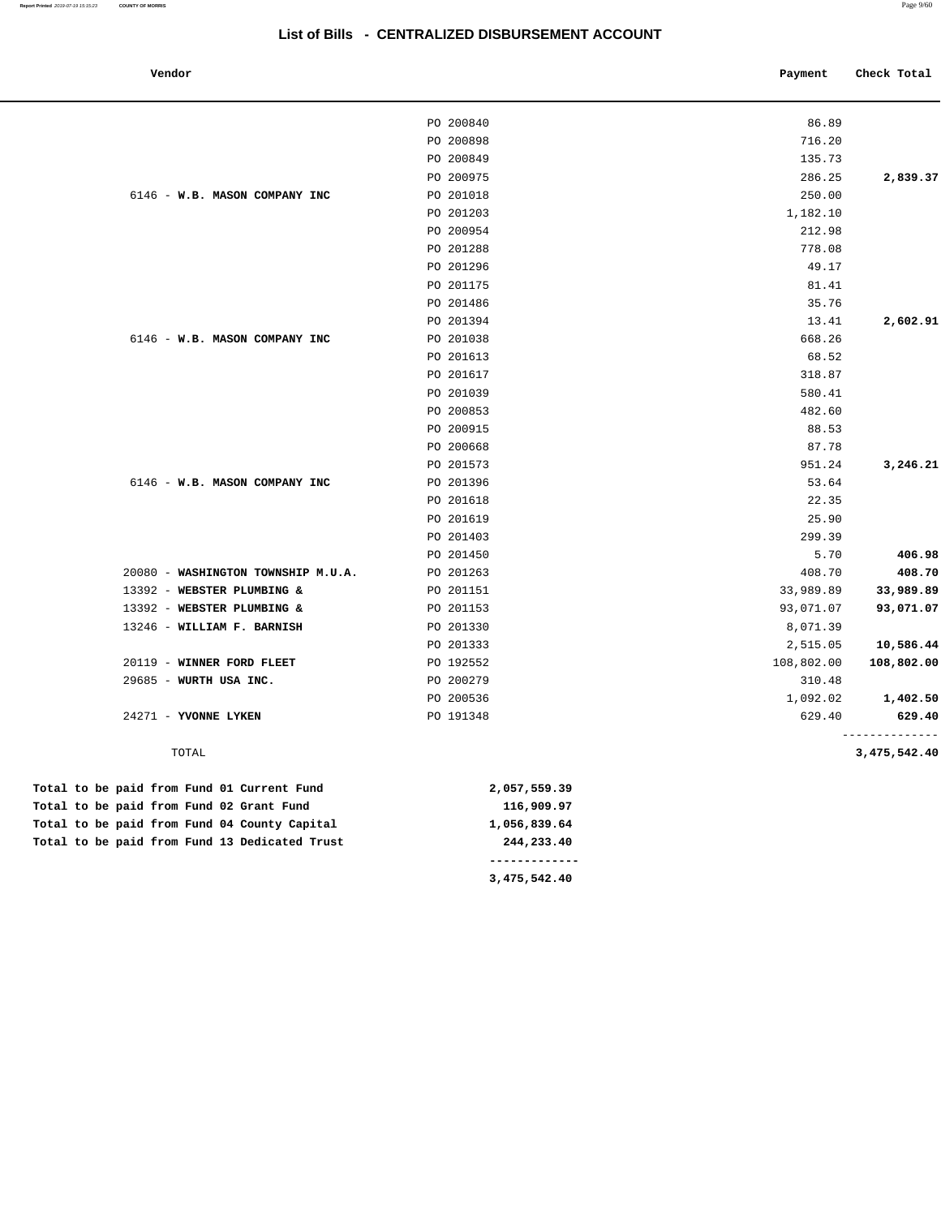| Vendor |  |
|--------|--|

| Check Total  | Payment    |           | Vendor                             |
|--------------|------------|-----------|------------------------------------|
|              | 86.89      | PO 200840 |                                    |
|              | 716.20     | PO 200898 |                                    |
|              | 135.73     | PO 200849 |                                    |
| 2,839.37     | 286.25     | PO 200975 |                                    |
|              | 250.00     | PO 201018 | 6146 - W.B. MASON COMPANY INC      |
|              | 1,182.10   | PO 201203 |                                    |
|              | 212.98     | PO 200954 |                                    |
|              | 778.08     | PO 201288 |                                    |
|              | 49.17      | PO 201296 |                                    |
|              | 81.41      | PO 201175 |                                    |
|              | 35.76      | PO 201486 |                                    |
| 2,602.91     | 13.41      | PO 201394 |                                    |
|              | 668.26     | PO 201038 | 6146 - W.B. MASON COMPANY INC      |
|              | 68.52      | PO 201613 |                                    |
|              | 318.87     | PO 201617 |                                    |
|              | 580.41     | PO 201039 |                                    |
|              | 482.60     | PO 200853 |                                    |
|              | 88.53      | PO 200915 |                                    |
|              | 87.78      | PO 200668 |                                    |
| 3,246.21     | 951.24     | PO 201573 |                                    |
|              | 53.64      | PO 201396 | 6146 - W.B. MASON COMPANY INC      |
|              | 22.35      | PO 201618 |                                    |
|              | 25.90      | PO 201619 |                                    |
|              | 299.39     | PO 201403 |                                    |
| 406.98       | 5.70       | PO 201450 |                                    |
| 408.70       | 408.70     | PO 201263 | 20080 - WASHINGTON TOWNSHIP M.U.A. |
| 33,989.89    | 33,989.89  | PO 201151 | 13392 - WEBSTER PLUMBING &         |
| 93,071.07    | 93,071.07  | PO 201153 | 13392 - WEBSTER PLUMBING &         |
|              | 8,071.39   | PO 201330 | 13246 - WILLIAM F. BARNISH         |
| 10,586.44    | 2,515.05   | PO 201333 |                                    |
| 108,802.00   | 108,802.00 | PO 192552 | 20119 - WINNER FORD FLEET          |
|              | 310.48     | PO 200279 | 29685 - WURTH USA INC.             |
| 1,402.50     | 1,092.02   | PO 200536 |                                    |
| 629.40       | 629.40     | PO 191348 | 24271 - YVONNE LYKEN               |
| 3,475,542.40 |            |           | TOTAL                              |
|              |            |           |                                    |

|  |  |  |  | Total to be paid from Fund 13 Dedicated Trust | 244,233.40   |  |
|--|--|--|--|-----------------------------------------------|--------------|--|
|  |  |  |  | Total to be paid from Fund 04 County Capital  | 1,056,839.64 |  |
|  |  |  |  | Total to be paid from Fund 02 Grant Fund      | 116,909.97   |  |
|  |  |  |  | Total to be paid from Fund 01 Current Fund    | 2,057,559.39 |  |

 **3,475,542.40**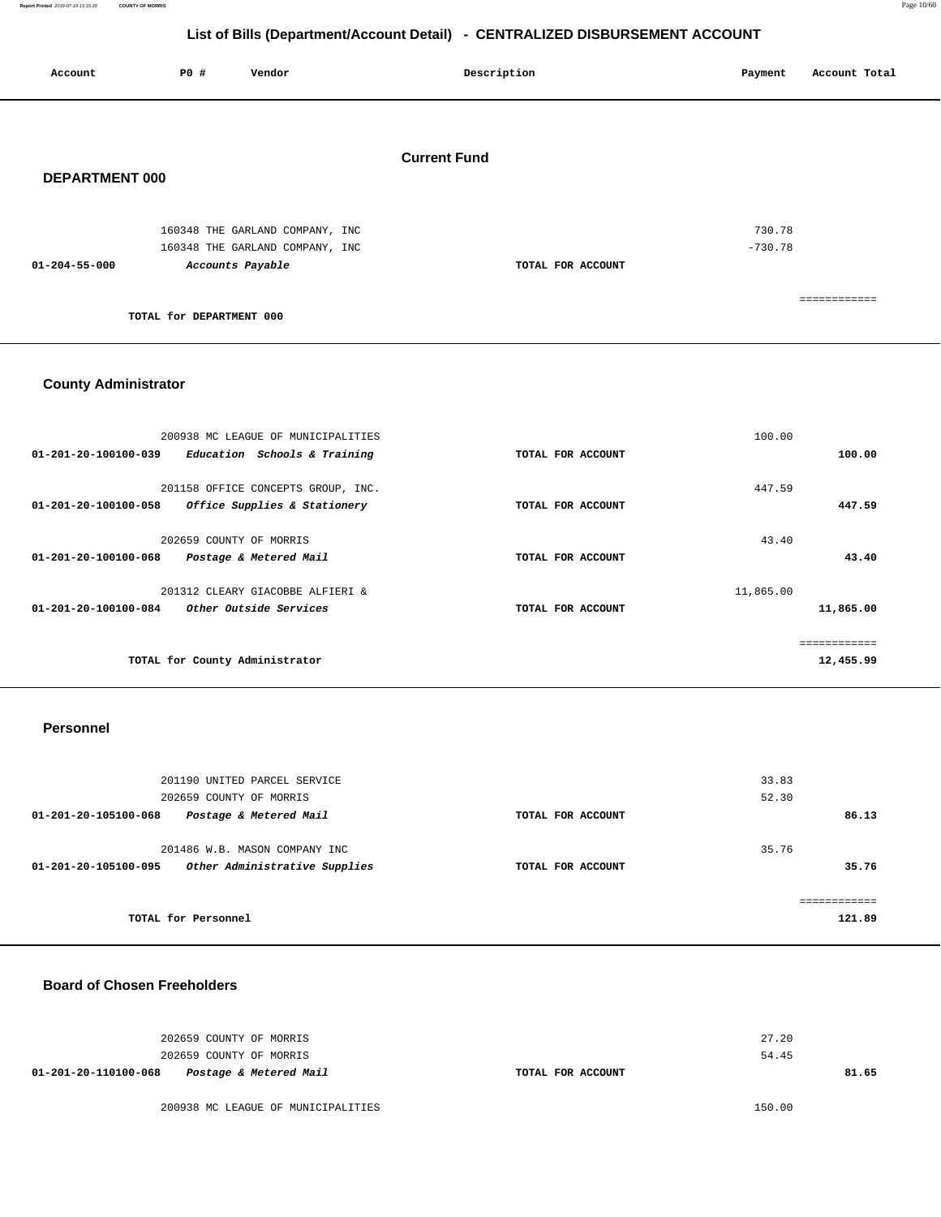**Report Printed** 2019-07-19 15:15:30 **COUNTY OF MORRIS** Page 10/60

## **List of Bills (Department/Account Detail) - CENTRALIZED DISBURSEMENT ACCOUNT**

| Account               | P0#                      | Vendor                          | Description         | Account Total<br>Payment |
|-----------------------|--------------------------|---------------------------------|---------------------|--------------------------|
|                       |                          |                                 |                     |                          |
| <b>DEPARTMENT 000</b> |                          |                                 | <b>Current Fund</b> |                          |
|                       |                          | 160348 THE GARLAND COMPANY, INC |                     | 730.78                   |
| $01 - 204 - 55 - 000$ | Accounts Payable         | 160348 THE GARLAND COMPANY, INC | TOTAL FOR ACCOUNT   | $-730.78$                |
|                       |                          |                                 |                     | ------------             |
|                       | TOTAL for DEPARTMENT 000 |                                 |                     |                          |

## **County Administrator**

| 200938 MC LEAGUE OF MUNICIPALITIES<br>Education Schools & Training<br>$01 - 201 - 20 - 100100 - 039$ | TOTAL FOR ACCOUNT | 100.00<br>100.00 |
|------------------------------------------------------------------------------------------------------|-------------------|------------------|
| 201158 OFFICE CONCEPTS GROUP, INC.                                                                   |                   | 447.59           |
| 01-201-20-100100-058<br>Office Supplies & Stationery                                                 | TOTAL FOR ACCOUNT | 447.59           |
| 202659 COUNTY OF MORRIS<br>01-201-20-100100-068<br>Postage & Metered Mail                            | TOTAL FOR ACCOUNT | 43.40<br>43.40   |
| 201312 CLEARY GIACOBBE ALFIERI &                                                                     |                   | 11,865.00        |
| 01-201-20-100100-084<br><i>Other Outside Services</i>                                                | TOTAL FOR ACCOUNT | 11,865.00        |
|                                                                                                      |                   | ------------     |
| TOTAL for County Administrator                                                                       |                   | 12,455.99        |

### **Personnel**

| 201190 UNITED PARCEL SERVICE                          |                   | 33.83       |
|-------------------------------------------------------|-------------------|-------------|
| 202659 COUNTY OF MORRIS                               |                   | 52.30       |
| Postage & Metered Mail<br>01-201-20-105100-068        | TOTAL FOR ACCOUNT | 86.13       |
|                                                       |                   |             |
| 201486 W.B. MASON COMPANY INC                         |                   | 35.76       |
| Other Administrative Supplies<br>01-201-20-105100-095 | TOTAL FOR ACCOUNT | 35.76       |
|                                                       |                   |             |
|                                                       |                   | =========== |
| TOTAL for Personnel                                   |                   | 121.89      |
|                                                       |                   |             |

## **Board of Chosen Freeholders**

|                      | 202659 COUNTY OF MORRIS<br>202659 COUNTY OF MORRIS |                   | 27.20<br>54.45 |
|----------------------|----------------------------------------------------|-------------------|----------------|
| 01-201-20-110100-068 | Postage & Metered Mail                             | TOTAL FOR ACCOUNT | 81.65          |

200938 MC LEAGUE OF MUNICIPALITIES 150.00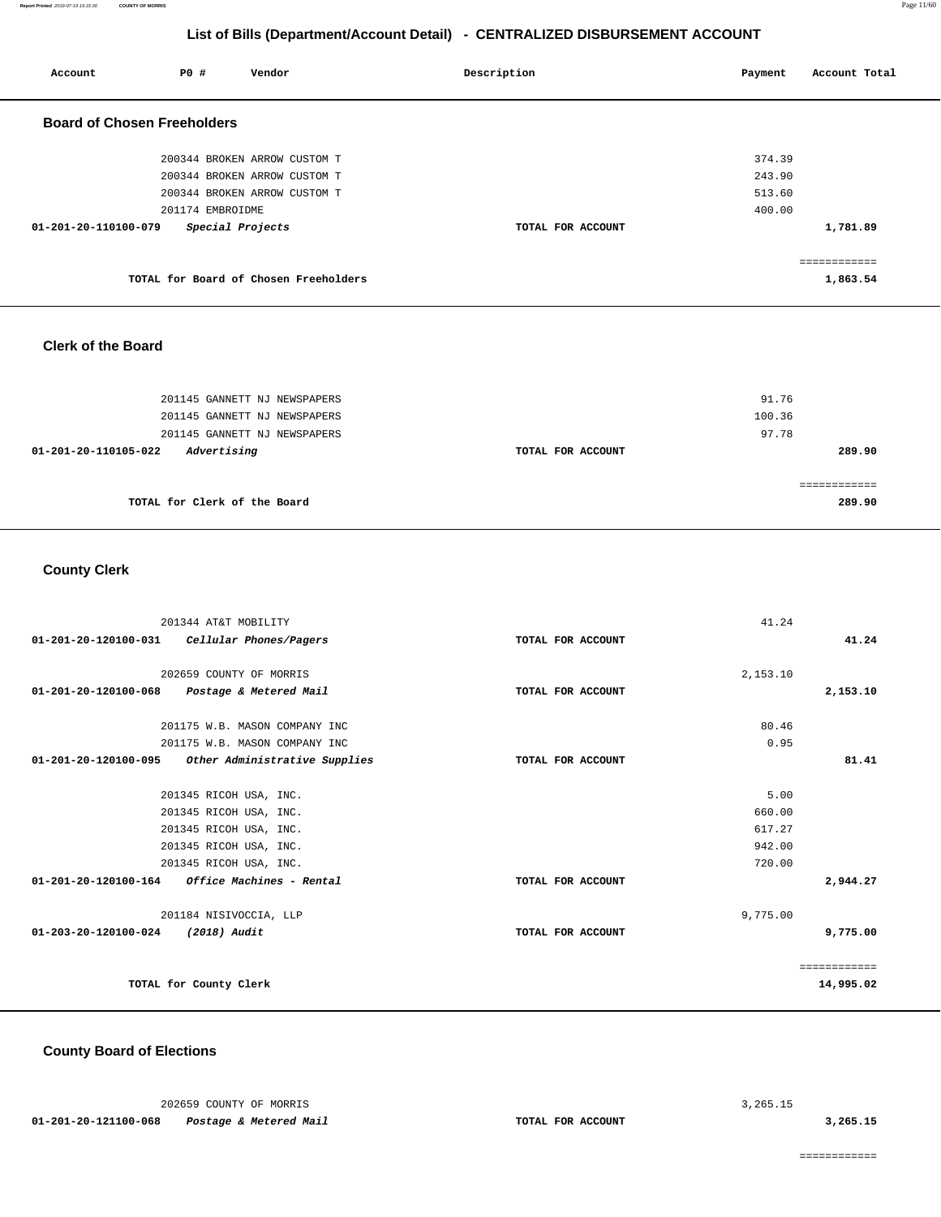**Report Printed** 2019-07-19 15:15:30 **COUNTY OF MORRIS** Page 11/60

# **List of Bills (Department/Account Detail) - CENTRALIZED DISBURSEMENT ACCOUNT**

| Account                            | P0 #             | Vendor                                | Description       | Account Total<br>Payment |
|------------------------------------|------------------|---------------------------------------|-------------------|--------------------------|
| <b>Board of Chosen Freeholders</b> |                  |                                       |                   |                          |
|                                    |                  | 200344 BROKEN ARROW CUSTOM T          |                   | 374.39                   |
|                                    |                  | 200344 BROKEN ARROW CUSTOM T          |                   | 243.90                   |
|                                    |                  | 200344 BROKEN ARROW CUSTOM T          |                   | 513.60                   |
|                                    | 201174 EMBROIDME |                                       |                   | 400.00                   |
| $01 - 201 - 20 - 110100 - 079$     |                  | Special Projects                      | TOTAL FOR ACCOUNT | 1,781.89                 |
|                                    |                  |                                       |                   |                          |
|                                    |                  | TOTAL for Board of Chosen Freeholders |                   | 1,863.54                 |

## **Clerk of the Board**

| 201145 GANNETT NJ NEWSPAPERS<br>201145 GANNETT NJ NEWSPAPERS<br>201145 GANNETT NJ NEWSPAPERS |                   | 91.76<br>100.36<br>97.78 |
|----------------------------------------------------------------------------------------------|-------------------|--------------------------|
| Advertising<br>01-201-20-110105-022                                                          | TOTAL FOR ACCOUNT | 289.90                   |
| TOTAL for Clerk of the Board                                                                 |                   | 289.90                   |

## **County Clerk**

| 201344 AT&T MOBILITY                                            |                   | 41.24    |              |
|-----------------------------------------------------------------|-------------------|----------|--------------|
| 01-201-20-120100-031<br>Cellular Phones/Pagers                  | TOTAL FOR ACCOUNT |          | 41.24        |
|                                                                 |                   |          |              |
| 202659 COUNTY OF MORRIS                                         |                   | 2,153.10 |              |
| 01-201-20-120100-068<br>Postage & Metered Mail                  | TOTAL FOR ACCOUNT |          | 2,153.10     |
| 201175 W.B. MASON COMPANY INC                                   |                   | 80.46    |              |
| 201175 W.B. MASON COMPANY INC                                   |                   | 0.95     |              |
| $01 - 201 - 20 - 120100 - 095$<br>Other Administrative Supplies | TOTAL FOR ACCOUNT |          | 81.41        |
|                                                                 |                   |          |              |
| 201345 RICOH USA, INC.                                          |                   | 5.00     |              |
| 201345 RICOH USA, INC.                                          |                   | 660.00   |              |
| 201345 RICOH USA, INC.                                          |                   | 617.27   |              |
| 201345 RICOH USA, INC.                                          |                   | 942.00   |              |
| 201345 RICOH USA, INC.                                          |                   | 720.00   |              |
| <i>Office Machines - Rental</i><br>01-201-20-120100-164         | TOTAL FOR ACCOUNT |          | 2,944.27     |
| 201184 NISIVOCCIA, LLP                                          |                   | 9,775.00 |              |
| 01-203-20-120100-024<br>(2018) Audit                            | TOTAL FOR ACCOUNT |          | 9,775.00     |
|                                                                 |                   |          | ============ |
| TOTAL for County Clerk                                          |                   |          | 14,995.02    |
|                                                                 |                   |          |              |

## **County Board of Elections**

| 202659 COUNTY OF MORRIS |                        | 3, 265. 15        |
|-------------------------|------------------------|-------------------|
| 01-201-20-121100-068    | Postage & Metered Mail | TOTAL FOR ACCOUNT |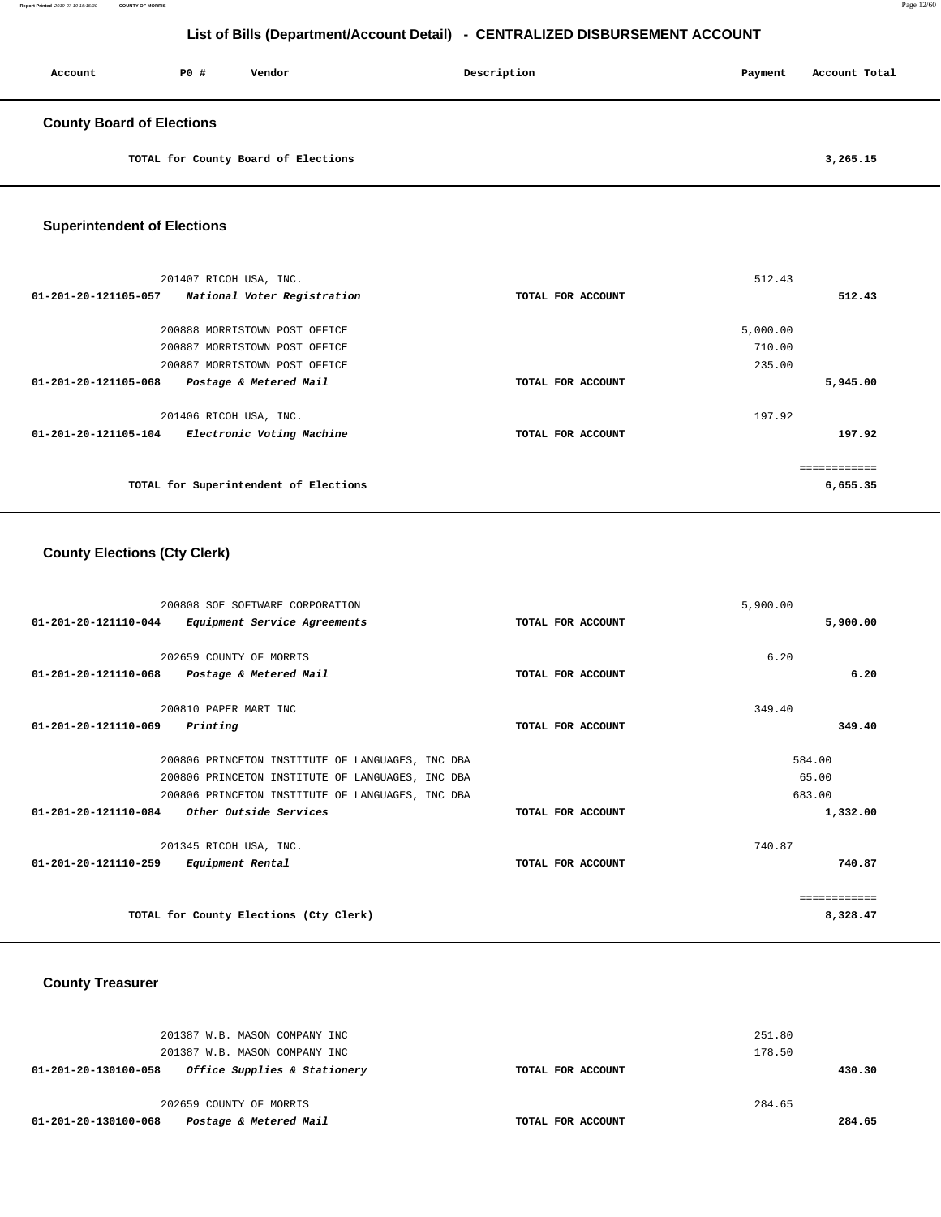| Account                          | PO# | Vendor                              | Description | Payment | Account Total |
|----------------------------------|-----|-------------------------------------|-------------|---------|---------------|
| <b>County Board of Elections</b> |     |                                     |             |         |               |
|                                  |     | TOTAL for County Board of Elections |             |         | 3,265.15      |

## **Superintendent of Elections**

| 201407 RICOH USA, INC.                              |                   | 512.43   |
|-----------------------------------------------------|-------------------|----------|
| 01-201-20-121105-057<br>National Voter Registration | TOTAL FOR ACCOUNT | 512.43   |
|                                                     |                   |          |
| 200888 MORRISTOWN POST OFFICE                       |                   | 5,000.00 |
| 200887 MORRISTOWN POST OFFICE                       |                   | 710.00   |
| 200887 MORRISTOWN POST OFFICE                       |                   | 235.00   |
| 01-201-20-121105-068<br>Postage & Metered Mail      | TOTAL FOR ACCOUNT | 5,945.00 |
| 201406 RICOH USA, INC.                              |                   | 197.92   |
| Electronic Voting Machine<br>01-201-20-121105-104   | TOTAL FOR ACCOUNT | 197.92   |
|                                                     |                   |          |
| TOTAL for Superintendent of Elections               |                   | 6,655.35 |

# **County Elections (Cty Clerk)**

|                                | 200808 SOE SOFTWARE CORPORATION                  |                   | 5,900.00     |
|--------------------------------|--------------------------------------------------|-------------------|--------------|
| $01 - 201 - 20 - 121110 - 044$ | Equipment Service Agreements                     | TOTAL FOR ACCOUNT | 5,900.00     |
|                                | 202659 COUNTY OF MORRIS                          |                   | 6.20         |
|                                |                                                  |                   |              |
| 01-201-20-121110-068           | Postage & Metered Mail                           | TOTAL FOR ACCOUNT | 6.20         |
|                                | 200810 PAPER MART INC                            |                   | 349.40       |
| 01-201-20-121110-069           | Printing                                         | TOTAL FOR ACCOUNT | 349.40       |
|                                |                                                  |                   |              |
|                                | 200806 PRINCETON INSTITUTE OF LANGUAGES, INC DBA |                   | 584.00       |
|                                | 200806 PRINCETON INSTITUTE OF LANGUAGES, INC DBA |                   | 65.00        |
|                                | 200806 PRINCETON INSTITUTE OF LANGUAGES, INC DBA |                   | 683.00       |
| $01 - 201 - 20 - 121110 - 084$ | <i>Other Outside Services</i>                    | TOTAL FOR ACCOUNT | 1,332.00     |
|                                | 201345 RICOH USA, INC.                           |                   | 740.87       |
| 01-201-20-121110-259           | Equipment Rental                                 | TOTAL FOR ACCOUNT | 740.87       |
|                                |                                                  |                   |              |
|                                |                                                  |                   | ------------ |
|                                | TOTAL for County Elections (Cty Clerk)           |                   | 8,328.47     |

## **County Treasurer**

| 201387 W.B. MASON COMPANY INC<br>201387 W.B. MASON COMPANY INC |                   | 251.80<br>178.50 |
|----------------------------------------------------------------|-------------------|------------------|
| Office Supplies & Stationery<br>01-201-20-130100-058           | TOTAL FOR ACCOUNT | 430.30           |
| 202659 COUNTY OF MORRIS                                        |                   | 284.65           |
| Postage & Metered Mail<br>01-201-20-130100-068                 | TOTAL FOR ACCOUNT | 284.65           |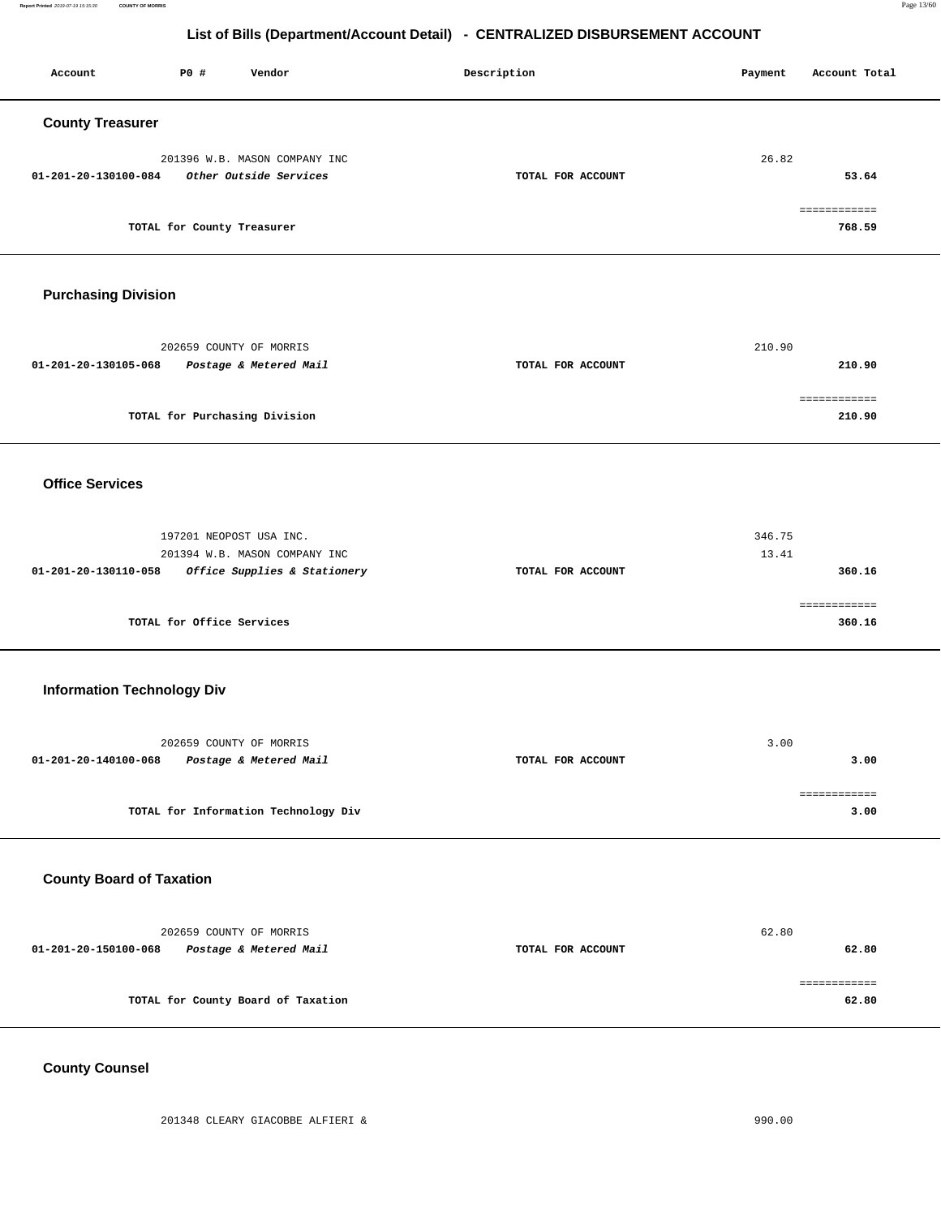**Report Printed** 2019-07-19 15:15:30 **COUNTY OF MORRIS** Page 13/60

# **List of Bills (Department/Account Detail) - CENTRALIZED DISBURSEMENT ACCOUNT**

| Account                           | P0 #                       | Vendor                                                                                   | Description       | Payment         | Account Total          |
|-----------------------------------|----------------------------|------------------------------------------------------------------------------------------|-------------------|-----------------|------------------------|
| <b>County Treasurer</b>           |                            |                                                                                          |                   |                 |                        |
| 01-201-20-130100-084              |                            | 201396 W.B. MASON COMPANY INC<br>Other Outside Services                                  | TOTAL FOR ACCOUNT | 26.82           | 53.64                  |
|                                   | TOTAL for County Treasurer |                                                                                          |                   |                 | ============<br>768.59 |
| <b>Purchasing Division</b>        |                            |                                                                                          |                   |                 |                        |
| 01-201-20-130105-068              |                            | 202659 COUNTY OF MORRIS<br>Postage & Metered Mail                                        | TOTAL FOR ACCOUNT | 210.90          | 210.90<br>============ |
|                                   |                            | TOTAL for Purchasing Division                                                            |                   |                 | 210.90                 |
| <b>Office Services</b>            |                            |                                                                                          |                   |                 |                        |
| 01-201-20-130110-058              |                            | 197201 NEOPOST USA INC.<br>201394 W.B. MASON COMPANY INC<br>Office Supplies & Stationery | TOTAL FOR ACCOUNT | 346.75<br>13.41 | 360.16                 |
|                                   | TOTAL for Office Services  |                                                                                          |                   |                 | ============<br>360.16 |
| <b>Information Technology Div</b> |                            |                                                                                          |                   |                 |                        |
| 01-201-20-140100-068              |                            | 202659 COUNTY OF MORRIS<br>Postage & Metered Mail                                        | TOTAL FOR ACCOUNT | 3.00            | 3.00                   |
|                                   |                            | TOTAL for Information Technology Div                                                     |                   |                 | ============<br>3.00   |
| <b>County Board of Taxation</b>   |                            |                                                                                          |                   |                 |                        |
| 01-201-20-150100-068              |                            | 202659 COUNTY OF MORRIS<br>Postage & Metered Mail                                        | TOTAL FOR ACCOUNT | 62.80           | 62.80                  |
|                                   |                            | TOTAL for County Board of Taxation                                                       |                   |                 | ============<br>62.80  |

## **County Counsel**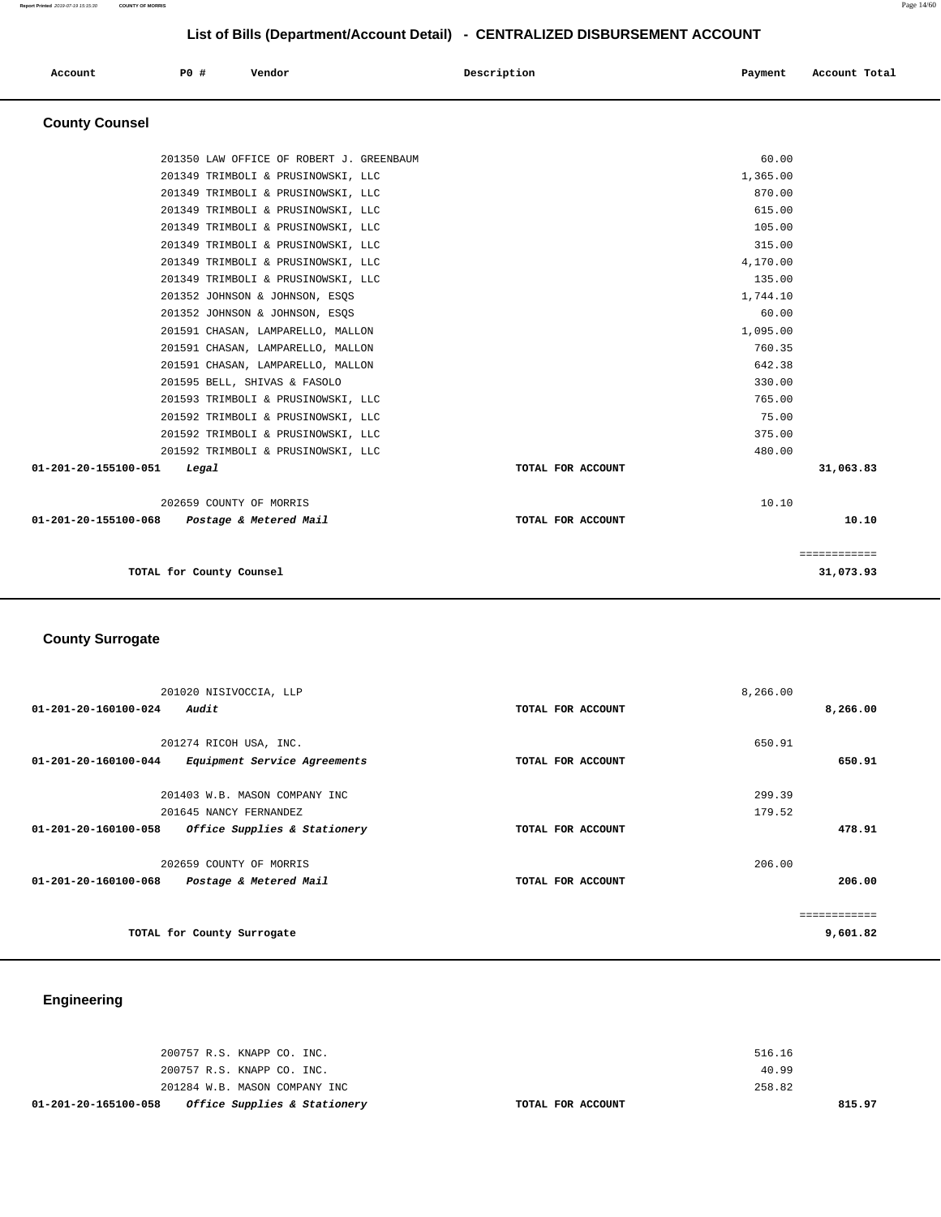|                       |                                          | List of Bills (Department/Account Detail) CLITINALIZZD DIODOROZINERT ACCOUNT |                          |
|-----------------------|------------------------------------------|------------------------------------------------------------------------------|--------------------------|
| Account               | P0 #<br>Vendor                           | Description                                                                  | Account Total<br>Payment |
| <b>County Counsel</b> |                                          |                                                                              |                          |
|                       | 201350 LAW OFFICE OF ROBERT J. GREENBAUM |                                                                              | 60.00                    |
|                       | 201349 TRIMBOLI & PRUSINOWSKI, LLC       |                                                                              | 1,365.00                 |
|                       | 201349 TRIMBOLI & PRUSINOWSKI, LLC       |                                                                              | 870.00                   |
|                       | 201349 TRIMBOLI & PRUSINOWSKI, LLC       |                                                                              | 615.00                   |
|                       | 201349 TRIMBOLI & PRUSINOWSKI, LLC       |                                                                              | 105.00                   |
|                       | 201349 TRIMBOLI & PRUSINOWSKI, LLC       |                                                                              | 315.00                   |
|                       | 201349 TRIMBOLI & PRUSINOWSKI, LLC       |                                                                              | 4,170.00                 |
|                       | 201349 TRIMBOLI & PRUSINOWSKI, LLC       |                                                                              | 135.00                   |
|                       | 201352 JOHNSON & JOHNSON, ESQS           |                                                                              | 1,744.10                 |
|                       | 201352 JOHNSON & JOHNSON, ESQS           |                                                                              | 60.00                    |
|                       | 201591 CHASAN, LAMPARELLO, MALLON        |                                                                              | 1,095.00                 |
|                       | 201591 CHASAN, LAMPARELLO, MALLON        |                                                                              | 760.35                   |

 201591 CHASAN, LAMPARELLO, MALLON 642.38 201595 BELL, SHIVAS & FASOLO 330.00 201593 TRIMBOLI & PRUSINOWSKI, LLC 765.00 201592 TRIMBOLI & PRUSINOWSKI, LLC 75.00 201592 TRIMBOLI & PRUSINOWSKI, LLC 375.00 201592 TRIMBOLI & PRUSINOWSKI, LLC 480.00  **01-201-20-155100-051 Legal TOTAL FOR ACCOUNT 31,063.83**

 202659 COUNTY OF MORRIS 10.10  **01-201-20-155100-068 Postage & Metered Mail TOTAL FOR ACCOUNT 10.10**

|                          | ____________<br>------------ |
|--------------------------|------------------------------|
| TOTAL for County Counsel | 31,073.93<br>21              |

### **County Surrogate**

| 201020 NISIVOCCIA, LLP                               |                   | 8,266.00    |
|------------------------------------------------------|-------------------|-------------|
| Audit<br>01-201-20-160100-024                        | TOTAL FOR ACCOUNT | 8,266.00    |
|                                                      |                   |             |
| 201274 RICOH USA, INC.                               |                   | 650.91      |
| 01-201-20-160100-044<br>Equipment Service Agreements | TOTAL FOR ACCOUNT | 650.91      |
|                                                      |                   |             |
| 201403 W.B. MASON COMPANY INC                        |                   | 299.39      |
| 201645 NANCY FERNANDEZ                               |                   | 179.52      |
| 01-201-20-160100-058<br>Office Supplies & Stationery | TOTAL FOR ACCOUNT | 478.91      |
| 202659 COUNTY OF MORRIS                              |                   | 206.00      |
| 01-201-20-160100-068<br>Postage & Metered Mail       | TOTAL FOR ACCOUNT | 206.00      |
|                                                      |                   | =========== |
| TOTAL for County Surrogate                           |                   | 9,601.82    |

## **Engineering**

| 01-201-20-165100-058 | Office Supplies & Stationery  | TOTAL FOR ACCOUNT | 815.97 |
|----------------------|-------------------------------|-------------------|--------|
|                      | 201284 W.B. MASON COMPANY INC | 258.82            |        |
|                      | 200757 R.S. KNAPP CO. INC.    | 40.99             |        |
|                      | 200757 R.S. KNAPP CO. INC.    | 516.16            |        |
|                      |                               |                   |        |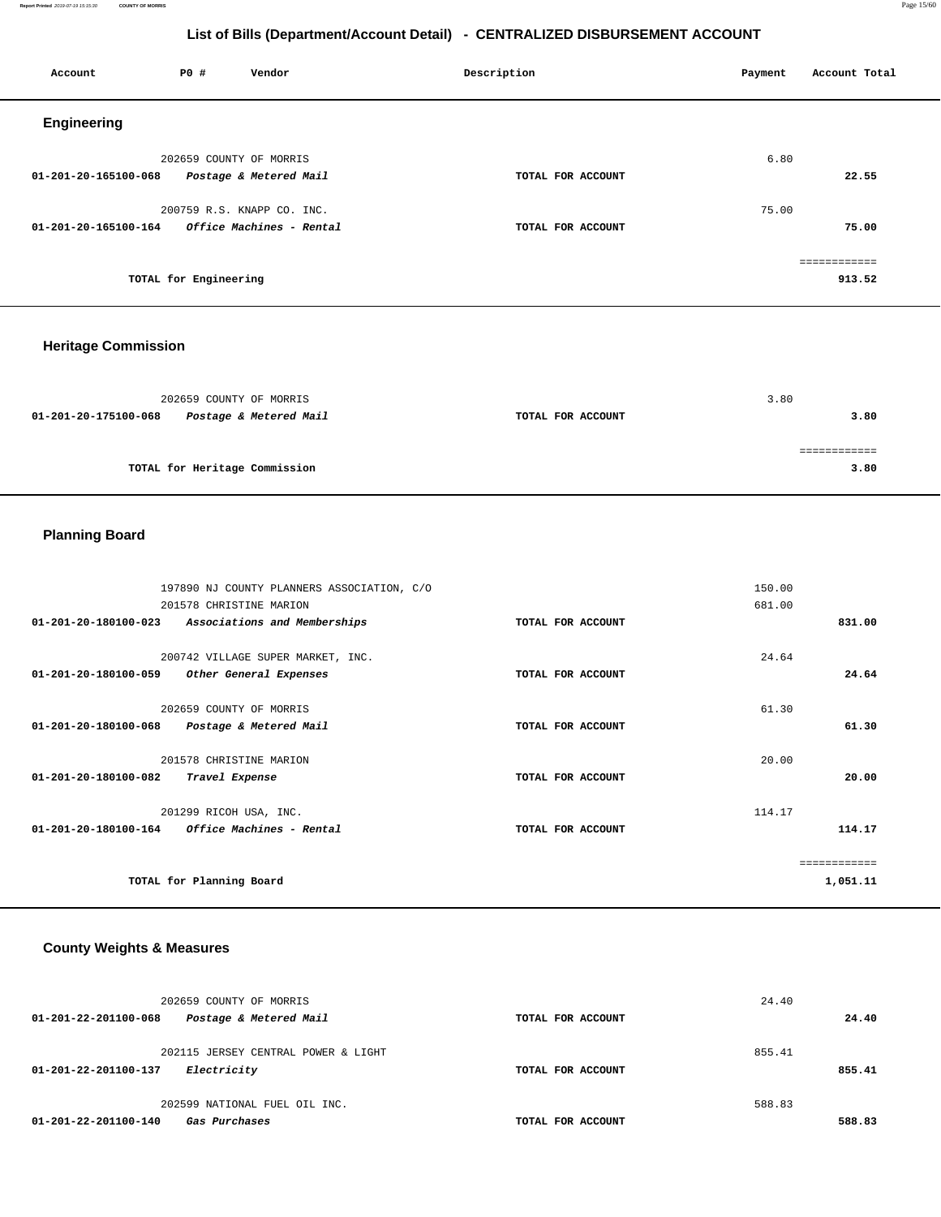**Report Printed** 2019-07-19 15:15:30 **COUNTY OF MORRIS** Page 15/60

## **List of Bills (Department/Account Detail) - CENTRALIZED DISBURSEMENT ACCOUNT**

| Account              | P0 #                  | Vendor                                 | Description       | Account Total<br>Payment |
|----------------------|-----------------------|----------------------------------------|-------------------|--------------------------|
| <b>Engineering</b>   |                       |                                        |                   |                          |
|                      |                       | 202659 COUNTY OF MORRIS                |                   | 6.80                     |
| 01-201-20-165100-068 |                       | Postage & Metered Mail                 | TOTAL FOR ACCOUNT | 22.55                    |
|                      |                       | 200759 R.S. KNAPP CO. INC.             |                   | 75.00                    |
| 01-201-20-165100-164 |                       | <i><b>Office Machines - Rental</b></i> | TOTAL FOR ACCOUNT | 75.00                    |
|                      |                       |                                        |                   | ============             |
|                      | TOTAL for Engineering |                                        |                   | 913.52                   |

## **Heritage Commission**

| 202659 COUNTY OF MORRIS                        |                   | 3.80 |
|------------------------------------------------|-------------------|------|
| 01-201-20-175100-068<br>Postage & Metered Mail | TOTAL FOR ACCOUNT | 3.80 |
|                                                |                   |      |
|                                                |                   |      |
| TOTAL for Heritage Commission                  |                   | 3.80 |

# **Planning Board**

|                                | 197890 NJ COUNTY PLANNERS ASSOCIATION, C/O |                   | 150.00 |              |
|--------------------------------|--------------------------------------------|-------------------|--------|--------------|
|                                | 201578 CHRISTINE MARION                    |                   | 681.00 |              |
| $01 - 201 - 20 - 180100 - 023$ | Associations and Memberships               | TOTAL FOR ACCOUNT |        | 831.00       |
|                                |                                            |                   | 24.64  |              |
|                                | 200742 VILLAGE SUPER MARKET, INC.          |                   |        |              |
| 01-201-20-180100-059           | Other General Expenses                     | TOTAL FOR ACCOUNT |        | 24.64        |
|                                |                                            |                   |        |              |
|                                | 202659 COUNTY OF MORRIS                    |                   | 61.30  |              |
| 01-201-20-180100-068           | Postage & Metered Mail                     | TOTAL FOR ACCOUNT |        | 61.30        |
|                                |                                            |                   |        |              |
|                                | 201578 CHRISTINE MARION                    |                   | 20.00  |              |
| $01 - 201 - 20 - 180100 - 082$ | Travel Expense                             | TOTAL FOR ACCOUNT |        | 20.00        |
|                                |                                            |                   |        |              |
|                                | 201299 RICOH USA, INC.                     |                   | 114.17 |              |
| $01 - 201 - 20 - 180100 - 164$ | Office Machines - Rental                   | TOTAL FOR ACCOUNT |        | 114.17       |
|                                |                                            |                   |        |              |
|                                |                                            |                   |        | ============ |
|                                | TOTAL for Planning Board                   |                   |        | 1,051.11     |

# **County Weights & Measures**

| 202659 COUNTY OF MORRIS<br>Postage & Metered Mail<br>01-201-22-201100-068 | TOTAL FOR ACCOUNT | 24.40<br>24.40 |
|---------------------------------------------------------------------------|-------------------|----------------|
|                                                                           |                   |                |
| 202115 JERSEY CENTRAL POWER & LIGHT                                       |                   | 855.41         |
| Electricity<br>01-201-22-201100-137                                       | TOTAL FOR ACCOUNT | 855.41         |
| 202599 NATIONAL FUEL OIL INC.                                             |                   | 588.83         |
| 01-201-22-201100-140<br>Gas Purchases                                     | TOTAL FOR ACCOUNT | 588.83         |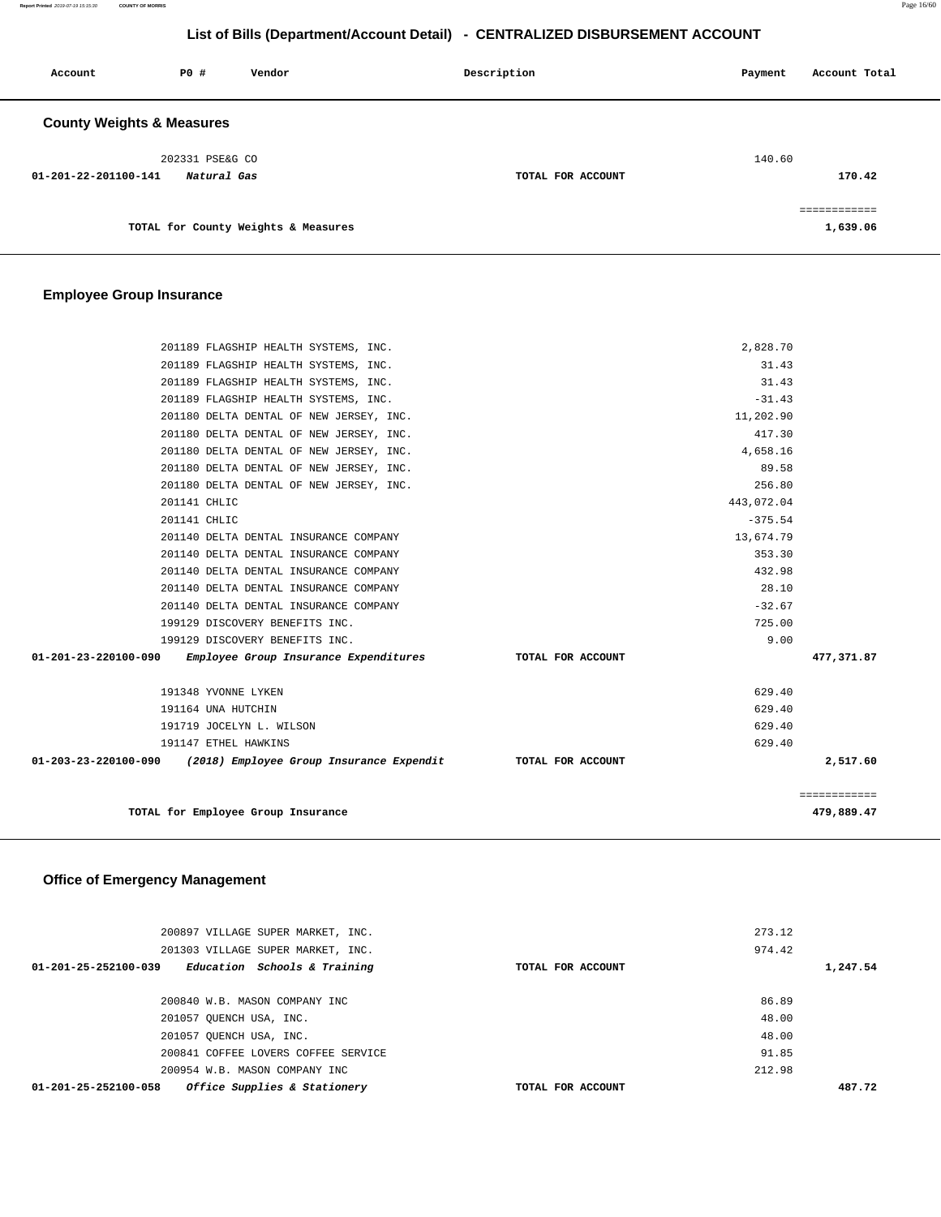**Report Printed** 2019-07-19 15:15:30 **COUNTY OF MORRIS** Page 16/60

## **List of Bills (Department/Account Detail) - CENTRALIZED DISBURSEMENT ACCOUNT**

| Account                                                | PO# | Vendor                              | Description       | Payment | Account Total            |
|--------------------------------------------------------|-----|-------------------------------------|-------------------|---------|--------------------------|
| <b>County Weights &amp; Measures</b>                   |     |                                     |                   |         |                          |
| 202331 PSE&G CO<br>01-201-22-201100-141<br>Natural Gas |     |                                     | TOTAL FOR ACCOUNT | 140.60  | 170.42                   |
|                                                        |     | TOTAL for County Weights & Measures |                   |         | ============<br>1,639.06 |

# **Employee Group Insurance**

| 201189 FLAGSHIP HEALTH SYSTEMS, INC.                                            | 2,828.70   |              |
|---------------------------------------------------------------------------------|------------|--------------|
| 201189 FLAGSHIP HEALTH SYSTEMS, INC.                                            | 31.43      |              |
| 201189 FLAGSHIP HEALTH SYSTEMS, INC.                                            | 31.43      |              |
| 201189 FLAGSHIP HEALTH SYSTEMS, INC.                                            | $-31.43$   |              |
| 201180 DELTA DENTAL OF NEW JERSEY, INC.                                         | 11,202.90  |              |
| 201180 DELTA DENTAL OF NEW JERSEY, INC.                                         | 417.30     |              |
| 201180 DELTA DENTAL OF NEW JERSEY, INC.                                         | 4,658.16   |              |
| 201180 DELTA DENTAL OF NEW JERSEY, INC.                                         | 89.58      |              |
| 201180 DELTA DENTAL OF NEW JERSEY, INC.                                         | 256.80     |              |
| 201141 CHLIC                                                                    | 443,072.04 |              |
| 201141 CHLIC                                                                    | $-375.54$  |              |
| 201140 DELTA DENTAL INSURANCE COMPANY                                           | 13,674.79  |              |
| 201140 DELTA DENTAL INSURANCE COMPANY                                           | 353.30     |              |
| 201140 DELTA DENTAL INSURANCE COMPANY                                           | 432.98     |              |
| 201140 DELTA DENTAL INSURANCE COMPANY                                           | 28.10      |              |
| 201140 DELTA DENTAL INSURANCE COMPANY                                           | $-32.67$   |              |
| 199129 DISCOVERY BENEFITS INC.                                                  | 725.00     |              |
| 199129 DISCOVERY BENEFITS INC.                                                  | 9.00       |              |
| 01-201-23-220100-090 Employee Group Insurance Expenditures TOTAL FOR ACCOUNT    |            | 477,371.87   |
| 191348 YVONNE LYKEN                                                             | 629.40     |              |
| 191164 UNA HUTCHIN                                                              | 629.40     |              |
| 191719 JOCELYN L. WILSON                                                        | 629.40     |              |
| 191147 ETHEL HAWKINS                                                            | 629.40     |              |
| 01-203-23-220100-090 (2018) Employee Group Insurance Expendit TOTAL FOR ACCOUNT |            | 2,517.60     |
|                                                                                 |            | ============ |
| TOTAL for Employee Group Insurance                                              |            | 479,889.47   |

# **Office of Emergency Management**

| 200897 VILLAGE SUPER MARKET, INC.<br>201303 VILLAGE SUPER MARKET, INC. |                   | 273.12<br>974.42 |
|------------------------------------------------------------------------|-------------------|------------------|
| $01 - 201 - 25 - 252100 - 039$<br>Education Schools & Training         | TOTAL FOR ACCOUNT | 1,247.54         |
| 200840 W.B. MASON COMPANY INC                                          |                   | 86.89            |
| 201057 OUENCH USA, INC.                                                |                   | 48.00            |
| 201057 OUENCH USA, INC.                                                |                   | 48.00            |
| 200841 COFFEE LOVERS COFFEE SERVICE                                    |                   | 91.85            |
| 200954 W.B. MASON COMPANY INC                                          |                   | 212.98           |
| Office Supplies & Stationery<br>01-201-25-252100-058                   | TOTAL FOR ACCOUNT | 487.72           |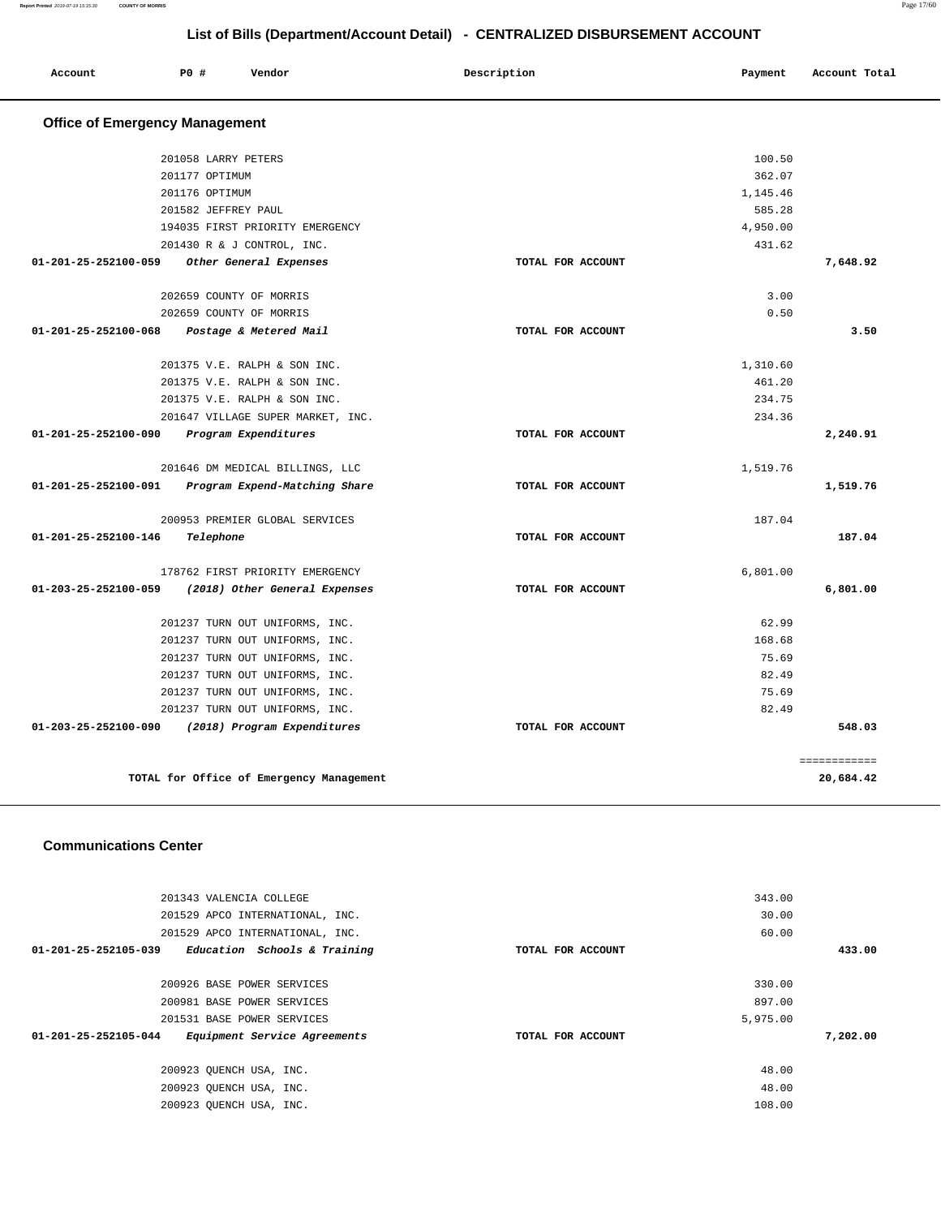| Account                               | P0#                 | Vendor                                   | Description       | Payment  | Account Total |
|---------------------------------------|---------------------|------------------------------------------|-------------------|----------|---------------|
| <b>Office of Emergency Management</b> |                     |                                          |                   |          |               |
|                                       | 201058 LARRY PETERS |                                          |                   | 100.50   |               |
|                                       | 201177 OPTIMUM      |                                          |                   | 362.07   |               |
|                                       | 201176 OPTIMUM      |                                          |                   | 1,145.46 |               |
|                                       | 201582 JEFFREY PAUL |                                          |                   | 585.28   |               |
|                                       |                     | 194035 FIRST PRIORITY EMERGENCY          |                   | 4,950.00 |               |
|                                       |                     | 201430 R & J CONTROL, INC.               |                   | 431.62   |               |
| 01-201-25-252100-059                  |                     | Other General Expenses                   | TOTAL FOR ACCOUNT |          | 7,648.92      |
|                                       |                     | 202659 COUNTY OF MORRIS                  |                   | 3.00     |               |
|                                       |                     | 202659 COUNTY OF MORRIS                  |                   | 0.50     |               |
| 01-201-25-252100-068                  |                     | Postage & Metered Mail                   | TOTAL FOR ACCOUNT |          | 3.50          |
|                                       |                     | 201375 V.E. RALPH & SON INC.             |                   | 1,310.60 |               |
|                                       |                     | 201375 V.E. RALPH & SON INC.             |                   | 461.20   |               |
|                                       |                     | 201375 V.E. RALPH & SON INC.             |                   | 234.75   |               |
|                                       |                     | 201647 VILLAGE SUPER MARKET, INC.        |                   | 234.36   |               |
| 01-201-25-252100-090                  |                     | Program Expenditures                     | TOTAL FOR ACCOUNT |          | 2,240.91      |
|                                       |                     | 201646 DM MEDICAL BILLINGS, LLC          |                   | 1,519.76 |               |
| 01-201-25-252100-091                  |                     | Program Expend-Matching Share            | TOTAL FOR ACCOUNT |          | 1,519.76      |
|                                       |                     | 200953 PREMIER GLOBAL SERVICES           |                   | 187.04   |               |
| 01-201-25-252100-146                  | Telephone           |                                          | TOTAL FOR ACCOUNT |          | 187.04        |
|                                       |                     | 178762 FIRST PRIORITY EMERGENCY          |                   | 6,801.00 |               |
| 01-203-25-252100-059                  |                     | (2018) Other General Expenses            | TOTAL FOR ACCOUNT |          | 6,801.00      |
|                                       |                     | 201237 TURN OUT UNIFORMS, INC.           |                   | 62.99    |               |
|                                       |                     | 201237 TURN OUT UNIFORMS, INC.           |                   | 168.68   |               |
|                                       |                     | 201237 TURN OUT UNIFORMS, INC.           |                   | 75.69    |               |
|                                       |                     | 201237 TURN OUT UNIFORMS, INC.           |                   | 82.49    |               |
|                                       |                     | 201237 TURN OUT UNIFORMS, INC.           |                   | 75.69    |               |
|                                       |                     | 201237 TURN OUT UNIFORMS, INC.           |                   | 82.49    |               |
| 01-203-25-252100-090                  |                     | (2018) Program Expenditures              | TOTAL FOR ACCOUNT |          | 548.03        |
|                                       |                     |                                          |                   |          | ============  |
|                                       |                     | TOTAL for Office of Emergency Management |                   |          | 20,684.42     |

### **Communications Center**

| 343.00   |                   | 201343 VALENCIA COLLEGE                              |
|----------|-------------------|------------------------------------------------------|
| 30.00    |                   | 201529 APCO INTERNATIONAL, INC.                      |
| 60.00    |                   | 201529 APCO INTERNATIONAL, INC.                      |
|          | TOTAL FOR ACCOUNT | Education Schools & Training<br>01-201-25-252105-039 |
|          |                   |                                                      |
| 330.00   |                   | 200926 BASE POWER SERVICES                           |
| 897.00   |                   | 200981 BASE POWER SERVICES                           |
| 5,975.00 |                   | 201531 BASE POWER SERVICES                           |
|          | TOTAL FOR ACCOUNT | Equipment Service Agreements<br>01-201-25-252105-044 |
|          |                   |                                                      |
| 48.00    |                   | 200923 OUENCH USA, INC.                              |
| 48.00    |                   | 200923 OUENCH USA, INC.                              |
| 108.00   |                   | 200923 OUENCH USA, INC.                              |
|          |                   |                                                      |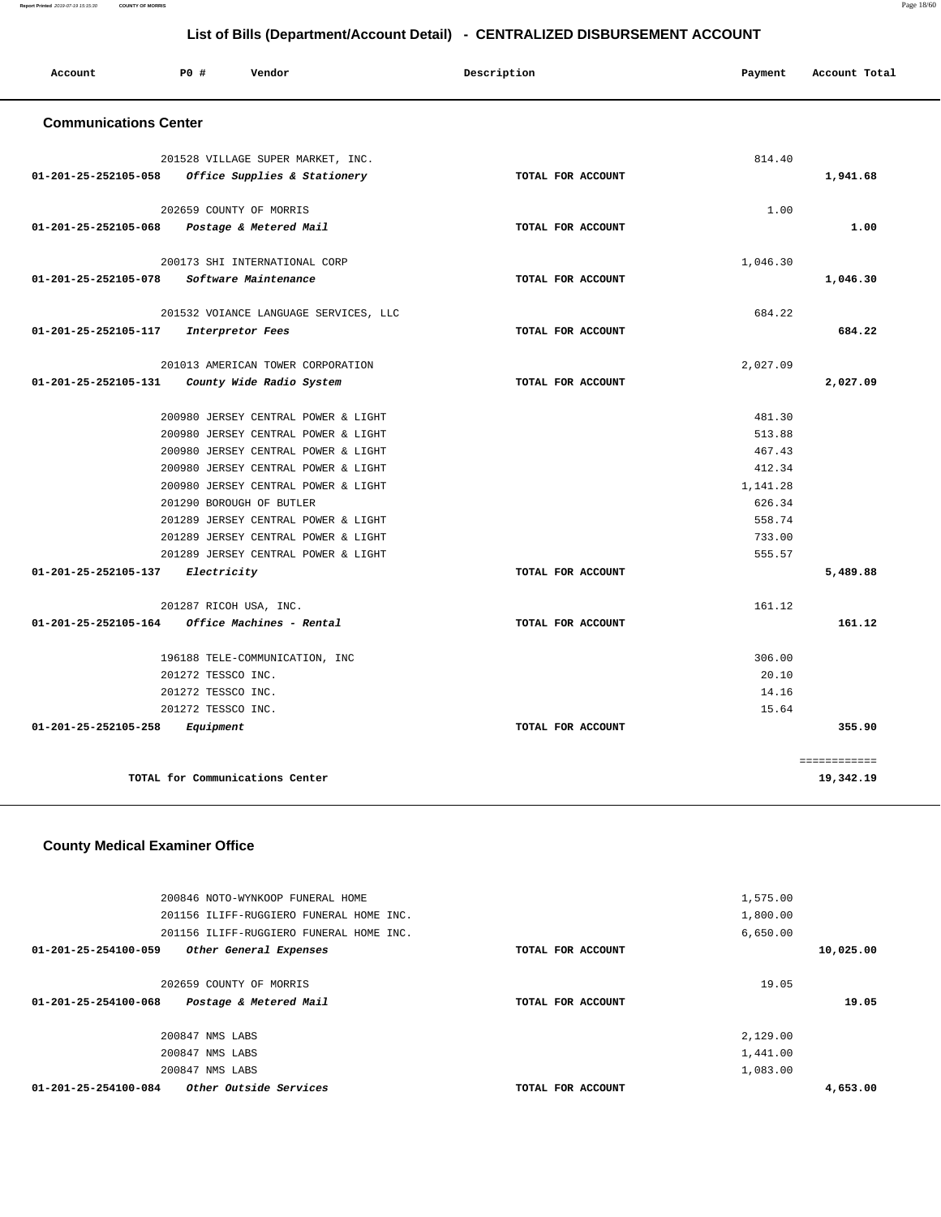**Report Printed** 2019-07-19 15:15:30 **COUNTY OF MORRIS** Page 18/60

# **List of Bills (Department/Account Detail) - CENTRALIZED DISBURSEMENT ACCOUNT**

| Account                                     | PO#                | Vendor                                                          | Description       | Payment            | Account Total |
|---------------------------------------------|--------------------|-----------------------------------------------------------------|-------------------|--------------------|---------------|
| <b>Communications Center</b>                |                    |                                                                 |                   |                    |               |
|                                             |                    | 201528 VILLAGE SUPER MARKET, INC.                               |                   | 814.40             |               |
| 01-201-25-252105-058                        |                    | Office Supplies & Stationery                                    | TOTAL FOR ACCOUNT |                    | 1,941.68      |
|                                             |                    |                                                                 |                   |                    |               |
|                                             |                    | 202659 COUNTY OF MORRIS                                         |                   | 1.00               |               |
| 01-201-25-252105-068 Postage & Metered Mail |                    |                                                                 | TOTAL FOR ACCOUNT |                    | 1.00          |
|                                             |                    | 200173 SHI INTERNATIONAL CORP                                   |                   | 1,046.30           |               |
| 01-201-25-252105-078                        |                    | Software Maintenance                                            | TOTAL FOR ACCOUNT |                    | 1,046.30      |
|                                             |                    | 201532 VOIANCE LANGUAGE SERVICES, LLC                           |                   | 684.22             |               |
| 01-201-25-252105-117                        |                    | Interpretor Fees                                                | TOTAL FOR ACCOUNT |                    | 684.22        |
|                                             |                    | 201013 AMERICAN TOWER CORPORATION                               |                   | 2,027.09           |               |
| 01-201-25-252105-131                        |                    | County Wide Radio System                                        | TOTAL FOR ACCOUNT |                    | 2,027.09      |
|                                             |                    |                                                                 |                   |                    |               |
|                                             |                    | 200980 JERSEY CENTRAL POWER & LIGHT                             |                   | 481.30             |               |
|                                             |                    | 200980 JERSEY CENTRAL POWER & LIGHT                             |                   | 513.88             |               |
|                                             |                    | 200980 JERSEY CENTRAL POWER & LIGHT                             |                   | 467.43<br>412.34   |               |
|                                             |                    | 200980 JERSEY CENTRAL POWER & LIGHT                             |                   |                    |               |
|                                             |                    | 200980 JERSEY CENTRAL POWER & LIGHT<br>201290 BOROUGH OF BUTLER |                   | 1,141.28<br>626.34 |               |
|                                             |                    | 201289 JERSEY CENTRAL POWER & LIGHT                             |                   | 558.74             |               |
|                                             |                    | 201289 JERSEY CENTRAL POWER & LIGHT                             |                   | 733.00             |               |
|                                             |                    | 201289 JERSEY CENTRAL POWER & LIGHT                             |                   | 555.57             |               |
| 01-201-25-252105-137                        |                    | Electricity                                                     | TOTAL FOR ACCOUNT |                    | 5,489.88      |
|                                             |                    | 201287 RICOH USA, INC.                                          |                   | 161.12             |               |
| 01-201-25-252105-164                        |                    | Office Machines - Rental                                        | TOTAL FOR ACCOUNT |                    | 161.12        |
|                                             |                    |                                                                 |                   |                    |               |
|                                             |                    | 196188 TELE-COMMUNICATION, INC                                  |                   | 306.00             |               |
|                                             | 201272 TESSCO INC. |                                                                 |                   | 20.10              |               |
|                                             | 201272 TESSCO INC. |                                                                 |                   | 14.16              |               |
|                                             | 201272 TESSCO INC. |                                                                 |                   | 15.64              | 355.90        |
| 01-201-25-252105-258                        | Equipment          |                                                                 | TOTAL FOR ACCOUNT |                    |               |
|                                             |                    |                                                                 |                   |                    | ============  |
|                                             |                    | TOTAL for Communications Center                                 |                   |                    | 19,342.19     |

## **County Medical Examiner Office**

|           | 1,575.00 |                   | 200846 NOTO-WYNKOOP FUNERAL HOME               |  |
|-----------|----------|-------------------|------------------------------------------------|--|
|           | 1,800.00 |                   | 201156 ILIFF-RUGGIERO FUNERAL HOME INC.        |  |
|           | 6,650.00 |                   | 201156 ILIFF-RUGGIERO FUNERAL HOME INC.        |  |
| 10,025.00 |          | TOTAL FOR ACCOUNT | 01-201-25-254100-059<br>Other General Expenses |  |
|           |          |                   |                                                |  |
|           | 19.05    |                   | 202659 COUNTY OF MORRIS                        |  |
| 19.05     |          | TOTAL FOR ACCOUNT | Postage & Metered Mail<br>01-201-25-254100-068 |  |
|           |          |                   |                                                |  |
|           | 2,129.00 |                   | 200847 NMS LABS                                |  |
|           | 1,441.00 |                   | 200847 NMS LABS                                |  |
|           | 1,083.00 |                   | 200847 NMS LABS                                |  |
| 4,653.00  |          | TOTAL FOR ACCOUNT | Other Outside Services<br>01-201-25-254100-084 |  |
|           |          |                   |                                                |  |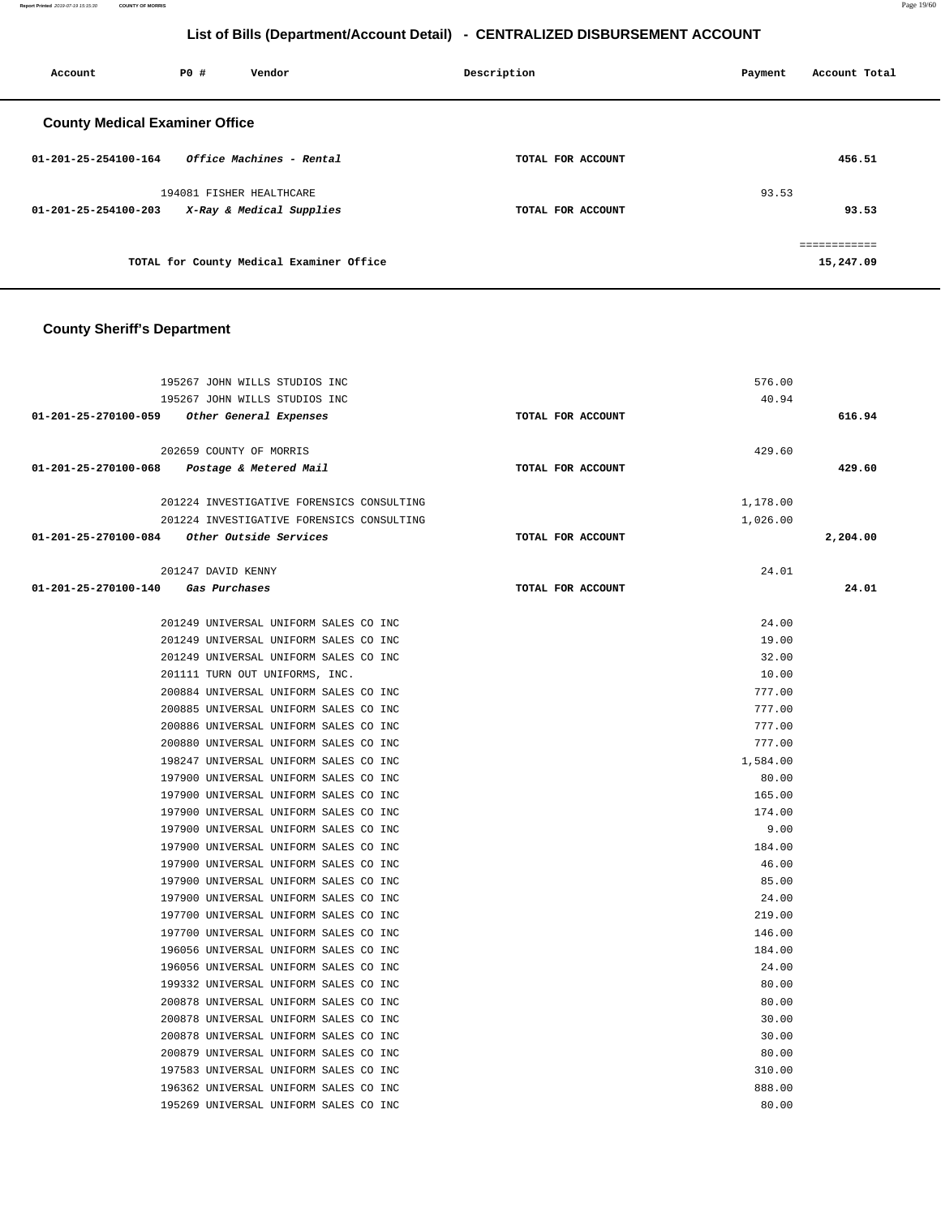**Report Printed** 2019-07-19 15:15:30 **COUNTY OF MORRIS** Page 19/60

# **List of Bills (Department/Account Detail) - CENTRALIZED DISBURSEMENT ACCOUNT**

| Account                               | <b>PO #</b> | Vendor                                   | Description       | Account Total<br>Payment  |
|---------------------------------------|-------------|------------------------------------------|-------------------|---------------------------|
| <b>County Medical Examiner Office</b> |             |                                          |                   |                           |
| $01 - 201 - 25 - 254100 - 164$        |             | Office Machines - Rental                 | TOTAL FOR ACCOUNT | 456.51                    |
|                                       |             | 194081 FISHER HEALTHCARE                 |                   | 93.53                     |
| 01-201-25-254100-203                  |             | X-Ray & Medical Supplies                 | TOTAL FOR ACCOUNT | 93.53                     |
|                                       |             | TOTAL for County Medical Examiner Office |                   | ============<br>15,247.09 |

## **County Sheriff's Department**

|                                             | 195267 JOHN WILLS STUDIOS INC             |                   | 576.00   |          |
|---------------------------------------------|-------------------------------------------|-------------------|----------|----------|
|                                             | 195267 JOHN WILLS STUDIOS INC             |                   | 40.94    |          |
| 01-201-25-270100-059 Other General Expenses |                                           | TOTAL FOR ACCOUNT |          | 616.94   |
|                                             |                                           |                   |          |          |
|                                             | 202659 COUNTY OF MORRIS                   |                   | 429.60   |          |
| 01-201-25-270100-068                        | Postage & Metered Mail                    | TOTAL FOR ACCOUNT |          | 429.60   |
|                                             | 201224 INVESTIGATIVE FORENSICS CONSULTING |                   | 1,178.00 |          |
|                                             | 201224 INVESTIGATIVE FORENSICS CONSULTING |                   | 1,026.00 |          |
| 01-201-25-270100-084 Other Outside Services |                                           | TOTAL FOR ACCOUNT |          | 2,204.00 |
|                                             | 201247 DAVID KENNY                        |                   | 24.01    |          |
|                                             |                                           |                   |          |          |
| 01-201-25-270100-140                        | Gas Purchases                             | TOTAL FOR ACCOUNT |          | 24.01    |
|                                             | 201249 UNIVERSAL UNIFORM SALES CO INC     |                   | 24.00    |          |
|                                             | 201249 UNIVERSAL UNIFORM SALES CO INC     |                   | 19.00    |          |
|                                             | 201249 UNIVERSAL UNIFORM SALES CO INC     |                   | 32.00    |          |
|                                             | 201111 TURN OUT UNIFORMS, INC.            |                   | 10.00    |          |
|                                             | 200884 UNIVERSAL UNIFORM SALES CO INC     |                   | 777.00   |          |
|                                             | 200885 UNIVERSAL UNIFORM SALES CO INC     |                   | 777.00   |          |
|                                             | 200886 UNIVERSAL UNIFORM SALES CO INC     |                   | 777.00   |          |
|                                             | 200880 UNIVERSAL UNIFORM SALES CO INC     |                   | 777.00   |          |
|                                             | 198247 UNIVERSAL UNIFORM SALES CO INC     |                   | 1,584.00 |          |
|                                             | 197900 UNIVERSAL UNIFORM SALES CO INC     |                   | 80.00    |          |
|                                             | 197900 UNIVERSAL UNIFORM SALES CO INC     |                   | 165.00   |          |
|                                             | 197900 UNIVERSAL UNIFORM SALES CO INC     |                   | 174.00   |          |
|                                             | 197900 UNIVERSAL UNIFORM SALES CO INC     |                   | 9.00     |          |
|                                             | 197900 UNIVERSAL UNIFORM SALES CO INC     |                   | 184.00   |          |
|                                             | 197900 UNIVERSAL UNIFORM SALES CO INC     |                   | 46.00    |          |
|                                             | 197900 UNIVERSAL UNIFORM SALES CO INC     |                   | 85.00    |          |
|                                             | 197900 UNIVERSAL UNIFORM SALES CO INC     |                   | 24.00    |          |
|                                             | 197700 UNIVERSAL UNIFORM SALES CO INC     |                   | 219.00   |          |
|                                             | 197700 UNIVERSAL UNIFORM SALES CO INC     |                   | 146.00   |          |
|                                             | 196056 UNIVERSAL UNIFORM SALES CO INC     |                   | 184.00   |          |
|                                             | 196056 UNIVERSAL UNIFORM SALES CO INC     |                   | 24.00    |          |
|                                             | 199332 UNIVERSAL UNIFORM SALES CO INC     |                   | 80.00    |          |
|                                             | 200878 UNIVERSAL UNIFORM SALES CO INC     |                   | 80.00    |          |
|                                             | 200878 UNIVERSAL UNIFORM SALES CO INC     |                   | 30.00    |          |
|                                             | 200878 UNIVERSAL UNIFORM SALES CO INC     |                   | 30.00    |          |
|                                             | 200879 UNIVERSAL UNIFORM SALES CO INC     |                   | 80.00    |          |
|                                             | 197583 UNIVERSAL UNIFORM SALES CO INC     |                   | 310.00   |          |
|                                             | 196362 UNIVERSAL UNIFORM SALES CO INC     |                   | 888.00   |          |
|                                             | 195269 UNIVERSAL UNIFORM SALES CO INC     |                   | 80.00    |          |
|                                             |                                           |                   |          |          |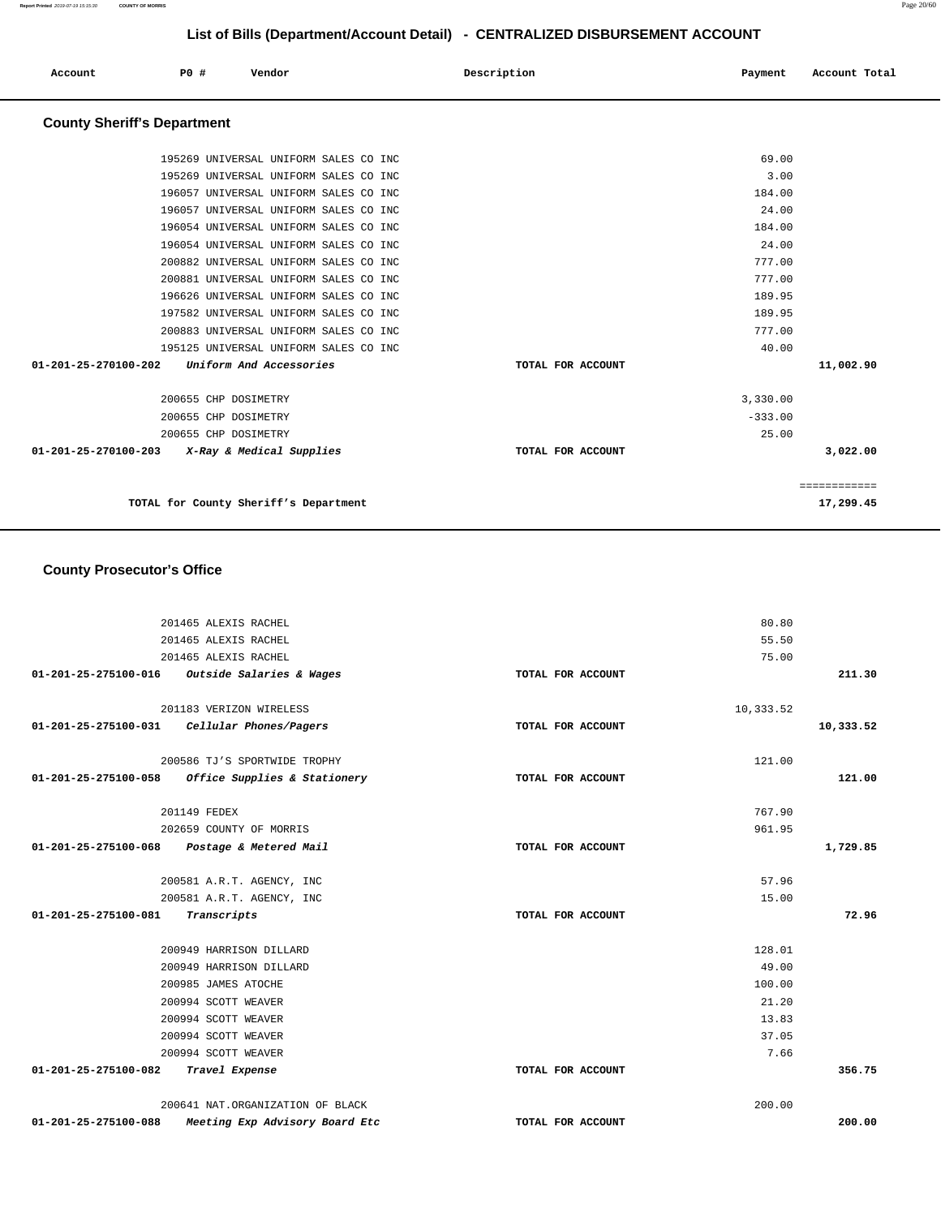| Account              | P0 #                               | Vendor                                | Description       | Payment   | Account Total |
|----------------------|------------------------------------|---------------------------------------|-------------------|-----------|---------------|
|                      | <b>County Sheriff's Department</b> |                                       |                   |           |               |
|                      |                                    | 195269 UNIVERSAL UNIFORM SALES CO INC |                   | 69.00     |               |
|                      |                                    | 195269 UNIVERSAL UNIFORM SALES CO INC |                   | 3.00      |               |
|                      |                                    | 196057 UNIVERSAL UNIFORM SALES CO INC |                   | 184.00    |               |
|                      |                                    | 196057 UNIVERSAL UNIFORM SALES CO INC |                   | 24.00     |               |
|                      |                                    | 196054 UNIVERSAL UNIFORM SALES CO INC |                   | 184.00    |               |
|                      |                                    | 196054 UNIVERSAL UNIFORM SALES CO INC |                   | 24.00     |               |
|                      |                                    | 200882 UNIVERSAL UNIFORM SALES CO INC |                   | 777.00    |               |
|                      |                                    | 200881 UNIVERSAL UNIFORM SALES CO INC |                   | 777.00    |               |
|                      |                                    | 196626 UNIVERSAL UNIFORM SALES CO INC |                   | 189.95    |               |
|                      |                                    | 197582 UNIVERSAL UNIFORM SALES CO INC |                   | 189.95    |               |
|                      |                                    | 200883 UNIVERSAL UNIFORM SALES CO INC |                   | 777.00    |               |
|                      |                                    | 195125 UNIVERSAL UNIFORM SALES CO INC |                   | 40.00     |               |
| 01-201-25-270100-202 |                                    | Uniform And Accessories               | TOTAL FOR ACCOUNT |           | 11,002.90     |
|                      | 200655 CHP DOSIMETRY               |                                       |                   | 3,330.00  |               |
|                      | 200655 CHP DOSIMETRY               |                                       |                   | $-333.00$ |               |
|                      | 200655 CHP DOSIMETRY               |                                       |                   | 25.00     |               |
| 01-201-25-270100-203 |                                    | X-Ray & Medical Supplies              | TOTAL FOR ACCOUNT |           | 3,022.00      |
|                      |                                    |                                       |                   |           | ============  |
|                      |                                    | TOTAL for County Sheriff's Department |                   |           | 17,299.45     |

## **County Prosecutor's Office**

|                                     | 201465 ALEXIS RACHEL                          |                   | 80.80     |           |
|-------------------------------------|-----------------------------------------------|-------------------|-----------|-----------|
|                                     | 201465 ALEXIS RACHEL                          |                   | 55.50     |           |
|                                     | 201465 ALEXIS RACHEL                          |                   | 75.00     |           |
|                                     | 01-201-25-275100-016 Outside Salaries & Wages | TOTAL FOR ACCOUNT |           | 211.30    |
|                                     |                                               |                   |           |           |
|                                     | 201183 VERIZON WIRELESS                       |                   | 10,333.52 |           |
| 01-201-25-275100-031                | Cellular Phones/Pagers                        | TOTAL FOR ACCOUNT |           | 10,333.52 |
|                                     | 200586 TJ'S SPORTWIDE TROPHY                  |                   | 121.00    |           |
| 01-201-25-275100-058                | Office Supplies & Stationery                  | TOTAL FOR ACCOUNT |           | 121.00    |
|                                     |                                               |                   |           |           |
|                                     | 201149 FEDEX                                  |                   | 767.90    |           |
|                                     | 202659 COUNTY OF MORRIS                       |                   | 961.95    |           |
|                                     | 01-201-25-275100-068 Postage & Metered Mail   | TOTAL FOR ACCOUNT |           | 1,729.85  |
|                                     |                                               |                   |           |           |
|                                     | 200581 A.R.T. AGENCY, INC                     |                   | 57.96     |           |
|                                     | 200581 A.R.T. AGENCY, INC                     |                   | 15.00     |           |
| 01-201-25-275100-081                | Transcripts                                   | TOTAL FOR ACCOUNT |           | 72.96     |
|                                     | 200949 HARRISON DILLARD                       |                   | 128.01    |           |
|                                     | 200949 HARRISON DILLARD                       |                   | 49.00     |           |
|                                     | 200985 JAMES ATOCHE                           |                   | 100.00    |           |
|                                     | 200994 SCOTT WEAVER                           |                   | 21.20     |           |
|                                     | 200994 SCOTT WEAVER                           |                   | 13.83     |           |
|                                     | 200994 SCOTT WEAVER                           |                   | 37.05     |           |
|                                     | 200994 SCOTT WEAVER                           |                   | 7.66      |           |
| 01-201-25-275100-082 Travel Expense |                                               | TOTAL FOR ACCOUNT |           | 356.75    |
|                                     | 200641 NAT.ORGANIZATION OF BLACK              |                   | 200.00    |           |
| 01-201-25-275100-088                | Meeting Exp Advisory Board Etc                | TOTAL FOR ACCOUNT |           | 200.00    |
|                                     |                                               |                   |           |           |

**Report Printed** 2019-07-19 15:15:30 **COUNTY OF MORRIS** Page 20/60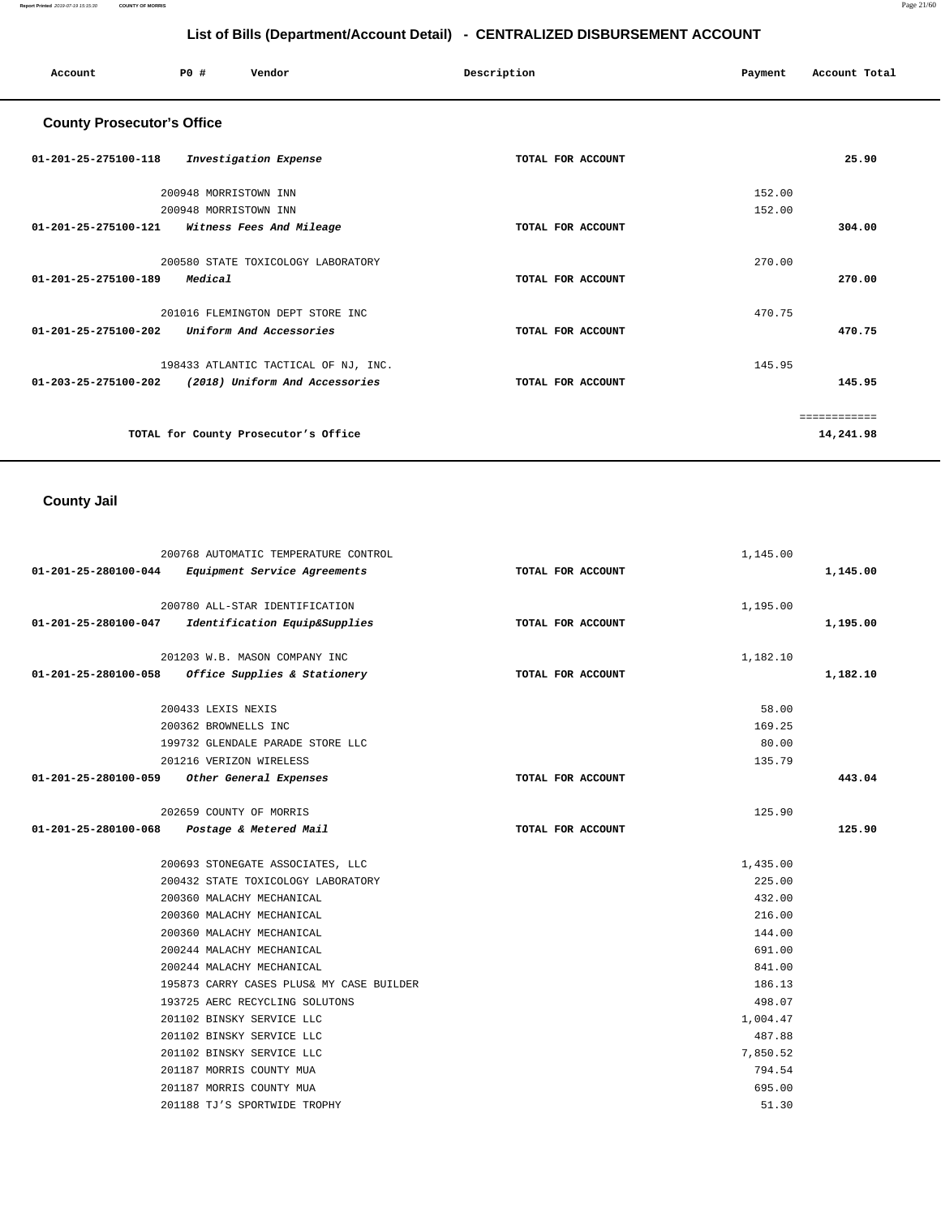**Report Printed** 2019-07-19 15:15:30 **COUNTY OF MORRIS** Page 21/60

# **List of Bills (Department/Account Detail) - CENTRALIZED DISBURSEMENT ACCOUNT**

| Account                           | PO#<br>Vendor                                     | Description       | Account Total<br>Payment |
|-----------------------------------|---------------------------------------------------|-------------------|--------------------------|
| <b>County Prosecutor's Office</b> |                                                   |                   |                          |
| $01 - 201 - 25 - 275100 - 118$    | Investigation Expense                             | TOTAL FOR ACCOUNT | 25.90                    |
|                                   | 200948 MORRISTOWN INN                             |                   | 152.00                   |
| 01-201-25-275100-121              | 200948 MORRISTOWN INN<br>Witness Fees And Mileage | TOTAL FOR ACCOUNT | 152.00<br>304.00         |
|                                   | 200580 STATE TOXICOLOGY LABORATORY                |                   | 270.00                   |
| $01 - 201 - 25 - 275100 - 189$    | Medical                                           | TOTAL FOR ACCOUNT | 270.00                   |
|                                   | 201016 FLEMINGTON DEPT STORE INC                  |                   | 470.75                   |
| 01-201-25-275100-202              | Uniform And Accessories                           | TOTAL FOR ACCOUNT | 470.75                   |
|                                   | 198433 ATLANTIC TACTICAL OF NJ, INC.              |                   | 145.95                   |
| 01-203-25-275100-202              | (2018) Uniform And Accessories                    | TOTAL FOR ACCOUNT | 145.95                   |
|                                   |                                                   |                   | ============             |
|                                   | TOTAL for County Prosecutor's Office              |                   | 14,241.98                |

# **County Jail**

|                      | 200768 AUTOMATIC TEMPERATURE CONTROL                | 1,145.00          |          |
|----------------------|-----------------------------------------------------|-------------------|----------|
| 01-201-25-280100-044 | Equipment Service Agreements                        | TOTAL FOR ACCOUNT | 1,145.00 |
|                      | 200780 ALL-STAR IDENTIFICATION                      | 1,195.00          |          |
| 01-201-25-280100-047 | Identification Equip&Supplies                       | TOTAL FOR ACCOUNT | 1,195.00 |
|                      | 201203 W.B. MASON COMPANY INC                       | 1,182.10          |          |
|                      | $01-201-25-280100-058$ Office Supplies & Stationery | TOTAL FOR ACCOUNT | 1,182.10 |
|                      | 200433 LEXIS NEXIS                                  | 58.00             |          |
|                      | 200362 BROWNELLS INC                                | 169.25            |          |
|                      | 199732 GLENDALE PARADE STORE LLC                    | 80.00             |          |
|                      | 201216 VERIZON WIRELESS                             | 135.79            |          |
| 01-201-25-280100-059 | Other General Expenses                              | TOTAL FOR ACCOUNT | 443.04   |
|                      | 202659 COUNTY OF MORRIS                             | 125.90            |          |
| 01-201-25-280100-068 | Postage & Metered Mail                              | TOTAL FOR ACCOUNT | 125.90   |
|                      | 200693 STONEGATE ASSOCIATES, LLC                    | 1,435.00          |          |
|                      | 200432 STATE TOXICOLOGY LABORATORY                  | 225.00            |          |
|                      | 200360 MALACHY MECHANICAL                           | 432.00            |          |
|                      | 200360 MALACHY MECHANICAL                           | 216.00            |          |
|                      | 200360 MALACHY MECHANICAL                           | 144.00            |          |
|                      | 200244 MALACHY MECHANICAL                           | 691.00            |          |
|                      | 200244 MALACHY MECHANICAL                           | 841.00            |          |
|                      | 195873 CARRY CASES PLUS& MY CASE BUILDER            | 186.13            |          |
|                      | 193725 AERC RECYCLING SOLUTONS                      | 498.07            |          |
|                      | 201102 BINSKY SERVICE LLC                           | 1,004.47          |          |
|                      | 201102 BINSKY SERVICE LLC                           | 487.88            |          |
|                      | 201102 BINSKY SERVICE LLC                           | 7,850.52          |          |
|                      | 201187 MORRIS COUNTY MUA                            | 794.54            |          |
|                      | 201187 MORRIS COUNTY MUA                            | 695.00            |          |
|                      | 201188 TJ'S SPORTWIDE TROPHY                        | 51.30             |          |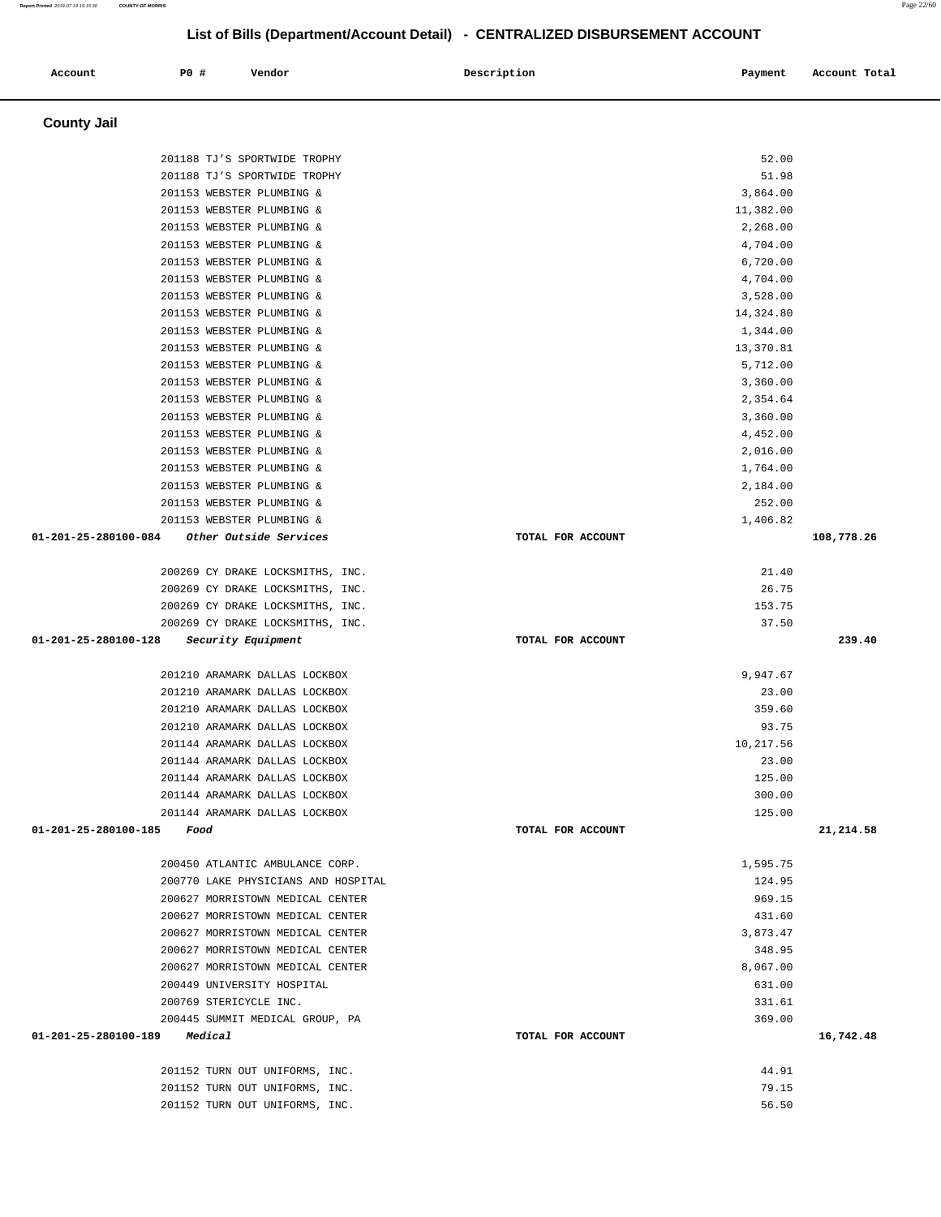| Account | P0 # | Vendor | Description | Payment | Account Total |
|---------|------|--------|-------------|---------|---------------|
|         |      |        |             |         |               |

# **County Jail**

| 201210 ARAMARK DALLAS LOCKBOX<br>201144 ARAMARK DALLAS LOCKBOX<br>201144 ARAMARK DALLAS LOCKBOX<br>201144 ARAMARK DALLAS LOCKBOX<br>201144 ARAMARK DALLAS LOCKBOX<br>201144 ARAMARK DALLAS LOCKBOX<br>01-201-25-280100-185<br>Food<br>200450 ATLANTIC AMBULANCE CORP.<br>200770 LAKE PHYSICIANS AND HOSPITAL<br>200627 MORRISTOWN MEDICAL CENTER<br>200627 MORRISTOWN MEDICAL CENTER<br>200627 MORRISTOWN MEDICAL CENTER<br>200627 MORRISTOWN MEDICAL CENTER<br>200627 MORRISTOWN MEDICAL CENTER<br>200449 UNIVERSITY HOSPITAL<br>200769 STERICYCLE INC.<br>200445 SUMMIT MEDICAL GROUP, PA<br>01-201-25-280100-189<br>Medical<br>201152 TURN OUT UNIFORMS, INC.<br>201152 TURN OUT UNIFORMS, INC. | TOTAL FOR ACCOUNT<br>TOTAL FOR ACCOUNT | 93.75<br>10,217.56<br>23.00<br>125.00<br>300.00<br>125.00<br>1,595.75<br>124.95<br>969.15<br>431.60<br>3,873.47<br>348.95<br>8,067.00<br>631.00<br>331.61<br>369.00<br>44.91<br>79.15 | 21,214.58<br>16,742.48 |
|----------------------------------------------------------------------------------------------------------------------------------------------------------------------------------------------------------------------------------------------------------------------------------------------------------------------------------------------------------------------------------------------------------------------------------------------------------------------------------------------------------------------------------------------------------------------------------------------------------------------------------------------------------------------------------------------------|----------------------------------------|---------------------------------------------------------------------------------------------------------------------------------------------------------------------------------------|------------------------|
|                                                                                                                                                                                                                                                                                                                                                                                                                                                                                                                                                                                                                                                                                                    |                                        |                                                                                                                                                                                       |                        |
|                                                                                                                                                                                                                                                                                                                                                                                                                                                                                                                                                                                                                                                                                                    |                                        |                                                                                                                                                                                       |                        |
|                                                                                                                                                                                                                                                                                                                                                                                                                                                                                                                                                                                                                                                                                                    |                                        |                                                                                                                                                                                       |                        |
|                                                                                                                                                                                                                                                                                                                                                                                                                                                                                                                                                                                                                                                                                                    |                                        |                                                                                                                                                                                       |                        |
|                                                                                                                                                                                                                                                                                                                                                                                                                                                                                                                                                                                                                                                                                                    |                                        |                                                                                                                                                                                       |                        |
|                                                                                                                                                                                                                                                                                                                                                                                                                                                                                                                                                                                                                                                                                                    |                                        |                                                                                                                                                                                       |                        |
|                                                                                                                                                                                                                                                                                                                                                                                                                                                                                                                                                                                                                                                                                                    |                                        |                                                                                                                                                                                       |                        |
|                                                                                                                                                                                                                                                                                                                                                                                                                                                                                                                                                                                                                                                                                                    |                                        |                                                                                                                                                                                       |                        |
|                                                                                                                                                                                                                                                                                                                                                                                                                                                                                                                                                                                                                                                                                                    |                                        |                                                                                                                                                                                       |                        |
|                                                                                                                                                                                                                                                                                                                                                                                                                                                                                                                                                                                                                                                                                                    |                                        |                                                                                                                                                                                       |                        |
|                                                                                                                                                                                                                                                                                                                                                                                                                                                                                                                                                                                                                                                                                                    |                                        |                                                                                                                                                                                       |                        |
|                                                                                                                                                                                                                                                                                                                                                                                                                                                                                                                                                                                                                                                                                                    |                                        |                                                                                                                                                                                       |                        |
|                                                                                                                                                                                                                                                                                                                                                                                                                                                                                                                                                                                                                                                                                                    |                                        |                                                                                                                                                                                       |                        |
|                                                                                                                                                                                                                                                                                                                                                                                                                                                                                                                                                                                                                                                                                                    |                                        |                                                                                                                                                                                       |                        |
|                                                                                                                                                                                                                                                                                                                                                                                                                                                                                                                                                                                                                                                                                                    |                                        |                                                                                                                                                                                       |                        |
|                                                                                                                                                                                                                                                                                                                                                                                                                                                                                                                                                                                                                                                                                                    |                                        |                                                                                                                                                                                       |                        |
|                                                                                                                                                                                                                                                                                                                                                                                                                                                                                                                                                                                                                                                                                                    |                                        |                                                                                                                                                                                       |                        |
|                                                                                                                                                                                                                                                                                                                                                                                                                                                                                                                                                                                                                                                                                                    |                                        |                                                                                                                                                                                       |                        |
|                                                                                                                                                                                                                                                                                                                                                                                                                                                                                                                                                                                                                                                                                                    |                                        |                                                                                                                                                                                       |                        |
|                                                                                                                                                                                                                                                                                                                                                                                                                                                                                                                                                                                                                                                                                                    |                                        |                                                                                                                                                                                       |                        |
|                                                                                                                                                                                                                                                                                                                                                                                                                                                                                                                                                                                                                                                                                                    |                                        |                                                                                                                                                                                       |                        |
|                                                                                                                                                                                                                                                                                                                                                                                                                                                                                                                                                                                                                                                                                                    |                                        |                                                                                                                                                                                       |                        |
| 201210 ARAMARK DALLAS LOCKBOX                                                                                                                                                                                                                                                                                                                                                                                                                                                                                                                                                                                                                                                                      |                                        | 359.60                                                                                                                                                                                |                        |
| 201210 ARAMARK DALLAS LOCKBOX                                                                                                                                                                                                                                                                                                                                                                                                                                                                                                                                                                                                                                                                      |                                        | 23.00                                                                                                                                                                                 |                        |
| 201210 ARAMARK DALLAS LOCKBOX                                                                                                                                                                                                                                                                                                                                                                                                                                                                                                                                                                                                                                                                      |                                        | 9,947.67                                                                                                                                                                              |                        |
|                                                                                                                                                                                                                                                                                                                                                                                                                                                                                                                                                                                                                                                                                                    |                                        |                                                                                                                                                                                       |                        |
| 01-201-25-280100-128<br>Security Equipment                                                                                                                                                                                                                                                                                                                                                                                                                                                                                                                                                                                                                                                         | TOTAL FOR ACCOUNT                      |                                                                                                                                                                                       | 239.40                 |
| 200269 CY DRAKE LOCKSMITHS, INC.                                                                                                                                                                                                                                                                                                                                                                                                                                                                                                                                                                                                                                                                   |                                        | 37.50                                                                                                                                                                                 |                        |
| 200269 CY DRAKE LOCKSMITHS, INC.                                                                                                                                                                                                                                                                                                                                                                                                                                                                                                                                                                                                                                                                   |                                        | 153.75                                                                                                                                                                                |                        |
| 200269 CY DRAKE LOCKSMITHS, INC.                                                                                                                                                                                                                                                                                                                                                                                                                                                                                                                                                                                                                                                                   |                                        | 26.75                                                                                                                                                                                 |                        |
| 200269 CY DRAKE LOCKSMITHS, INC.                                                                                                                                                                                                                                                                                                                                                                                                                                                                                                                                                                                                                                                                   |                                        | 21.40                                                                                                                                                                                 |                        |
|                                                                                                                                                                                                                                                                                                                                                                                                                                                                                                                                                                                                                                                                                                    |                                        |                                                                                                                                                                                       |                        |
| 01-201-25-280100-084<br><i>Other Outside Services</i>                                                                                                                                                                                                                                                                                                                                                                                                                                                                                                                                                                                                                                              | TOTAL FOR ACCOUNT                      |                                                                                                                                                                                       | 108,778.26             |
| 201153 WEBSTER PLUMBING &                                                                                                                                                                                                                                                                                                                                                                                                                                                                                                                                                                                                                                                                          |                                        | 1,406.82                                                                                                                                                                              |                        |
| 201153 WEBSTER PLUMBING &                                                                                                                                                                                                                                                                                                                                                                                                                                                                                                                                                                                                                                                                          |                                        | 252.00                                                                                                                                                                                |                        |
| 201153 WEBSTER PLUMBING &                                                                                                                                                                                                                                                                                                                                                                                                                                                                                                                                                                                                                                                                          |                                        | 2,184.00                                                                                                                                                                              |                        |
| 201153 WEBSTER PLUMBING &                                                                                                                                                                                                                                                                                                                                                                                                                                                                                                                                                                                                                                                                          |                                        | 1,764.00                                                                                                                                                                              |                        |
| 201153 WEBSTER PLUMBING &                                                                                                                                                                                                                                                                                                                                                                                                                                                                                                                                                                                                                                                                          |                                        | 2,016.00                                                                                                                                                                              |                        |
| 201153 WEBSTER PLUMBING &<br>201153 WEBSTER PLUMBING &                                                                                                                                                                                                                                                                                                                                                                                                                                                                                                                                                                                                                                             |                                        | 3,360.00<br>4,452.00                                                                                                                                                                  |                        |
| 201153 WEBSTER PLUMBING &                                                                                                                                                                                                                                                                                                                                                                                                                                                                                                                                                                                                                                                                          |                                        | 2,354.64                                                                                                                                                                              |                        |
| 201153 WEBSTER PLUMBING &                                                                                                                                                                                                                                                                                                                                                                                                                                                                                                                                                                                                                                                                          |                                        | 3,360.00                                                                                                                                                                              |                        |
| 201153 WEBSTER PLUMBING &                                                                                                                                                                                                                                                                                                                                                                                                                                                                                                                                                                                                                                                                          |                                        | 5,712.00                                                                                                                                                                              |                        |
| 201153 WEBSTER PLUMBING &                                                                                                                                                                                                                                                                                                                                                                                                                                                                                                                                                                                                                                                                          |                                        | 13,370.81                                                                                                                                                                             |                        |
| 201153 WEBSTER PLUMBING &                                                                                                                                                                                                                                                                                                                                                                                                                                                                                                                                                                                                                                                                          |                                        | 1,344.00                                                                                                                                                                              |                        |
| 201153 WEBSTER PLUMBING &                                                                                                                                                                                                                                                                                                                                                                                                                                                                                                                                                                                                                                                                          |                                        | 14,324.80                                                                                                                                                                             |                        |
| 201153 WEBSTER PLUMBING &                                                                                                                                                                                                                                                                                                                                                                                                                                                                                                                                                                                                                                                                          |                                        | 3,528.00                                                                                                                                                                              |                        |
| 201153 WEBSTER PLUMBING &                                                                                                                                                                                                                                                                                                                                                                                                                                                                                                                                                                                                                                                                          |                                        | 4,704.00                                                                                                                                                                              |                        |
| 201153 WEBSTER PLUMBING &                                                                                                                                                                                                                                                                                                                                                                                                                                                                                                                                                                                                                                                                          |                                        | 6,720.00                                                                                                                                                                              |                        |
| 201153 WEBSTER PLUMBING &                                                                                                                                                                                                                                                                                                                                                                                                                                                                                                                                                                                                                                                                          |                                        | 4,704.00                                                                                                                                                                              |                        |
| 201153 WEBSTER PLUMBING &                                                                                                                                                                                                                                                                                                                                                                                                                                                                                                                                                                                                                                                                          |                                        | 2,268.00                                                                                                                                                                              |                        |
|                                                                                                                                                                                                                                                                                                                                                                                                                                                                                                                                                                                                                                                                                                    |                                        | 11,382.00                                                                                                                                                                             |                        |
| 201153 WEBSTER PLUMBING &                                                                                                                                                                                                                                                                                                                                                                                                                                                                                                                                                                                                                                                                          |                                        | 3,864.00                                                                                                                                                                              |                        |
| 201153 WEBSTER PLUMBING &                                                                                                                                                                                                                                                                                                                                                                                                                                                                                                                                                                                                                                                                          |                                        |                                                                                                                                                                                       |                        |
| 201188 TJ'S SPORTWIDE TROPHY                                                                                                                                                                                                                                                                                                                                                                                                                                                                                                                                                                                                                                                                       |                                        | 51.98                                                                                                                                                                                 |                        |
| 201188 TJ'S SPORTWIDE TROPHY                                                                                                                                                                                                                                                                                                                                                                                                                                                                                                                                                                                                                                                                       |                                        | 52.00                                                                                                                                                                                 |                        |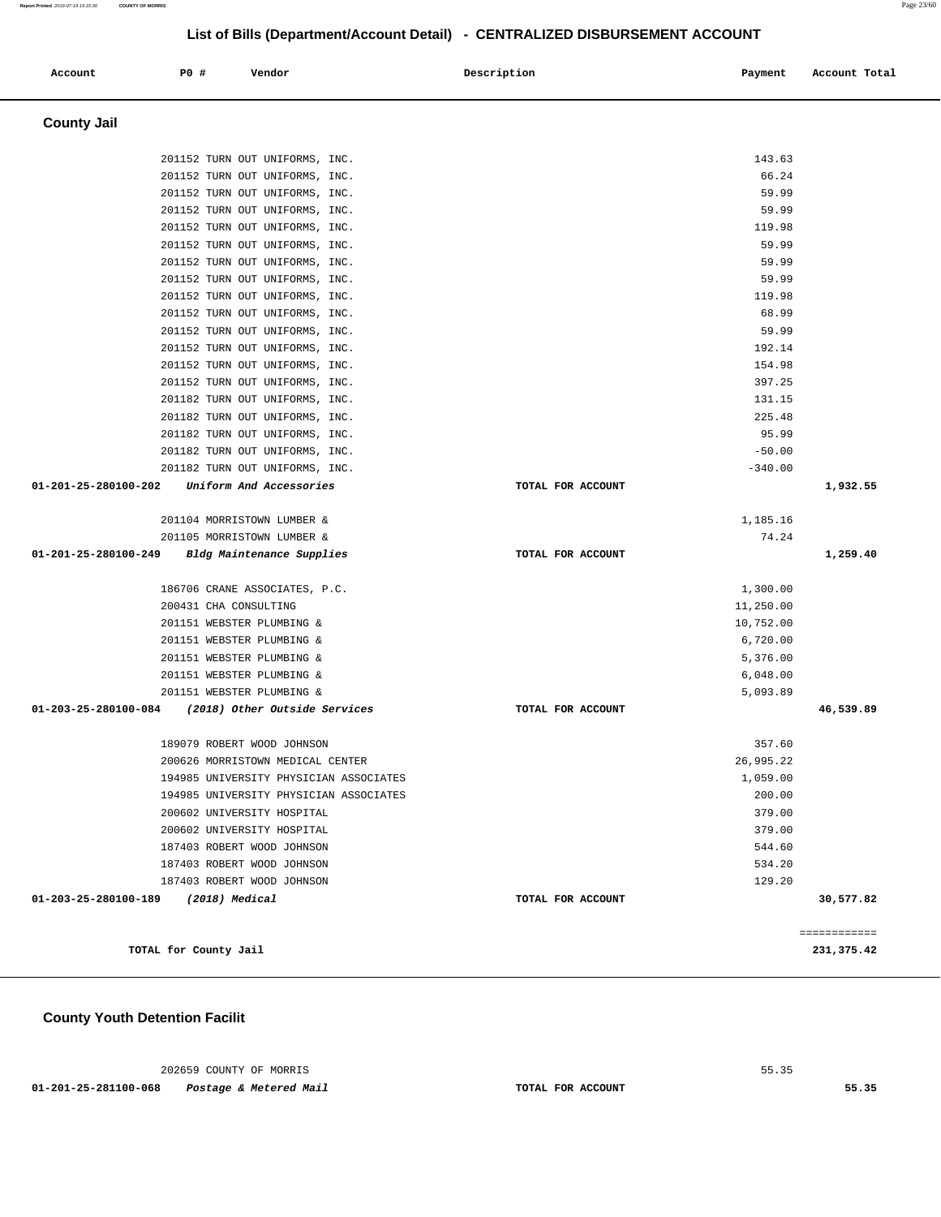202659 COUNTY OF MORRIS 55.35

 **01-201-25-281100-068 Postage & Metered Mail TOTAL FOR ACCOUNT 55.35** 

**County Youth Detention Facilit**

| <b>County Jail</b>                                    |                   |           |              |
|-------------------------------------------------------|-------------------|-----------|--------------|
| 201152 TURN OUT UNIFORMS, INC.                        |                   | 143.63    |              |
| 201152 TURN OUT UNIFORMS, INC.                        |                   | 66.24     |              |
| 201152 TURN OUT UNIFORMS, INC.                        |                   | 59.99     |              |
| 201152 TURN OUT UNIFORMS, INC.                        |                   | 59.99     |              |
| 201152 TURN OUT UNIFORMS, INC.                        |                   | 119.98    |              |
| 201152 TURN OUT UNIFORMS, INC.                        |                   | 59.99     |              |
| 201152 TURN OUT UNIFORMS, INC.                        |                   | 59.99     |              |
| 201152 TURN OUT UNIFORMS, INC.                        |                   | 59.99     |              |
| 201152 TURN OUT UNIFORMS, INC.                        |                   | 119.98    |              |
| 201152 TURN OUT UNIFORMS, INC.                        |                   | 68.99     |              |
| 201152 TURN OUT UNIFORMS, INC.                        |                   | 59.99     |              |
| 201152 TURN OUT UNIFORMS, INC.                        |                   | 192.14    |              |
| 201152 TURN OUT UNIFORMS, INC.                        |                   | 154.98    |              |
| 201152 TURN OUT UNIFORMS, INC.                        |                   | 397.25    |              |
| 201182 TURN OUT UNIFORMS, INC.                        |                   | 131.15    |              |
| 201182 TURN OUT UNIFORMS, INC.                        |                   | 225.48    |              |
| 201182 TURN OUT UNIFORMS, INC.                        |                   | 95.99     |              |
| 201182 TURN OUT UNIFORMS, INC.                        |                   | $-50.00$  |              |
| 201182 TURN OUT UNIFORMS, INC.                        |                   | $-340.00$ |              |
| 01-201-25-280100-202<br>Uniform And Accessories       | TOTAL FOR ACCOUNT |           | 1,932.55     |
| 201104 MORRISTOWN LUMBER &                            |                   | 1,185.16  |              |
| 201105 MORRISTOWN LUMBER &                            |                   | 74.24     |              |
| 01-201-25-280100-249<br>Bldg Maintenance Supplies     | TOTAL FOR ACCOUNT |           | 1,259.40     |
| 186706 CRANE ASSOCIATES, P.C.                         |                   | 1,300.00  |              |
| 200431 CHA CONSULTING                                 |                   | 11,250.00 |              |
| 201151 WEBSTER PLUMBING &                             |                   | 10,752.00 |              |
| 201151 WEBSTER PLUMBING &                             |                   | 6,720.00  |              |
| 201151 WEBSTER PLUMBING &                             |                   | 5,376.00  |              |
| 201151 WEBSTER PLUMBING &                             |                   | 6,048.00  |              |
| 201151 WEBSTER PLUMBING &                             |                   | 5,093.89  |              |
| 01-203-25-280100-084<br>(2018) Other Outside Services | TOTAL FOR ACCOUNT |           | 46,539.89    |
| 189079 ROBERT WOOD JOHNSON                            |                   | 357.60    |              |
| 200626 MORRISTOWN MEDICAL CENTER                      |                   | 26,995.22 |              |
| 194985 UNIVERSITY PHYSICIAN ASSOCIATES                |                   | 1,059.00  |              |
| 194985 UNIVERSITY PHYSICIAN ASSOCIATES                |                   | 200.00    |              |
| 200602 UNIVERSITY HOSPITAL                            |                   | 379.00    |              |
| 200602 UNIVERSITY HOSPITAL                            |                   | 379.00    |              |
| 187403 ROBERT WOOD JOHNSON                            |                   | 544.60    |              |
| 187403 ROBERT WOOD JOHNSON                            |                   | 534.20    |              |
| 187403 ROBERT WOOD JOHNSON                            |                   | 129.20    |              |
| 01-203-25-280100-189<br>$(2018)$ Medical              | TOTAL FOR ACCOUNT |           | 30,577.82    |
|                                                       |                   |           | ============ |
| TOTAL for County Jail                                 |                   |           | 231,375.42   |

 **Account P0 # Vendor Description Payment Account Total**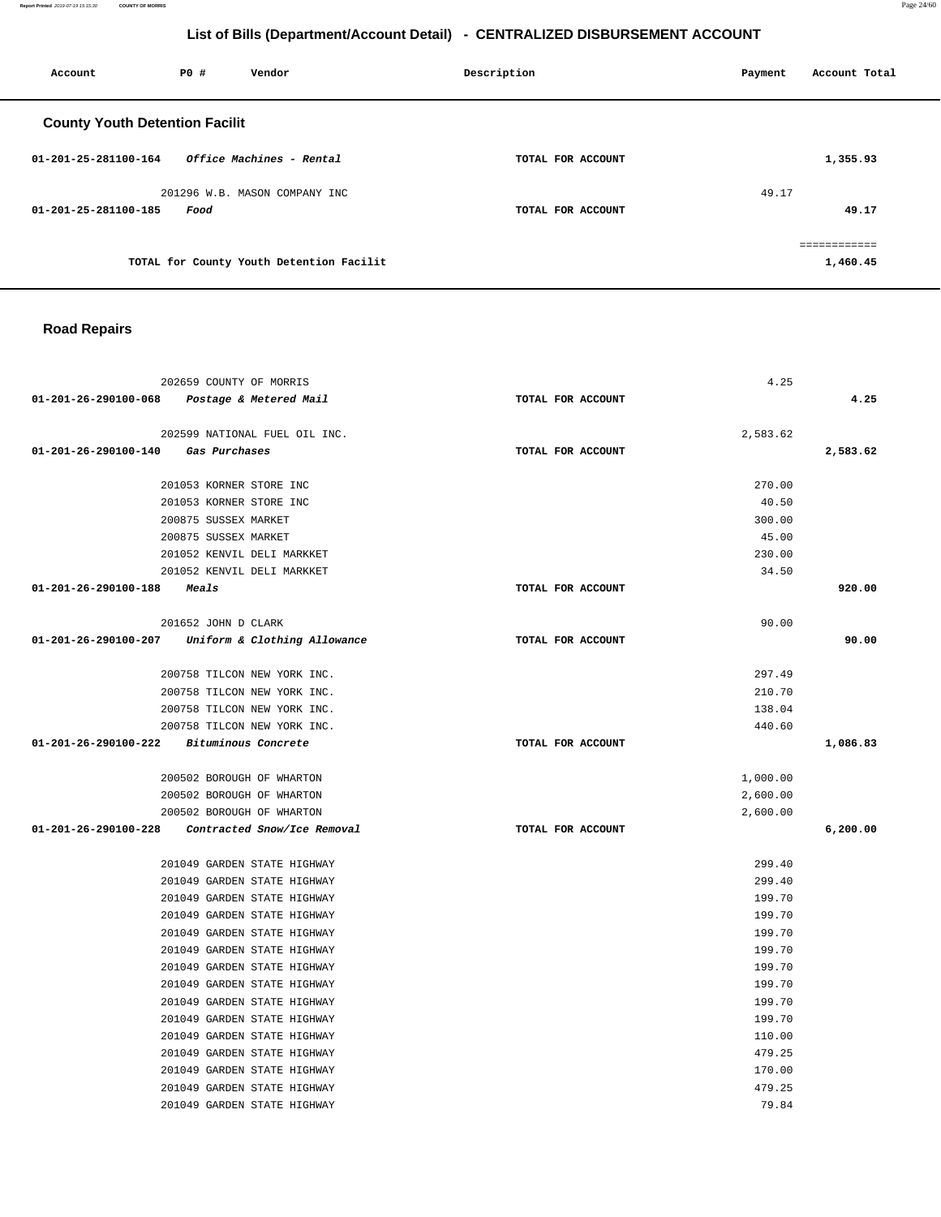**Report Printed** 2019-07-19 15:15:30 **COUNTY OF MORRIS** Page 24/60

# **List of Bills (Department/Account Detail) - CENTRALIZED DISBURSEMENT ACCOUNT**

| Account                               | P0 # | Vendor                                   | Description       | Account Total<br>Payment |
|---------------------------------------|------|------------------------------------------|-------------------|--------------------------|
| <b>County Youth Detention Facilit</b> |      |                                          |                   |                          |
| $01 - 201 - 25 - 281100 - 164$        |      | Office Machines - Rental                 | TOTAL FOR ACCOUNT | 1,355.93                 |
| 01-201-25-281100-185                  | Food | 201296 W.B. MASON COMPANY INC            | TOTAL FOR ACCOUNT | 49.17<br>49.17           |
|                                       |      | TOTAL for County Youth Detention Facilit |                   | ============<br>1,460.45 |

## **Road Repairs**

|                                      | 202659 COUNTY OF MORRIS                           | 4.25              |          |
|--------------------------------------|---------------------------------------------------|-------------------|----------|
| 01-201-26-290100-068                 | Postage & Metered Mail                            | TOTAL FOR ACCOUNT | 4.25     |
|                                      | 202599 NATIONAL FUEL OIL INC.                     | 2,583.62          |          |
| 01-201-26-290100-140                 | Gas Purchases                                     | TOTAL FOR ACCOUNT | 2,583.62 |
|                                      | 201053 KORNER STORE INC                           | 270.00            |          |
|                                      | 201053 KORNER STORE INC                           | 40.50             |          |
|                                      | 200875 SUSSEX MARKET                              | 300.00            |          |
|                                      | 200875 SUSSEX MARKET                              | 45.00             |          |
|                                      | 201052 KENVIL DELI MARKKET                        | 230.00            |          |
|                                      | 201052 KENVIL DELI MARKKET                        | 34.50             |          |
| $01 - 201 - 26 - 290100 - 188$ Meals |                                                   | TOTAL FOR ACCOUNT | 920.00   |
|                                      | 201652 JOHN D CLARK                               | 90.00             |          |
|                                      | 01-201-26-290100-207 Uniform & Clothing Allowance | TOTAL FOR ACCOUNT | 90.00    |
|                                      | 200758 TILCON NEW YORK INC.                       | 297.49            |          |
|                                      | 200758 TILCON NEW YORK INC.                       | 210.70            |          |
|                                      | 200758 TILCON NEW YORK INC.                       | 138.04            |          |
|                                      | 200758 TILCON NEW YORK INC.                       | 440.60            |          |
| 01-201-26-290100-222                 | <i>Bituminous Concrete</i>                        | TOTAL FOR ACCOUNT | 1,086.83 |
|                                      | 200502 BOROUGH OF WHARTON                         | 1,000.00          |          |
|                                      | 200502 BOROUGH OF WHARTON                         | 2,600.00          |          |
|                                      | 200502 BOROUGH OF WHARTON                         | 2,600.00          |          |
|                                      | 01-201-26-290100-228 Contracted Snow/Ice Removal  | TOTAL FOR ACCOUNT | 6,200.00 |
|                                      | 201049 GARDEN STATE HIGHWAY                       | 299.40            |          |
|                                      | 201049 GARDEN STATE HIGHWAY                       | 299.40            |          |
|                                      | 201049 GARDEN STATE HIGHWAY                       | 199.70            |          |
|                                      | 201049 GARDEN STATE HIGHWAY                       | 199.70            |          |
|                                      | 201049 GARDEN STATE HIGHWAY                       | 199.70            |          |
|                                      | 201049 GARDEN STATE HIGHWAY                       | 199.70            |          |
|                                      | 201049 GARDEN STATE HIGHWAY                       | 199.70            |          |
|                                      | 201049 GARDEN STATE HIGHWAY                       | 199.70            |          |
|                                      | 201049 GARDEN STATE HIGHWAY                       | 199.70            |          |
|                                      | 201049 GARDEN STATE HIGHWAY                       | 199.70            |          |
|                                      | 201049 GARDEN STATE HIGHWAY                       | 110.00            |          |
|                                      | 201049 GARDEN STATE HIGHWAY                       | 479.25            |          |
|                                      | 201049 GARDEN STATE HIGHWAY                       | 170.00            |          |
|                                      | 201049 GARDEN STATE HIGHWAY                       | 479.25            |          |
|                                      | 201049 GARDEN STATE HIGHWAY                       | 79.84             |          |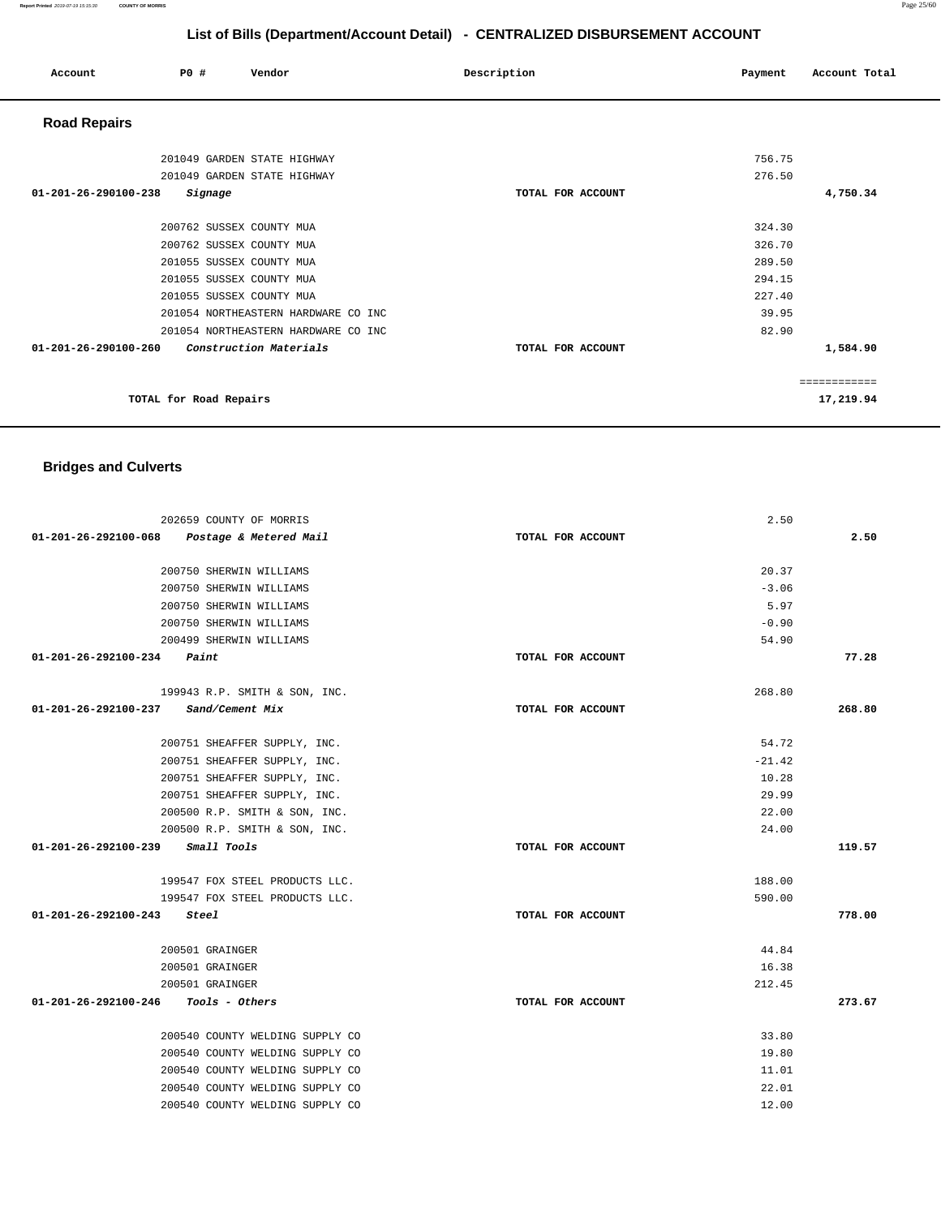#### **Report Printed** 2019-07-19 15:15:30 **COUNTY OF MORRIS** Page 25/60

# **List of Bills (Department/Account Detail) - CENTRALIZED DISBURSEMENT ACCOUNT**

| Account              | PO#                    | Vendor                              | Description       | Payment | Account Total |
|----------------------|------------------------|-------------------------------------|-------------------|---------|---------------|
| <b>Road Repairs</b>  |                        |                                     |                   |         |               |
|                      |                        | 201049 GARDEN STATE HIGHWAY         |                   | 756.75  |               |
|                      |                        | 201049 GARDEN STATE HIGHWAY         |                   | 276.50  |               |
| 01-201-26-290100-238 | Signage                |                                     | TOTAL FOR ACCOUNT |         | 4,750.34      |
|                      |                        | 200762 SUSSEX COUNTY MUA            |                   | 324.30  |               |
|                      |                        | 200762 SUSSEX COUNTY MUA            |                   | 326.70  |               |
|                      |                        | 201055 SUSSEX COUNTY MUA            |                   | 289.50  |               |
|                      |                        | 201055 SUSSEX COUNTY MUA            |                   | 294.15  |               |
|                      |                        | 201055 SUSSEX COUNTY MUA            |                   | 227.40  |               |
|                      |                        | 201054 NORTHEASTERN HARDWARE CO INC |                   | 39.95   |               |
|                      |                        | 201054 NORTHEASTERN HARDWARE CO INC |                   | 82.90   |               |
| 01-201-26-290100-260 |                        | Construction Materials              | TOTAL FOR ACCOUNT |         | 1,584.90      |
|                      |                        |                                     |                   |         | ============  |
|                      | TOTAL for Road Repairs |                                     |                   |         | 17,219.94     |

# **Bridges and Culverts**

| 202659 COUNTY OF MORRIS                        |                   | 2.50     |        |
|------------------------------------------------|-------------------|----------|--------|
| 01-201-26-292100-068<br>Postage & Metered Mail | TOTAL FOR ACCOUNT |          | 2.50   |
| 200750 SHERWIN WILLIAMS                        |                   | 20.37    |        |
| 200750 SHERWIN WILLIAMS                        |                   | $-3.06$  |        |
| 200750 SHERWIN WILLIAMS                        |                   | 5.97     |        |
| 200750 SHERWIN WILLIAMS                        |                   | $-0.90$  |        |
| 200499 SHERWIN WILLIAMS                        |                   | 54.90    |        |
| $01-201-26-292100-234$ Paint                   | TOTAL FOR ACCOUNT |          | 77.28  |
| 199943 R.P. SMITH & SON, INC.                  |                   | 268.80   |        |
| 01-201-26-292100-237 Sand/Cement Mix           | TOTAL FOR ACCOUNT |          | 268.80 |
| 200751 SHEAFFER SUPPLY, INC.                   |                   | 54.72    |        |
| 200751 SHEAFFER SUPPLY, INC.                   |                   | $-21.42$ |        |
| 200751 SHEAFFER SUPPLY, INC.                   |                   | 10.28    |        |
| 200751 SHEAFFER SUPPLY, INC.                   |                   | 29.99    |        |
| 200500 R.P. SMITH & SON, INC.                  |                   | 22.00    |        |
| 200500 R.P. SMITH & SON, INC.                  |                   | 24.00    |        |
| 01-201-26-292100-239 Small Tools               | TOTAL FOR ACCOUNT |          | 119.57 |
| 199547 FOX STEEL PRODUCTS LLC.                 |                   | 188.00   |        |
| 199547 FOX STEEL PRODUCTS LLC.                 |                   | 590.00   |        |
| 01-201-26-292100-243<br>Steel                  | TOTAL FOR ACCOUNT |          | 778.00 |
| 200501 GRAINGER                                |                   | 44.84    |        |
| 200501 GRAINGER                                |                   | 16.38    |        |
| 200501 GRAINGER                                |                   | 212.45   |        |
| $01-201-26-292100-246$ Tools - Others          | TOTAL FOR ACCOUNT |          | 273.67 |
| 200540 COUNTY WELDING SUPPLY CO                |                   | 33.80    |        |
| 200540 COUNTY WELDING SUPPLY CO                |                   | 19.80    |        |
| 200540 COUNTY WELDING SUPPLY CO                |                   | 11.01    |        |
| 200540 COUNTY WELDING SUPPLY CO                |                   | 22.01    |        |
| 200540 COUNTY WELDING SUPPLY CO                |                   | 12.00    |        |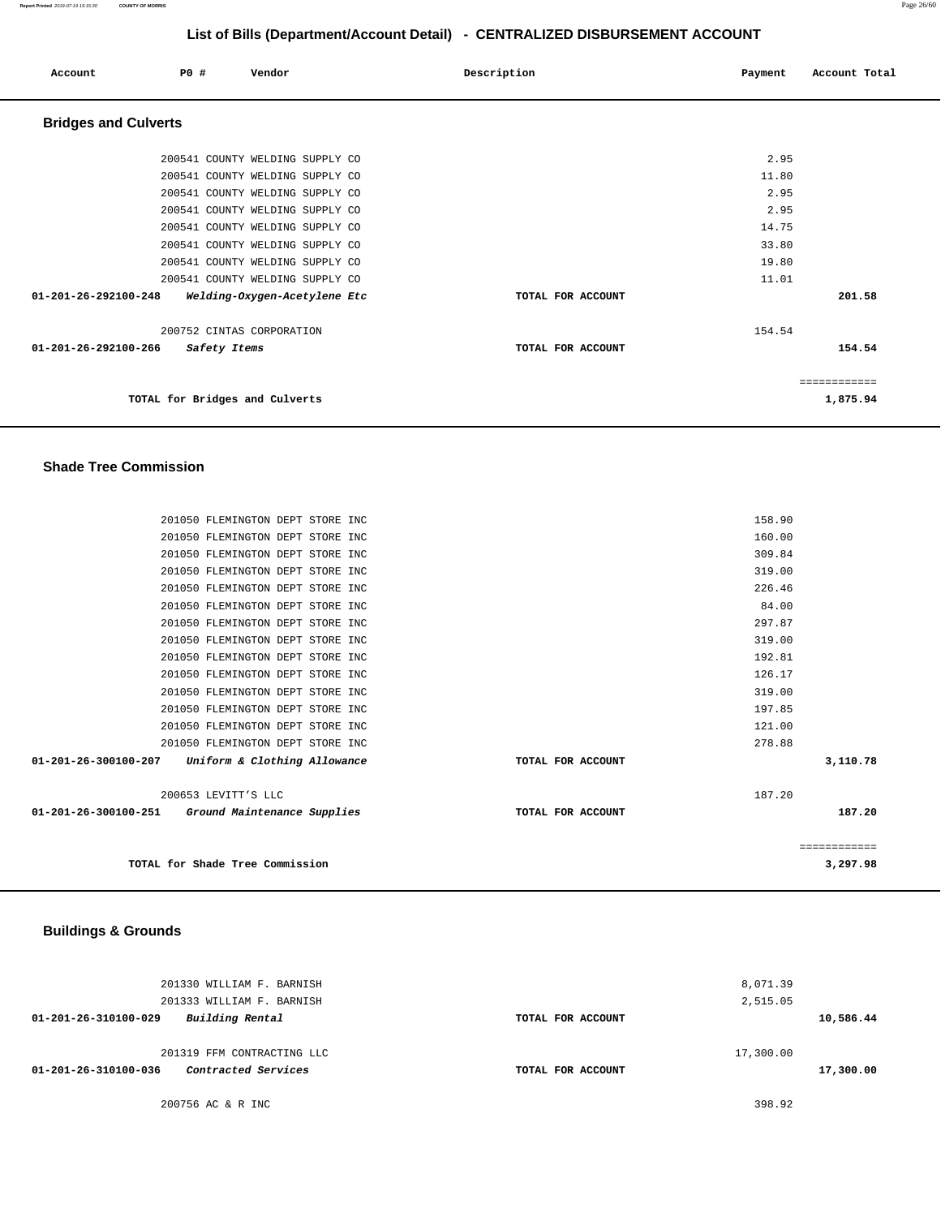| Account                     | PO#          | Vendor                          | Description       | Payment | Account Total |
|-----------------------------|--------------|---------------------------------|-------------------|---------|---------------|
| <b>Bridges and Culverts</b> |              |                                 |                   |         |               |
|                             |              | 200541 COUNTY WELDING SUPPLY CO |                   | 2.95    |               |
|                             |              | 200541 COUNTY WELDING SUPPLY CO |                   | 11.80   |               |
|                             |              | 200541 COUNTY WELDING SUPPLY CO |                   | 2.95    |               |
|                             |              | 200541 COUNTY WELDING SUPPLY CO |                   | 2.95    |               |
|                             |              | 200541 COUNTY WELDING SUPPLY CO |                   | 14.75   |               |
|                             |              | 200541 COUNTY WELDING SUPPLY CO |                   | 33.80   |               |
|                             |              | 200541 COUNTY WELDING SUPPLY CO |                   | 19.80   |               |
|                             |              | 200541 COUNTY WELDING SUPPLY CO |                   | 11.01   |               |
| 01-201-26-292100-248        |              | Welding-Oxygen-Acetylene Etc    | TOTAL FOR ACCOUNT |         | 201.58        |
|                             |              | 200752 CINTAS CORPORATION       |                   | 154.54  |               |
| 01-201-26-292100-266        | Safety Items |                                 | TOTAL FOR ACCOUNT |         | 154.54        |
|                             |              |                                 |                   |         | ============  |
|                             |              | TOTAL for Bridges and Culverts  |                   |         | 1,875.94      |

## **Shade Tree Commission**

| 201050 FLEMINGTON DEPT STORE INC                     |                   | 158.90       |
|------------------------------------------------------|-------------------|--------------|
| 201050 FLEMINGTON DEPT STORE INC                     |                   | 160.00       |
| 201050 FLEMINGTON DEPT STORE INC                     |                   | 309.84       |
| 201050 FLEMINGTON DEPT STORE INC                     |                   | 319.00       |
| 201050 FLEMINGTON DEPT STORE INC                     |                   | 226.46       |
| 201050 FLEMINGTON DEPT STORE INC                     |                   | 84.00        |
| 201050 FLEMINGTON DEPT STORE INC                     |                   | 297.87       |
| 201050 FLEMINGTON DEPT STORE INC                     |                   | 319.00       |
| 201050 FLEMINGTON DEPT STORE INC                     |                   | 192.81       |
| 201050 FLEMINGTON DEPT STORE INC                     |                   | 126.17       |
| 201050 FLEMINGTON DEPT STORE INC                     |                   | 319.00       |
| 201050 FLEMINGTON DEPT STORE INC                     |                   | 197.85       |
| 201050 FLEMINGTON DEPT STORE INC                     |                   | 121.00       |
| 201050 FLEMINGTON DEPT STORE INC                     |                   | 278.88       |
| Uniform & Clothing Allowance<br>01-201-26-300100-207 | TOTAL FOR ACCOUNT | 3,110.78     |
| 200653 LEVITT'S LLC                                  |                   | 187.20       |
| 01-201-26-300100-251 Ground Maintenance Supplies     | TOTAL FOR ACCOUNT | 187.20       |
|                                                      |                   | ============ |
| TOTAL for Shade Tree Commission                      |                   | 3,297.98     |

## **Buildings & Grounds**

|                      | 201330 WILLIAM F. BARNISH  |                   | 8,071.39  |           |
|----------------------|----------------------------|-------------------|-----------|-----------|
|                      | 201333 WILLIAM F. BARNISH  |                   | 2,515.05  |           |
| 01-201-26-310100-029 | Building Rental            | TOTAL FOR ACCOUNT |           | 10,586.44 |
|                      | 201319 FFM CONTRACTING LLC |                   | 17,300.00 |           |
| 01-201-26-310100-036 | Contracted Services        | TOTAL FOR ACCOUNT |           | 17,300.00 |
|                      | 200756 AC & R INC          |                   | 398.92    |           |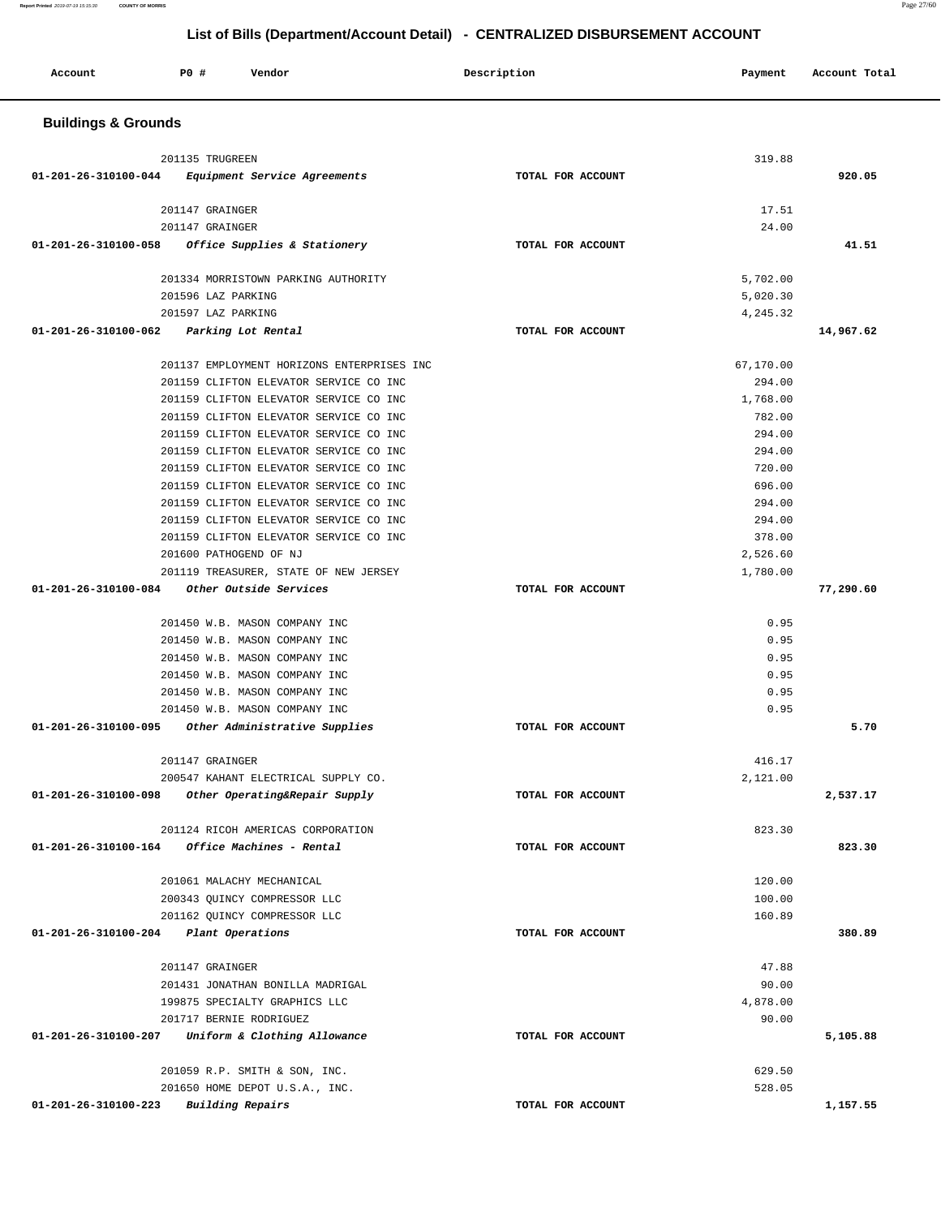| P0 #<br>Account<br>Vendor                                                               | Description       | Payment           | Account Total |
|-----------------------------------------------------------------------------------------|-------------------|-------------------|---------------|
| <b>Buildings &amp; Grounds</b>                                                          |                   |                   |               |
| 201135 TRUGREEN                                                                         |                   | 319.88            |               |
| 01-201-26-310100-044<br>Equipment Service Agreements                                    | TOTAL FOR ACCOUNT |                   | 920.05        |
| 201147 GRAINGER                                                                         |                   | 17.51             |               |
| 201147 GRAINGER                                                                         |                   | 24.00             |               |
| 01-201-26-310100-058<br>Office Supplies & Stationery                                    | TOTAL FOR ACCOUNT |                   | 41.51         |
| 201334 MORRISTOWN PARKING AUTHORITY                                                     |                   | 5,702.00          |               |
| 201596 LAZ PARKING                                                                      |                   | 5,020.30          |               |
| 201597 LAZ PARKING                                                                      |                   | 4,245.32          |               |
| 01-201-26-310100-062<br>Parking Lot Rental                                              | TOTAL FOR ACCOUNT |                   | 14,967.62     |
| 201137 EMPLOYMENT HORIZONS ENTERPRISES INC                                              |                   | 67,170.00         |               |
| 201159 CLIFTON ELEVATOR SERVICE CO INC                                                  |                   | 294.00            |               |
| 201159 CLIFTON ELEVATOR SERVICE CO INC                                                  |                   | 1,768.00          |               |
| 201159 CLIFTON ELEVATOR SERVICE CO INC                                                  |                   | 782.00            |               |
| 201159 CLIFTON ELEVATOR SERVICE CO INC                                                  |                   | 294.00            |               |
| 201159 CLIFTON ELEVATOR SERVICE CO INC                                                  |                   | 294.00            |               |
| 201159 CLIFTON ELEVATOR SERVICE CO INC                                                  |                   | 720.00            |               |
| 201159 CLIFTON ELEVATOR SERVICE CO INC                                                  |                   | 696.00            |               |
| 201159 CLIFTON ELEVATOR SERVICE CO INC                                                  |                   | 294.00            |               |
| 201159 CLIFTON ELEVATOR SERVICE CO INC                                                  |                   | 294.00            |               |
| 201159 CLIFTON ELEVATOR SERVICE CO INC                                                  |                   | 378.00            |               |
| 201600 PATHOGEND OF NJ                                                                  |                   | 2,526.60          |               |
| 201119 TREASURER, STATE OF NEW JERSEY<br>Other Outside Services<br>01-201-26-310100-084 | TOTAL FOR ACCOUNT | 1,780.00          | 77,290.60     |
|                                                                                         |                   |                   |               |
| 201450 W.B. MASON COMPANY INC                                                           |                   | 0.95              |               |
| 201450 W.B. MASON COMPANY INC                                                           |                   | 0.95<br>0.95      |               |
| 201450 W.B. MASON COMPANY INC<br>201450 W.B. MASON COMPANY INC                          |                   | 0.95              |               |
| 201450 W.B. MASON COMPANY INC                                                           |                   | 0.95              |               |
| 201450 W.B. MASON COMPANY INC                                                           |                   | 0.95              |               |
| 01-201-26-310100-095<br>Other Administrative Supplies                                   | TOTAL FOR ACCOUNT |                   | 5.70          |
| 201147 GRAINGER                                                                         |                   | 416.17            |               |
| 200547 KAHANT ELECTRICAL SUPPLY CO.                                                     |                   | 2,121.00          |               |
| Other Operating&Repair Supply<br>01-201-26-310100-098                                   | TOTAL FOR ACCOUNT |                   | 2,537.17      |
| 201124 RICOH AMERICAS CORPORATION                                                       |                   |                   |               |
| Office Machines - Rental<br>01-201-26-310100-164                                        | TOTAL FOR ACCOUNT | 823.30            | 823.30        |
|                                                                                         |                   |                   |               |
| 201061 MALACHY MECHANICAL                                                               |                   | 120.00            |               |
| 200343 OUINCY COMPRESSOR LLC                                                            |                   | 100.00<br>160.89  |               |
| 201162 QUINCY COMPRESSOR LLC<br>01-201-26-310100-204<br>Plant Operations                | TOTAL FOR ACCOUNT |                   | 380.89        |
|                                                                                         |                   |                   |               |
| 201147 GRAINGER                                                                         |                   | 47.88             |               |
| 201431 JONATHAN BONILLA MADRIGAL<br>199875 SPECIALTY GRAPHICS LLC                       |                   | 90.00<br>4,878.00 |               |
| 201717 BERNIE RODRIGUEZ                                                                 |                   | 90.00             |               |
| Uniform & Clothing Allowance<br>01-201-26-310100-207                                    | TOTAL FOR ACCOUNT |                   | 5,105.88      |
|                                                                                         |                   |                   |               |
| 201059 R.P. SMITH & SON, INC.                                                           |                   | 629.50            |               |
| 201650 HOME DEPOT U.S.A., INC.                                                          |                   | 528.05            |               |
| <b>Building Repairs</b><br>01-201-26-310100-223                                         | TOTAL FOR ACCOUNT |                   | 1,157.55      |

**Report Printed** 2019-07-19 15:15:30 **COUNTY OF MORRIS** Page 27/60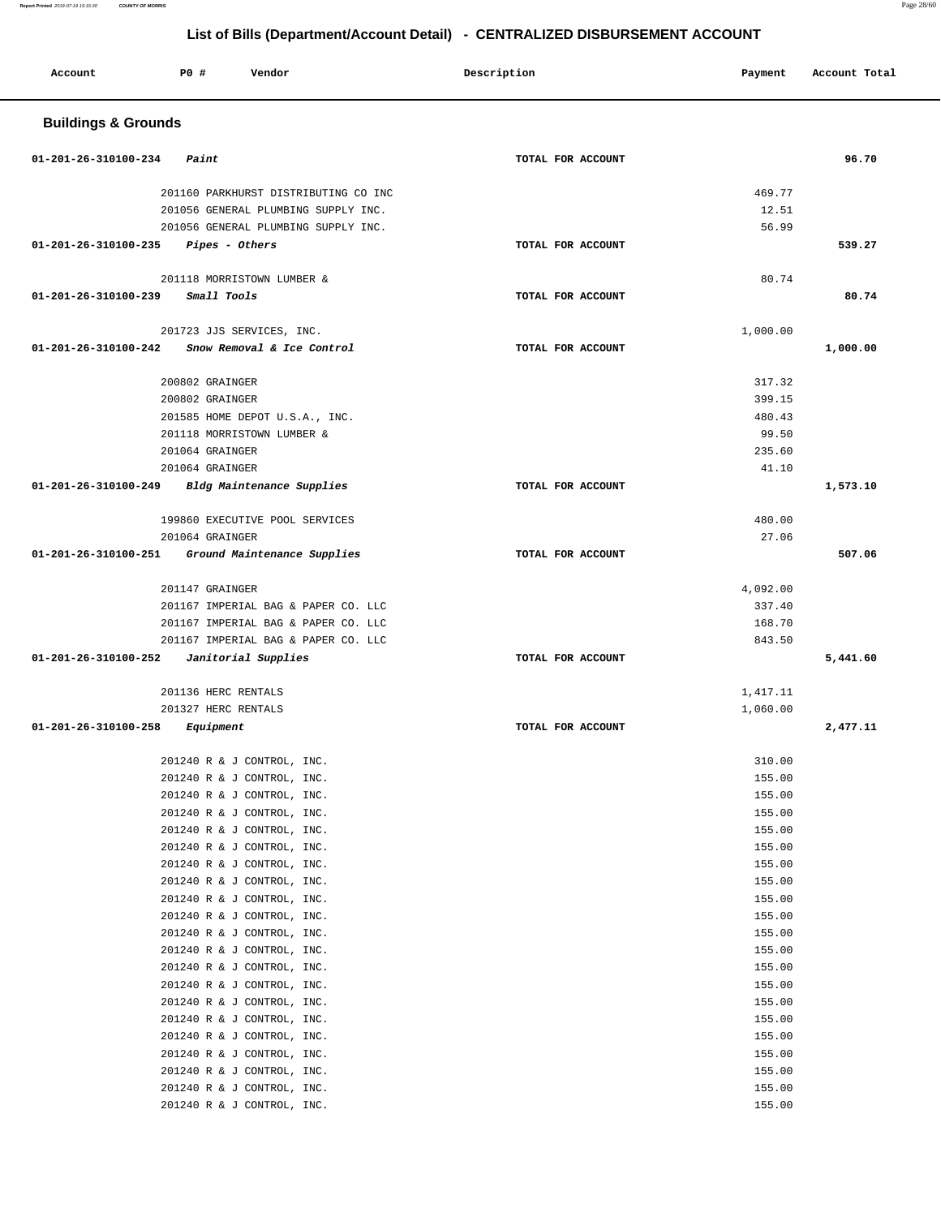| Account                        | PO#<br>Vendor                                            | Description       | Payment            | Account Total |
|--------------------------------|----------------------------------------------------------|-------------------|--------------------|---------------|
| <b>Buildings &amp; Grounds</b> |                                                          |                   |                    |               |
| 01-201-26-310100-234           | Paint                                                    | TOTAL FOR ACCOUNT |                    | 96.70         |
|                                | 201160 PARKHURST DISTRIBUTING CO INC                     |                   | 469.77             |               |
|                                | 201056 GENERAL PLUMBING SUPPLY INC.                      |                   | 12.51              |               |
|                                | 201056 GENERAL PLUMBING SUPPLY INC.                      |                   | 56.99              |               |
| 01-201-26-310100-235           | Pipes - Others                                           | TOTAL FOR ACCOUNT |                    | 539.27        |
|                                | 201118 MORRISTOWN LUMBER &                               |                   | 80.74              |               |
| 01-201-26-310100-239           | Small Tools                                              | TOTAL FOR ACCOUNT |                    | 80.74         |
|                                | 201723 JJS SERVICES, INC.                                |                   | 1,000.00           |               |
| 01-201-26-310100-242           | Snow Removal & Ice Control                               | TOTAL FOR ACCOUNT |                    | 1,000.00      |
|                                |                                                          |                   |                    |               |
|                                | 200802 GRAINGER                                          |                   | 317.32             |               |
|                                | 200802 GRAINGER                                          |                   | 399.15             |               |
|                                | 201585 HOME DEPOT U.S.A., INC.                           |                   | 480.43             |               |
|                                | 201118 MORRISTOWN LUMBER &<br>201064 GRAINGER            |                   | 99.50<br>235.60    |               |
|                                | 201064 GRAINGER                                          |                   | 41.10              |               |
| 01-201-26-310100-249           | Bldg Maintenance Supplies                                | TOTAL FOR ACCOUNT |                    | 1,573.10      |
|                                |                                                          |                   |                    |               |
|                                | 199860 EXECUTIVE POOL SERVICES                           |                   | 480.00             |               |
|                                | 201064 GRAINGER                                          |                   | 27.06              |               |
| 01-201-26-310100-251           | Ground Maintenance Supplies                              | TOTAL FOR ACCOUNT |                    | 507.06        |
|                                |                                                          |                   |                    |               |
|                                | 201147 GRAINGER<br>201167 IMPERIAL BAG & PAPER CO. LLC   |                   | 4,092.00<br>337.40 |               |
|                                | 201167 IMPERIAL BAG & PAPER CO. LLC                      |                   | 168.70             |               |
|                                | 201167 IMPERIAL BAG & PAPER CO. LLC                      |                   | 843.50             |               |
| 01-201-26-310100-252           | Janitorial Supplies                                      | TOTAL FOR ACCOUNT |                    | 5,441.60      |
|                                |                                                          |                   |                    |               |
|                                | 201136 HERC RENTALS                                      |                   | 1,417.11           |               |
|                                | 201327 HERC RENTALS                                      |                   | 1,060.00           |               |
| 01-201-26-310100-258           | Equipment                                                | TOTAL FOR ACCOUNT |                    | 2,477.11      |
|                                | 201240 R & J CONTROL, INC.                               |                   | 310.00             |               |
|                                | 201240 R & J CONTROL, INC.                               |                   | 155.00             |               |
|                                | 201240 R & J CONTROL, INC.                               |                   | 155.00             |               |
|                                | 201240 R & J CONTROL, INC.                               |                   | 155.00             |               |
|                                | 201240 R & J CONTROL, INC.                               |                   | 155.00             |               |
|                                | 201240 R & J CONTROL, INC.                               |                   | 155.00             |               |
|                                | 201240 R & J CONTROL, INC.                               |                   | 155.00             |               |
|                                | 201240 R & J CONTROL, INC.                               |                   | 155.00<br>155.00   |               |
|                                | 201240 R & J CONTROL, INC.<br>201240 R & J CONTROL, INC. |                   | 155.00             |               |
|                                | 201240 R & J CONTROL, INC.                               |                   | 155.00             |               |
|                                | 201240 R & J CONTROL, INC.                               |                   | 155.00             |               |
|                                | 201240 R & J CONTROL, INC.                               |                   | 155.00             |               |
|                                | 201240 R & J CONTROL, INC.                               |                   | 155.00             |               |
|                                | 201240 R & J CONTROL, INC.                               |                   | 155.00             |               |
|                                | 201240 R & J CONTROL, INC.                               |                   | 155.00             |               |
|                                | 201240 R & J CONTROL, INC.                               |                   | 155.00             |               |
|                                | 201240 R & J CONTROL, INC.                               |                   | 155.00             |               |
|                                | 201240 R & J CONTROL, INC.<br>201240 R & J CONTROL, INC. |                   | 155.00<br>155.00   |               |
|                                | 201240 R & J CONTROL, INC.                               |                   | 155.00             |               |
|                                |                                                          |                   |                    |               |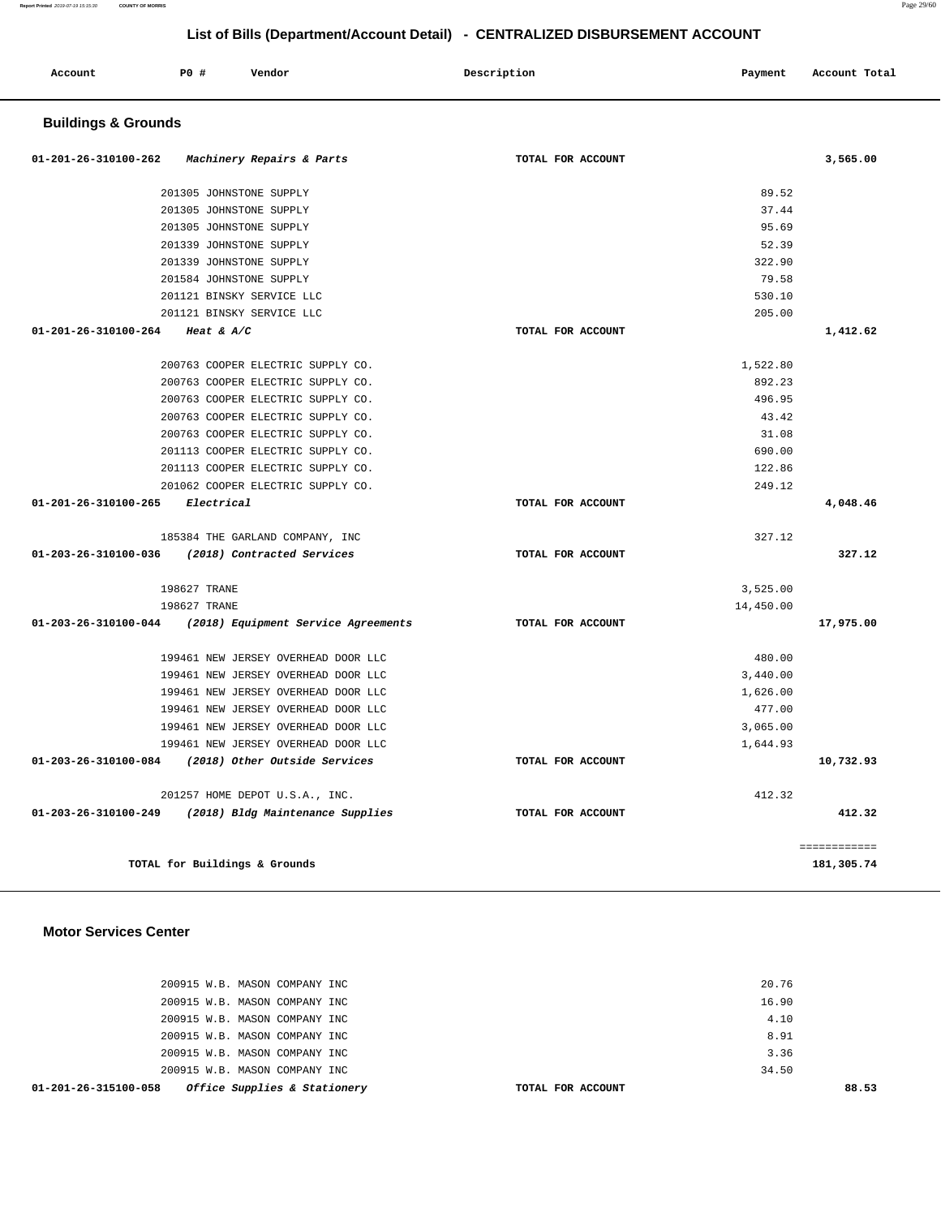**Report Printed** 2019-07-19 15:15:30 **COUNTY OF MORRIS** Page 29/60

# **List of Bills (Department/Account Detail) - CENTRALIZED DISBURSEMENT ACCOUNT**

| Account | <b>PO #</b> | Vendor | Description<br>$\sim$ $\sim$ | Payment | Account Total |
|---------|-------------|--------|------------------------------|---------|---------------|
|         |             |        |                              |         |               |

## **Buildings & Grounds**

| 01-201-26-310100-262            | Machinery Repairs & Parts                                       | TOTAL FOR ACCOUNT |           | 3,565.00     |
|---------------------------------|-----------------------------------------------------------------|-------------------|-----------|--------------|
|                                 | 201305 JOHNSTONE SUPPLY                                         |                   | 89.52     |              |
|                                 | 201305 JOHNSTONE SUPPLY                                         |                   | 37.44     |              |
|                                 | 201305 JOHNSTONE SUPPLY                                         |                   | 95.69     |              |
|                                 | 201339 JOHNSTONE SUPPLY                                         |                   | 52.39     |              |
|                                 | 201339 JOHNSTONE SUPPLY                                         |                   | 322.90    |              |
|                                 | 201584 JOHNSTONE SUPPLY                                         |                   | 79.58     |              |
|                                 | 201121 BINSKY SERVICE LLC                                       |                   | 530.10    |              |
|                                 | 201121 BINSKY SERVICE LLC                                       |                   | 205.00    |              |
| 01-201-26-310100-264 Heat & A/C |                                                                 | TOTAL FOR ACCOUNT |           | 1,412.62     |
|                                 | 200763 COOPER ELECTRIC SUPPLY CO.                               |                   | 1,522.80  |              |
|                                 | 200763 COOPER ELECTRIC SUPPLY CO.                               |                   | 892.23    |              |
|                                 | 200763 COOPER ELECTRIC SUPPLY CO.                               |                   | 496.95    |              |
|                                 | 200763 COOPER ELECTRIC SUPPLY CO.                               |                   | 43.42     |              |
|                                 | 200763 COOPER ELECTRIC SUPPLY CO.                               |                   | 31.08     |              |
|                                 | 201113 COOPER ELECTRIC SUPPLY CO.                               |                   | 690.00    |              |
|                                 | 201113 COOPER ELECTRIC SUPPLY CO.                               |                   | 122.86    |              |
|                                 | 201062 COOPER ELECTRIC SUPPLY CO.                               |                   | 249.12    |              |
| 01-201-26-310100-265 Electrical |                                                                 | TOTAL FOR ACCOUNT |           | 4,048.46     |
|                                 | 185384 THE GARLAND COMPANY, INC                                 |                   | 327.12    |              |
|                                 | 01-203-26-310100-036 (2018) Contracted Services                 | TOTAL FOR ACCOUNT |           | 327.12       |
|                                 | 198627 TRANE                                                    |                   | 3,525.00  |              |
|                                 | 198627 TRANE                                                    |                   | 14,450.00 |              |
|                                 | 01-203-26-310100-044 (2018) Equipment Service Agreements        | TOTAL FOR ACCOUNT |           | 17,975.00    |
|                                 | 199461 NEW JERSEY OVERHEAD DOOR LLC                             |                   | 480.00    |              |
|                                 | 199461 NEW JERSEY OVERHEAD DOOR LLC                             |                   | 3,440.00  |              |
|                                 | 199461 NEW JERSEY OVERHEAD DOOR LLC                             |                   | 1,626.00  |              |
|                                 | 199461 NEW JERSEY OVERHEAD DOOR LLC                             |                   | 477.00    |              |
|                                 | 199461 NEW JERSEY OVERHEAD DOOR LLC                             |                   | 3,065.00  |              |
|                                 | 199461 NEW JERSEY OVERHEAD DOOR LLC                             |                   | 1,644.93  |              |
|                                 | 01-203-26-310100-084 (2018) Other Outside Services              | TOTAL FOR ACCOUNT |           | 10,732.93    |
|                                 | 201257 HOME DEPOT U.S.A., INC.                                  |                   | 412.32    |              |
|                                 | $01 - 203 - 26 - 310100 - 249$ (2018) Bldg Maintenance Supplies | TOTAL FOR ACCOUNT |           | 412.32       |
|                                 |                                                                 |                   |           | ============ |
|                                 | TOTAL for Buildings & Grounds                                   |                   |           | 181,305.74   |

## **Motor Services Center**

| 01-201-26-315100-058 | Office Supplies & Stationery  | TOTAL FOR ACCOUNT | 88.53 |
|----------------------|-------------------------------|-------------------|-------|
|                      | 200915 W.B. MASON COMPANY INC |                   | 34.50 |
|                      | 200915 W.B. MASON COMPANY INC |                   | 3.36  |
|                      | 200915 W.B. MASON COMPANY INC |                   | 8.91  |
|                      | 200915 W.B. MASON COMPANY INC |                   | 4.10  |
|                      | 200915 W.B. MASON COMPANY INC |                   | 16.90 |
|                      | 200915 W.B. MASON COMPANY INC |                   | 20.76 |
|                      |                               |                   |       |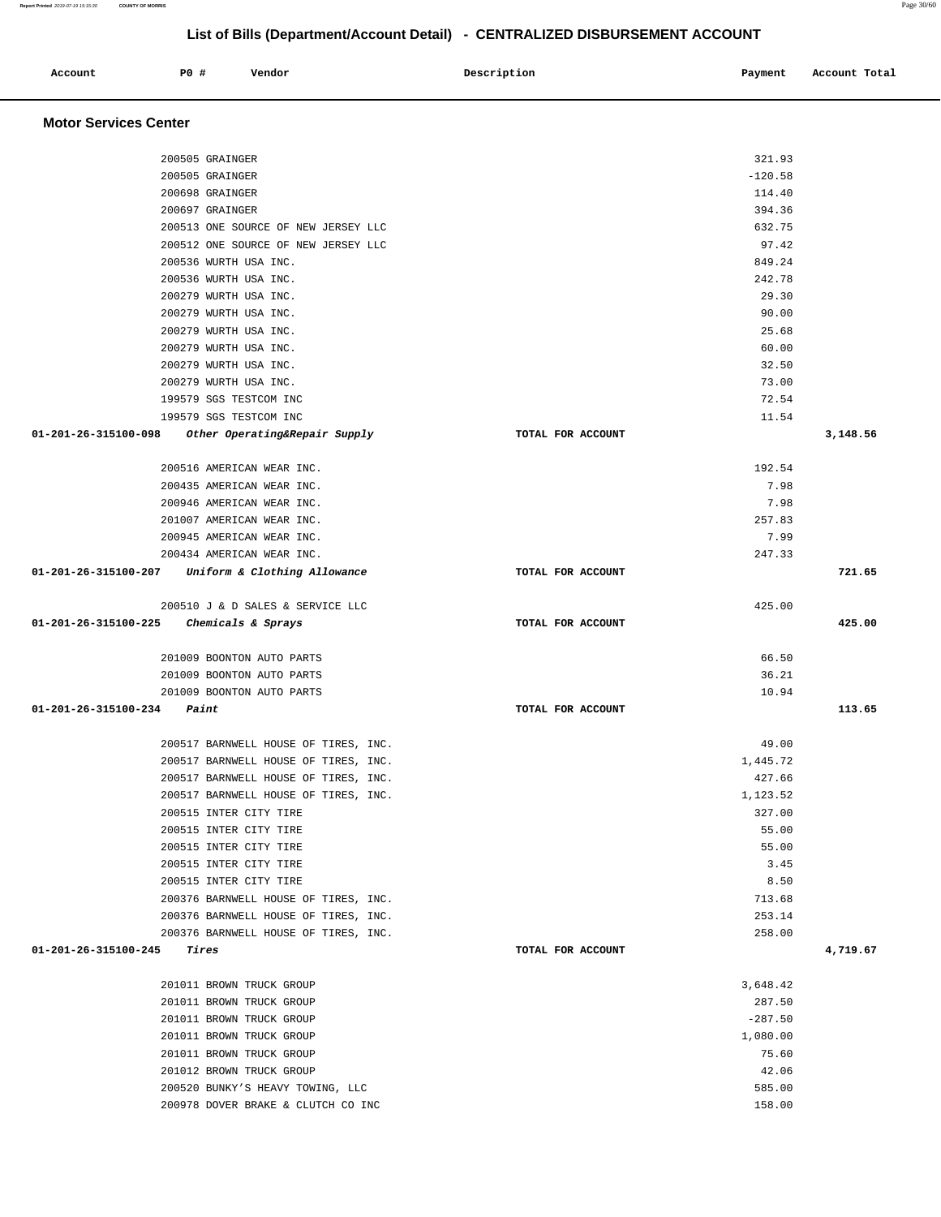| Account<br>. | PO# | Vendor | Description | Payment | Account Total<br>.<br>. |
|--------------|-----|--------|-------------|---------|-------------------------|
|              |     |        |             |         |                         |

## **Motor Services Center**

| 200505 GRAINGER                                       |                   | 321.93    |          |
|-------------------------------------------------------|-------------------|-----------|----------|
| 200505 GRAINGER                                       |                   | $-120.58$ |          |
| 200698 GRAINGER                                       |                   | 114.40    |          |
| 200697 GRAINGER                                       |                   | 394.36    |          |
| 200513 ONE SOURCE OF NEW JERSEY LLC                   |                   | 632.75    |          |
| 200512 ONE SOURCE OF NEW JERSEY LLC                   |                   | 97.42     |          |
| 200536 WURTH USA INC.                                 |                   | 849.24    |          |
| 200536 WURTH USA INC.                                 |                   | 242.78    |          |
| 200279 WURTH USA INC.                                 |                   | 29.30     |          |
| 200279 WURTH USA INC.                                 |                   | 90.00     |          |
| 200279 WURTH USA INC.                                 |                   | 25.68     |          |
| 200279 WURTH USA INC.                                 |                   | 60.00     |          |
| 200279 WURTH USA INC.                                 |                   | 32.50     |          |
| 200279 WURTH USA INC.                                 |                   | 73.00     |          |
| 199579 SGS TESTCOM INC                                |                   | 72.54     |          |
| 199579 SGS TESTCOM INC                                |                   | 11.54     |          |
| 01-201-26-315100-098<br>Other Operating&Repair Supply | TOTAL FOR ACCOUNT |           | 3,148.56 |
|                                                       |                   |           |          |
| 200516 AMERICAN WEAR INC.                             |                   | 192.54    |          |
| 200435 AMERICAN WEAR INC.                             |                   | 7.98      |          |
| 200946 AMERICAN WEAR INC.                             |                   | 7.98      |          |
| 201007 AMERICAN WEAR INC.                             |                   | 257.83    |          |
| 200945 AMERICAN WEAR INC.                             |                   | 7.99      |          |
| 200434 AMERICAN WEAR INC.                             |                   | 247.33    |          |
| 01-201-26-315100-207<br>Uniform & Clothing Allowance  | TOTAL FOR ACCOUNT |           | 721.65   |
| 200510 J & D SALES & SERVICE LLC                      |                   | 425.00    |          |
| 01-201-26-315100-225<br>Chemicals & Sprays            | TOTAL FOR ACCOUNT |           | 425.00   |
|                                                       |                   |           |          |
| 201009 BOONTON AUTO PARTS                             |                   | 66.50     |          |
| 201009 BOONTON AUTO PARTS                             |                   | 36.21     |          |
| 201009 BOONTON AUTO PARTS                             |                   | 10.94     |          |
| 01-201-26-315100-234<br>Paint                         | TOTAL FOR ACCOUNT |           | 113.65   |
|                                                       |                   |           |          |
| 200517 BARNWELL HOUSE OF TIRES, INC.                  |                   | 49.00     |          |
| 200517 BARNWELL HOUSE OF TIRES, INC.                  |                   | 1,445.72  |          |
| 200517 BARNWELL HOUSE OF TIRES, INC.                  |                   | 427.66    |          |
| 200517 BARNWELL HOUSE OF TIRES, INC.                  |                   | 1,123.52  |          |
| 200515 INTER CITY TIRE                                |                   | 327.00    |          |
| 200515 INTER CITY TIRE                                |                   | 55.00     |          |
| 200515 INTER CITY TIRE                                |                   | 55.00     |          |
| 200515 INTER CITY TIRE                                |                   | 3.45      |          |
| 200515 INTER CITY TIRE                                |                   | 8.50      |          |
| 200376 BARNWELL HOUSE OF TIRES, INC.                  |                   | 713.68    |          |
| 200376 BARNWELL HOUSE OF TIRES, INC.                  |                   | 253.14    |          |
| 200376 BARNWELL HOUSE OF TIRES, INC.                  |                   | 258.00    |          |
| 01-201-26-315100-245<br>Tires                         | TOTAL FOR ACCOUNT |           | 4,719.67 |
|                                                       |                   |           |          |
| 201011 BROWN TRUCK GROUP                              |                   | 3,648.42  |          |
| 201011 BROWN TRUCK GROUP                              |                   | 287.50    |          |
| 201011 BROWN TRUCK GROUP                              |                   | $-287.50$ |          |
| 201011 BROWN TRUCK GROUP                              |                   | 1,080.00  |          |
| 201011 BROWN TRUCK GROUP                              |                   | 75.60     |          |
| 201012 BROWN TRUCK GROUP                              |                   | 42.06     |          |
| 200520 BUNKY'S HEAVY TOWING, LLC                      |                   | 585.00    |          |
| 200978 DOVER BRAKE & CLUTCH CO INC                    |                   | 158.00    |          |

**Report Printed** 2019-07-19 15:15:30 **COUNTY OF MORRIS** Page 30/60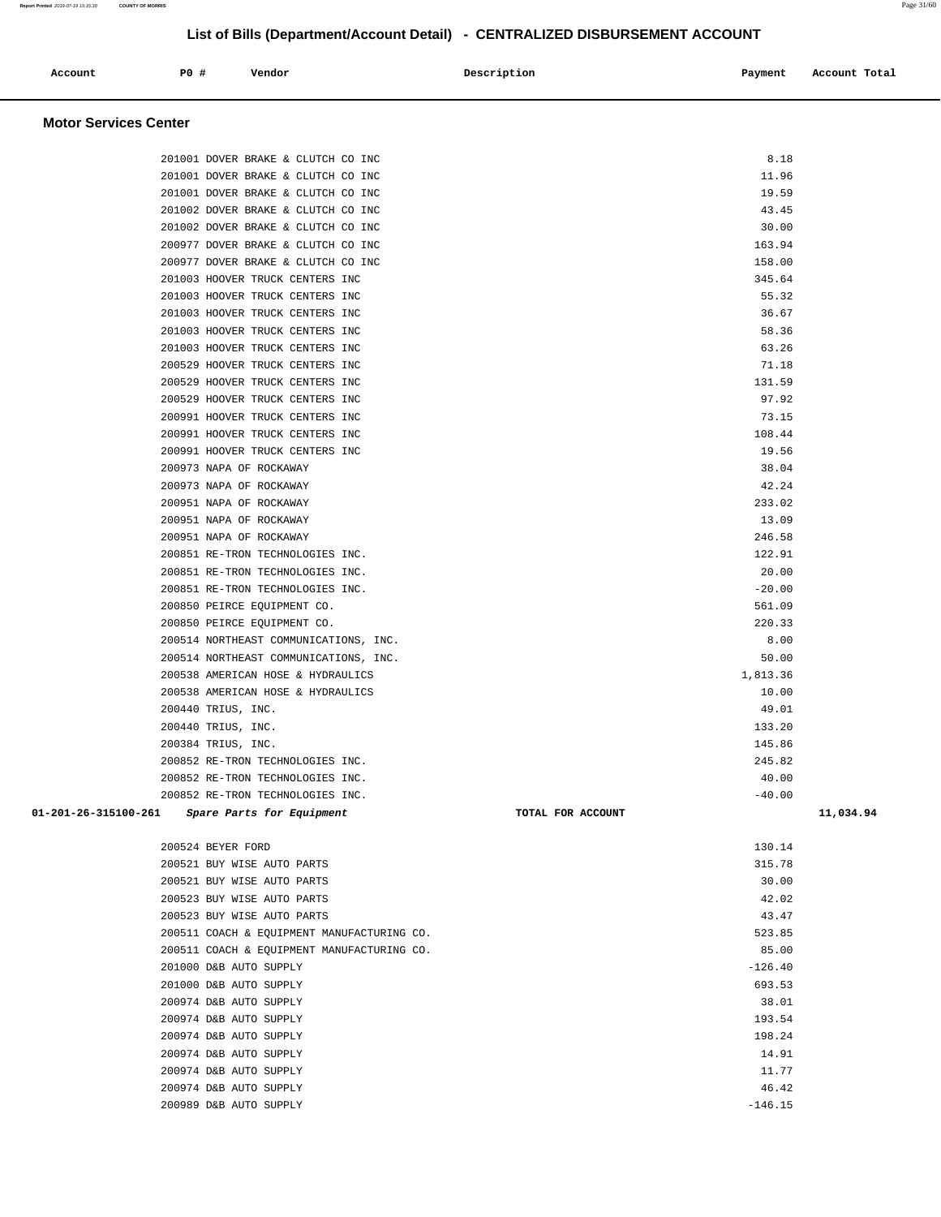| P0 '<br>Account<br>Payment<br>Vendor<br>Description<br>.<br>.<br>. | Account Total |
|--------------------------------------------------------------------|---------------|
|--------------------------------------------------------------------|---------------|

## **Motor Services Center**

| 201001 DOVER BRAKE & CLUTCH CO INC                |                   | 8.18      |           |
|---------------------------------------------------|-------------------|-----------|-----------|
| 201001 DOVER BRAKE & CLUTCH CO INC                |                   | 11.96     |           |
| 201001 DOVER BRAKE & CLUTCH CO INC                |                   | 19.59     |           |
| 201002 DOVER BRAKE & CLUTCH CO INC                |                   | 43.45     |           |
| 201002 DOVER BRAKE & CLUTCH CO INC                |                   | 30.00     |           |
| 200977 DOVER BRAKE & CLUTCH CO INC                |                   | 163.94    |           |
| 200977 DOVER BRAKE & CLUTCH CO INC                |                   | 158.00    |           |
| 201003 HOOVER TRUCK CENTERS INC                   |                   | 345.64    |           |
| 201003 HOOVER TRUCK CENTERS INC                   |                   | 55.32     |           |
| 201003 HOOVER TRUCK CENTERS INC                   |                   | 36.67     |           |
| 201003 HOOVER TRUCK CENTERS INC                   |                   | 58.36     |           |
| 201003 HOOVER TRUCK CENTERS INC                   |                   | 63.26     |           |
| 200529 HOOVER TRUCK CENTERS INC                   |                   | 71.18     |           |
| 200529 HOOVER TRUCK CENTERS INC                   |                   | 131.59    |           |
| 200529 HOOVER TRUCK CENTERS INC                   |                   | 97.92     |           |
| 200991 HOOVER TRUCK CENTERS INC                   |                   | 73.15     |           |
| 200991 HOOVER TRUCK CENTERS INC                   |                   | 108.44    |           |
| 200991 HOOVER TRUCK CENTERS INC                   |                   | 19.56     |           |
| 200973 NAPA OF ROCKAWAY                           |                   | 38.04     |           |
| 200973 NAPA OF ROCKAWAY                           |                   | 42.24     |           |
| 200951 NAPA OF ROCKAWAY                           |                   | 233.02    |           |
| 200951 NAPA OF ROCKAWAY                           |                   | 13.09     |           |
| 200951 NAPA OF ROCKAWAY                           |                   | 246.58    |           |
| 200851 RE-TRON TECHNOLOGIES INC.                  |                   | 122.91    |           |
| 200851 RE-TRON TECHNOLOGIES INC.                  |                   | 20.00     |           |
| 200851 RE-TRON TECHNOLOGIES INC.                  |                   | $-20.00$  |           |
| 200850 PEIRCE EQUIPMENT CO.                       |                   | 561.09    |           |
| 200850 PEIRCE EQUIPMENT CO.                       |                   | 220.33    |           |
| 200514 NORTHEAST COMMUNICATIONS, INC.             |                   | 8.00      |           |
| 200514 NORTHEAST COMMUNICATIONS, INC.             |                   | 50.00     |           |
| 200538 AMERICAN HOSE & HYDRAULICS                 |                   | 1,813.36  |           |
| 200538 AMERICAN HOSE & HYDRAULICS                 |                   | 10.00     |           |
| 200440 TRIUS, INC.                                |                   | 49.01     |           |
| 200440 TRIUS, INC.                                |                   | 133.20    |           |
| 200384 TRIUS, INC.                                |                   | 145.86    |           |
| 200852 RE-TRON TECHNOLOGIES INC.                  |                   | 245.82    |           |
| 200852 RE-TRON TECHNOLOGIES INC.                  |                   | 40.00     |           |
| 200852 RE-TRON TECHNOLOGIES INC.                  |                   | $-40.00$  |           |
| 01-201-26-315100-261<br>Spare Parts for Equipment | TOTAL FOR ACCOUNT |           | 11,034.94 |
|                                                   |                   |           |           |
| 200524 BEYER FORD                                 |                   | 130.14    |           |
| 200521 BUY WISE AUTO PARTS                        |                   | 315.78    |           |
| 200521 BUY WISE AUTO PARTS                        |                   | 30.00     |           |
| 200523 BUY WISE AUTO PARTS                        |                   | 42.02     |           |
| 200523 BUY WISE AUTO PARTS                        |                   | 43.47     |           |
| 200511 COACH & EQUIPMENT MANUFACTURING CO.        |                   | 523.85    |           |
| 200511 COACH & EQUIPMENT MANUFACTURING CO.        |                   | 85.00     |           |
| 201000 D&B AUTO SUPPLY                            |                   | $-126.40$ |           |
| 201000 D&B AUTO SUPPLY                            |                   | 693.53    |           |
| 200974 D&B AUTO SUPPLY                            |                   | 38.01     |           |
| 200974 D&B AUTO SUPPLY                            |                   | 193.54    |           |
| 200974 D&B AUTO SUPPLY                            |                   | 198.24    |           |
| 200974 D&B AUTO SUPPLY                            |                   | 14.91     |           |
| 200974 D&B AUTO SUPPLY                            |                   | 11.77     |           |
| 200974 D&B AUTO SUPPLY                            |                   | 46.42     |           |
| 200989 D&B AUTO SUPPLY                            |                   | $-146.15$ |           |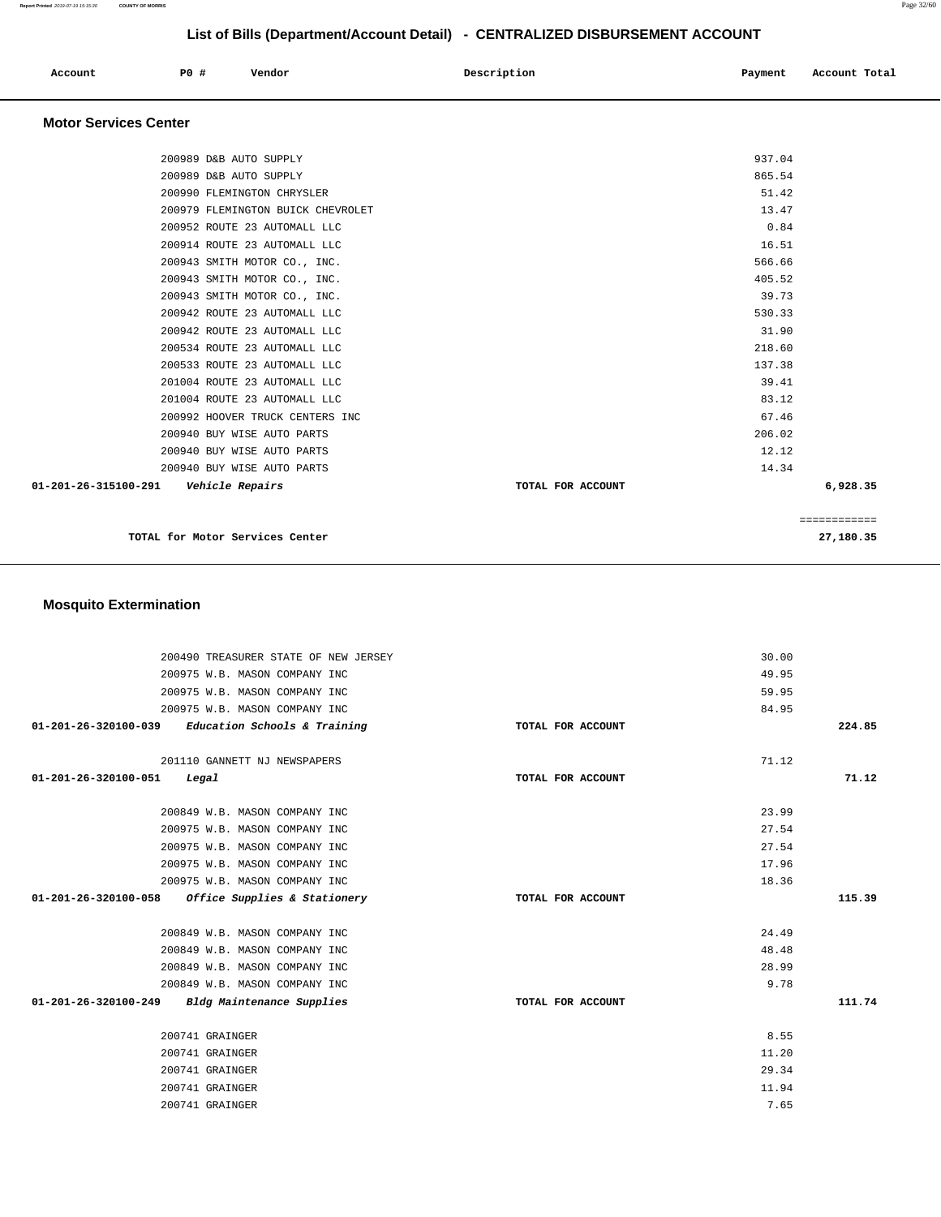| Account<br>. | P0 # | Vendor | Description | Payment | Account Total<br>. |
|--------------|------|--------|-------------|---------|--------------------|
|              |      |        |             |         |                    |

## **Motor Services Center**

|                      | TOTAL for Motor Services Center               |                   |        | ============<br>27,180.35 |
|----------------------|-----------------------------------------------|-------------------|--------|---------------------------|
|                      |                                               |                   |        |                           |
| 01-201-26-315100-291 | 200940 BUY WISE AUTO PARTS<br>Vehicle Repairs | TOTAL FOR ACCOUNT | 14.34  | 6,928.35                  |
|                      | 200940 BUY WISE AUTO PARTS                    |                   | 12.12  |                           |
|                      | 200940 BUY WISE AUTO PARTS                    |                   | 206.02 |                           |
|                      | 200992 HOOVER TRUCK CENTERS INC               |                   | 67.46  |                           |
|                      | 201004 ROUTE 23 AUTOMALL LLC                  |                   | 83.12  |                           |
|                      | 201004 ROUTE 23 AUTOMALL LLC                  |                   | 39.41  |                           |
|                      | 200533 ROUTE 23 AUTOMALL LLC                  |                   | 137.38 |                           |
|                      | 200534 ROUTE 23 AUTOMALL LLC                  |                   | 218.60 |                           |
|                      | 200942 ROUTE 23 AUTOMALL LLC                  |                   | 31.90  |                           |
|                      | 200942 ROUTE 23 AUTOMALL LLC                  |                   | 530.33 |                           |
|                      | 200943 SMITH MOTOR CO., INC.                  |                   | 39.73  |                           |
|                      | 200943 SMITH MOTOR CO., INC.                  |                   | 405.52 |                           |
|                      | 200943 SMITH MOTOR CO., INC.                  |                   | 566.66 |                           |
|                      | 200914 ROUTE 23 AUTOMALL LLC                  |                   | 16.51  |                           |
|                      | 200952 ROUTE 23 AUTOMALL LLC                  |                   | 0.84   |                           |
|                      | 200979 FLEMINGTON BUICK CHEVROLET             |                   | 13.47  |                           |
|                      | 200990 FLEMINGTON CHRYSLER                    |                   | 51.42  |                           |
|                      | 200989 D&B AUTO SUPPLY                        |                   | 865.54 |                           |
|                      | 200989 D&B AUTO SUPPLY                        |                   | 937.04 |                           |
|                      |                                               |                   |        |                           |

## **Mosquito Extermination**

| 200490 TREASURER STATE OF NEW JERSEY                |                   | 30.00 |        |
|-----------------------------------------------------|-------------------|-------|--------|
| 200975 W.B. MASON COMPANY INC                       |                   | 49.95 |        |
| 200975 W.B. MASON COMPANY INC                       |                   | 59.95 |        |
| 200975 W.B. MASON COMPANY INC                       |                   | 84.95 |        |
| $01-201-26-320100-039$ Education Schools & Training | TOTAL FOR ACCOUNT |       | 224.85 |
|                                                     |                   |       |        |
| 201110 GANNETT NJ NEWSPAPERS                        |                   | 71.12 |        |
| 01-201-26-320100-051<br>Legal                       | TOTAL FOR ACCOUNT |       | 71.12  |
|                                                     |                   |       |        |
| 200849 W.B. MASON COMPANY INC                       |                   | 23.99 |        |
| 200975 W.B. MASON COMPANY INC                       |                   | 27.54 |        |
| 200975 W.B. MASON COMPANY INC                       |                   | 27.54 |        |
| 200975 W.B. MASON COMPANY INC                       |                   | 17.96 |        |
| 200975 W.B. MASON COMPANY INC                       |                   | 18.36 |        |
| 01-201-26-320100-058 Office Supplies & Stationery   | TOTAL FOR ACCOUNT |       | 115.39 |
|                                                     |                   |       |        |
| 200849 W.B. MASON COMPANY INC                       |                   | 24.49 |        |
| 200849 W.B. MASON COMPANY INC                       |                   | 48.48 |        |
| 200849 W.B. MASON COMPANY INC                       |                   | 28.99 |        |
| 200849 W.B. MASON COMPANY INC                       |                   | 9.78  |        |
| 01-201-26-320100-249<br>Bldg Maintenance Supplies   | TOTAL FOR ACCOUNT |       | 111.74 |
|                                                     |                   |       |        |
| 200741 GRAINGER                                     |                   | 8.55  |        |
| 200741 GRAINGER                                     |                   | 11.20 |        |
| 200741 GRAINGER                                     |                   | 29.34 |        |
| 200741 GRAINGER                                     |                   | 11.94 |        |
| 200741 GRAINGER                                     |                   | 7.65  |        |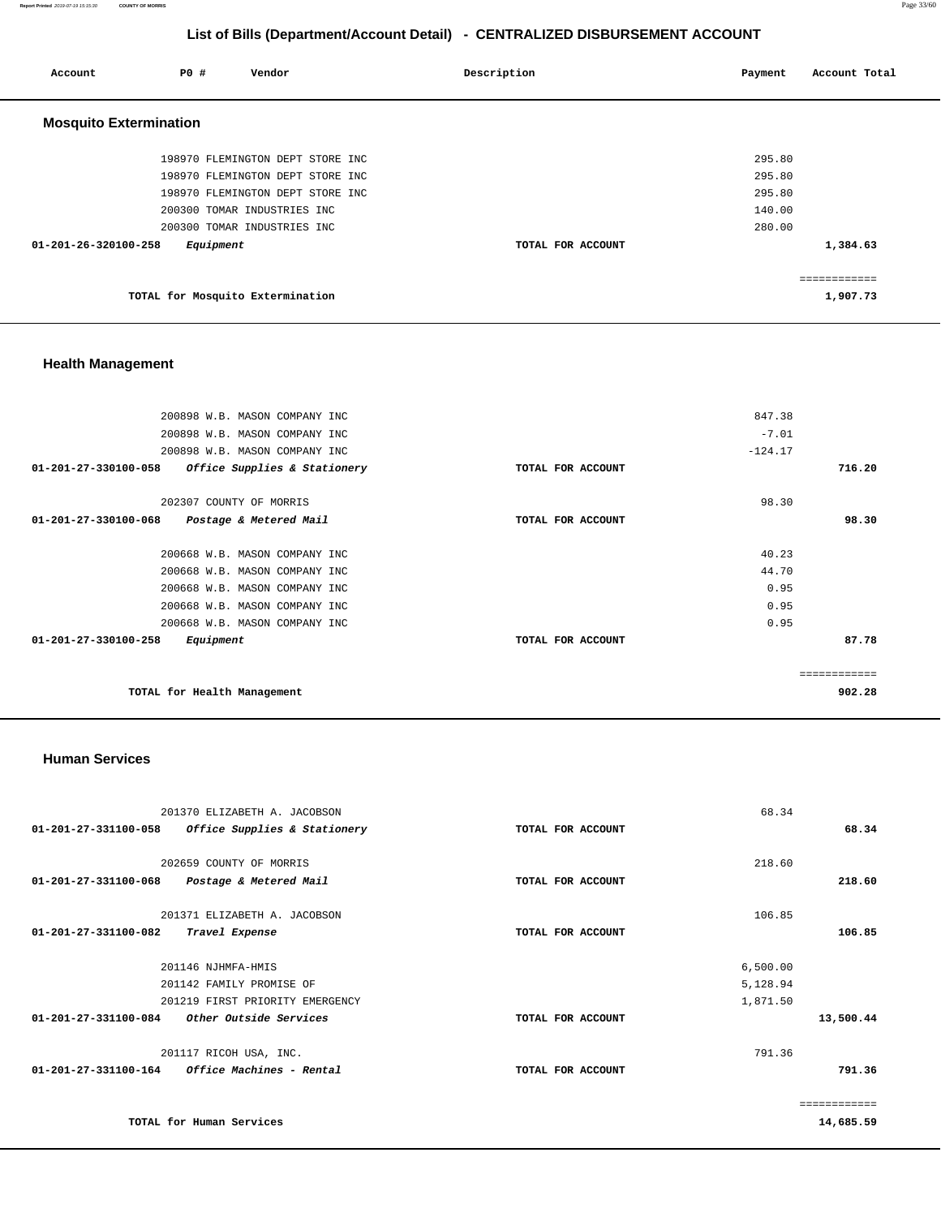**Report Printed** 2019-07-19 15:15:30 **COUNTY OF MORRIS** Page 33/60

# **List of Bills (Department/Account Detail) - CENTRALIZED DISBURSEMENT ACCOUNT**

| Account                       | <b>PO #</b> | Vendor                           | Description       | Account Total<br>Payment |
|-------------------------------|-------------|----------------------------------|-------------------|--------------------------|
| <b>Mosquito Extermination</b> |             |                                  |                   |                          |
|                               |             | 198970 FLEMINGTON DEPT STORE INC |                   | 295.80                   |
|                               |             | 198970 FLEMINGTON DEPT STORE INC |                   | 295.80                   |
|                               |             | 198970 FLEMINGTON DEPT STORE INC |                   | 295.80                   |
|                               |             | 200300 TOMAR INDUSTRIES INC      |                   | 140.00                   |
|                               |             | 200300 TOMAR INDUSTRIES INC      |                   | 280.00                   |
| 01-201-26-320100-258          | Equipment   |                                  | TOTAL FOR ACCOUNT | 1,384.63                 |
|                               |             |                                  |                   | ============             |
|                               |             | TOTAL for Mosquito Extermination |                   | 1,907.73                 |

# **Health Management**

| 200898 W.B. MASON COMPANY INC                        |                   | 847.38    |        |
|------------------------------------------------------|-------------------|-----------|--------|
| 200898 W.B. MASON COMPANY INC                        |                   | $-7.01$   |        |
| 200898 W.B. MASON COMPANY INC                        |                   | $-124.17$ |        |
| 01-201-27-330100-058<br>Office Supplies & Stationery | TOTAL FOR ACCOUNT |           | 716.20 |
| 202307 COUNTY OF MORRIS                              |                   | 98.30     |        |
| 01-201-27-330100-068<br>Postage & Metered Mail       | TOTAL FOR ACCOUNT |           | 98.30  |
| 200668 W.B. MASON COMPANY INC                        |                   | 40.23     |        |
| 200668 W.B. MASON COMPANY INC                        |                   | 44.70     |        |
|                                                      |                   |           |        |
| 200668 W.B. MASON COMPANY INC                        |                   | 0.95      |        |
| 200668 W.B. MASON COMPANY INC                        |                   | 0.95      |        |
| 200668 W.B. MASON COMPANY INC                        |                   | 0.95      |        |
| 01-201-27-330100-258<br>Equipment                    | TOTAL FOR ACCOUNT |           | 87.78  |
|                                                      |                   |           |        |
|                                                      |                   |           |        |
| TOTAL for Health Management                          |                   |           | 902.28 |

### **Human Services**

| 201370 ELIZABETH A. JACOBSON                            |                   | 68.34        |
|---------------------------------------------------------|-------------------|--------------|
| 01-201-27-331100-058<br>Office Supplies & Stationery    | TOTAL FOR ACCOUNT | 68.34        |
|                                                         |                   |              |
| 202659 COUNTY OF MORRIS                                 |                   | 218.60       |
| 01-201-27-331100-068<br>Postage & Metered Mail          | TOTAL FOR ACCOUNT | 218.60       |
| 201371 ELIZABETH A. JACOBSON                            |                   | 106.85       |
| 01-201-27-331100-082<br>Travel Expense                  | TOTAL FOR ACCOUNT | 106.85       |
| 201146 NJHMFA-HMIS                                      |                   | 6,500.00     |
| 201142 FAMILY PROMISE OF                                |                   | 5,128.94     |
| 201219 FIRST PRIORITY EMERGENCY                         |                   | 1,871.50     |
| 01-201-27-331100-084<br>Other Outside Services          | TOTAL FOR ACCOUNT | 13,500.44    |
| 201117 RICOH USA, INC.                                  |                   | 791.36       |
| $01 - 201 - 27 - 331100 - 164$ Office Machines - Rental | TOTAL FOR ACCOUNT | 791.36       |
|                                                         |                   | ============ |
| TOTAL for Human Services                                |                   | 14,685.59    |
|                                                         |                   |              |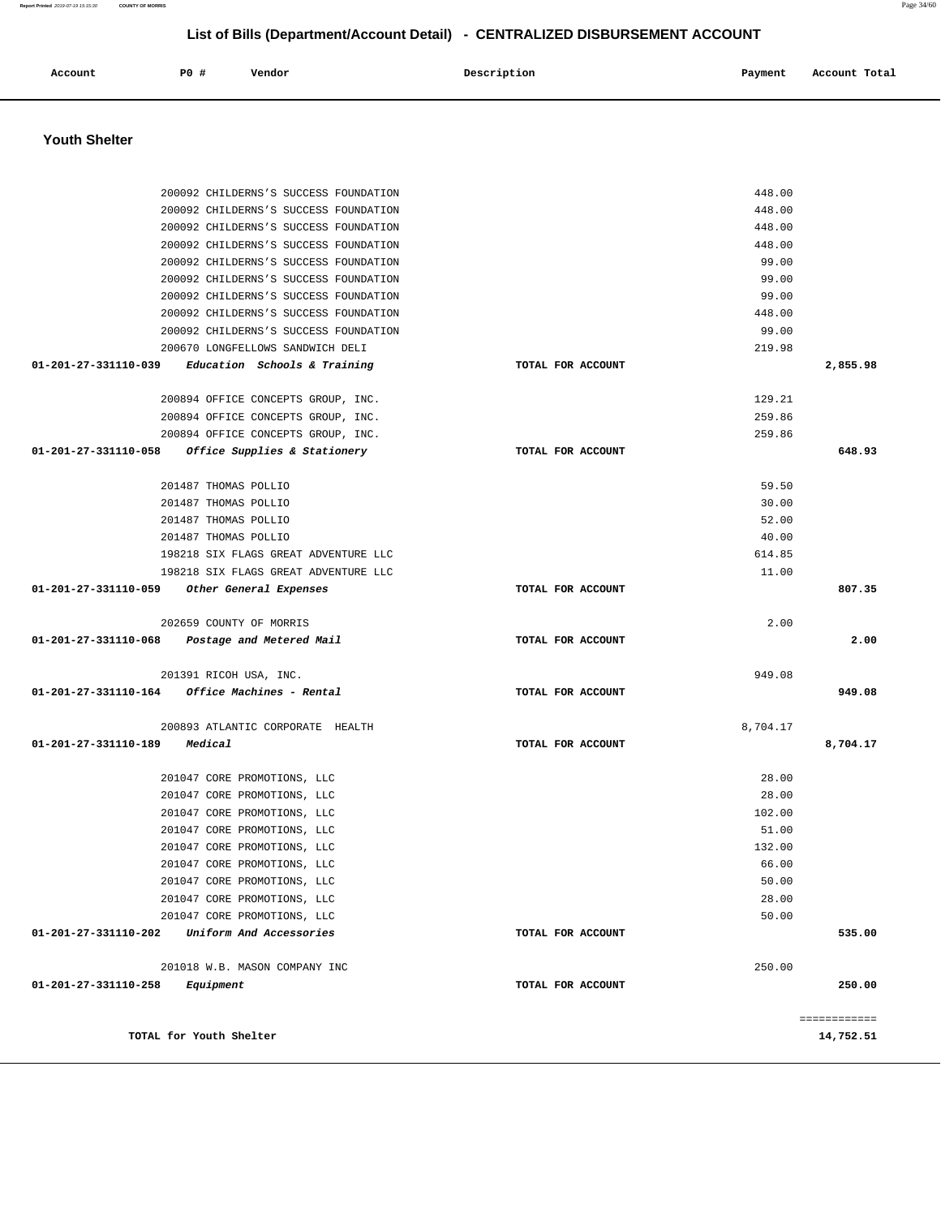**Youth Shelter**  200092 CHILDERNS'S SUCCESS FOUNDATION 200092 CHILDERNS'S SUCCESS FOUNDATION 200092 CHILDERNS'S SUCCESS FOUNDATION 200092 CHILDERNS'S SUCCESS FOUNDATION 200092 CHILDERNS'S SUCCESS FOUNDATION 200092 CHILDERNS'S SUCCESS FOUNDATION 200092 CHILDERNS'S SUCCESS FOUNDATION 200092 CHILDERNS'S SUCCESS FOUNDATION 200092 CHILDERNS'S SUCCESS FOUNDATION 200670 LONGFELLOWS SANDWICH DELI  **01-201-27-331110-039 Education Schools & Training TOTAL FOR ACCOUNT**  448.00 448.00 448.00 448.00 99.00 99.00 99.00 448.00 99.00 219.98 **2,855.98** 200894 OFFICE CONCEPTS GROUP, INC. 200894 OFFICE CONCEPTS GROUP, INC. 200894 OFFICE CONCEPTS GROUP, INC.  **01-201-27-331110-058 Office Supplies & Stationery TOTAL FOR ACCOUNT**  129.21 259.86 259.86 **648.93** 201487 THOMAS POLLIO 201487 THOMAS POLLIO 201487 THOMAS POLLIO 201487 THOMAS POLLIO 198218 SIX FLAGS GREAT ADVENTURE LLC 198218 SIX FLAGS GREAT ADVENTURE LLC  **01-201-27-331110-059 Other General Expenses TOTAL FOR ACCOUNT**  59.50 30.00 52.00 40.00 614.85 11.00 **807.35** 202659 COUNTY OF MORRIS  **01-201-27-331110-068 Postage and Metered Mail TOTAL FOR ACCOUNT**  2.00 **2.00** 201391 RICOH USA, INC.  **01-201-27-331110-164 Office Machines - Rental TOTAL FOR ACCOUNT**  949.08 **949.08** 200893 ATLANTIC CORPORATE HEALTH  **01-201-27-331110-189 Medical TOTAL FOR ACCOUNT**  8,704.17 **8,704.17** 201047 CORE PROMOTIONS, LLC 201047 CORE PROMOTIONS, LLC 201047 CORE PROMOTIONS, LLC 201047 CORE PROMOTIONS, LLC 201047 CORE PROMOTIONS, LLC 201047 CORE PROMOTIONS, LLC 201047 CORE PROMOTIONS, LLC 201047 CORE PROMOTIONS, LLC 201047 CORE PROMOTIONS, LLC  **01-201-27-331110-202 Uniform And Accessories TOTAL FOR ACCOUNT**  28.00 28.00 102.00 51.00 132.00 66.00 50.00 28.00 50.00 **535.00** 201018 W.B. MASON COMPANY INC  **01-201-27-331110-258 Equipment TOTAL FOR ACCOUNT**  250.00 **250.00 TOTAL for Youth Shelter**  ============ **14,752.51** 

# **List of Bills (Department/Account Detail) - CENTRALIZED DISBURSEMENT ACCOUNT**

 **Account P0 # Vendor Description Payment Account Total**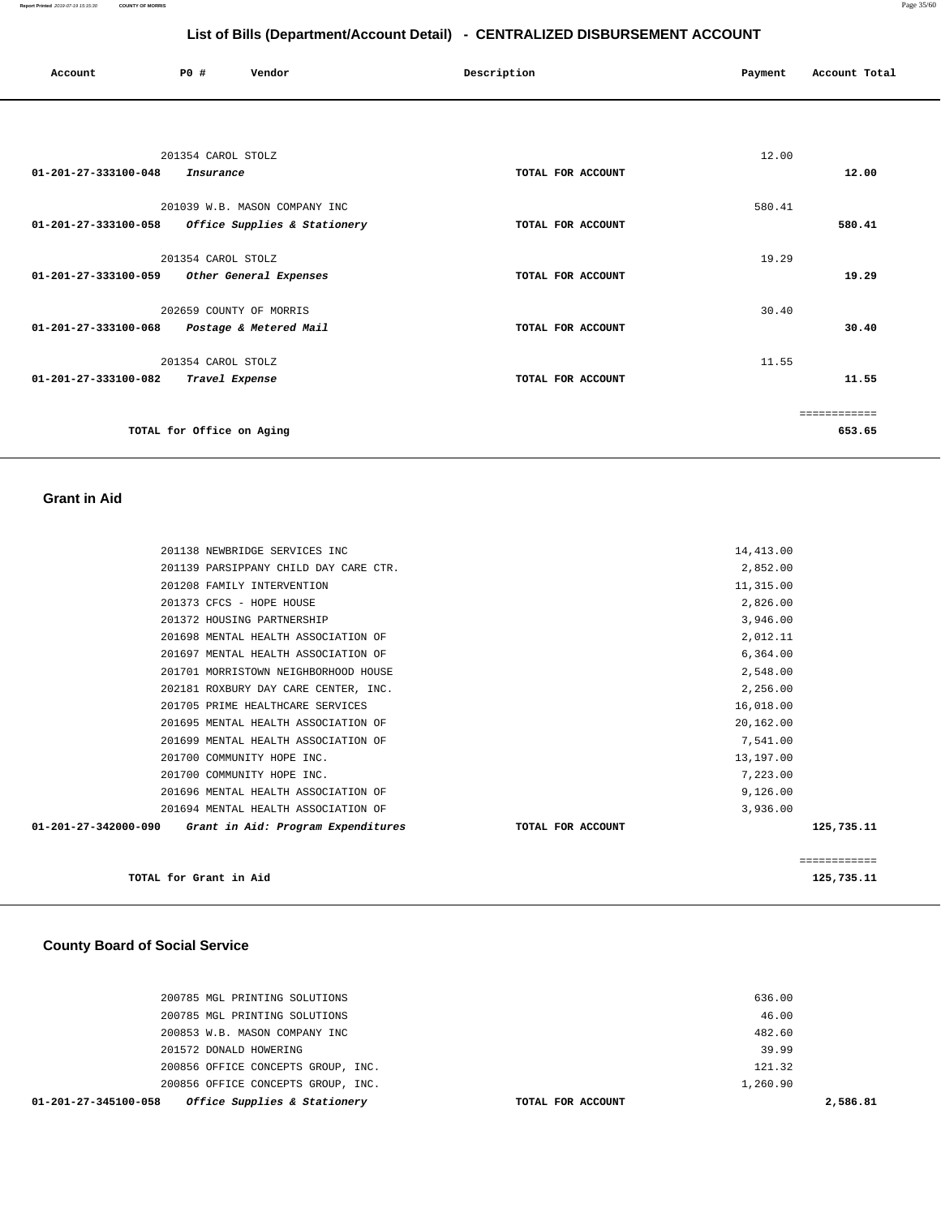| Account                        | PO#                       | Vendor                        | Description       | Payment | Account Total |
|--------------------------------|---------------------------|-------------------------------|-------------------|---------|---------------|
|                                |                           |                               |                   |         |               |
|                                | 201354 CAROL STOLZ        |                               |                   | 12.00   |               |
| $01 - 201 - 27 - 333100 - 048$ | Insurance                 |                               | TOTAL FOR ACCOUNT |         | 12.00         |
|                                |                           | 201039 W.B. MASON COMPANY INC |                   | 580.41  |               |
| 01-201-27-333100-058           |                           | Office Supplies & Stationery  | TOTAL FOR ACCOUNT |         | 580.41        |
|                                | 201354 CAROL STOLZ        |                               |                   | 19.29   |               |
| 01-201-27-333100-059           |                           | Other General Expenses        | TOTAL FOR ACCOUNT |         | 19.29         |
|                                |                           | 202659 COUNTY OF MORRIS       |                   | 30.40   |               |
| 01-201-27-333100-068           |                           | Postage & Metered Mail        | TOTAL FOR ACCOUNT |         | 30.40         |
|                                | 201354 CAROL STOLZ        |                               |                   | 11.55   |               |
| 01-201-27-333100-082           | Travel Expense            |                               | TOTAL FOR ACCOUNT |         | 11.55         |
|                                |                           |                               |                   |         | ============  |
|                                | TOTAL for Office on Aging |                               |                   |         | 653.65        |

### **Grant in Aid**

| 201138 NEWBRIDGE SERVICES INC                                        |                   | 14,413.00    |            |
|----------------------------------------------------------------------|-------------------|--------------|------------|
| 201139 PARSIPPANY CHILD DAY CARE CTR.                                |                   | 2,852.00     |            |
| 201208 FAMILY INTERVENTION                                           |                   | 11,315.00    |            |
| 201373 CFCS - HOPE HOUSE                                             |                   | 2,826.00     |            |
| 201372 HOUSING PARTNERSHIP                                           |                   | 3,946.00     |            |
| 201698 MENTAL HEALTH ASSOCIATION OF                                  |                   | 2,012.11     |            |
| 201697 MENTAL HEALTH ASSOCIATION OF                                  |                   | 6,364.00     |            |
| 201701 MORRISTOWN NEIGHBORHOOD HOUSE                                 |                   | 2,548.00     |            |
| 202181 ROXBURY DAY CARE CENTER, INC.                                 |                   | 2,256.00     |            |
| 201705 PRIME HEALTHCARE SERVICES                                     |                   | 16,018.00    |            |
| 201695 MENTAL HEALTH ASSOCIATION OF                                  |                   | 20,162.00    |            |
| 201699 MENTAL HEALTH ASSOCIATION OF                                  |                   | 7,541.00     |            |
| 201700 COMMUNITY HOPE INC.                                           |                   | 13,197.00    |            |
| 201700 COMMUNITY HOPE INC.                                           |                   | 7,223.00     |            |
| 201696 MENTAL HEALTH ASSOCIATION OF                                  |                   | 9,126.00     |            |
| 201694 MENTAL HEALTH ASSOCIATION OF                                  |                   | 3,936.00     |            |
| $01 - 201 - 27 - 342000 - 090$<br>Grant in Aid: Program Expenditures | TOTAL FOR ACCOUNT |              | 125,735.11 |
|                                                                      |                   | ============ |            |
| TOTAL for Grant in Aid                                               |                   |              | 125,735.11 |

### **County Board of Social Service**

| Office Supplies & Stationery<br>01-201-27-345100-058 | TOTAL FOR ACCOUNT | 2,586.   |  |
|------------------------------------------------------|-------------------|----------|--|
| 200856 OFFICE CONCEPTS GROUP, INC.                   |                   | 1,260.90 |  |
| 200856 OFFICE CONCEPTS GROUP, INC.                   |                   | 121.32   |  |
| 201572 DONALD HOWERING                               |                   | 39.99    |  |
| 200853 W.B. MASON COMPANY INC                        |                   | 482.60   |  |
| 200785 MGL PRINTING SOLUTIONS                        |                   | 46.00    |  |
| 200785 MGL PRINTING SOLUTIONS                        |                   | 636.00   |  |
|                                                      |                   |          |  |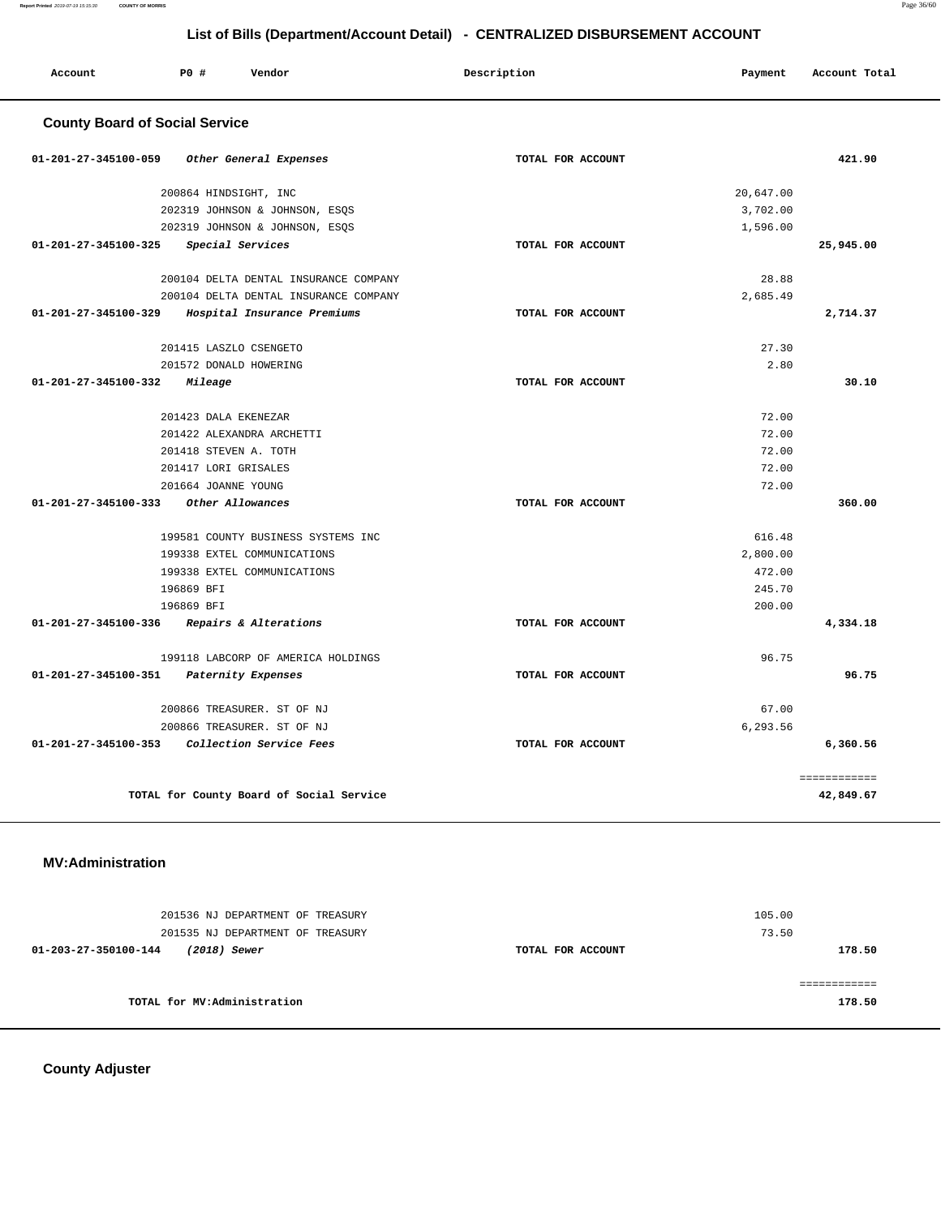| Account                               | PO#<br>Vendor                            | Description       | Payment   | Account Total             |
|---------------------------------------|------------------------------------------|-------------------|-----------|---------------------------|
| <b>County Board of Social Service</b> |                                          |                   |           |                           |
| 01-201-27-345100-059                  | Other General Expenses                   | TOTAL FOR ACCOUNT |           | 421.90                    |
|                                       | 200864 HINDSIGHT, INC                    |                   | 20,647.00 |                           |
|                                       | 202319 JOHNSON & JOHNSON, ESQS           |                   | 3,702.00  |                           |
|                                       | 202319 JOHNSON & JOHNSON, ESQS           |                   | 1,596.00  |                           |
| 01-201-27-345100-325                  | Special Services                         | TOTAL FOR ACCOUNT |           | 25,945.00                 |
|                                       | 200104 DELTA DENTAL INSURANCE COMPANY    |                   | 28.88     |                           |
|                                       | 200104 DELTA DENTAL INSURANCE COMPANY    |                   | 2,685.49  |                           |
| 01-201-27-345100-329                  | Hospital Insurance Premiums              | TOTAL FOR ACCOUNT |           | 2,714.37                  |
|                                       | 201415 LASZLO CSENGETO                   |                   | 27.30     |                           |
|                                       | 201572 DONALD HOWERING                   |                   | 2.80      |                           |
| 01-201-27-345100-332                  | Mileage                                  | TOTAL FOR ACCOUNT |           | 30.10                     |
|                                       | 201423 DALA EKENEZAR                     |                   | 72.00     |                           |
|                                       | 201422 ALEXANDRA ARCHETTI                |                   | 72.00     |                           |
|                                       | 201418 STEVEN A. TOTH                    |                   | 72.00     |                           |
|                                       | 201417 LORI GRISALES                     |                   | 72.00     |                           |
|                                       | 201664 JOANNE YOUNG                      |                   | 72.00     |                           |
| 01-201-27-345100-333                  | Other Allowances                         | TOTAL FOR ACCOUNT |           | 360.00                    |
|                                       | 199581 COUNTY BUSINESS SYSTEMS INC       |                   | 616.48    |                           |
|                                       | 199338 EXTEL COMMUNICATIONS              |                   | 2,800.00  |                           |
|                                       | 199338 EXTEL COMMUNICATIONS              |                   | 472.00    |                           |
|                                       | 196869 BFI                               |                   | 245.70    |                           |
|                                       | 196869 BFI                               |                   | 200.00    |                           |
| 01-201-27-345100-336                  | Repairs & Alterations                    | TOTAL FOR ACCOUNT |           | 4,334.18                  |
|                                       | 199118 LABCORP OF AMERICA HOLDINGS       |                   | 96.75     |                           |
| 01-201-27-345100-351                  | Paternity Expenses                       | TOTAL FOR ACCOUNT |           | 96.75                     |
|                                       | 200866 TREASURER. ST OF NJ               |                   | 67.00     |                           |
|                                       | 200866 TREASURER. ST OF NJ               |                   | 6,293.56  |                           |
| $01 - 201 - 27 - 345100 - 353$        | Collection Service Fees                  | TOTAL FOR ACCOUNT |           | 6,360.56                  |
|                                       | TOTAL for County Board of Social Service |                   |           | ============<br>42,849.67 |

## **MV:Administration**

| 201536 NJ DEPARTMENT OF TREASURY<br>201535 NJ DEPARTMENT OF TREASURY |                   | 105.00<br>73.50 |
|----------------------------------------------------------------------|-------------------|-----------------|
| 01-203-27-350100-144<br>(2018) Sewer                                 | TOTAL FOR ACCOUNT | 178.50          |
| TOTAL for MV:Administration                                          |                   | 178.50          |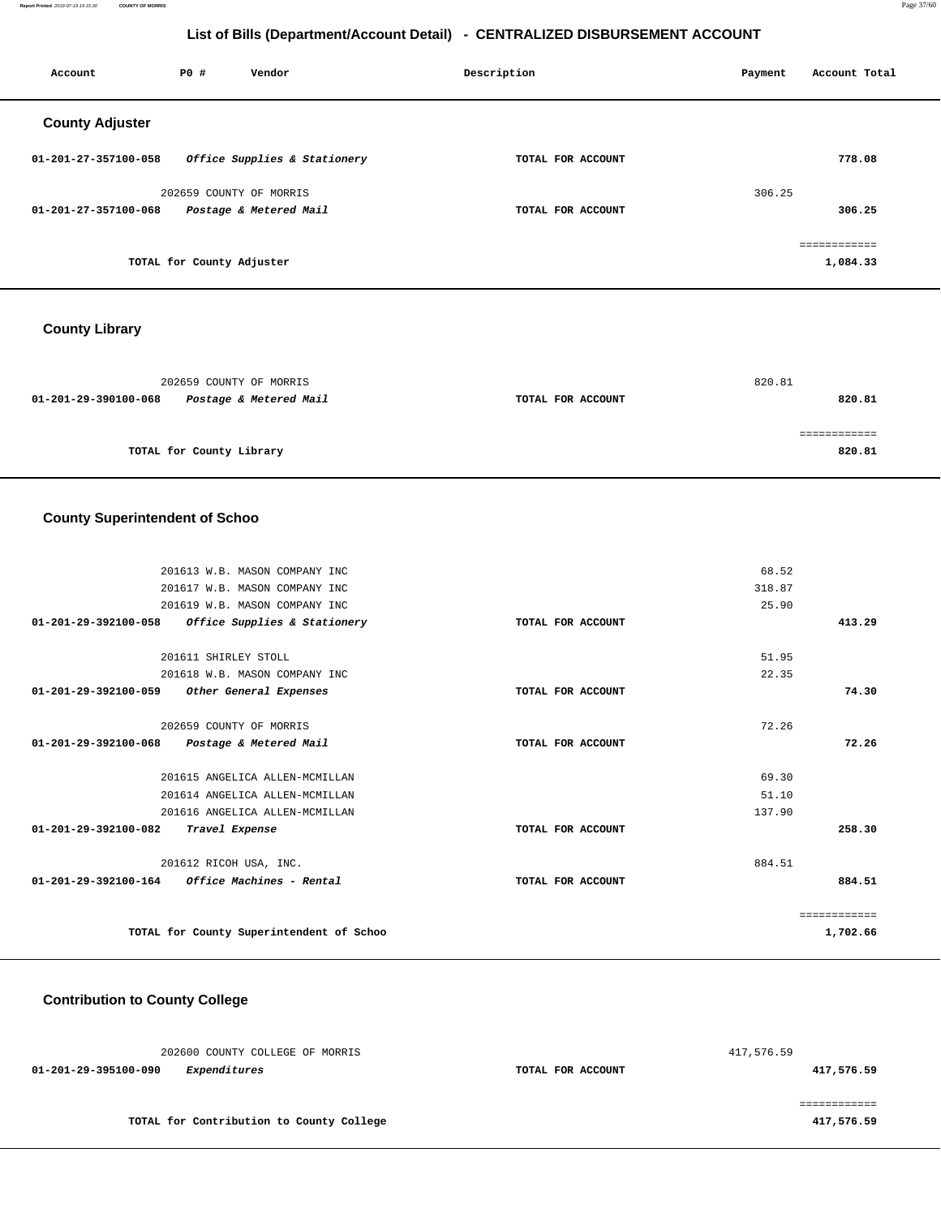**Report Printed** 2019-07-19 15:15:30 **COUNTY OF MORRIS** Page 37/60

## **List of Bills (Department/Account Detail) - CENTRALIZED DISBURSEMENT ACCOUNT**

| Account                | PO#                       | Vendor                       | Description       | Account Total<br>Payment |
|------------------------|---------------------------|------------------------------|-------------------|--------------------------|
| <b>County Adjuster</b> |                           |                              |                   |                          |
| 01-201-27-357100-058   |                           | Office Supplies & Stationery | TOTAL FOR ACCOUNT | 778.08                   |
|                        |                           | 202659 COUNTY OF MORRIS      |                   | 306.25                   |
| 01-201-27-357100-068   |                           | Postage & Metered Mail       | TOTAL FOR ACCOUNT | 306.25                   |
|                        |                           |                              |                   | ============             |
|                        | TOTAL for County Adjuster |                              |                   | 1,084.33                 |
|                        |                           |                              |                   |                          |

## **County Library**

| 202659 COUNTY OF MORRIS                        |                   | 820.81 |
|------------------------------------------------|-------------------|--------|
| 01-201-29-390100-068<br>Postage & Metered Mail | TOTAL FOR ACCOUNT | 820.81 |
|                                                |                   |        |
|                                                |                   |        |
| TOTAL for County Library                       |                   | 820.81 |

## **County Superintendent of Schoo**

|              | 68.52  |                   | 201613 W.B. MASON COMPANY INC                           |
|--------------|--------|-------------------|---------------------------------------------------------|
|              | 318.87 |                   | 201617 W.B. MASON COMPANY INC                           |
|              | 25.90  |                   | 201619 W.B. MASON COMPANY INC                           |
| 413.29       |        | TOTAL FOR ACCOUNT | Office Supplies & Stationery<br>01-201-29-392100-058    |
|              | 51.95  |                   | 201611 SHIRLEY STOLL                                    |
|              | 22.35  |                   | 201618 W.B. MASON COMPANY INC                           |
| 74.30        |        | TOTAL FOR ACCOUNT | 01-201-29-392100-059<br>Other General Expenses          |
|              | 72.26  |                   | 202659 COUNTY OF MORRIS                                 |
| 72.26        |        | TOTAL FOR ACCOUNT | 01-201-29-392100-068<br>Postage & Metered Mail          |
|              | 69.30  |                   | 201615 ANGELICA ALLEN-MCMILLAN                          |
|              | 51.10  |                   | 201614 ANGELICA ALLEN-MCMILLAN                          |
|              | 137.90 |                   | 201616 ANGELICA ALLEN-MCMILLAN                          |
| 258.30       |        | TOTAL FOR ACCOUNT | $01 - 201 - 29 - 392100 - 082$<br>Travel Expense        |
|              | 884.51 |                   | 201612 RICOH USA, INC.                                  |
| 884.51       |        | TOTAL FOR ACCOUNT | $01 - 201 - 29 - 392100 - 164$ Office Machines - Rental |
| ============ |        |                   |                                                         |
| 1,702.66     |        |                   | TOTAL for County Superintendent of Schoo                |
|              |        |                   |                                                         |

## **Contribution to County College**

| 202600 COUNTY COLLEGE OF MORRIS             |                   | 417,576.59 |
|---------------------------------------------|-------------------|------------|
| <i>Expenditures</i><br>01-201-29-395100-090 | TOTAL FOR ACCOUNT | 417,576.59 |
|                                             |                   |            |
|                                             |                   |            |
| TOTAL for Contribution to County College    |                   | 417,576.59 |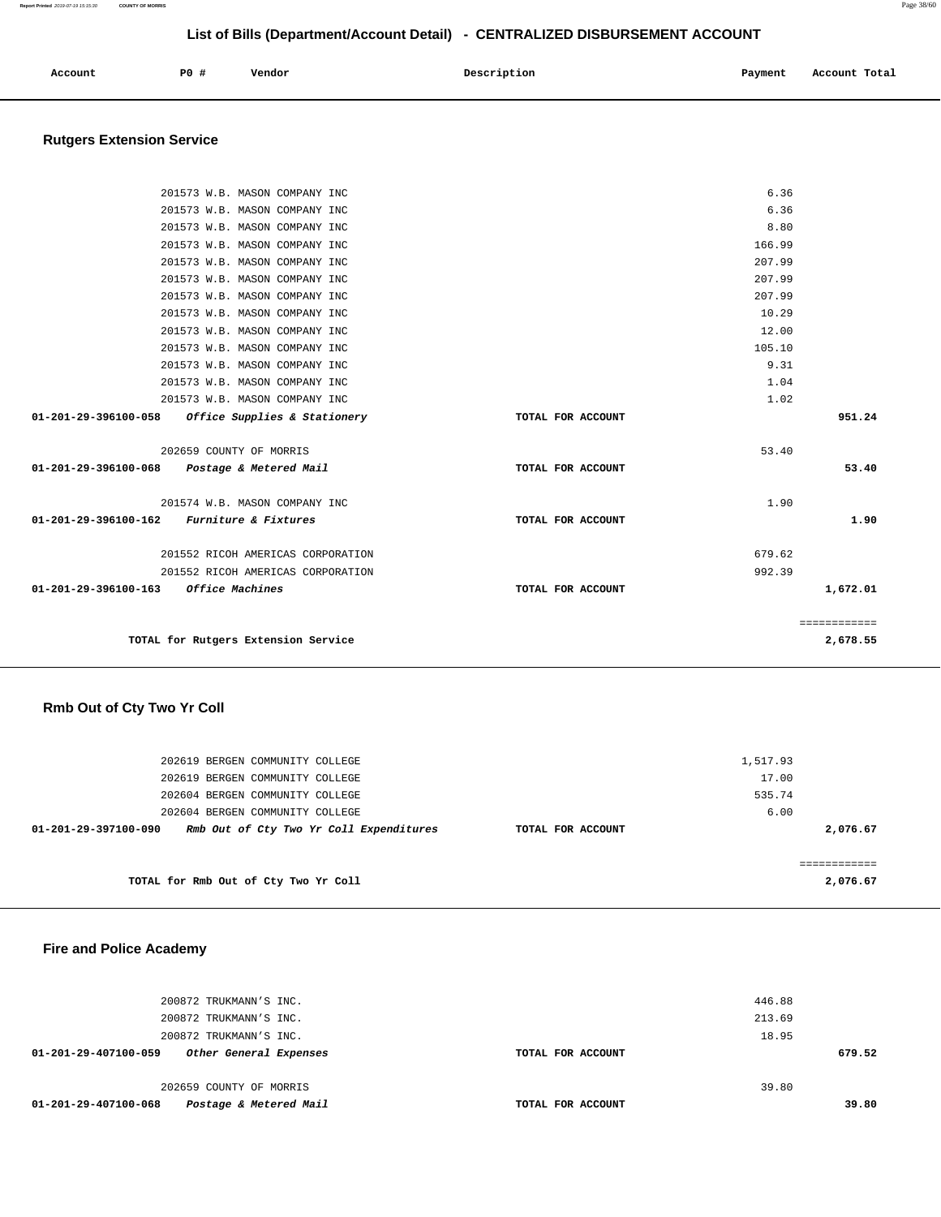| Account | P <sub>0</sub> | Vendor | Description | Payment | Account Total |
|---------|----------------|--------|-------------|---------|---------------|
|         |                |        |             |         |               |

# **Rutgers Extension Service**

|                      | 201573 W.B. MASON COMPANY INC                     |                   | 6.36   |              |
|----------------------|---------------------------------------------------|-------------------|--------|--------------|
|                      | 201573 W.B. MASON COMPANY INC                     |                   | 6.36   |              |
|                      | 201573 W.B. MASON COMPANY INC                     |                   | 8.80   |              |
|                      | 201573 W.B. MASON COMPANY INC                     |                   | 166.99 |              |
|                      | 201573 W.B. MASON COMPANY INC                     |                   | 207.99 |              |
|                      | 201573 W.B. MASON COMPANY INC                     |                   | 207.99 |              |
|                      | 201573 W.B. MASON COMPANY INC                     |                   | 207.99 |              |
|                      | 201573 W.B. MASON COMPANY INC                     |                   | 10.29  |              |
|                      | 201573 W.B. MASON COMPANY INC                     |                   | 12.00  |              |
|                      | 201573 W.B. MASON COMPANY INC                     |                   | 105.10 |              |
|                      | 201573 W.B. MASON COMPANY INC                     |                   | 9.31   |              |
|                      | 201573 W.B. MASON COMPANY INC                     |                   | 1.04   |              |
|                      | 201573 W.B. MASON COMPANY INC                     |                   | 1.02   |              |
|                      | 01-201-29-396100-058 Office Supplies & Stationery | TOTAL FOR ACCOUNT |        | 951.24       |
|                      | 202659 COUNTY OF MORRIS                           |                   | 53.40  |              |
| 01-201-29-396100-068 | Postage & Metered Mail                            | TOTAL FOR ACCOUNT |        | 53.40        |
|                      |                                                   |                   |        |              |
|                      | 201574 W.B. MASON COMPANY INC                     |                   | 1.90   |              |
| 01-201-29-396100-162 | <i>Furniture &amp; Fixtures</i>                   | TOTAL FOR ACCOUNT |        | 1.90         |
|                      | 201552 RICOH AMERICAS CORPORATION                 |                   | 679.62 |              |
|                      | 201552 RICOH AMERICAS CORPORATION                 |                   | 992.39 |              |
| 01-201-29-396100-163 | <i>Office Machines</i>                            | TOTAL FOR ACCOUNT |        | 1,672.01     |
|                      |                                                   |                   |        |              |
|                      |                                                   |                   |        | ============ |
|                      | TOTAL for Rutgers Extension Service               |                   |        | 2,678.55     |
|                      |                                                   |                   |        |              |

# **Rmb Out of Cty Two Yr Coll**

| 202619 BERGEN COMMUNITY COLLEGE                                 |                   | 1,517.93 |          |
|-----------------------------------------------------------------|-------------------|----------|----------|
| 202619 BERGEN COMMUNITY COLLEGE                                 |                   | 17.00    |          |
| 202604 BERGEN COMMUNITY COLLEGE                                 |                   | 535.74   |          |
| 202604 BERGEN COMMUNITY COLLEGE                                 |                   | 6.00     |          |
| Rmb Out of Cty Two Yr Coll Expenditures<br>01-201-29-397100-090 | TOTAL FOR ACCOUNT |          | 2,076.67 |
|                                                                 |                   |          |          |
|                                                                 |                   |          |          |
| TOTAL for Rmb Out of Cty Two Yr Coll                            |                   |          | 2,076.67 |

# **Fire and Police Academy**

| 200872 TRUKMANN'S INC.                         |                   | 446.88 |        |
|------------------------------------------------|-------------------|--------|--------|
| 200872 TRUKMANN'S INC.                         |                   | 213.69 |        |
| 200872 TRUKMANN'S INC.                         |                   | 18.95  |        |
| Other General Expenses<br>01-201-29-407100-059 | TOTAL FOR ACCOUNT |        | 679.52 |
|                                                |                   |        |        |
| 202659 COUNTY OF MORRIS                        |                   | 39.80  |        |
| Postage & Metered Mail<br>01-201-29-407100-068 | TOTAL FOR ACCOUNT |        | 39.80  |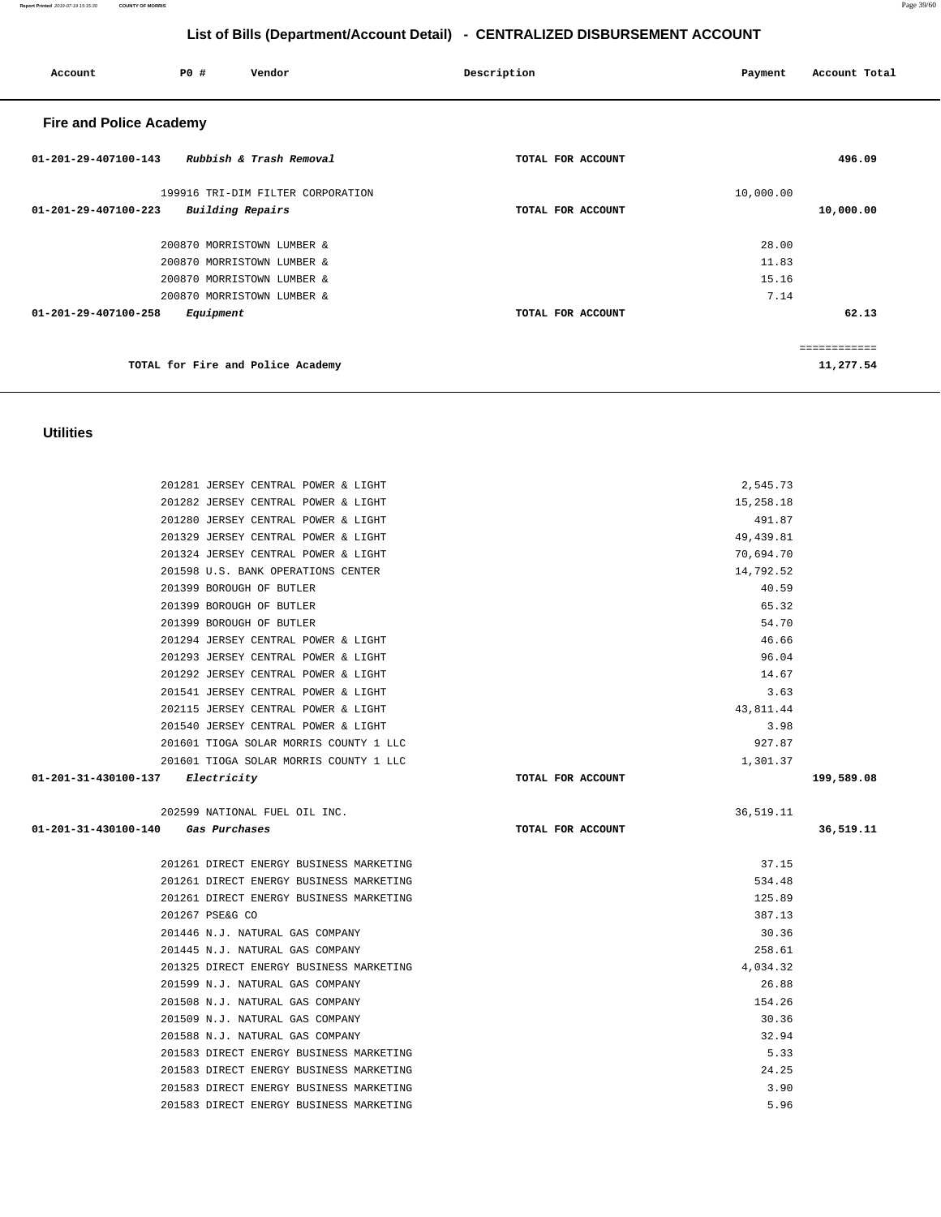**Report Printed** 2019-07-19 15:15:30 **COUNTY OF MORRIS** Page 39/60

# **List of Bills (Department/Account Detail) - CENTRALIZED DISBURSEMENT ACCOUNT**

| Account                        | P0#<br>Vendor                     | Description       | Payment<br>Account Total |
|--------------------------------|-----------------------------------|-------------------|--------------------------|
| <b>Fire and Police Academy</b> |                                   |                   |                          |
| $01 - 201 - 29 - 407100 - 143$ | Rubbish & Trash Removal           | TOTAL FOR ACCOUNT | 496.09                   |
|                                | 199916 TRI-DIM FILTER CORPORATION |                   | 10,000.00                |
| 01-201-29-407100-223           | Building Repairs                  | TOTAL FOR ACCOUNT | 10,000.00                |
|                                | 200870 MORRISTOWN LUMBER &        |                   | 28.00                    |
|                                | 200870 MORRISTOWN LUMBER &        |                   | 11.83                    |
|                                | 200870 MORRISTOWN LUMBER &        |                   | 15.16                    |
|                                | 200870 MORRISTOWN LUMBER &        |                   | 7.14                     |
| $01 - 201 - 29 - 407100 - 258$ | Equipment                         | TOTAL FOR ACCOUNT | 62.13                    |
|                                |                                   |                   | eeeeeeeeeee              |
|                                | TOTAL for Fire and Police Academy |                   | 11,277.54                |

## **Utilities**

| 01-201-31-430100-137<br>Electricity |                                        | TOTAL FOR ACCOUNT | 199,589.08 |
|-------------------------------------|----------------------------------------|-------------------|------------|
|                                     | 201601 TIOGA SOLAR MORRIS COUNTY 1 LLC | 1,301.37          |            |
|                                     | 201601 TIOGA SOLAR MORRIS COUNTY 1 LLC | 927.87            |            |
|                                     | 201540 JERSEY CENTRAL POWER & LIGHT    | 3.98              |            |
|                                     | 202115 JERSEY CENTRAL POWER & LIGHT    | 43,811.44         |            |
|                                     | 201541 JERSEY CENTRAL POWER & LIGHT    | 3.63              |            |
|                                     | 201292 JERSEY CENTRAL POWER & LIGHT    | 14.67             |            |
|                                     | 201293 JERSEY CENTRAL POWER & LIGHT    | 96.04             |            |
|                                     | 201294 JERSEY CENTRAL POWER & LIGHT    | 46.66             |            |
| 201399 BOROUGH OF BUTLER            |                                        | 54.70             |            |
| 201399 BOROUGH OF BUTLER            |                                        | 65.32             |            |
| 201399 BOROUGH OF BUTLER            |                                        | 40.59             |            |
|                                     | 201598 U.S. BANK OPERATIONS CENTER     | 14,792.52         |            |
|                                     | 201324 JERSEY CENTRAL POWER & LIGHT    | 70,694.70         |            |
|                                     | 201329 JERSEY CENTRAL POWER & LIGHT    | 49,439.81         |            |
|                                     | 201280 JERSEY CENTRAL POWER & LIGHT    | 491.87            |            |
|                                     | 201282 JERSEY CENTRAL POWER & LIGHT    | 15,258.18         |            |
|                                     | 201281 JERSEY CENTRAL POWER & LIGHT    | 2,545.73          |            |
|                                     |                                        |                   |            |

| 202599 NATIONAL FUEL OIL INC.                |                   | 36,519.11 |           |
|----------------------------------------------|-------------------|-----------|-----------|
| $01 - 201 - 31 - 430100 - 140$ Gas Purchases | TOTAL FOR ACCOUNT |           | 36,519.11 |
|                                              |                   |           |           |
| 201261 DIRECT ENERGY BUSINESS MARKETING      |                   | 37.15     |           |
| 201261 DIRECT ENERGY BUSINESS MARKETING      |                   | 534.48    |           |
| 201261 DIRECT ENERGY BUSINESS MARKETING      |                   | 125.89    |           |
| 201267 PSE&G CO                              |                   | 387.13    |           |
| 201446 N.J. NATURAL GAS COMPANY              |                   | 30.36     |           |
| 201445 N.J. NATURAL GAS COMPANY              |                   | 258.61    |           |
| 201325 DIRECT ENERGY BUSINESS MARKETING      |                   | 4,034.32  |           |
| 201599 N.J. NATURAL GAS COMPANY              |                   | 26.88     |           |
| 201508 N.J. NATURAL GAS COMPANY              |                   | 154.26    |           |
| 201509 N.J. NATURAL GAS COMPANY              |                   | 30.36     |           |
| 201588 N.J. NATURAL GAS COMPANY              |                   | 32.94     |           |
| 201583 DIRECT ENERGY BUSINESS MARKETING      |                   | 5.33      |           |
| 201583 DIRECT ENERGY BUSINESS MARKETING      |                   | 24.25     |           |
| 201583 DIRECT ENERGY BUSINESS MARKETING      |                   | 3.90      |           |
| 201583 DIRECT ENERGY BUSINESS MARKETING      |                   | 5.96      |           |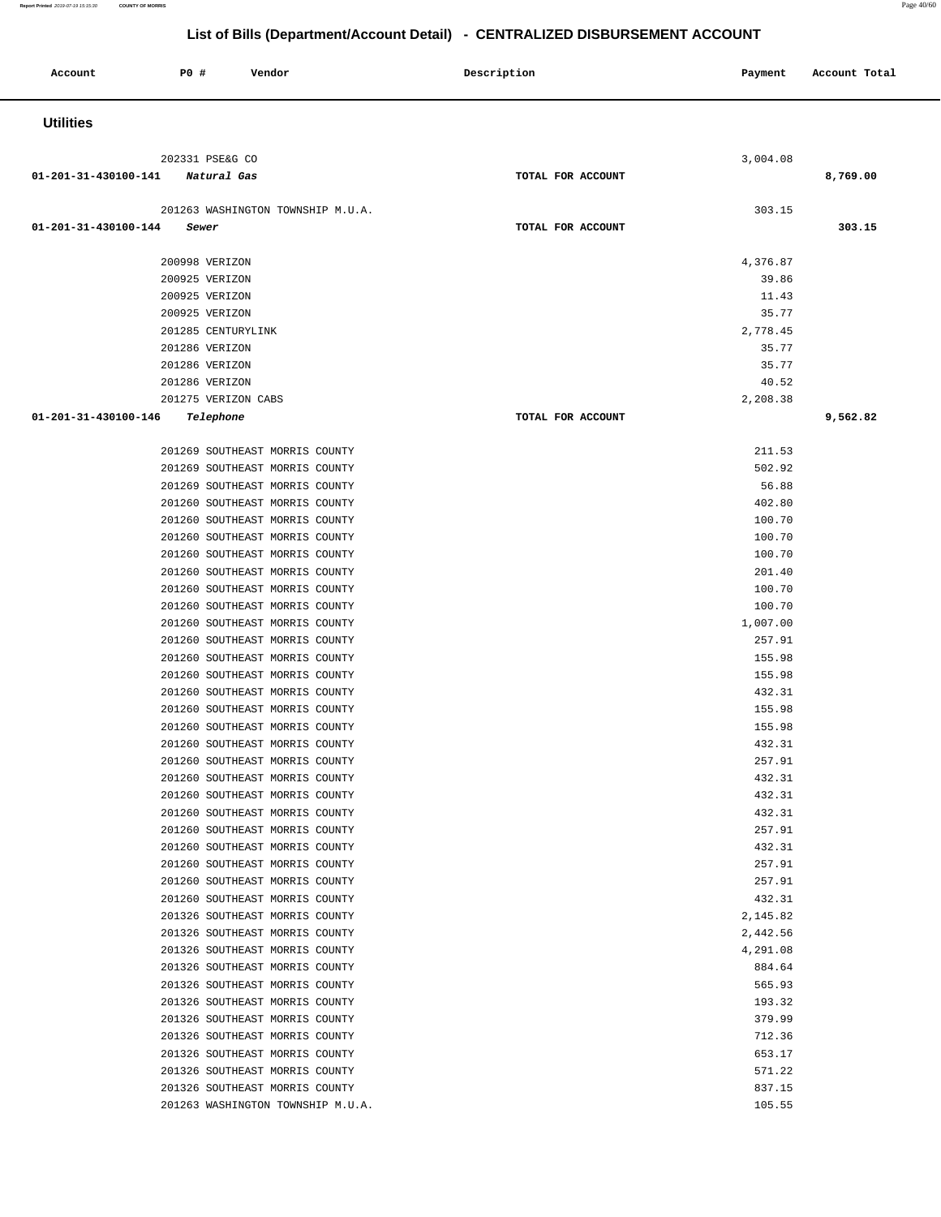**Report Printed** 2019-07-19 15:15:30 **COUNTY OF MORRIS** Page 40/60

| Account              | P0 #  | Vendor                                                           | Description       | Payment            | Account Total |
|----------------------|-------|------------------------------------------------------------------|-------------------|--------------------|---------------|
| <b>Utilities</b>     |       |                                                                  |                   |                    |               |
|                      |       | 202331 PSE&G CO                                                  |                   | 3,004.08           |               |
| 01-201-31-430100-141 |       | Natural Gas                                                      | TOTAL FOR ACCOUNT |                    | 8,769.00      |
|                      |       | 201263 WASHINGTON TOWNSHIP M.U.A.                                |                   | 303.15             |               |
| 01-201-31-430100-144 | Sewer |                                                                  | TOTAL FOR ACCOUNT |                    | 303.15        |
|                      |       |                                                                  |                   |                    |               |
|                      |       | 200998 VERIZON                                                   |                   | 4,376.87           |               |
|                      |       | 200925 VERIZON<br>200925 VERIZON                                 |                   | 39.86<br>11.43     |               |
|                      |       | 200925 VERIZON                                                   |                   | 35.77              |               |
|                      |       | 201285 CENTURYLINK                                               |                   | 2,778.45           |               |
|                      |       | 201286 VERIZON                                                   |                   | 35.77              |               |
|                      |       | 201286 VERIZON                                                   |                   | 35.77              |               |
|                      |       | 201286 VERIZON                                                   |                   | 40.52              |               |
|                      |       | 201275 VERIZON CABS                                              |                   | 2,208.38           |               |
| 01-201-31-430100-146 |       | Telephone                                                        | TOTAL FOR ACCOUNT |                    | 9,562.82      |
|                      |       | 201269 SOUTHEAST MORRIS COUNTY                                   |                   | 211.53             |               |
|                      |       | 201269 SOUTHEAST MORRIS COUNTY                                   |                   | 502.92             |               |
|                      |       | 201269 SOUTHEAST MORRIS COUNTY                                   |                   | 56.88              |               |
|                      |       | 201260 SOUTHEAST MORRIS COUNTY                                   |                   | 402.80             |               |
|                      |       | 201260 SOUTHEAST MORRIS COUNTY                                   |                   | 100.70             |               |
|                      |       | 201260 SOUTHEAST MORRIS COUNTY                                   |                   | 100.70             |               |
|                      |       | 201260 SOUTHEAST MORRIS COUNTY                                   |                   | 100.70             |               |
|                      |       | 201260 SOUTHEAST MORRIS COUNTY                                   |                   | 201.40             |               |
|                      |       | 201260 SOUTHEAST MORRIS COUNTY                                   |                   | 100.70             |               |
|                      |       | 201260 SOUTHEAST MORRIS COUNTY<br>201260 SOUTHEAST MORRIS COUNTY |                   | 100.70<br>1,007.00 |               |
|                      |       | 201260 SOUTHEAST MORRIS COUNTY                                   |                   | 257.91             |               |
|                      |       | 201260 SOUTHEAST MORRIS COUNTY                                   |                   | 155.98             |               |
|                      |       | 201260 SOUTHEAST MORRIS COUNTY                                   |                   | 155.98             |               |
|                      |       | 201260 SOUTHEAST MORRIS COUNTY                                   |                   | 432.31             |               |
|                      |       | 201260 SOUTHEAST MORRIS COUNTY                                   |                   | 155.98             |               |
|                      |       | 201260 SOUTHEAST MORRIS COUNTY                                   |                   | 155.98             |               |
|                      |       | 201260 SOUTHEAST MORRIS COUNTY                                   |                   | 432.31             |               |
|                      |       | 201260 SOUTHEAST MORRIS COUNTY                                   |                   | 257.91             |               |
|                      |       | 201260 SOUTHEAST MORRIS COUNTY<br>201260 SOUTHEAST MORRIS COUNTY |                   | 432.31<br>432.31   |               |
|                      |       | 201260 SOUTHEAST MORRIS COUNTY                                   |                   | 432.31             |               |
|                      |       | 201260 SOUTHEAST MORRIS COUNTY                                   |                   | 257.91             |               |
|                      |       | 201260 SOUTHEAST MORRIS COUNTY                                   |                   | 432.31             |               |
|                      |       | 201260 SOUTHEAST MORRIS COUNTY                                   |                   | 257.91             |               |
|                      |       | 201260 SOUTHEAST MORRIS COUNTY                                   |                   | 257.91             |               |
|                      |       | 201260 SOUTHEAST MORRIS COUNTY                                   |                   | 432.31             |               |
|                      |       | 201326 SOUTHEAST MORRIS COUNTY                                   |                   | 2,145.82           |               |
|                      |       | 201326 SOUTHEAST MORRIS COUNTY                                   |                   | 2,442.56           |               |
|                      |       | 201326 SOUTHEAST MORRIS COUNTY                                   |                   | 4,291.08           |               |
|                      |       | 201326 SOUTHEAST MORRIS COUNTY<br>201326 SOUTHEAST MORRIS COUNTY |                   | 884.64<br>565.93   |               |
|                      |       | 201326 SOUTHEAST MORRIS COUNTY                                   |                   | 193.32             |               |
|                      |       | 201326 SOUTHEAST MORRIS COUNTY                                   |                   | 379.99             |               |
|                      |       | 201326 SOUTHEAST MORRIS COUNTY                                   |                   | 712.36             |               |
|                      |       | 201326 SOUTHEAST MORRIS COUNTY                                   |                   | 653.17             |               |
|                      |       | 201326 SOUTHEAST MORRIS COUNTY                                   |                   | 571.22             |               |
|                      |       | 201326 SOUTHEAST MORRIS COUNTY                                   |                   | 837.15             |               |
|                      |       | 201263 WASHINGTON TOWNSHIP M.U.A.                                |                   | 105.55             |               |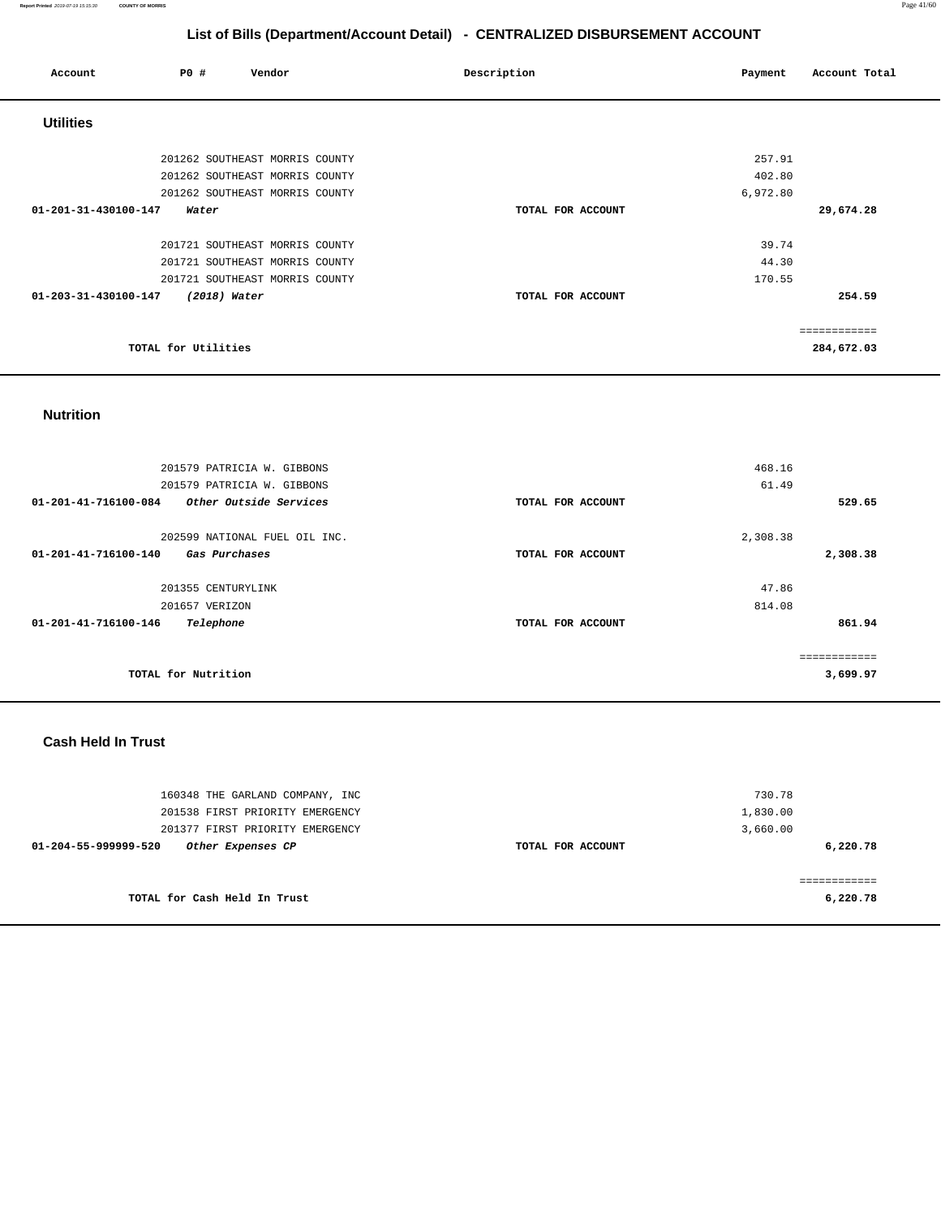**Report Printed** 2019-07-19 15:15:30 **COUNTY OF MORRIS** Page 41/60

# **List of Bills (Department/Account Detail) - CENTRALIZED DISBURSEMENT ACCOUNT**

| Account                        | <b>PO #</b>         | Vendor                         | Description       | Payment  | Account Total |
|--------------------------------|---------------------|--------------------------------|-------------------|----------|---------------|
| <b>Utilities</b>               |                     |                                |                   |          |               |
|                                |                     | 201262 SOUTHEAST MORRIS COUNTY |                   | 257.91   |               |
|                                |                     | 201262 SOUTHEAST MORRIS COUNTY |                   | 402.80   |               |
|                                |                     | 201262 SOUTHEAST MORRIS COUNTY |                   | 6,972.80 |               |
| 01-201-31-430100-147           | Water               |                                | TOTAL FOR ACCOUNT |          | 29,674.28     |
|                                |                     | 201721 SOUTHEAST MORRIS COUNTY |                   | 39.74    |               |
|                                |                     | 201721 SOUTHEAST MORRIS COUNTY |                   | 44.30    |               |
|                                |                     | 201721 SOUTHEAST MORRIS COUNTY |                   | 170.55   |               |
| $01 - 203 - 31 - 430100 - 147$ | (2018) Water        |                                | TOTAL FOR ACCOUNT |          | 254.59        |
|                                |                     |                                |                   |          | ============  |
|                                | TOTAL for Utilities |                                |                   |          | 284,672.03    |

## **Nutrition**

| 201579 PATRICIA W. GIBBONS                     |                   | 468.16   |
|------------------------------------------------|-------------------|----------|
| 201579 PATRICIA W. GIBBONS                     |                   | 61.49    |
| 01-201-41-716100-084<br>Other Outside Services | TOTAL FOR ACCOUNT | 529.65   |
| 202599 NATIONAL FUEL OIL INC.                  |                   | 2,308.38 |
| 01-201-41-716100-140<br>Gas Purchases          | TOTAL FOR ACCOUNT | 2,308.38 |
| 201355 CENTURYLINK                             |                   | 47.86    |
| 201657 VERIZON                                 |                   | 814.08   |
| 01-201-41-716100-146<br>Telephone              | TOTAL FOR ACCOUNT | 861.94   |
|                                                |                   |          |
| TOTAL for Nutrition                            |                   | 3,699.97 |

### **Cash Held In Trust**

| 160348 THE GARLAND COMPANY, INC<br>201538 FIRST PRIORITY EMERGENCY<br>201377 FIRST PRIORITY EMERGENCY |                   | 730.78<br>1,830.00<br>3,660.00 |
|-------------------------------------------------------------------------------------------------------|-------------------|--------------------------------|
| Other Expenses CP<br>01-204-55-999999-520                                                             | TOTAL FOR ACCOUNT | 6,220.78                       |
| TOTAL for Cash Held In Trust                                                                          |                   | 6,220.78                       |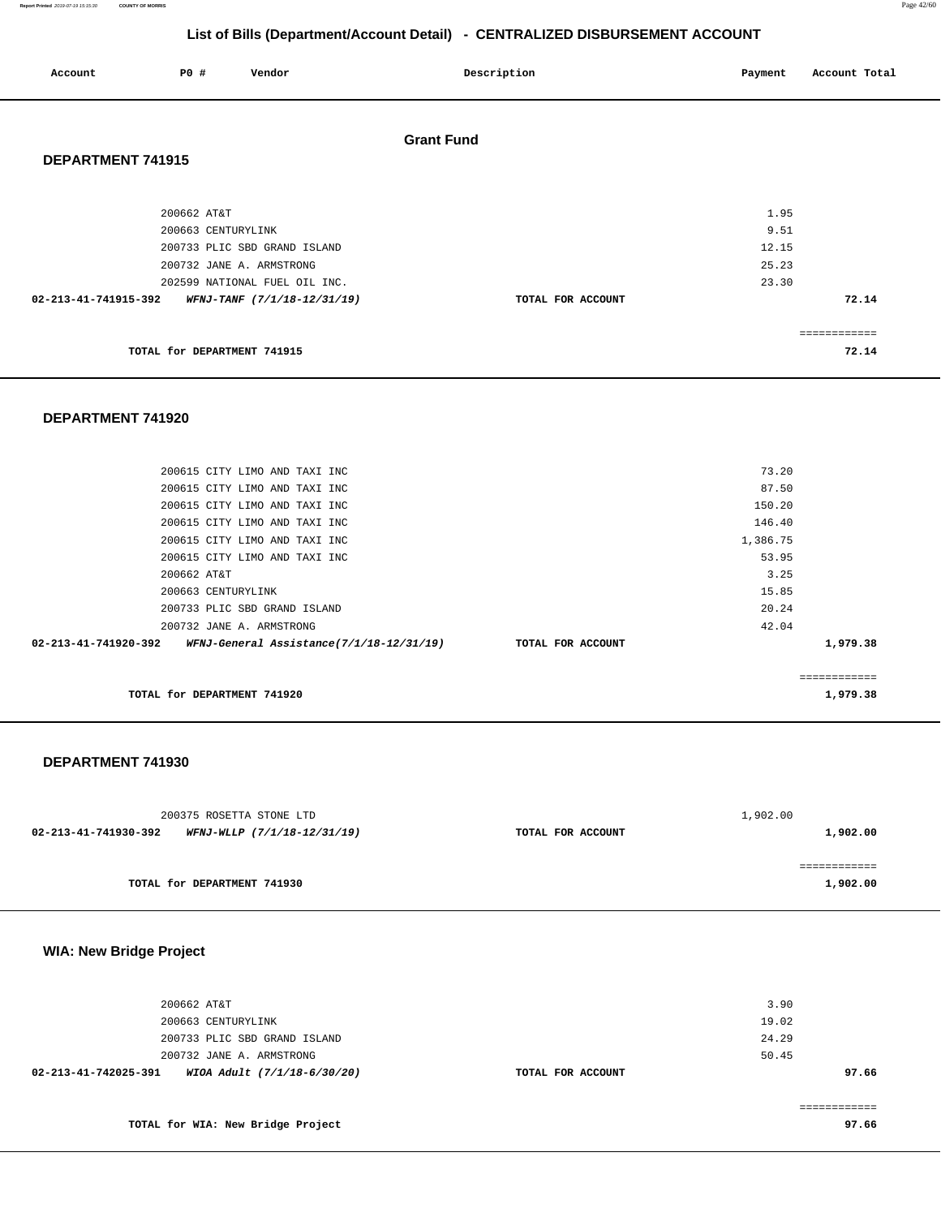**Report Printed** 2019-07-19 15:15:30 **COUNTY OF MORRIS** Page 42/60

# **List of Bills (Department/Account Detail) - CENTRALIZED DISBURSEMENT ACCOUNT**

| Account              | P0 #                              | Vendor                                                                                    | Description       | Payment                 | Account Total         |
|----------------------|-----------------------------------|-------------------------------------------------------------------------------------------|-------------------|-------------------------|-----------------------|
| DEPARTMENT 741915    |                                   |                                                                                           | <b>Grant Fund</b> |                         |                       |
|                      | 200662 AT&T<br>200663 CENTURYLINK |                                                                                           |                   | 1.95<br>9.51            |                       |
|                      |                                   | 200733 PLIC SBD GRAND ISLAND<br>200732 JANE A. ARMSTRONG<br>202599 NATIONAL FUEL OIL INC. |                   | 12.15<br>25.23<br>23.30 |                       |
| 02-213-41-741915-392 |                                   | WFNJ-TANF (7/1/18-12/31/19)                                                               | TOTAL FOR ACCOUNT |                         | 72.14<br>============ |
|                      | TOTAL for DEPARTMENT 741915       |                                                                                           |                   |                         | 72.14                 |

### **DEPARTMENT 741920**

| TOTAL for DEPARTMENT 741920                                                     |          | 1,979.38 |
|---------------------------------------------------------------------------------|----------|----------|
|                                                                                 |          |          |
| 02-213-41-741920-392 WFNJ-General Assistance(7/1/18-12/31/19) TOTAL FOR ACCOUNT |          | 1,979.38 |
| 200732 JANE A. ARMSTRONG                                                        | 42.04    |          |
| 200733 PLIC SBD GRAND ISLAND                                                    | 20.24    |          |
| 200663 CENTURYLINK                                                              | 15.85    |          |
| 200662 AT&T                                                                     | 3.25     |          |
| 200615 CITY LIMO AND TAXI INC                                                   | 53.95    |          |
| 200615 CITY LIMO AND TAXI INC                                                   | 1,386.75 |          |
| 200615 CITY LIMO AND TAXI INC                                                   | 146.40   |          |
| 200615 CITY LIMO AND TAXI INC                                                   | 150.20   |          |
| 200615 CITY LIMO AND TAXI INC                                                   | 87.50    |          |
| 200615 CITY LIMO AND TAXI INC                                                   | 73.20    |          |
|                                                                                 |          |          |

#### **TOTAL for DEPARTMENT 741920**

#### **DEPARTMENT 741930**

| 200375 ROSETTA STONE LTD                            |                   | 1,902.00 |  |
|-----------------------------------------------------|-------------------|----------|--|
| WFNJ-WLLP (7/1/18-12/31/19)<br>02-213-41-741930-392 | TOTAL FOR ACCOUNT | 1,902.00 |  |
|                                                     |                   |          |  |
|                                                     |                   |          |  |
| TOTAL for DEPARTMENT 741930                         |                   | 1,902.00 |  |

# **WIA: New Bridge Project**

| 02-213-41-742025-391<br>WIOA Adult (7/1/18-6/30/20) | TOTAL FOR ACCOUNT | 97.66 |
|-----------------------------------------------------|-------------------|-------|
| 200732 JANE A. ARMSTRONG                            |                   | 50.45 |
| 200733 PLIC SBD GRAND ISLAND                        |                   | 24.29 |
| 200663 CENTURYLINK                                  |                   | 19.02 |
| 200662 AT&T                                         |                   | 3.90  |
|                                                     |                   |       |

**TOTAL for WIA: New Bridge Project 97.66** 

============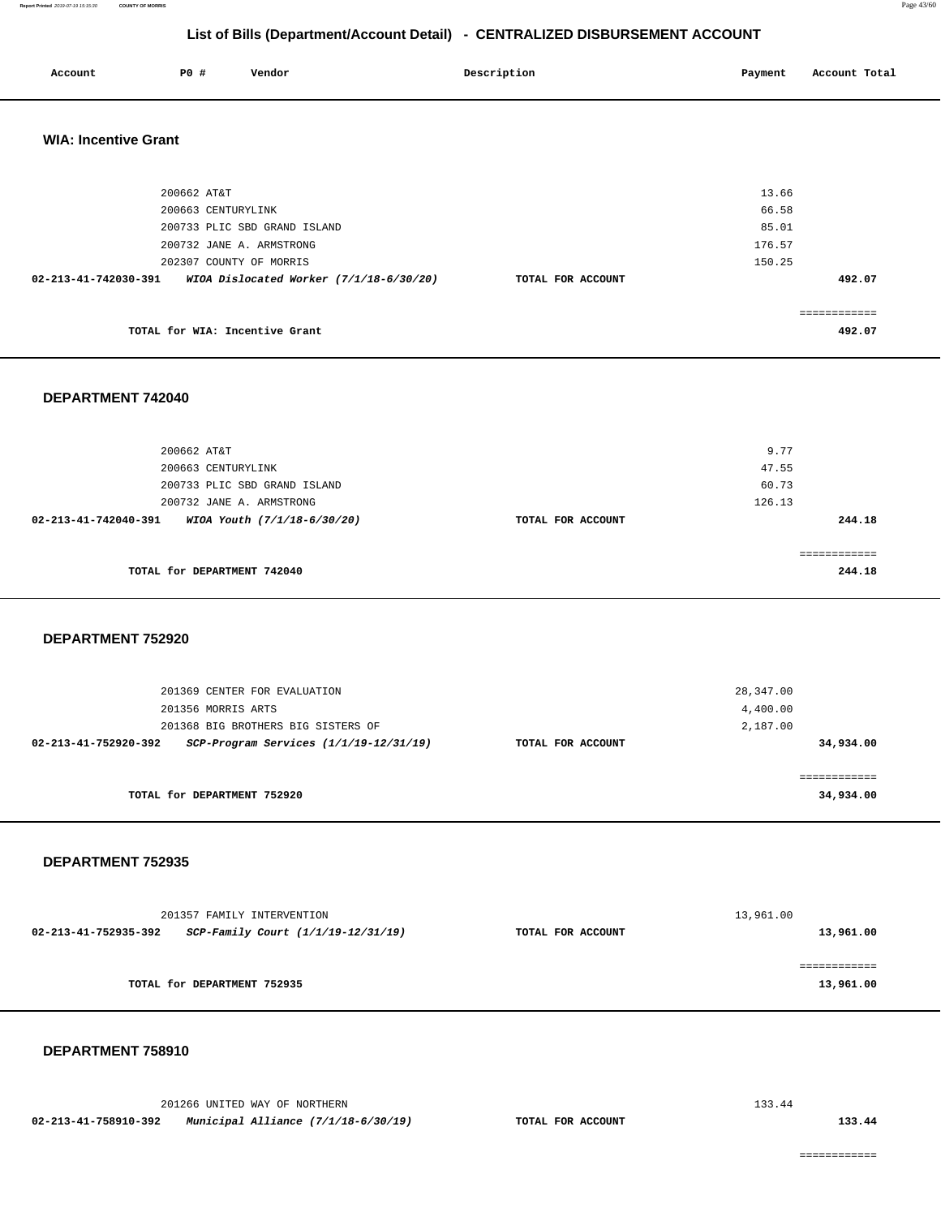**Report Printed** 2019-07-19 15:15:30 **COUNTY OF MORRIS** Page 43/60

# **List of Bills (Department/Account Detail) - CENTRALIZED DISBURSEMENT ACCOUNT**

| Account | P0 # | Vendor | Description | Payment | Account Total |
|---------|------|--------|-------------|---------|---------------|
|         |      |        |             |         |               |

## **WIA: Incentive Grant**

| 200662 AT&T                                                       |                   | 13.66      |
|-------------------------------------------------------------------|-------------------|------------|
| 200663 CENTURYLINK                                                |                   | 66.58      |
| 200733 PLIC SBD GRAND ISLAND                                      |                   | 85.01      |
| 200732 JANE A. ARMSTRONG                                          |                   | 176.57     |
| 202307 COUNTY OF MORRIS                                           |                   | 150.25     |
| WIOA Dislocated Worker $(7/1/18-6/30/20)$<br>02-213-41-742030-391 | TOTAL FOR ACCOUNT | 492.07     |
|                                                                   |                   |            |
|                                                                   |                   | eeeeeeeeee |
| TOTAL for WIA: Incentive Grant                                    |                   | 492.07     |
|                                                                   |                   |            |

## **DEPARTMENT 742040**

| 200662 AT&T                                         |                   | 9.77   |
|-----------------------------------------------------|-------------------|--------|
| 200663 CENTURYLINK                                  |                   | 47.55  |
| 200733 PLIC SBD GRAND ISLAND                        |                   | 60.73  |
| 200732 JANE A. ARMSTRONG                            |                   | 126.13 |
| 02-213-41-742040-391<br>WIOA Youth (7/1/18-6/30/20) | TOTAL FOR ACCOUNT | 244.18 |
|                                                     |                   |        |
|                                                     |                   |        |
| TOTAL for DEPARTMENT 742040                         |                   | 244.18 |
|                                                     |                   |        |

## **DEPARTMENT 752920**

| 201369 CENTER FOR EVALUATION                                       |                   | 28,347.00  |  |
|--------------------------------------------------------------------|-------------------|------------|--|
| 201356 MORRIS ARTS                                                 |                   | 4,400.00   |  |
| 201368 BIG BROTHERS BIG SISTERS OF                                 |                   | 2,187.00   |  |
| $SCP-Program$ Services $(1/1/19-12/31/19)$<br>02-213-41-752920-392 | TOTAL FOR ACCOUNT | 34,934.00  |  |
|                                                                    |                   |            |  |
|                                                                    |                   | ========== |  |
| TOTAL for DEPARTMENT 752920                                        |                   | 34,934.00  |  |

## **DEPARTMENT 752935**

|                      | 201357 FAMILY INTERVENTION         | 13,961.00         |              |  |
|----------------------|------------------------------------|-------------------|--------------|--|
| 02-213-41-752935-392 | SCP-Family Court (1/1/19-12/31/19) | TOTAL FOR ACCOUNT | 13,961.00    |  |
|                      |                                    |                   |              |  |
|                      |                                    |                   | ------------ |  |
|                      | TOTAL for DEPARTMENT 752935        |                   | 13,961.00    |  |
|                      |                                    |                   |              |  |

#### **DEPARTMENT 758910**

|                      | 201266 UNITED WAY OF NORTHERN       |                   | 133.44 |
|----------------------|-------------------------------------|-------------------|--------|
| 02-213-41-758910-392 | Municipal Alliance (7/1/18-6/30/19) | TOTAL FOR ACCOUNT | 133.44 |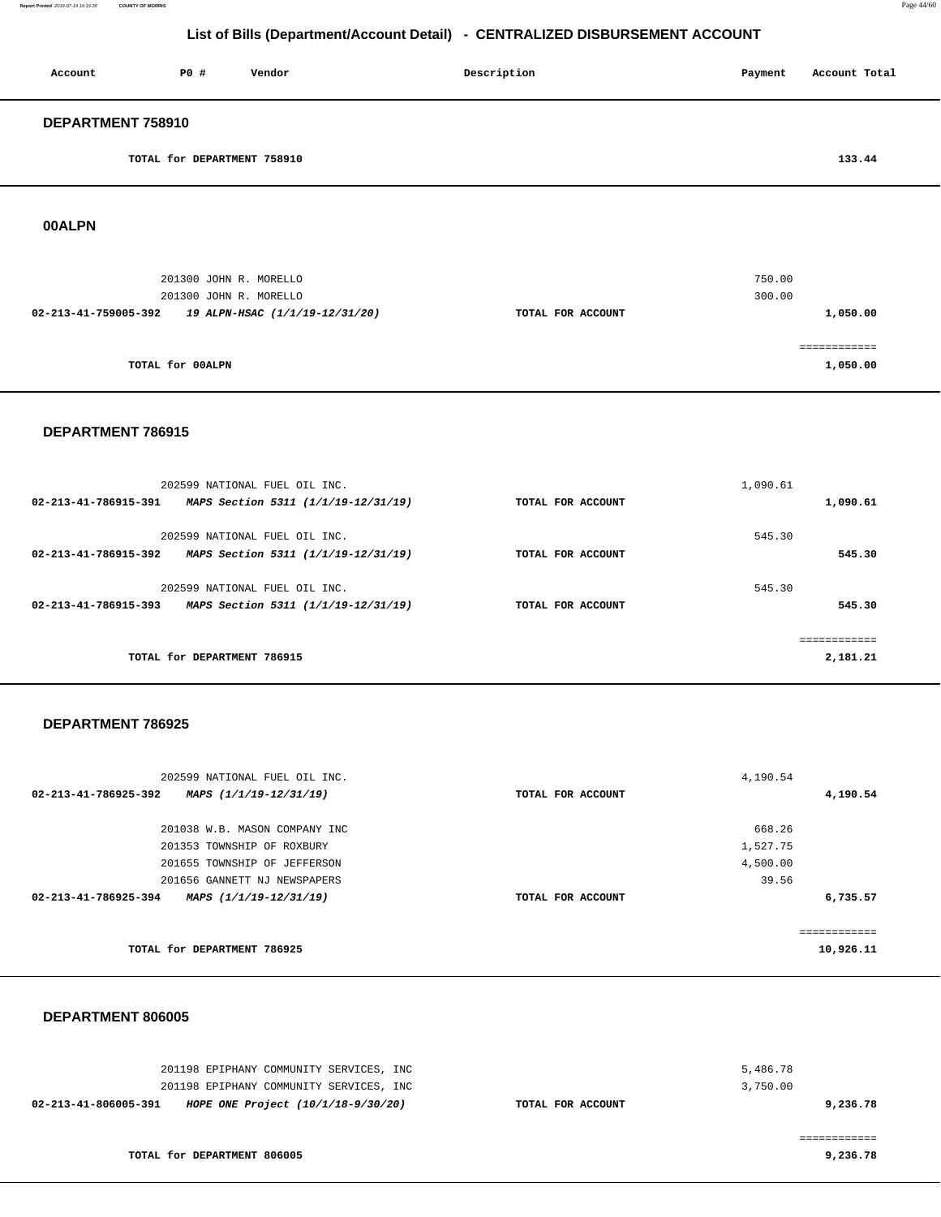| Account           | PO#                         | Vendor | Description | Payment | Account Total |
|-------------------|-----------------------------|--------|-------------|---------|---------------|
| DEPARTMENT 758910 |                             |        |             |         |               |
|                   | TOTAL for DEPARTMENT 758910 |        |             |         | 133.44        |

**00ALPN** 

| 201300 JOHN R. MORELLO<br>201300 JOHN R. MORELLO       |                   | 750.00<br>300.00 |
|--------------------------------------------------------|-------------------|------------------|
| 02-213-41-759005-392<br>19 ALPN-HSAC (1/1/19-12/31/20) | TOTAL FOR ACCOUNT | 1,050.00         |
|                                                        |                   |                  |
| TOTAL for 00ALPN                                       |                   | 1,050.00         |

### **DEPARTMENT 786915**

|                      | 202599 NATIONAL FUEL OIL INC.       |                   | 1,090.61 |          |
|----------------------|-------------------------------------|-------------------|----------|----------|
| 02-213-41-786915-391 | MAPS Section 5311 (1/1/19-12/31/19) | TOTAL FOR ACCOUNT |          | 1,090.61 |
|                      | 202599 NATIONAL FUEL OIL INC.       |                   | 545.30   |          |
| 02-213-41-786915-392 | MAPS Section 5311 (1/1/19-12/31/19) | TOTAL FOR ACCOUNT |          | 545.30   |
|                      | 202599 NATIONAL FUEL OIL INC.       |                   | 545.30   |          |
| 02-213-41-786915-393 | MAPS Section 5311 (1/1/19-12/31/19) | TOTAL FOR ACCOUNT |          | 545.30   |
|                      |                                     |                   |          | .        |
|                      | TOTAL for DEPARTMENT 786915         |                   |          | 2,181.21 |

#### **DEPARTMENT 786925**

| 202599 NATIONAL FUEL OIL INC.                  |                   | 4,190.54     |
|------------------------------------------------|-------------------|--------------|
| 02-213-41-786925-392<br>MAPS (1/1/19-12/31/19) | TOTAL FOR ACCOUNT | 4,190.54     |
|                                                |                   |              |
| 201038 W.B. MASON COMPANY INC                  |                   | 668.26       |
| 201353 TOWNSHIP OF ROXBURY                     |                   | 1,527.75     |
| 201655 TOWNSHIP OF JEFFERSON                   |                   | 4,500.00     |
| 201656 GANNETT NJ NEWSPAPERS                   |                   | 39.56        |
| 02-213-41-786925-394<br>MAPS (1/1/19-12/31/19) | TOTAL FOR ACCOUNT | 6,735.57     |
|                                                |                   | ------------ |
| TOTAL for DEPARTMENT 786925                    |                   | 10,926.11    |

### **DEPARTMENT 806005**

| 201198 EPIPHANY COMMUNITY SERVICES, INC                    |                   | 5,486.78 |
|------------------------------------------------------------|-------------------|----------|
| 201198 EPIPHANY COMMUNITY SERVICES, INC                    |                   | 3,750.00 |
| HOPE ONE Project (10/1/18-9/30/20)<br>02-213-41-806005-391 | TOTAL FOR ACCOUNT | 9,236.78 |
|                                                            |                   |          |
|                                                            |                   |          |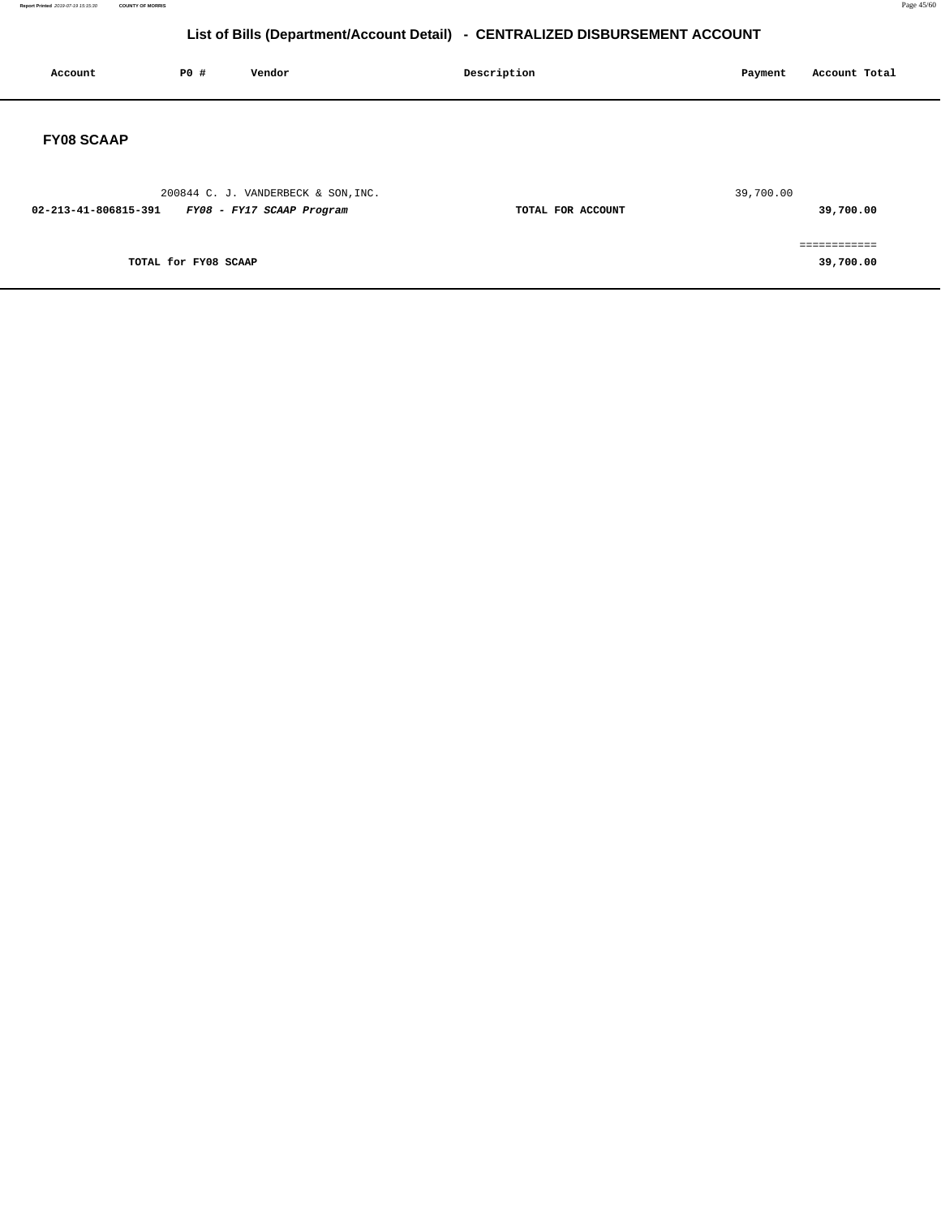**Report Printed** 2019-07-19 15:15:30 **COUNTY OF MORRIS** Page 45/60

| Account              | P0 #                 | Vendor                                                           | Description       | Account Total<br>Payment  |
|----------------------|----------------------|------------------------------------------------------------------|-------------------|---------------------------|
| <b>FY08 SCAAP</b>    |                      |                                                                  |                   |                           |
| 02-213-41-806815-391 |                      | 200844 C. J. VANDERBECK & SON, INC.<br>FY08 - FY17 SCAAP Program | TOTAL FOR ACCOUNT | 39,700.00<br>39,700.00    |
|                      | TOTAL for FY08 SCAAP |                                                                  |                   | ============<br>39,700.00 |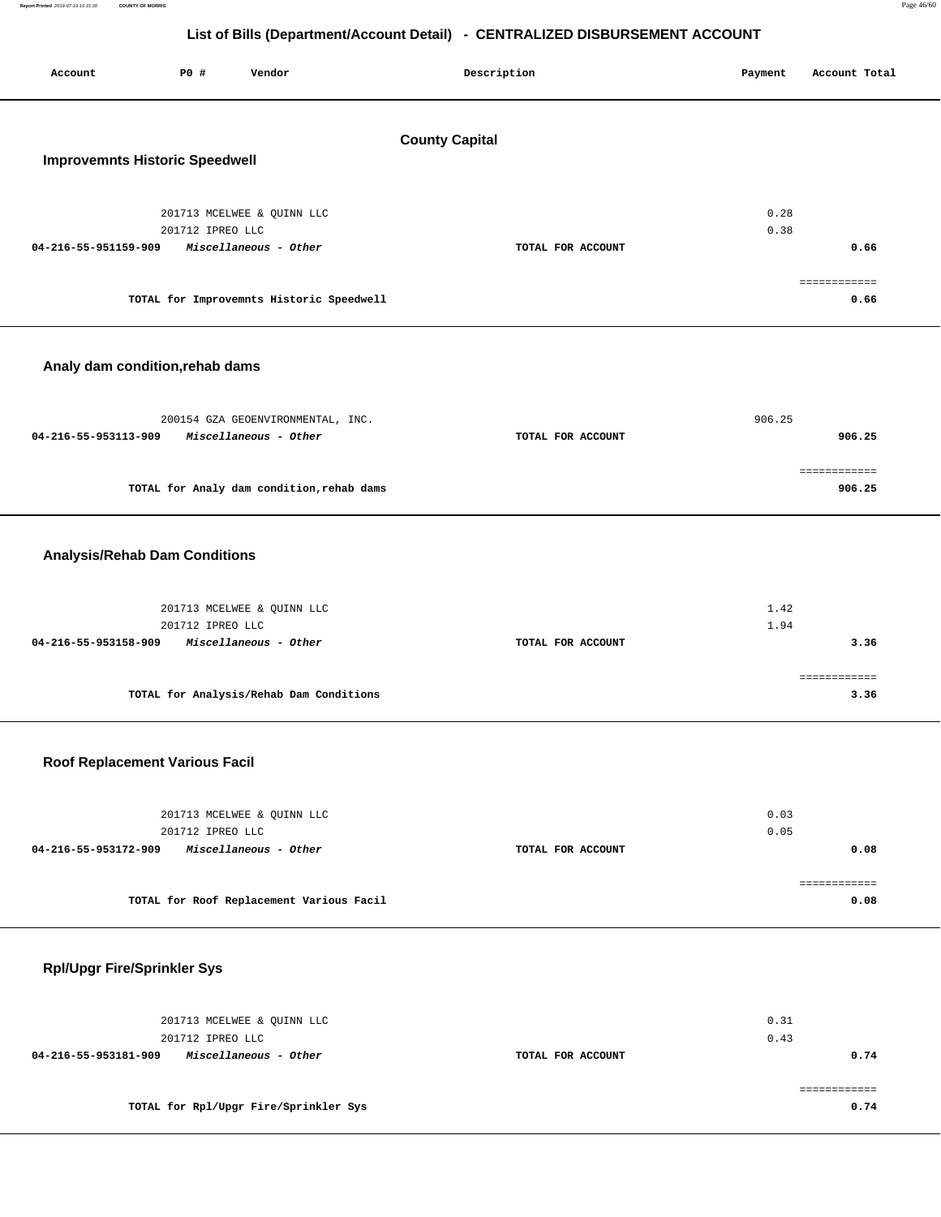| Report Printed 2019-07-19 15:15:30<br><b>COUNTY OF MORRIS</b> |                                                                              | Page 46/6 |
|---------------------------------------------------------------|------------------------------------------------------------------------------|-----------|
|                                                               | List of Bills (Department/Account Detail) - CENTRALIZED DISBURSEMENT ACCOUNT |           |

| PO#<br>Account<br>Vendor                                                                        | Description           | Payment                           | Account Total          |
|-------------------------------------------------------------------------------------------------|-----------------------|-----------------------------------|------------------------|
| <b>Improvemnts Historic Speedwell</b>                                                           | <b>County Capital</b> |                                   |                        |
| 201713 MCELWEE & QUINN LLC<br>201712 IPREO LLC<br>04-216-55-951159-909<br>Miscellaneous - Other |                       | 0.28<br>0.38<br>TOTAL FOR ACCOUNT | 0.66                   |
| TOTAL for Improvemnts Historic Speedwell                                                        |                       |                                   | ============<br>0.66   |
| Analy dam condition, rehab dams                                                                 |                       |                                   |                        |
| 200154 GZA GEOENVIRONMENTAL, INC.<br>04-216-55-953113-909<br>Miscellaneous - Other              |                       | 906.25<br>TOTAL FOR ACCOUNT       | 906.25                 |
| TOTAL for Analy dam condition, rehab dams                                                       |                       |                                   | ============<br>906.25 |
| <b>Analysis/Rehab Dam Conditions</b>                                                            |                       |                                   |                        |
| 201713 MCELWEE & QUINN LLC<br>201712 IPREO LLC<br>04-216-55-953158-909<br>Miscellaneous - Other |                       | 1.42<br>1.94<br>TOTAL FOR ACCOUNT | 3.36                   |
| TOTAL for Analysis/Rehab Dam Conditions                                                         |                       |                                   | ============<br>3.36   |

## **Roof Replacement Various Facil**

| 201713 MCELWEE & QUINN LLC<br>201712 IPREO LLC |                   | 0.03<br>0.05 |
|------------------------------------------------|-------------------|--------------|
| Miscellaneous - Other<br>04-216-55-953172-909  | TOTAL FOR ACCOUNT | 0.08         |
| TOTAL for Roof Replacement Various Facil       |                   | 0.08         |

| <b>Rpl/Upgr Fire/Sprinkler Sys</b> |  |  |  |  |
|------------------------------------|--|--|--|--|
|------------------------------------|--|--|--|--|

| 201713 MCELWEE & QUINN LLC<br>201712 IPREO LLC |                   | 0.31<br>0.43 |
|------------------------------------------------|-------------------|--------------|
| Miscellaneous - Other<br>04-216-55-953181-909  | TOTAL FOR ACCOUNT | 0.74         |
| TOTAL for Rpl/Upgr Fire/Sprinkler Sys          |                   | 0.74         |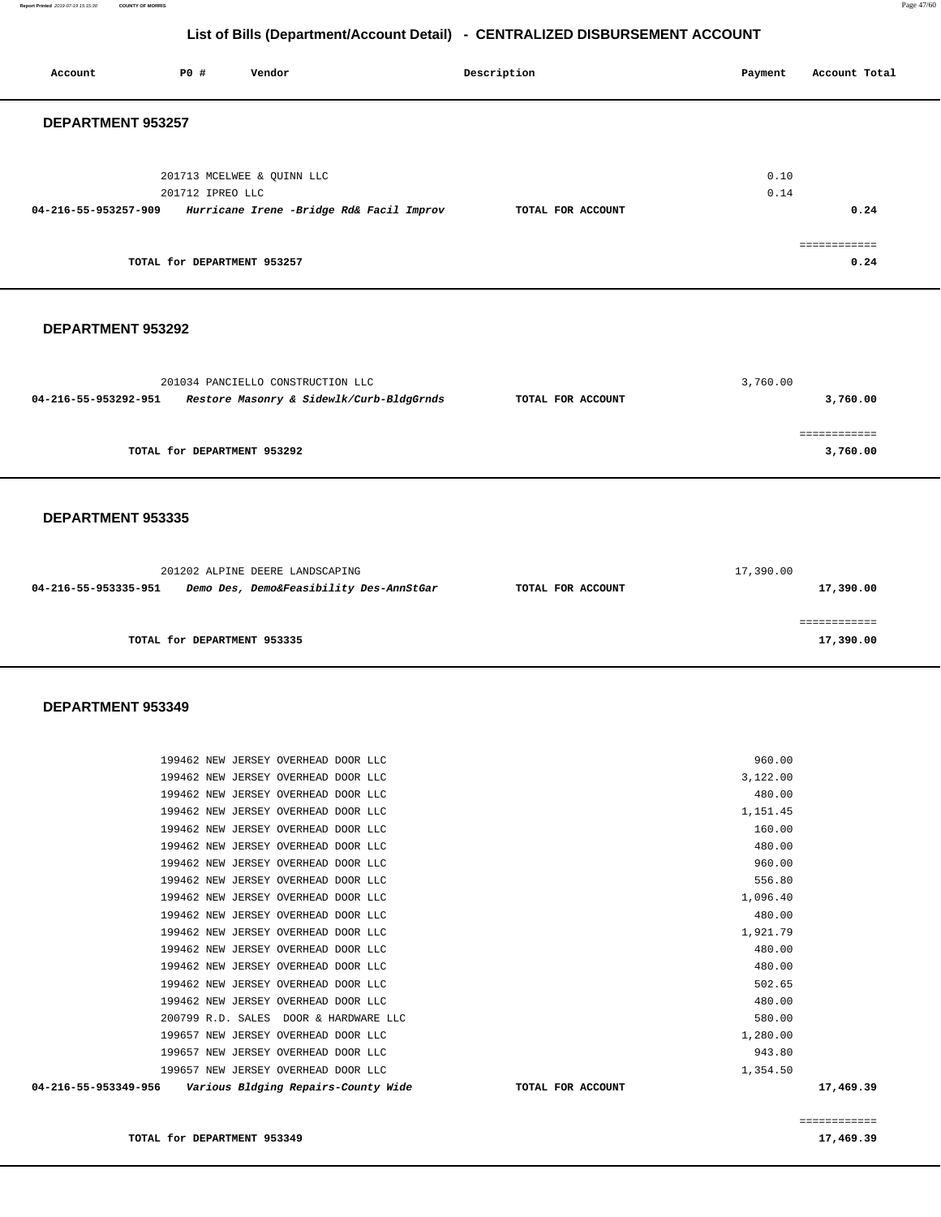**Report Printed** 2019-07-19 15:15:30 **COUNTY OF MORRIS** Page 47/60

## **List of Bills (Department/Account Detail) - CENTRALIZED DISBURSEMENT ACCOUNT**

| PO#                  | Vendor |                                                                               | Description                              | Payment      | Account Total |
|----------------------|--------|-------------------------------------------------------------------------------|------------------------------------------|--------------|---------------|
| DEPARTMENT 953257    |        |                                                                               |                                          |              |               |
|                      |        |                                                                               |                                          | 0.10<br>0.14 |               |
| 04-216-55-953257-909 |        |                                                                               | TOTAL FOR ACCOUNT                        |              | 0.24          |
|                      |        |                                                                               |                                          |              | essessessess  |
|                      |        |                                                                               |                                          |              | 0.24          |
|                      |        | 201713 MCELWEE & QUINN LLC<br>201712 IPREO LLC<br>TOTAL for DEPARTMENT 953257 | Hurricane Irene -Bridge Rd& Facil Improv |              |               |

### **DEPARTMENT 953292**

| 201034 PANCIELLO CONSTRUCTION LLC                                |                   | 3,760.00 |
|------------------------------------------------------------------|-------------------|----------|
| Restore Masonry & Sidewlk/Curb-BldgGrnds<br>04-216-55-953292-951 | TOTAL FOR ACCOUNT | 3,760.00 |
|                                                                  |                   |          |
|                                                                  |                   |          |
| TOTAL for DEPARTMENT 953292                                      |                   | 3,760.00 |

#### **DEPARTMENT 953335**

|                      | 201202 ALPINE DEERE LANDSCAPING         |                   | 17,390.00 |
|----------------------|-----------------------------------------|-------------------|-----------|
| 04-216-55-953335-951 | Demo Des, Demo&Feasibility Des-AnnStGar | TOTAL FOR ACCOUNT | 17,390.00 |
|                      |                                         |                   |           |
|                      |                                         |                   |           |
|                      | TOTAL for DEPARTMENT 953335             |                   | 17,390.00 |

#### **DEPARTMENT 953349**

| 04-216-55-953349-956 | Various Bldging Repairs-County Wide   | TOTAL FOR ACCOUNT | 17,469.39 |
|----------------------|---------------------------------------|-------------------|-----------|
|                      | 199657 NEW JERSEY OVERHEAD DOOR LLC   | 1,354.50          |           |
|                      | 199657 NEW JERSEY OVERHEAD DOOR LLC   | 943.80            |           |
|                      | 199657 NEW JERSEY OVERHEAD DOOR LLC   | 1,280.00          |           |
|                      | 200799 R.D. SALES DOOR & HARDWARE LLC | 580.00            |           |
|                      | 199462 NEW JERSEY OVERHEAD DOOR LLC   | 480.00            |           |
|                      | 199462 NEW JERSEY OVERHEAD DOOR LLC   | 502.65            |           |
|                      | 199462 NEW JERSEY OVERHEAD DOOR LLC   | 480.00            |           |
|                      | 199462 NEW JERSEY OVERHEAD DOOR LLC   | 480.00            |           |
|                      | 199462 NEW JERSEY OVERHEAD DOOR LLC   | 1,921.79          |           |
|                      | 199462 NEW JERSEY OVERHEAD DOOR LLC   | 480.00            |           |
|                      | 199462 NEW JERSEY OVERHEAD DOOR LLC   | 1,096.40          |           |
|                      | 199462 NEW JERSEY OVERHEAD DOOR LLC   | 556.80            |           |
|                      | 199462 NEW JERSEY OVERHEAD DOOR LLC   | 960.00            |           |
|                      | 199462 NEW JERSEY OVERHEAD DOOR LLC   | 480.00            |           |
|                      | 199462 NEW JERSEY OVERHEAD DOOR LLC   | 160.00            |           |
|                      | 199462 NEW JERSEY OVERHEAD DOOR LLC   | 1,151.45          |           |
|                      | 199462 NEW JERSEY OVERHEAD DOOR LLC   | 480.00            |           |
|                      | 199462 NEW JERSEY OVERHEAD DOOR LLC   | 3,122.00          |           |
|                      | 199462 NEW JERSEY OVERHEAD DOOR LLC   | 960.00            |           |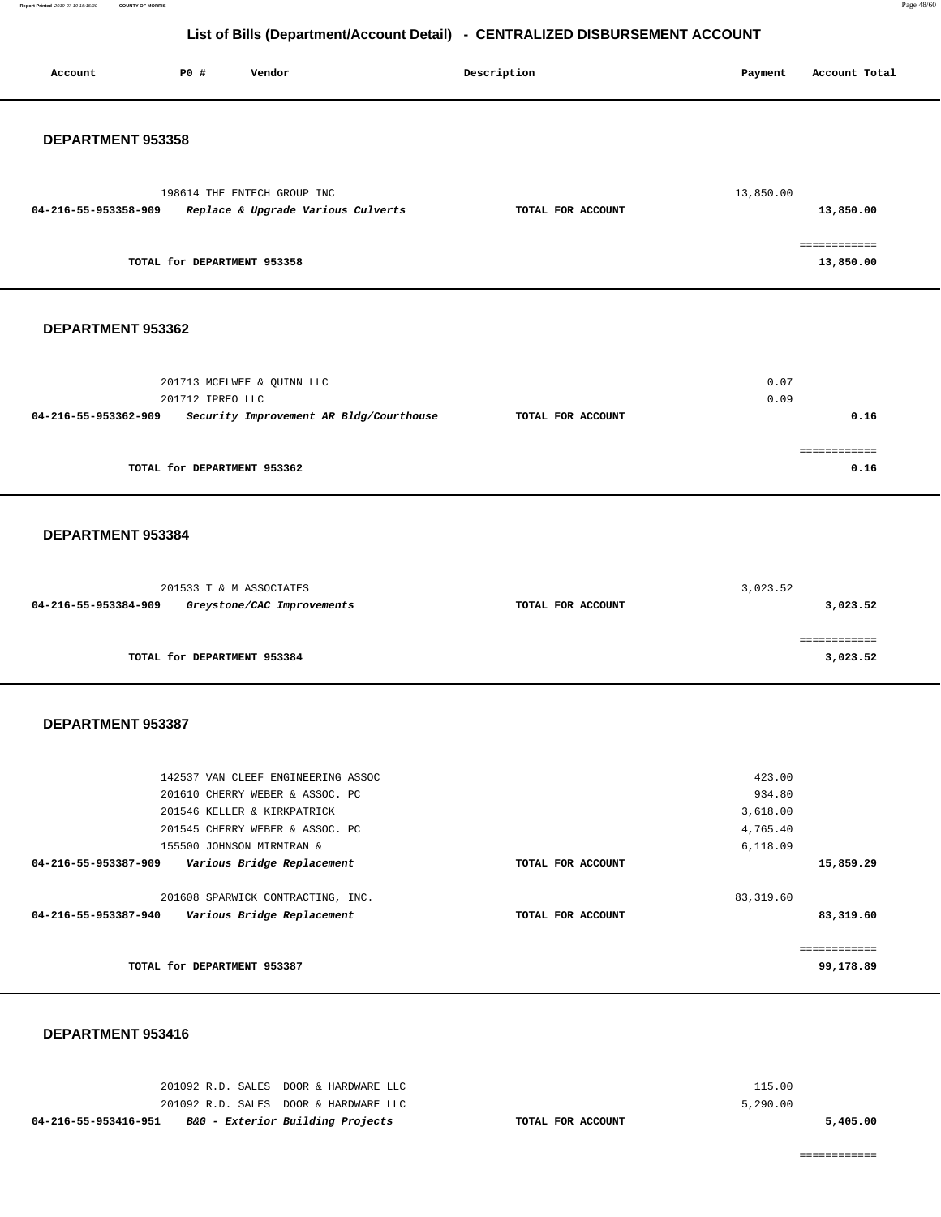**Report Printed** 2019-07-19 15:15:30 **COUNTY OF MORRIS** Page 48/60

# **List of Bills (Department/Account Detail) - CENTRALIZED DISBURSEMENT ACCOUNT**

| PO#<br>Vendor<br>Account                                                                       | Description       | Payment          | Account Total                        |
|------------------------------------------------------------------------------------------------|-------------------|------------------|--------------------------------------|
| DEPARTMENT 953358                                                                              |                   |                  |                                      |
| 198614 THE ENTECH GROUP INC<br>04-216-55-953358-909<br>Replace & Upgrade Various Culverts      | TOTAL FOR ACCOUNT | 13,850.00        | 13,850.00                            |
| TOTAL for DEPARTMENT 953358                                                                    |                   |                  | ============<br>13,850.00            |
| DEPARTMENT 953362                                                                              |                   |                  |                                      |
| 201713 MCELWEE & QUINN LLC<br>201712 IPREO LLC                                                 |                   | 0.07<br>0.09     |                                      |
| 04-216-55-953362-909<br>Security Improvement AR Bldg/Courthouse<br>TOTAL for DEPARTMENT 953362 | TOTAL FOR ACCOUNT |                  | 0.16<br>0.16                         |
| DEPARTMENT 953384                                                                              |                   |                  |                                      |
| 201533 T & M ASSOCIATES                                                                        |                   | 3,023.52         |                                      |
| 04-216-55-953384-909<br>Greystone/CAC Improvements<br>TOTAL for DEPARTMENT 953384              | TOTAL FOR ACCOUNT |                  | 3,023.52<br>============<br>3,023.52 |
|                                                                                                |                   |                  |                                      |
| DEPARTMENT 953387                                                                              |                   |                  |                                      |
| 142537 VAN CLEEF ENGINEERING ASSOC<br>201610 CHERRY WEBER & ASSOC. PC                          |                   | 423.00<br>934.80 |                                      |
| 201546 KELLER & KIRKPATRICK                                                                    |                   | 3,618.00         |                                      |
| 201545 CHERRY WEBER & ASSOC. PC                                                                |                   | 4,765.40         |                                      |
| 155500 JOHNSON MIRMIRAN &<br>04-216-55-953387-909<br>Various Bridge Replacement                | TOTAL FOR ACCOUNT | 6,118.09         | 15,859.29                            |
|                                                                                                |                   |                  |                                      |
| 201608 SPARWICK CONTRACTING, INC.<br>04-216-55-953387-940<br>Various Bridge Replacement        | TOTAL FOR ACCOUNT | 83, 319.60       | 83,319.60                            |
| TOTAL for DEPARTMENT 953387                                                                    |                   |                  | 99,178.89                            |

**DEPARTMENT 953416** 

| 04-216-55-953416-951 | <i>B&amp;G - Exterior Building Projects</i> | TOTAL FOR ACCOUNT |          | 5,405.00 |
|----------------------|---------------------------------------------|-------------------|----------|----------|
|                      | 201092 R.D. SALES DOOR & HARDWARE LLC       |                   | 5.290.00 |          |
|                      | 201092 R.D. SALES DOOR & HARDWARE LLC       |                   | 115.00   |          |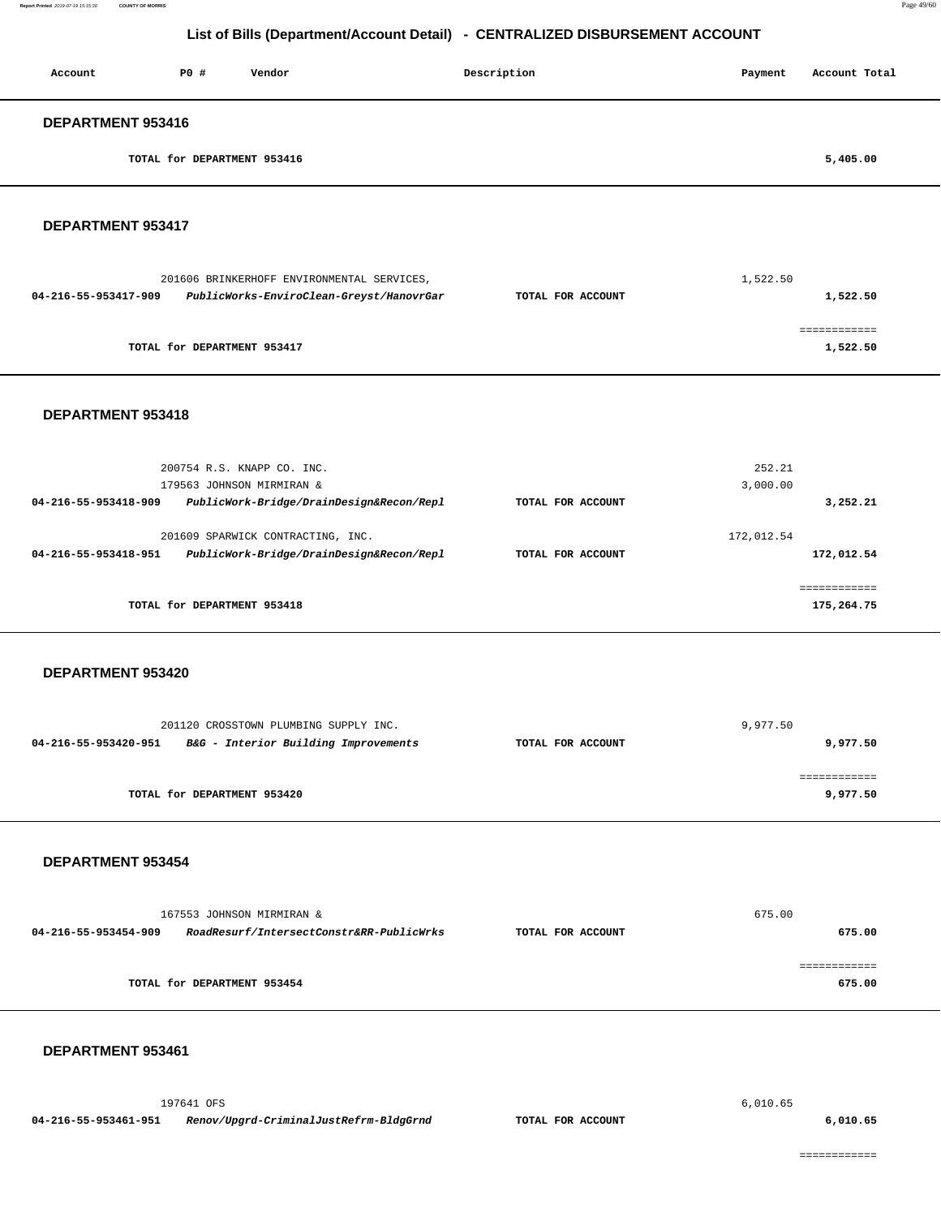| Account           | PO#                         | Vendor | Description | Payment | Account Total |
|-------------------|-----------------------------|--------|-------------|---------|---------------|
| DEPARTMENT 953416 |                             |        |             |         |               |
|                   | TOTAL for DEPARTMENT 953416 |        |             |         | 5,405.00      |
|                   |                             |        |             |         |               |

#### **DEPARTMENT 953417**

| 201606 BRINKERHOFF ENVIRONMENTAL SERVICES, |                                          |                   | 1,522.50 |
|--------------------------------------------|------------------------------------------|-------------------|----------|
| 04-216-55-953417-909                       | PublicWorks-EnviroClean-Greyst/HanovrGar | TOTAL FOR ACCOUNT | 1,522.50 |
|                                            |                                          |                   |          |
|                                            |                                          |                   |          |
|                                            | TOTAL for DEPARTMENT 953417              |                   | 1,522.50 |
|                                            |                                          |                   |          |

## **DEPARTMENT 953418**

| 200754 R.S. KNAPP CO. INC.<br>179563 JOHNSON MIRMIRAN &                                               |                   | 252.21<br>3,000.00        |
|-------------------------------------------------------------------------------------------------------|-------------------|---------------------------|
| PublicWork-Bridge/DrainDesign&Recon/Repl<br>04-216-55-953418-909                                      | TOTAL FOR ACCOUNT | 3,252.21                  |
| 201609 SPARWICK CONTRACTING, INC.<br>PublicWork-Bridge/DrainDesign&Recon/Repl<br>04-216-55-953418-951 | TOTAL FOR ACCOUNT | 172,012.54<br>172,012.54  |
| TOTAL for DEPARTMENT 953418                                                                           |                   | .==========<br>175,264.75 |

#### **DEPARTMENT 953420**

| 201120 CROSSTOWN PLUMBING SUPPLY INC.                        |                   | 9,977.50 |
|--------------------------------------------------------------|-------------------|----------|
| B&G - Interior Building Improvements<br>04-216-55-953420-951 | TOTAL FOR ACCOUNT | 9,977.50 |
|                                                              |                   |          |
|                                                              |                   |          |
| TOTAL for DEPARTMENT 953420                                  |                   | 9,977.50 |

### **DEPARTMENT 953454**

|                      | 167553 JOHNSON MIRMIRAN &                |                   | 675.00 |
|----------------------|------------------------------------------|-------------------|--------|
| 04-216-55-953454-909 | RoadResurf/IntersectConstr&RR-PublicWrks | TOTAL FOR ACCOUNT | 675.00 |
|                      |                                          |                   |        |
|                      |                                          |                   |        |
|                      | TOTAL for DEPARTMENT 953454              |                   | 675.00 |

#### **DEPARTMENT 953461**

 197641 OFS 6,010.65  **04-216-55-953461-951 Renov/Upgrd-CriminalJustRefrm-BldgGrnd TOTAL FOR ACCOUNT 6,010.65**

============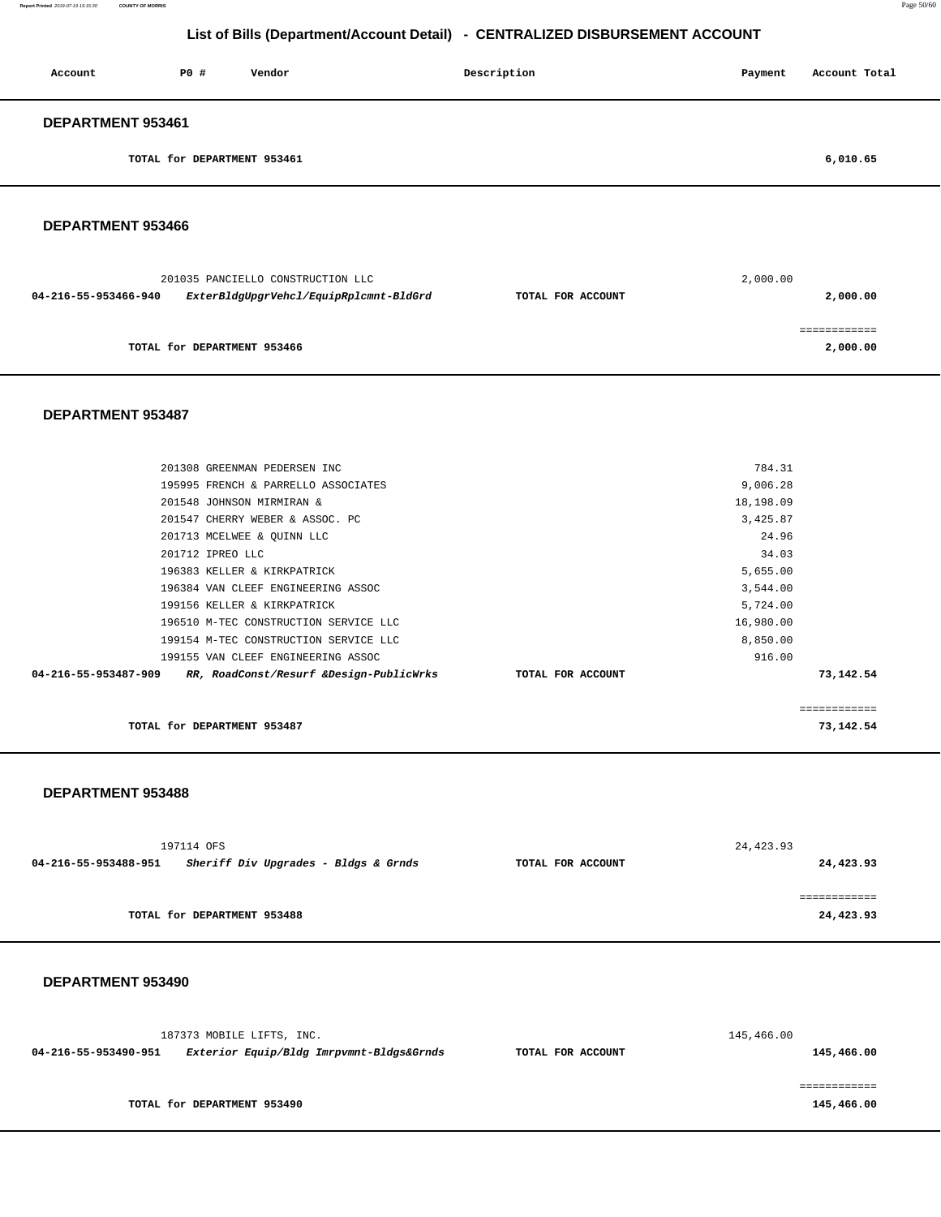| Account           | PO#                         | Vendor | Description | Payment | Account Total |
|-------------------|-----------------------------|--------|-------------|---------|---------------|
| DEPARTMENT 953461 |                             |        |             |         |               |
|                   | TOTAL for DEPARTMENT 953461 |        |             |         | 6,010.65      |

## **DEPARTMENT 953466**

|                      | 201035 PANCIELLO CONSTRUCTION LLC      |                   | 2,000.00 |
|----------------------|----------------------------------------|-------------------|----------|
| 04-216-55-953466-940 | ExterBldgUpgrVehcl/EquipRplcmnt-BldGrd | TOTAL FOR ACCOUNT | 2,000.00 |
|                      | TOTAL for DEPARTMENT 953466            |                   | 2,000.00 |

## **DEPARTMENT 953487**

| TOTAL for DEPARTMENT 953487                                     |                   |           | 73,142.54    |
|-----------------------------------------------------------------|-------------------|-----------|--------------|
|                                                                 |                   |           | ============ |
| RR, RoadConst/Resurf &Design-PublicWrks<br>04-216-55-953487-909 | TOTAL FOR ACCOUNT |           | 73,142.54    |
| 199155 VAN CLEEF ENGINEERING ASSOC                              |                   | 916.00    |              |
| 199154 M-TEC CONSTRUCTION SERVICE LLC                           |                   | 8,850.00  |              |
| 196510 M-TEC CONSTRUCTION SERVICE LLC                           |                   | 16,980.00 |              |
| 199156 KELLER & KIRKPATRICK                                     |                   | 5,724.00  |              |
| 196384 VAN CLEEF ENGINEERING ASSOC                              |                   | 3,544.00  |              |
| 196383 KELLER & KIRKPATRICK                                     |                   | 5,655.00  |              |
| 201712 IPREO LLC                                                |                   | 34.03     |              |
| 201713 MCELWEE & QUINN LLC                                      |                   | 24.96     |              |
| 201547 CHERRY WEBER & ASSOC. PC                                 |                   | 3,425.87  |              |
| 201548 JOHNSON MIRMIRAN &                                       |                   | 18,198.09 |              |
| 195995 FRENCH & PARRELLO ASSOCIATES                             |                   | 9,006.28  |              |
| 201308 GREENMAN PEDERSEN INC                                    |                   | 784.31    |              |
|                                                                 |                   |           |              |

#### **DEPARTMENT 953488**

|                                                              | 197114 OFS                  |                   | 24,423.93 |
|--------------------------------------------------------------|-----------------------------|-------------------|-----------|
| Sheriff Div Upgrades - Bldgs & Grnds<br>04-216-55-953488-951 |                             | TOTAL FOR ACCOUNT | 24,423.93 |
|                                                              |                             |                   |           |
|                                                              |                             |                   |           |
|                                                              | TOTAL for DEPARTMENT 953488 |                   | 24,423.93 |
|                                                              |                             |                   |           |

## **DEPARTMENT 953490**

|                      | 187373 MOBILE LIFTS, INC.                |                   | 145,466.00 |
|----------------------|------------------------------------------|-------------------|------------|
| 04-216-55-953490-951 | Exterior Equip/Bldg Imrpvmnt-Bldgs&Grnds | TOTAL FOR ACCOUNT | 145,466.00 |
|                      |                                          |                   |            |
|                      |                                          |                   |            |
|                      | TOTAL for DEPARTMENT 953490              |                   | 145,466.00 |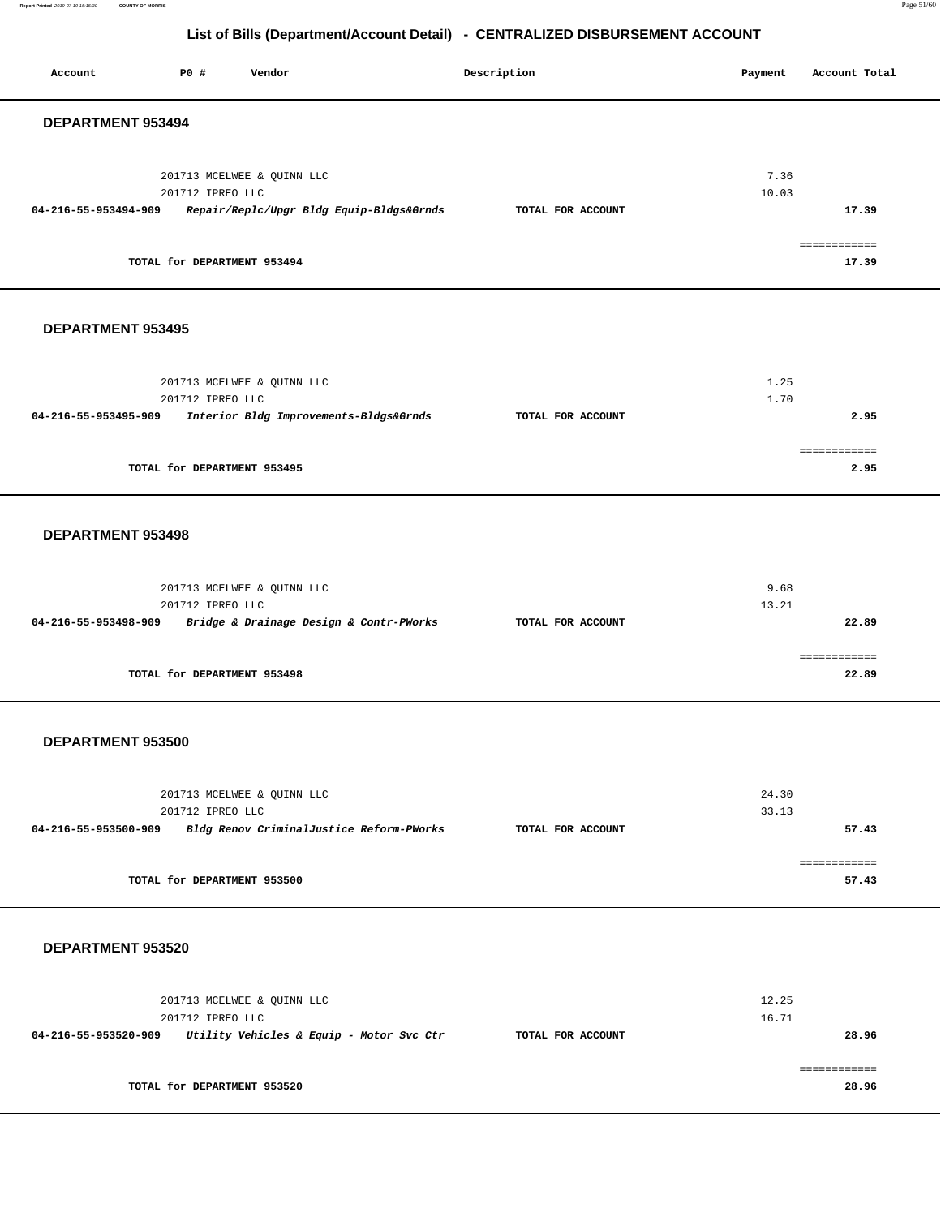**Report Printed** 2019-07-19 15:15:30 **COUNTY OF MORRIS** Page 51/60

## **List of Bills (Department/Account Detail) - CENTRALIZED DISBURSEMENT ACCOUNT**

Account **PO #** Vendor **Description Description Payment** Account Total **Payment** 

| DEPARTMENT 953494                                                                                               |                   |                                      |
|-----------------------------------------------------------------------------------------------------------------|-------------------|--------------------------------------|
| 201713 MCELWEE & QUINN LLC<br>201712 IPREO LLC<br>04-216-55-953494-909 Repair/Replc/Upgr Bldg Equip-Bldgs&Grnds | TOTAL FOR ACCOUNT | 7.36<br>10.03<br>17.39               |
| TOTAL for DEPARTMENT 953494                                                                                     |                   | ============<br>17.39                |
| DEPARTMENT 953495                                                                                               |                   |                                      |
| 201713 MCELWEE & QUINN LLC<br>201712 IPREO LLC<br>04-216-55-953495-909 Interior Bldg Improvements-Bldgs&Grnds   | TOTAL FOR ACCOUNT | 1.25<br>1.70<br>2.95<br>============ |
| TOTAL for DEPARTMENT 953495                                                                                     |                   | 2.95                                 |
| DEPARTMENT 953498                                                                                               |                   |                                      |
| 201713 MCELWEE & QUINN LLC<br>201712 IPREO LLC<br>04-216-55-953498-909 Bridge & Drainage Design & Contr-PWorks  | TOTAL FOR ACCOUNT | 9.68<br>13.21<br>22.89               |
| TOTAL for DEPARTMENT 953498                                                                                     |                   | ============<br>22.89                |
| DEPARTMENT 953500                                                                                               |                   |                                      |
| 201713 MCELWEE & QUINN LLC<br>201712 IPREO LLC<br>04-216-55-953500-909 Bldg Renov CriminalJustice Reform-PWorks | TOTAL FOR ACCOUNT | 24.30<br>33.13<br>57.43              |
| TOTAL for DEPARTMENT 953500                                                                                     |                   | ============<br>57.43                |
| DEPARTMENT 953520                                                                                               |                   |                                      |
| 201713 MCELWEE & QUINN LLC<br>201712 IPREO LLC<br>04-216-55-953520-909 Utility Vehicles & Equip - Motor Svc Ctr | TOTAL FOR ACCOUNT | 12.25<br>16.71<br>28.96              |
| TOTAL for DEPARTMENT 953520                                                                                     |                   | ============<br>28.96                |
|                                                                                                                 |                   |                                      |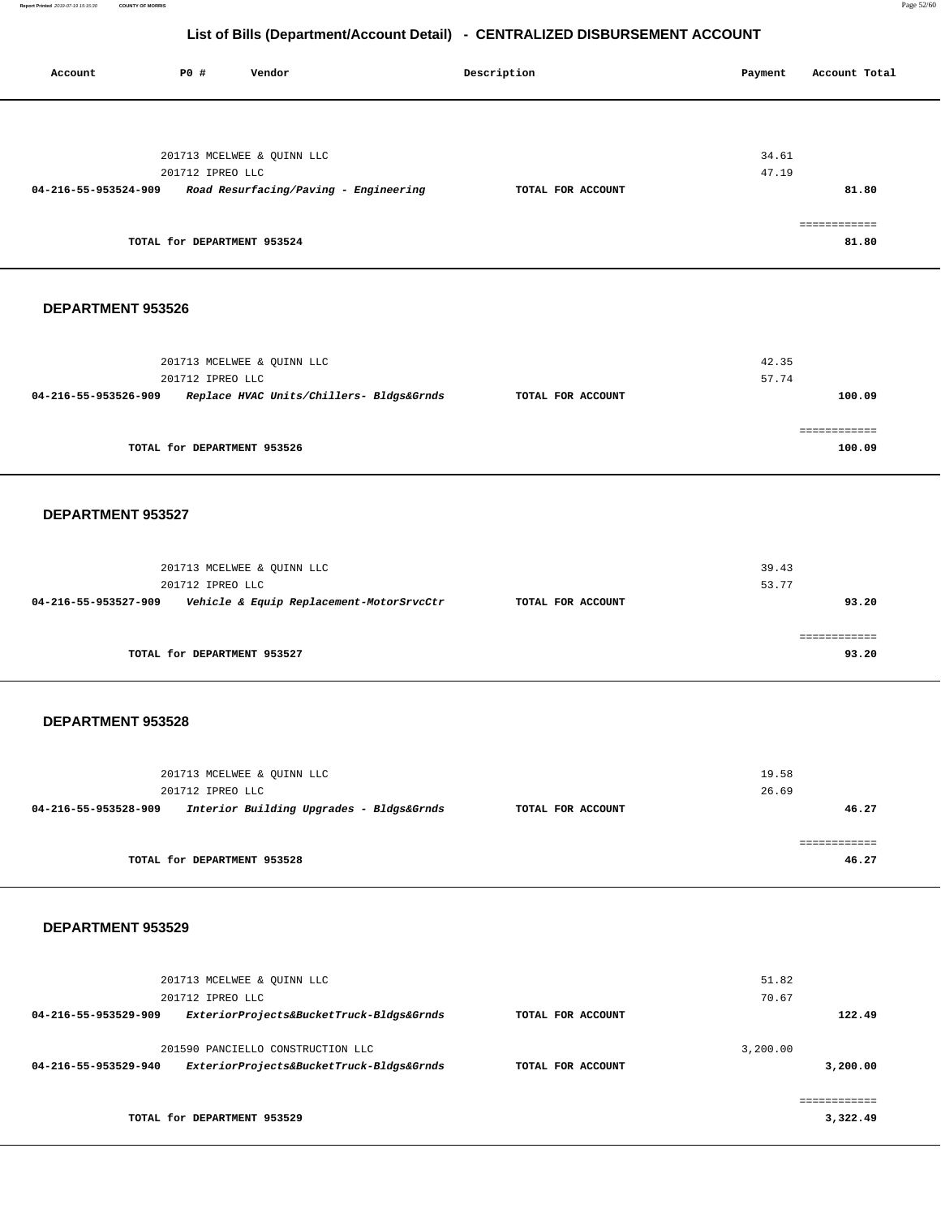**Report Printed** 2019-07-19 15:15:30 **COUNTY OF MORRIS** Page 52/60

## **List of Bills (Department/Account Detail) - CENTRALIZED DISBURSEMENT ACCOUNT**

Account **PO #** Vendor **Payment** Payment **Payment** Account Total

|                      | 201713 MCELWEE & QUINN LLC                                       |                   | 34.61    |                          |
|----------------------|------------------------------------------------------------------|-------------------|----------|--------------------------|
|                      | 201712 IPREO LLC                                                 |                   | 47.19    |                          |
| 04-216-55-953524-909 | Road Resurfacing/Paving - Engineering                            | TOTAL FOR ACCOUNT |          | 81.80                    |
|                      |                                                                  |                   |          |                          |
|                      |                                                                  |                   |          | ============             |
|                      | TOTAL for DEPARTMENT 953524                                      |                   |          | 81.80                    |
| DEPARTMENT 953526    |                                                                  |                   |          |                          |
|                      |                                                                  |                   |          |                          |
|                      | 201713 MCELWEE & QUINN LLC                                       |                   | 42.35    |                          |
|                      | 201712 IPREO LLC                                                 |                   | 57.74    |                          |
| 04-216-55-953526-909 | Replace HVAC Units/Chillers- Bldgs&Grnds                         | TOTAL FOR ACCOUNT |          | 100.09                   |
|                      |                                                                  |                   |          |                          |
|                      |                                                                  |                   |          | ============             |
|                      | TOTAL for DEPARTMENT 953526                                      |                   |          | 100.09                   |
|                      |                                                                  |                   |          |                          |
| DEPARTMENT 953527    |                                                                  |                   |          |                          |
|                      |                                                                  |                   |          |                          |
|                      | 201713 MCELWEE & QUINN LLC                                       |                   | 39.43    |                          |
|                      | 201712 IPREO LLC                                                 |                   | 53.77    |                          |
|                      | 04-216-55-953527-909    Vehicle & Equip Replacement-MotorSrvcCtr | TOTAL FOR ACCOUNT |          | 93.20                    |
|                      |                                                                  |                   |          |                          |
|                      |                                                                  |                   |          | ============             |
|                      | TOTAL for DEPARTMENT 953527                                      |                   |          | 93.20                    |
|                      |                                                                  |                   |          |                          |
| DEPARTMENT 953528    |                                                                  |                   |          |                          |
|                      |                                                                  |                   |          |                          |
|                      | 201713 MCELWEE & QUINN LLC                                       |                   | 19.58    |                          |
|                      | 201712 IPREO LLC                                                 |                   | 26.69    |                          |
| 04-216-55-953528-909 | Interior Building Upgrades - Bldgs&Grnds                         | TOTAL FOR ACCOUNT |          | 46.27                    |
|                      |                                                                  |                   |          | ============             |
|                      | TOTAL for DEPARTMENT 953528                                      |                   |          | 46.27                    |
|                      |                                                                  |                   |          |                          |
| DEPARTMENT 953529    |                                                                  |                   |          |                          |
|                      |                                                                  |                   |          |                          |
|                      | 201713 MCELWEE & QUINN LLC                                       |                   | 51.82    |                          |
|                      | 201712 IPREO LLC                                                 |                   | 70.67    |                          |
| 04-216-55-953529-909 | ExteriorProjects&BucketTruck-Bldgs&Grnds                         | TOTAL FOR ACCOUNT |          | 122.49                   |
|                      | 201590 PANCIELLO CONSTRUCTION LLC                                |                   | 3,200.00 |                          |
| 04-216-55-953529-940 | ExteriorProjects&BucketTruck-Bldgs&Grnds                         | TOTAL FOR ACCOUNT |          | 3,200.00                 |
|                      |                                                                  |                   |          |                          |
|                      | TOTAL for DEPARTMENT 953529                                      |                   |          | ============<br>3,322.49 |
|                      |                                                                  |                   |          |                          |
|                      |                                                                  |                   |          |                          |
|                      |                                                                  |                   |          |                          |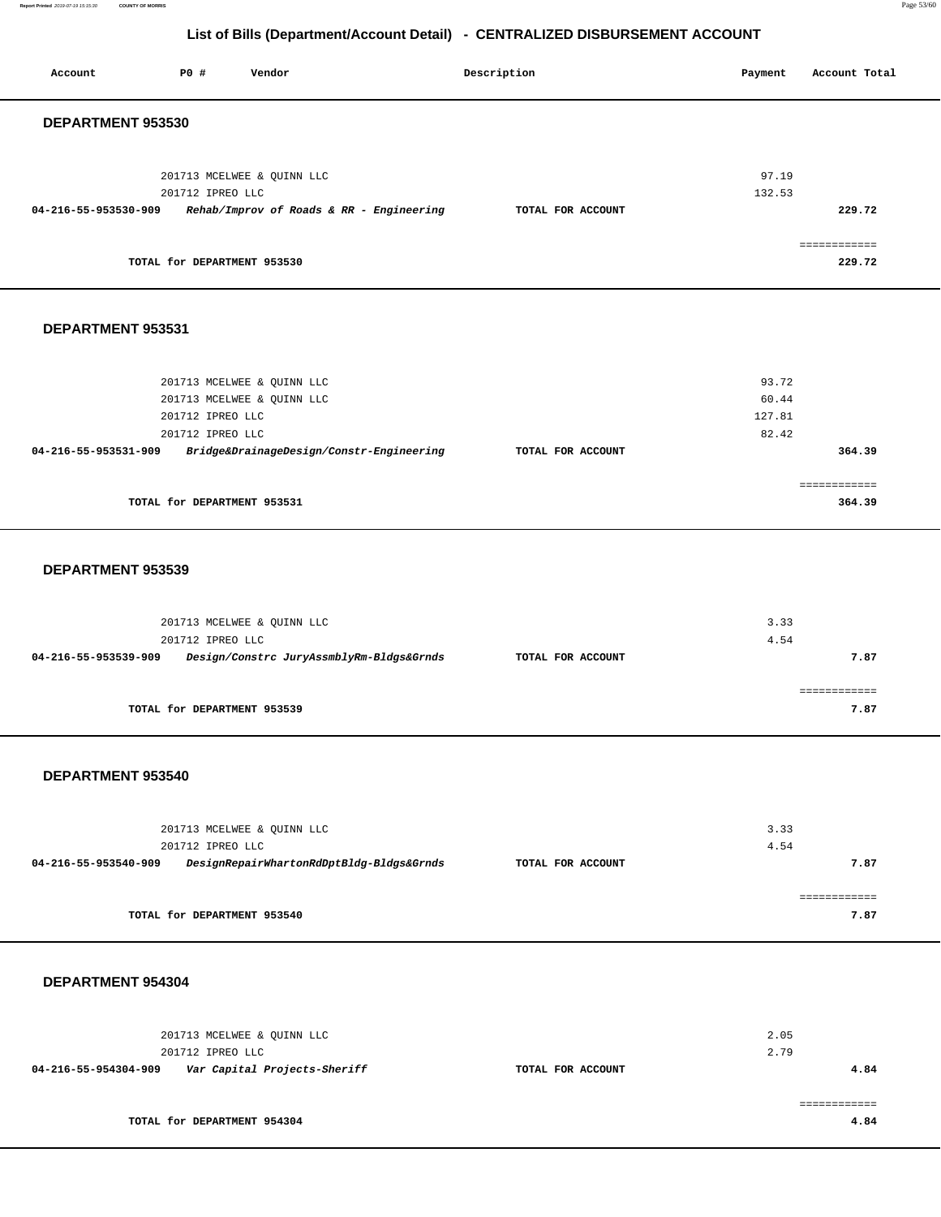**Report Printed** 2019-07-19 15:15:30 **COUNTY OF MORRIS** Page 53/60

**7.87** 

## **List of Bills (Department/Account Detail) - CENTRALIZED DISBURSEMENT ACCOUNT**

| P0 #<br>Vendor<br>Account                                        | Description       | Account Total<br>Payment |
|------------------------------------------------------------------|-------------------|--------------------------|
| DEPARTMENT 953530                                                |                   |                          |
|                                                                  |                   |                          |
| 201713 MCELWEE & QUINN LLC                                       |                   | 97.19                    |
| 201712 IPREO LLC                                                 |                   | 132.53                   |
| 04-216-55-953530-909<br>Rehab/Improv of Roads & RR - Engineering | TOTAL FOR ACCOUNT | 229.72                   |
|                                                                  |                   | ============             |
| TOTAL for DEPARTMENT 953530                                      |                   | 229.72                   |
|                                                                  |                   |                          |
| DEPARTMENT 953531                                                |                   |                          |
|                                                                  |                   |                          |
| 201713 MCELWEE & QUINN LLC                                       |                   | 93.72                    |
| 201713 MCELWEE & QUINN LLC                                       |                   | 60.44                    |
| 201712 IPREO LLC                                                 |                   | 127.81                   |
| 201712 IPREO LLC                                                 |                   | 82.42                    |
| Bridge&DrainageDesign/Constr-Engineering<br>04-216-55-953531-909 | TOTAL FOR ACCOUNT | 364.39                   |
|                                                                  |                   | ============             |
| TOTAL for DEPARTMENT 953531                                      |                   | 364.39                   |
|                                                                  |                   |                          |
| DEPARTMENT 953539                                                |                   |                          |
|                                                                  |                   |                          |
| 201713 MCELWEE & QUINN LLC                                       |                   | 3.33                     |
| 201712 IPREO LLC                                                 |                   | 4.54                     |
| 04-216-55-953539-909<br>Design/Constrc JuryAssmblyRm-Bldgs&Grnds | TOTAL FOR ACCOUNT | 7.87                     |
|                                                                  |                   | ============             |
| TOTAL for DEPARTMENT 953539                                      |                   | 7.87                     |
|                                                                  |                   |                          |
|                                                                  |                   |                          |
| DEPARTMENT 953540                                                |                   |                          |
|                                                                  |                   |                          |
| 201713 MCELWEE & QUINN LLC                                       |                   | 3.33                     |
| 201712 IPREO LLC                                                 |                   | 4.54                     |
| DesignRepairWhartonRdDptBldg-Bldgs&Grnds<br>04-216-55-953540-909 | TOTAL FOR ACCOUNT | 7.87                     |

**TOTAL for DEPARTMENT 953540** 

## **DEPARTMENT 954304**

| 201713 MCELWEE & OUINN LLC                           |                   | 2.05 |
|------------------------------------------------------|-------------------|------|
| 201712 IPREO LLC                                     |                   | 2.79 |
| Var Capital Projects-Sheriff<br>04-216-55-954304-909 | TOTAL FOR ACCOUNT | 4.84 |
|                                                      |                   |      |
|                                                      |                   |      |
| TOTAL for DEPARTMENT 954304                          |                   | 4.84 |
|                                                      |                   |      |

============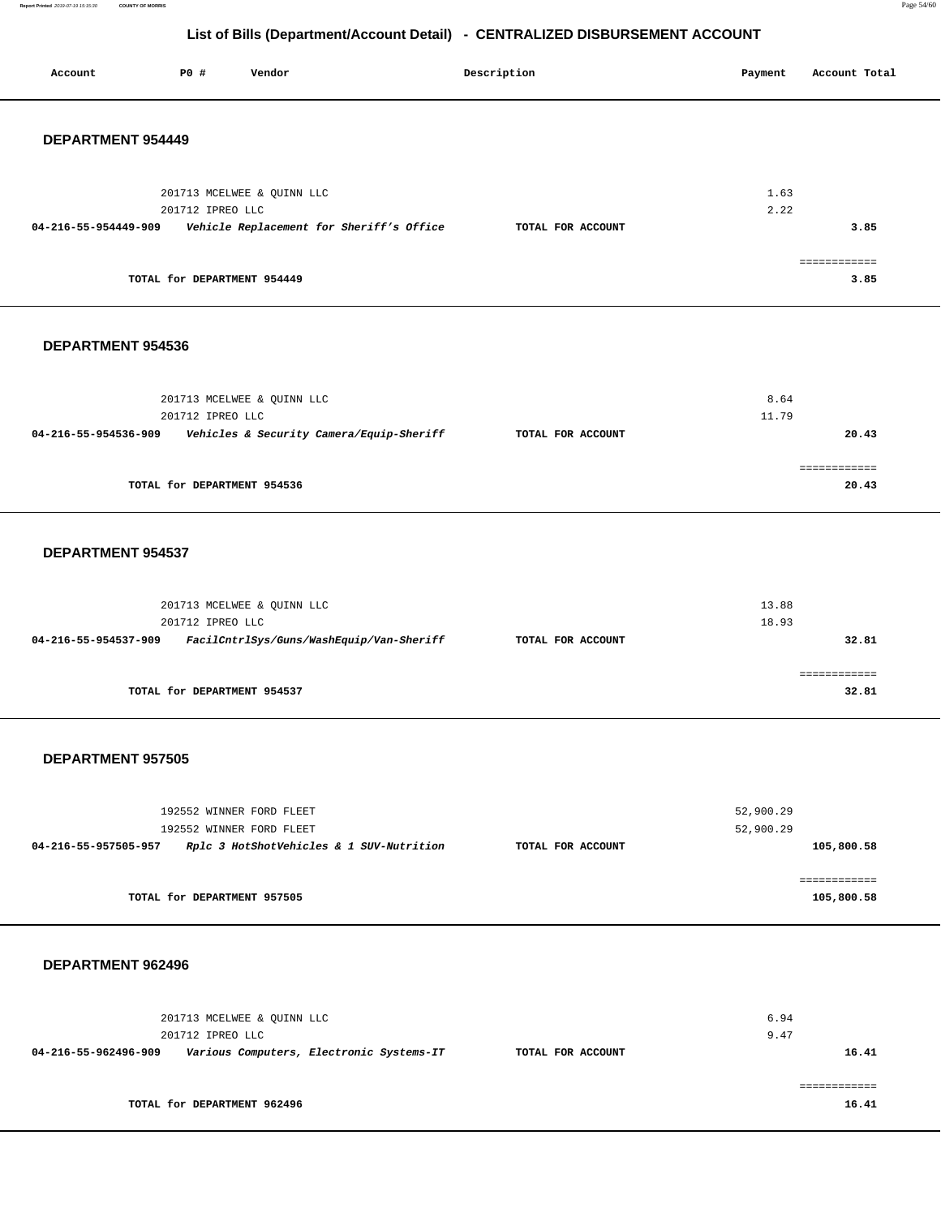**Report Printed** 2019-07-19 15:15:30 **COUNTY OF MORRIS** Page 54/60

## **List of Bills (Department/Account Detail) - CENTRALIZED DISBURSEMENT ACCOUNT**

| Account                  | P0 #                        | Vendor                                   | Description       | Payment        | Account Total         |
|--------------------------|-----------------------------|------------------------------------------|-------------------|----------------|-----------------------|
| <b>DEPARTMENT 954449</b> |                             |                                          |                   |                |                       |
|                          | 201712 IPREO LLC            | 201713 MCELWEE & QUINN LLC               |                   | 1.63<br>2.22   |                       |
| 04-216-55-954449-909     |                             | Vehicle Replacement for Sheriff's Office | TOTAL FOR ACCOUNT |                | 3.85                  |
|                          | TOTAL for DEPARTMENT 954449 |                                          |                   |                | ============<br>3.85  |
| DEPARTMENT 954536        |                             |                                          |                   |                |                       |
|                          |                             | 201713 MCELWEE & QUINN LLC               |                   | 8.64           |                       |
| 04-216-55-954536-909     | 201712 IPREO LLC            | Vehicles & Security Camera/Equip-Sheriff | TOTAL FOR ACCOUNT | 11.79          | 20.43                 |
|                          | TOTAL for DEPARTMENT 954536 |                                          |                   |                | ============<br>20.43 |
| DEPARTMENT 954537        |                             |                                          |                   |                |                       |
|                          | 201712 IPREO LLC            | 201713 MCELWEE & QUINN LLC               |                   | 13.88<br>18.93 |                       |
| 04-216-55-954537-909     |                             | FacilCntrlSys/Guns/WashEquip/Van-Sheriff | TOTAL FOR ACCOUNT |                | 32.81                 |
|                          | TOTAL for DEPARTMENT 954537 |                                          |                   |                | ============<br>32.81 |

### **DEPARTMENT 957505**

| 192552 WINNER FORD FLEET<br>192552 WINNER FORD FLEET             |                   | 52,900.29<br>52,900.29 |
|------------------------------------------------------------------|-------------------|------------------------|
| Rplc 3 HotShotVehicles & 1 SUV-Nutrition<br>04-216-55-957505-957 | TOTAL FOR ACCOUNT | 105,800.58             |
|                                                                  |                   |                        |
| TOTAL for DEPARTMENT 957505                                      |                   | 105,800.58             |

### **DEPARTMENT 962496**

| 201713 MCELWEE & OUINN LLC<br>201712 IPREO LLC |                                          |                   | 6.94<br>9.47 |
|------------------------------------------------|------------------------------------------|-------------------|--------------|
| 04-216-55-962496-909                           | Various Computers, Electronic Systems-IT | TOTAL FOR ACCOUNT | 16.41        |
|                                                |                                          |                   |              |
| TOTAL for DEPARTMENT 962496                    |                                          |                   | 16.41        |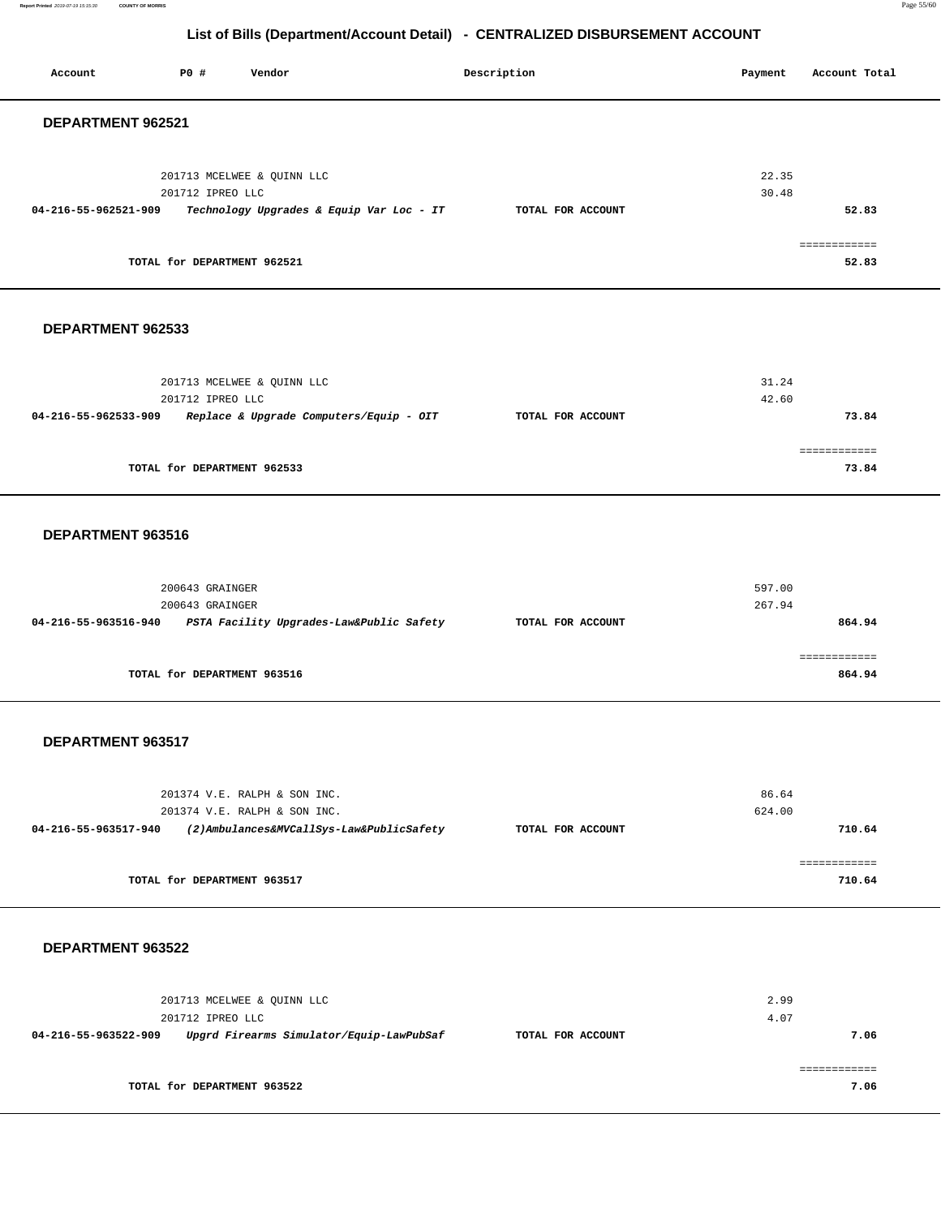**Report Printed** 2019-07-19 15:15:30 **COUNTY OF MORRIS** Page 55/60

## **List of Bills (Department/Account Detail) - CENTRALIZED DISBURSEMENT ACCOUNT**

Account **PO #** Vendor **Description Description Payment** Account Total **Payment** 

| DEPARTMENT 962521                                                                    |                   |                 |                        |
|--------------------------------------------------------------------------------------|-------------------|-----------------|------------------------|
| 201713 MCELWEE & QUINN LLC                                                           |                   | 22.35           |                        |
| 201712 IPREO LLC<br>04-216-55-962521-909<br>Technology Upgrades & Equip Var Loc - IT | TOTAL FOR ACCOUNT | 30.48           | 52.83                  |
| TOTAL for DEPARTMENT 962521                                                          |                   |                 | ============<br>52.83  |
| DEPARTMENT 962533                                                                    |                   |                 |                        |
| 201713 MCELWEE & QUINN LLC                                                           |                   | 31.24           |                        |
| 201712 IPREO LLC<br>04-216-55-962533-909<br>Replace & Upgrade Computers/Equip - OIT  | TOTAL FOR ACCOUNT | 42.60           | 73.84                  |
| TOTAL for DEPARTMENT 962533                                                          |                   |                 | ============<br>73.84  |
| DEPARTMENT 963516                                                                    |                   |                 |                        |
| 200643 GRAINGER                                                                      |                   | 597.00          |                        |
| 200643 GRAINGER<br>04-216-55-963516-940<br>PSTA Facility Upgrades-Law&Public Safety  | TOTAL FOR ACCOUNT | 267.94          | 864.94                 |
| TOTAL for DEPARTMENT 963516                                                          |                   |                 | ============<br>864.94 |
| DEPARTMENT 963517                                                                    |                   |                 |                        |
| 201374 V.E. RALPH & SON INC.<br>201374 V.E. RALPH & SON INC.                         |                   | 86.64<br>624.00 |                        |
| (2)Ambulances&MVCallSys-Law&PublicSafety<br>04-216-55-963517-940                     | TOTAL FOR ACCOUNT |                 | 710.64                 |
| TOTAL for DEPARTMENT 963517                                                          |                   |                 | ============<br>710.64 |
| DEPARTMENT 963522                                                                    |                   |                 |                        |
| 201713 MCELWEE & QUINN LLC<br>201712 IPREO LLC                                       |                   | 2.99<br>4.07    |                        |
| 04-216-55-963522-909<br>Upgrd Firearms Simulator/Equip-LawPubSaf                     | TOTAL FOR ACCOUNT |                 | 7.06                   |
|                                                                                      |                   |                 | ============           |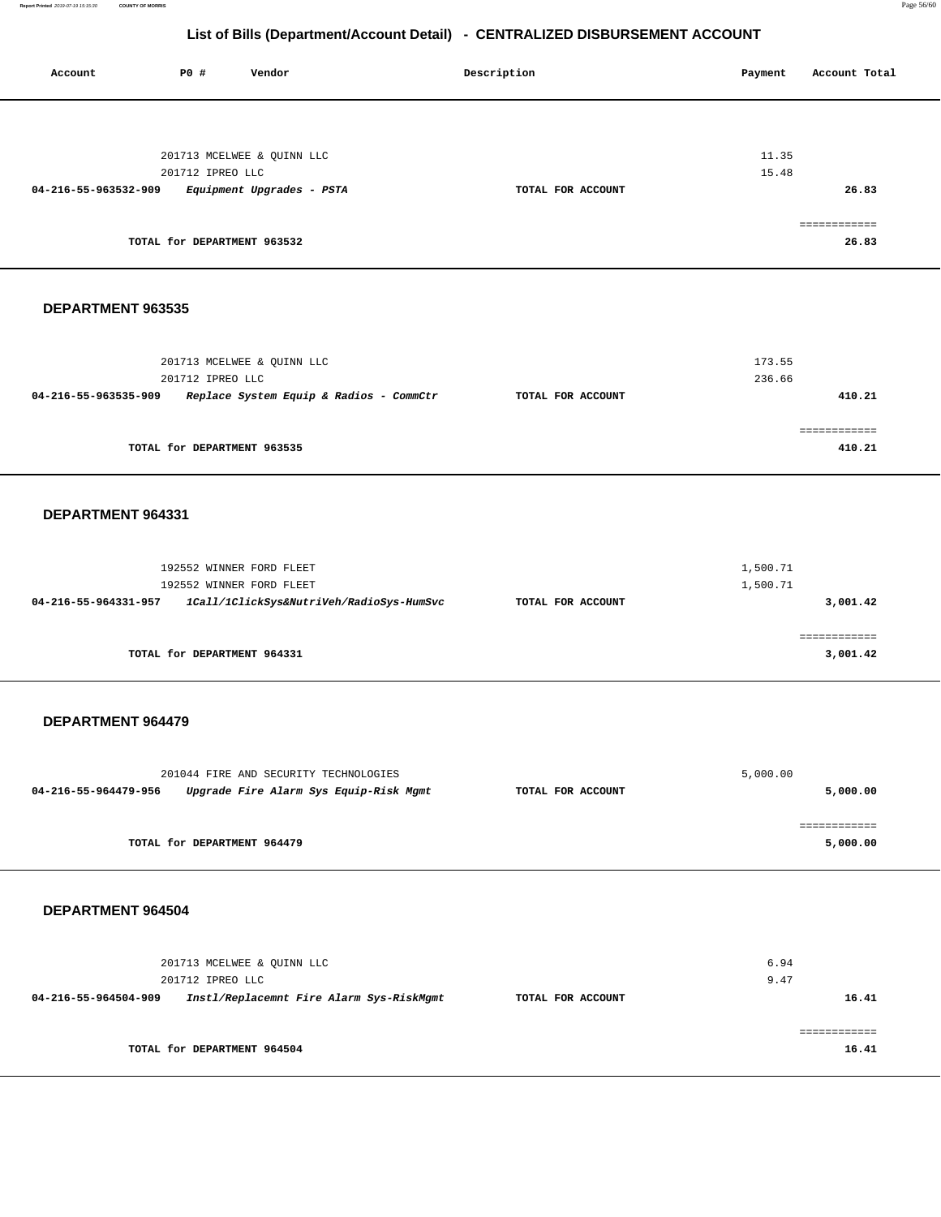**Report Printed** 2019-07-19 15:15:30 **COUNTY OF MORRIS** Page 56/60

| Account              | P0 #                        | Vendor                                  |                                          | Description       | Payment  | Account Total          |
|----------------------|-----------------------------|-----------------------------------------|------------------------------------------|-------------------|----------|------------------------|
|                      |                             |                                         |                                          |                   |          |                        |
|                      |                             |                                         |                                          |                   |          |                        |
|                      |                             |                                         |                                          |                   |          |                        |
|                      |                             | 201713 MCELWEE & QUINN LLC              |                                          |                   | 11.35    |                        |
|                      | 201712 IPREO LLC            |                                         |                                          |                   | 15.48    |                        |
| 04-216-55-963532-909 |                             | Equipment Upgrades - PSTA               |                                          | TOTAL FOR ACCOUNT |          | 26.83                  |
|                      |                             |                                         |                                          |                   |          |                        |
|                      |                             |                                         |                                          |                   |          | ============           |
|                      | TOTAL for DEPARTMENT 963532 |                                         |                                          |                   |          | 26.83                  |
|                      |                             |                                         |                                          |                   |          |                        |
|                      |                             |                                         |                                          |                   |          |                        |
|                      |                             |                                         |                                          |                   |          |                        |
| DEPARTMENT 963535    |                             |                                         |                                          |                   |          |                        |
|                      |                             |                                         |                                          |                   |          |                        |
|                      |                             |                                         |                                          |                   |          |                        |
|                      |                             | 201713 MCELWEE & QUINN LLC              |                                          |                   | 173.55   |                        |
|                      | 201712 IPREO LLC            |                                         |                                          |                   | 236.66   |                        |
| 04-216-55-963535-909 |                             | Replace System Equip & Radios - CommCtr |                                          | TOTAL FOR ACCOUNT |          | 410.21                 |
|                      |                             |                                         |                                          |                   |          |                        |
|                      | TOTAL for DEPARTMENT 963535 |                                         |                                          |                   |          | ============<br>410.21 |
|                      |                             |                                         |                                          |                   |          |                        |
|                      |                             |                                         |                                          |                   |          |                        |
|                      |                             |                                         |                                          |                   |          |                        |
| DEPARTMENT 964331    |                             |                                         |                                          |                   |          |                        |
|                      |                             |                                         |                                          |                   |          |                        |
|                      |                             |                                         |                                          |                   |          |                        |
|                      |                             | 192552 WINNER FORD FLEET                |                                          |                   | 1,500.71 |                        |
|                      |                             | 192552 WINNER FORD FLEET                |                                          |                   | 1,500.71 |                        |
| 04-216-55-964331-957 |                             |                                         | 1Call/1ClickSys&NutriVeh/RadioSys-HumSvc | TOTAL FOR ACCOUNT |          | 3,001.42               |
|                      |                             |                                         |                                          |                   |          |                        |
|                      |                             |                                         |                                          |                   |          | ============           |
|                      | TOTAL for DEPARTMENT 964331 |                                         |                                          |                   |          | 3,001.42               |
|                      |                             |                                         |                                          |                   |          |                        |
|                      |                             |                                         |                                          |                   |          |                        |
|                      |                             |                                         |                                          |                   |          |                        |
| DEPARTMENT 964479    |                             |                                         |                                          |                   |          |                        |
|                      |                             |                                         |                                          |                   |          |                        |
|                      |                             |                                         |                                          |                   |          |                        |
|                      |                             | 201044 FIRE AND SECURITY TECHNOLOGIES   |                                          |                   | 5,000.00 |                        |
| 04-216-55-964479-956 |                             | Upgrade Fire Alarm Sys Equip-Risk Mgmt  |                                          | TOTAL FOR ACCOUNT |          | 5,000.00               |
|                      |                             |                                         |                                          |                   |          | ============           |
|                      | TOTAL for DEPARTMENT 964479 |                                         |                                          |                   |          | 5,000.00               |
|                      |                             |                                         |                                          |                   |          |                        |
|                      |                             |                                         |                                          |                   |          |                        |
|                      |                             |                                         |                                          |                   |          |                        |
| DEPARTMENT 964504    |                             |                                         |                                          |                   |          |                        |
|                      |                             |                                         |                                          |                   |          |                        |
|                      |                             |                                         |                                          |                   |          |                        |
|                      |                             | 201713 MCELWEE & QUINN LLC              |                                          |                   | 6.94     |                        |
|                      | 201712 IPREO LLC            |                                         |                                          |                   | 9.47     |                        |
| 04-216-55-964504-909 |                             |                                         | Instl/Replacemnt Fire Alarm Sys-RiskMgmt | TOTAL FOR ACCOUNT |          | 16.41                  |
|                      |                             |                                         |                                          |                   |          |                        |
|                      |                             |                                         |                                          |                   |          | ============           |
|                      | TOTAL for DEPARTMENT 964504 |                                         |                                          |                   |          | 16.41                  |
|                      |                             |                                         |                                          |                   |          |                        |
|                      |                             |                                         |                                          |                   |          |                        |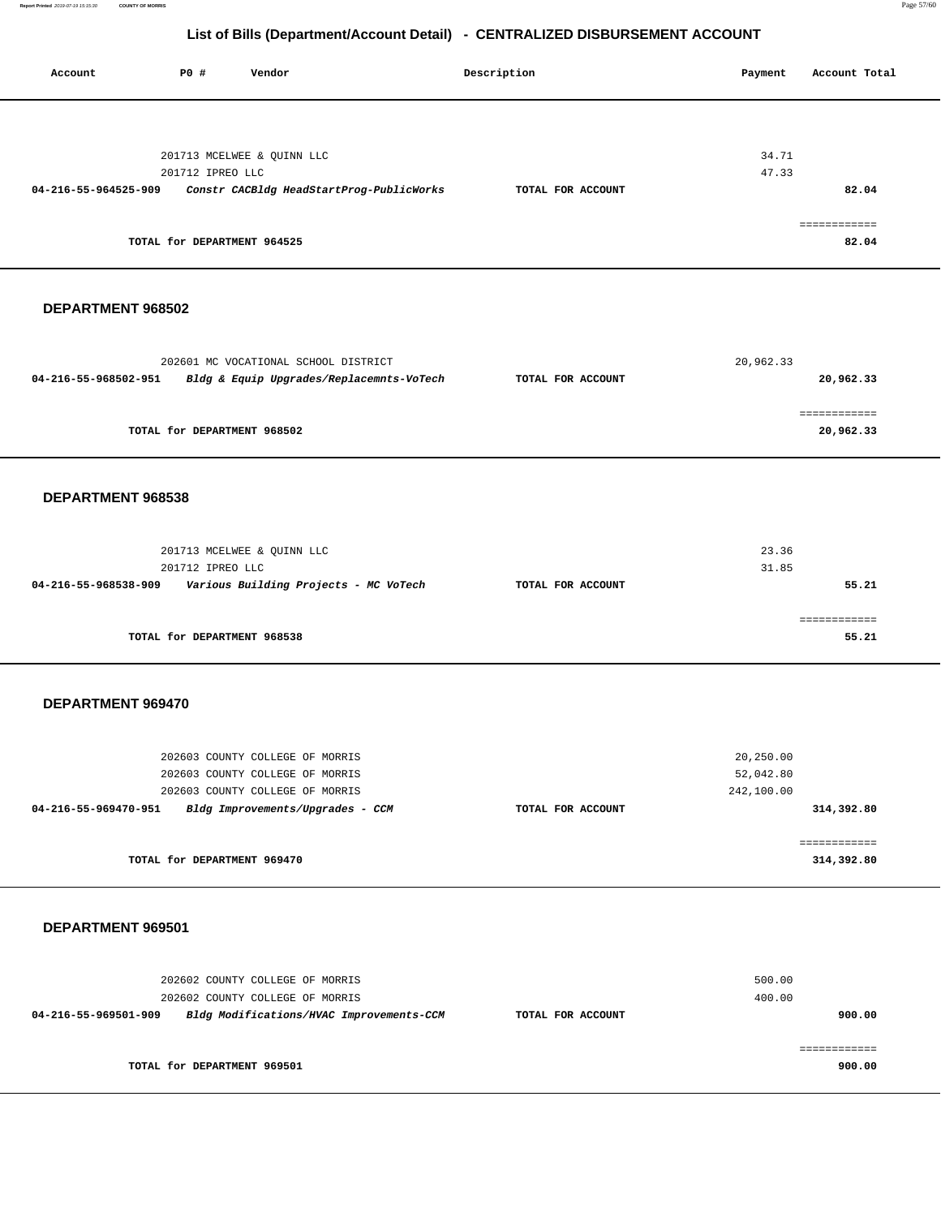**Report Printed** 2019-07-19 15:15:30 **COUNTY OF MORRIS** Page 57/60

۳

| Account              | <b>PO #</b><br>Vendor                                              |                                          | Description       | Payment                 | Account Total |
|----------------------|--------------------------------------------------------------------|------------------------------------------|-------------------|-------------------------|---------------|
|                      |                                                                    |                                          |                   |                         |               |
|                      |                                                                    |                                          |                   |                         |               |
|                      |                                                                    |                                          |                   |                         |               |
|                      | 201713 MCELWEE & QUINN LLC                                         |                                          |                   | 34.71                   |               |
| 04-216-55-964525-909 | 201712 IPREO LLC                                                   | Constr CACBldg HeadStartProg-PublicWorks | TOTAL FOR ACCOUNT | 47.33                   | 82.04         |
|                      |                                                                    |                                          |                   |                         |               |
|                      |                                                                    |                                          |                   |                         | ============  |
|                      | TOTAL for DEPARTMENT 964525                                        |                                          |                   |                         | 82.04         |
|                      |                                                                    |                                          |                   |                         |               |
|                      |                                                                    |                                          |                   |                         |               |
| DEPARTMENT 968502    |                                                                    |                                          |                   |                         |               |
|                      |                                                                    |                                          |                   |                         |               |
|                      |                                                                    |                                          |                   |                         |               |
|                      | 202601 MC VOCATIONAL SCHOOL DISTRICT                               |                                          |                   | 20,962.33               |               |
| 04-216-55-968502-951 |                                                                    | Bldg & Equip Upgrades/Replacemnts-VoTech | TOTAL FOR ACCOUNT |                         | 20,962.33     |
|                      |                                                                    |                                          |                   |                         | ============  |
|                      | TOTAL for DEPARTMENT 968502                                        |                                          |                   |                         | 20,962.33     |
|                      |                                                                    |                                          |                   |                         |               |
|                      |                                                                    |                                          |                   |                         |               |
| DEPARTMENT 968538    |                                                                    |                                          |                   |                         |               |
|                      |                                                                    |                                          |                   |                         |               |
|                      |                                                                    |                                          |                   |                         |               |
|                      | 201713 MCELWEE & QUINN LLC                                         |                                          |                   | 23.36                   |               |
| 04-216-55-968538-909 | 201712 IPREO LLC                                                   |                                          | TOTAL FOR ACCOUNT | 31.85                   | 55.21         |
|                      |                                                                    | Various Building Projects - MC VoTech    |                   |                         |               |
|                      |                                                                    |                                          |                   |                         | ============  |
|                      | TOTAL for DEPARTMENT 968538                                        |                                          |                   |                         | 55.21         |
|                      |                                                                    |                                          |                   |                         |               |
|                      |                                                                    |                                          |                   |                         |               |
| DEPARTMENT 969470    |                                                                    |                                          |                   |                         |               |
|                      |                                                                    |                                          |                   |                         |               |
|                      |                                                                    |                                          |                   |                         |               |
|                      | 202603 COUNTY COLLEGE OF MORRIS                                    |                                          |                   | 20,250.00               |               |
|                      | 202603 COUNTY COLLEGE OF MORRIS<br>202603 COUNTY COLLEGE OF MORRIS |                                          |                   | 52,042.80<br>242,100.00 |               |
| 04-216-55-969470-951 | Bldg Improvements/Upgrades - CCM                                   |                                          | TOTAL FOR ACCOUNT |                         | 314,392.80    |
|                      |                                                                    |                                          |                   |                         |               |
|                      |                                                                    |                                          |                   |                         | ============  |
|                      | TOTAL for DEPARTMENT 969470                                        |                                          |                   |                         | 314,392.80    |
|                      |                                                                    |                                          |                   |                         |               |
|                      |                                                                    |                                          |                   |                         |               |
| DEPARTMENT 969501    |                                                                    |                                          |                   |                         |               |
|                      |                                                                    |                                          |                   |                         |               |
|                      | 202602 COUNTY COLLEGE OF MORRIS                                    |                                          |                   | 500.00                  |               |
|                      | 202602 COUNTY COLLEGE OF MORRIS                                    |                                          |                   | 400.00                  |               |
| 04-216-55-969501-909 |                                                                    | Bldg Modifications/HVAC Improvements-CCM | TOTAL FOR ACCOUNT |                         | 900.00        |
|                      |                                                                    |                                          |                   |                         |               |
|                      |                                                                    |                                          |                   |                         | ============  |
|                      | TOTAL for DEPARTMENT 969501                                        |                                          |                   |                         | 900.00        |
|                      |                                                                    |                                          |                   |                         |               |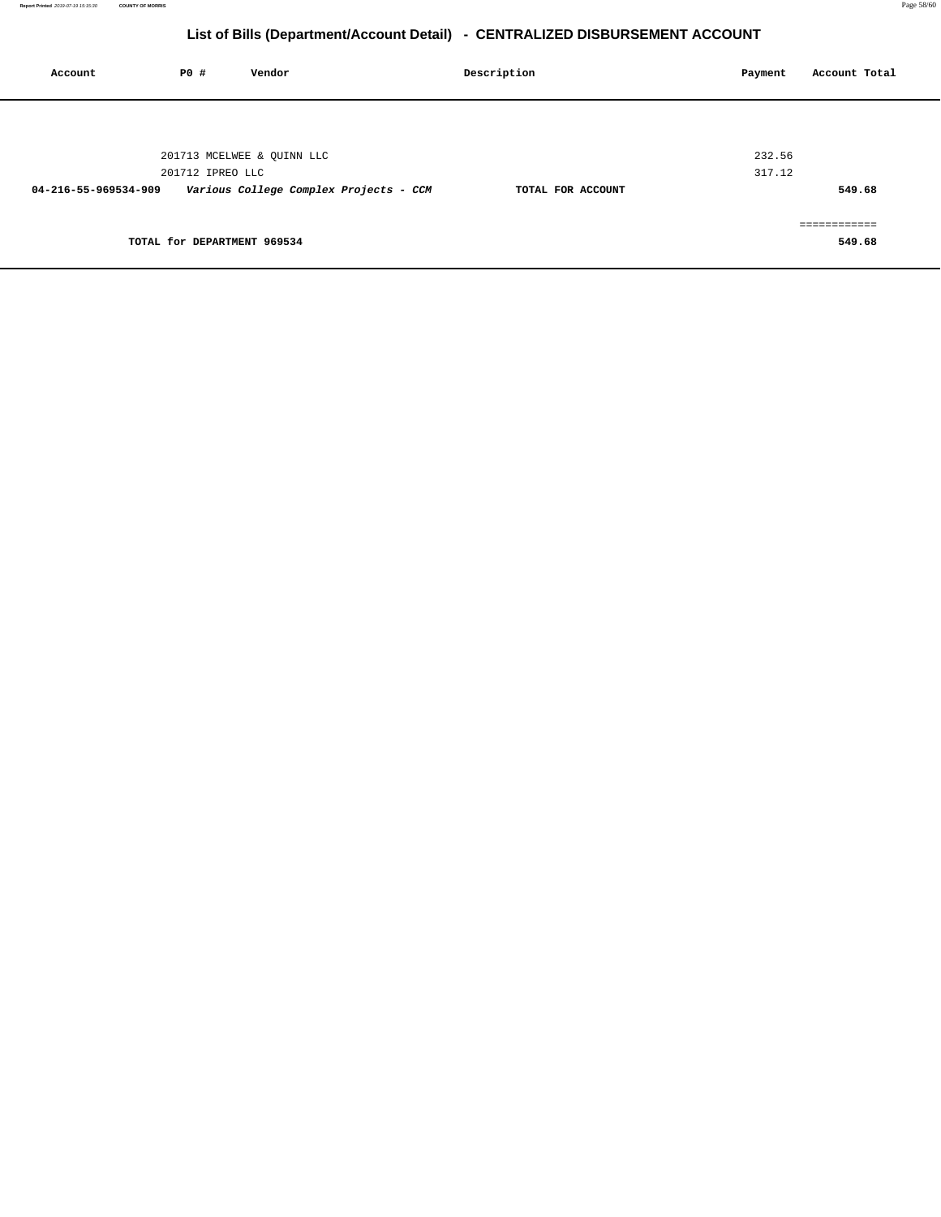| Account              | P0 #                        | Vendor                                 | Description       | Payment | Account Total |
|----------------------|-----------------------------|----------------------------------------|-------------------|---------|---------------|
|                      |                             |                                        |                   |         |               |
|                      |                             | 201713 MCELWEE & QUINN LLC             |                   | 232.56  |               |
| 04-216-55-969534-909 | 201712 IPREO LLC            | Various College Complex Projects - CCM | TOTAL FOR ACCOUNT | 317.12  | 549.68        |
|                      |                             |                                        |                   |         | eeeeeeeeeee   |
|                      | TOTAL for DEPARTMENT 969534 |                                        |                   |         | 549.68        |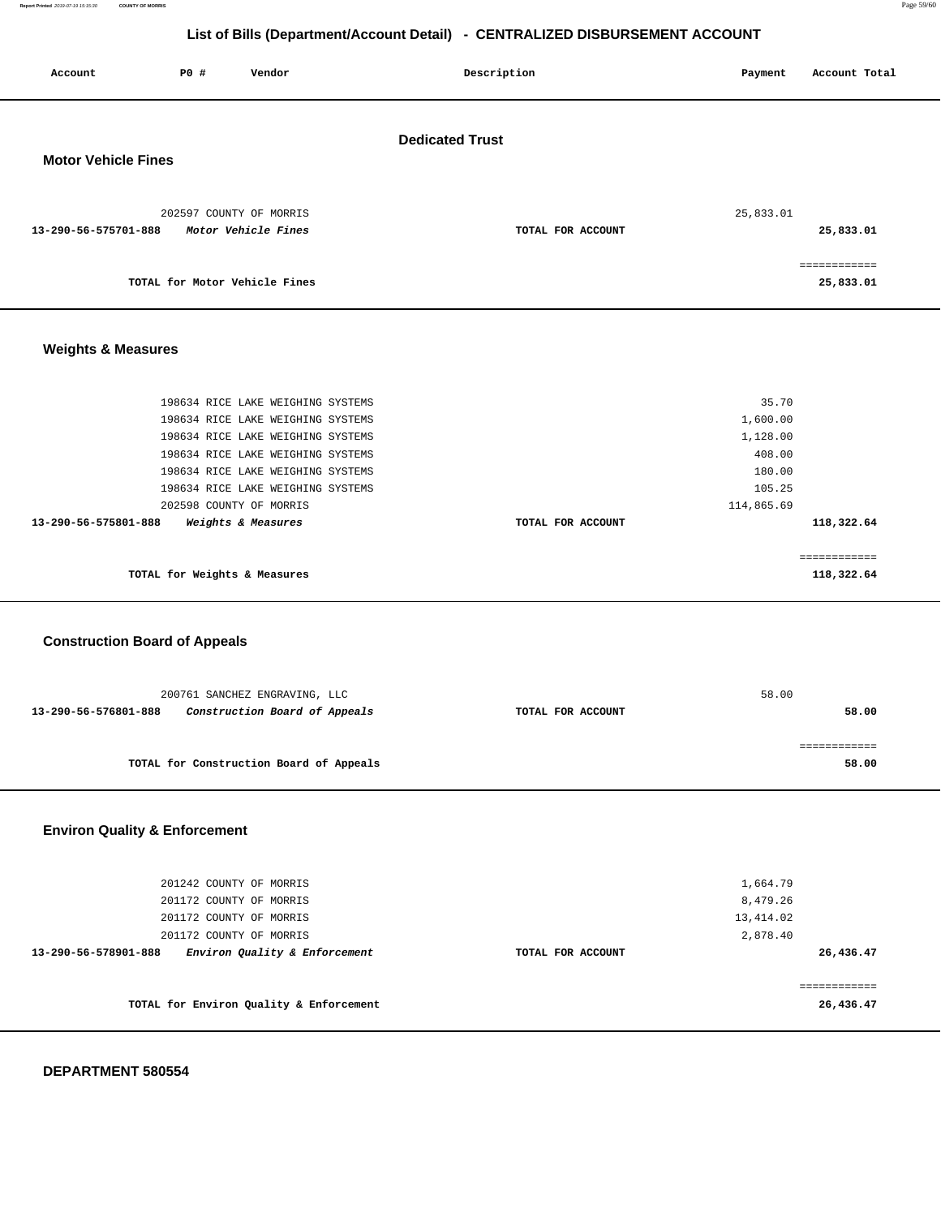**Report Printed** 2019-07-19 15:15:30 **COUNTY OF MORRIS** Page 59/60

## **List of Bills (Department/Account Detail) - CENTRALIZED DISBURSEMENT ACCOUNT**

| Account                              | P0 #                         | Vendor                                  |                        | Description       | Payment    | Account Total |
|--------------------------------------|------------------------------|-----------------------------------------|------------------------|-------------------|------------|---------------|
|                                      |                              |                                         | <b>Dedicated Trust</b> |                   |            |               |
| <b>Motor Vehicle Fines</b>           |                              |                                         |                        |                   |            |               |
|                                      |                              |                                         |                        |                   |            |               |
|                                      |                              |                                         |                        |                   |            |               |
|                                      |                              | 202597 COUNTY OF MORRIS                 |                        |                   | 25,833.01  |               |
| 13-290-56-575701-888                 |                              | Motor Vehicle Fines                     |                        | TOTAL FOR ACCOUNT |            | 25,833.01     |
|                                      |                              |                                         |                        |                   |            |               |
|                                      |                              |                                         |                        |                   |            |               |
|                                      |                              | TOTAL for Motor Vehicle Fines           |                        |                   |            | 25,833.01     |
|                                      |                              |                                         |                        |                   |            |               |
|                                      |                              |                                         |                        |                   |            |               |
|                                      |                              |                                         |                        |                   |            |               |
| <b>Weights &amp; Measures</b>        |                              |                                         |                        |                   |            |               |
|                                      |                              |                                         |                        |                   |            |               |
|                                      |                              |                                         |                        |                   |            |               |
|                                      |                              | 198634 RICE LAKE WEIGHING SYSTEMS       |                        |                   | 35.70      |               |
|                                      |                              | 198634 RICE LAKE WEIGHING SYSTEMS       |                        |                   | 1,600.00   |               |
|                                      |                              | 198634 RICE LAKE WEIGHING SYSTEMS       |                        |                   | 1,128.00   |               |
|                                      |                              | 198634 RICE LAKE WEIGHING SYSTEMS       |                        |                   | 408.00     |               |
|                                      |                              | 198634 RICE LAKE WEIGHING SYSTEMS       |                        |                   | 180.00     |               |
|                                      |                              | 198634 RICE LAKE WEIGHING SYSTEMS       |                        |                   | 105.25     |               |
|                                      |                              | 202598 COUNTY OF MORRIS                 |                        |                   | 114,865.69 |               |
| 13-290-56-575801-888                 |                              | Weights & Measures                      |                        | TOTAL FOR ACCOUNT |            | 118,322.64    |
|                                      |                              |                                         |                        |                   |            |               |
|                                      |                              |                                         |                        |                   |            | ============  |
|                                      | TOTAL for Weights & Measures |                                         |                        |                   |            | 118,322.64    |
|                                      |                              |                                         |                        |                   |            |               |
|                                      |                              |                                         |                        |                   |            |               |
|                                      |                              |                                         |                        |                   |            |               |
| <b>Construction Board of Appeals</b> |                              |                                         |                        |                   |            |               |
|                                      |                              |                                         |                        |                   |            |               |
|                                      |                              |                                         |                        |                   |            |               |
|                                      |                              | 200761 SANCHEZ ENGRAVING, LLC           |                        |                   | 58.00      |               |
| 13-290-56-576801-888                 |                              | Construction Board of Appeals           |                        | TOTAL FOR ACCOUNT |            | 58.00         |
|                                      |                              |                                         |                        |                   |            |               |
|                                      |                              |                                         |                        |                   |            | ============  |
|                                      |                              | TOTAL for Construction Board of Appeals |                        |                   |            | 58.00         |
|                                      |                              |                                         |                        |                   |            |               |

## **Environ Quality & Enforcement**

| 201242 COUNTY OF MORRIS<br>201172 COUNTY OF MORRIS                                                          |                   | 1,664.79<br>8,479.26               |
|-------------------------------------------------------------------------------------------------------------|-------------------|------------------------------------|
| 201172 COUNTY OF MORRIS<br>201172 COUNTY OF MORRIS<br>Environ Quality & Enforcement<br>13-290-56-578901-888 | TOTAL FOR ACCOUNT | 13,414.02<br>2,878.40<br>26,436.47 |
| TOTAL for Environ Quality & Enforcement                                                                     |                   | 26,436.47                          |